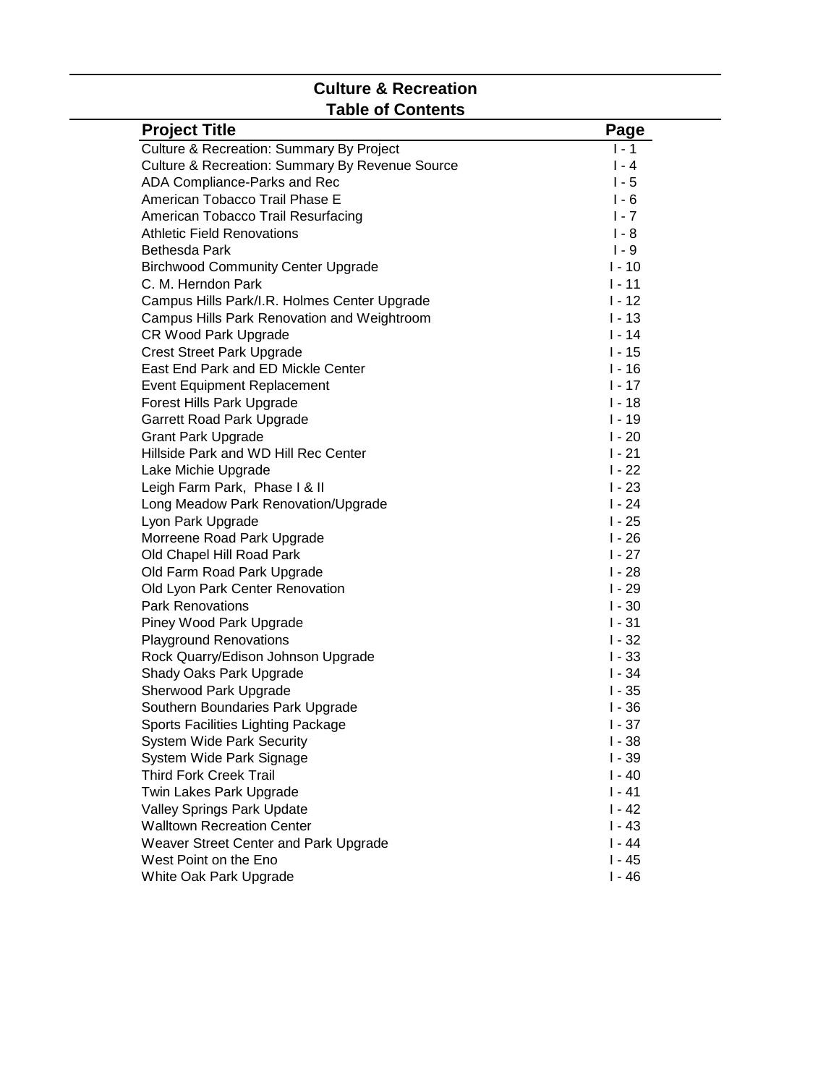# **Culture & Recreation Table of Contents**

| <b>Project Title</b>                            | Page     |
|-------------------------------------------------|----------|
| Culture & Recreation: Summary By Project        | $1 - 1$  |
| Culture & Recreation: Summary By Revenue Source | $1 - 4$  |
| ADA Compliance-Parks and Rec                    | $1 - 5$  |
| American Tobacco Trail Phase E                  | $1 - 6$  |
| American Tobacco Trail Resurfacing              | $1 - 7$  |
| <b>Athletic Field Renovations</b>               | $1 - 8$  |
| Bethesda Park                                   | $1 - 9$  |
| <b>Birchwood Community Center Upgrade</b>       | $1 - 10$ |
| C. M. Herndon Park                              | $1 - 11$ |
| Campus Hills Park/I.R. Holmes Center Upgrade    | $1 - 12$ |
| Campus Hills Park Renovation and Weightroom     | $1 - 13$ |
| <b>CR Wood Park Upgrade</b>                     | $1 - 14$ |
| <b>Crest Street Park Upgrade</b>                | $1 - 15$ |
| East End Park and ED Mickle Center              | $1 - 16$ |
| <b>Event Equipment Replacement</b>              | $1 - 17$ |
| Forest Hills Park Upgrade                       | $I - 18$ |
| Garrett Road Park Upgrade                       | $1 - 19$ |
| <b>Grant Park Upgrade</b>                       | $1 - 20$ |
| Hillside Park and WD Hill Rec Center            | $1 - 21$ |
| Lake Michie Upgrade                             | $1 - 22$ |
| Leigh Farm Park, Phase I & II                   | $1 - 23$ |
| Long Meadow Park Renovation/Upgrade             | $1 - 24$ |
| Lyon Park Upgrade                               | $1 - 25$ |
| Morreene Road Park Upgrade                      | $I - 26$ |
| Old Chapel Hill Road Park                       | $1 - 27$ |
| Old Farm Road Park Upgrade                      | $1 - 28$ |
| Old Lyon Park Center Renovation                 | $1 - 29$ |
| <b>Park Renovations</b>                         | $1 - 30$ |
| Piney Wood Park Upgrade                         | $1 - 31$ |
| <b>Playground Renovations</b>                   | $1 - 32$ |
| Rock Quarry/Edison Johnson Upgrade              | $1 - 33$ |
| Shady Oaks Park Upgrade                         | $1 - 34$ |
| Sherwood Park Upgrade                           | $1 - 35$ |
| Southern Boundaries Park Upgrade                | $1 - 36$ |
| Sports Facilities Lighting Package              | $1 - 37$ |
| <b>System Wide Park Security</b>                | $1 - 38$ |
| System Wide Park Signage                        | $1 - 39$ |
| <b>Third Fork Creek Trail</b>                   | $I - 40$ |
| Twin Lakes Park Upgrade                         | $I - 41$ |
| Valley Springs Park Update                      | $I - 42$ |
| <b>Walltown Recreation Center</b>               | $1 - 43$ |
| Weaver Street Center and Park Upgrade           | $I - 44$ |
| West Point on the Eno                           | $1 - 45$ |
| White Oak Park Upgrade                          | $1 - 46$ |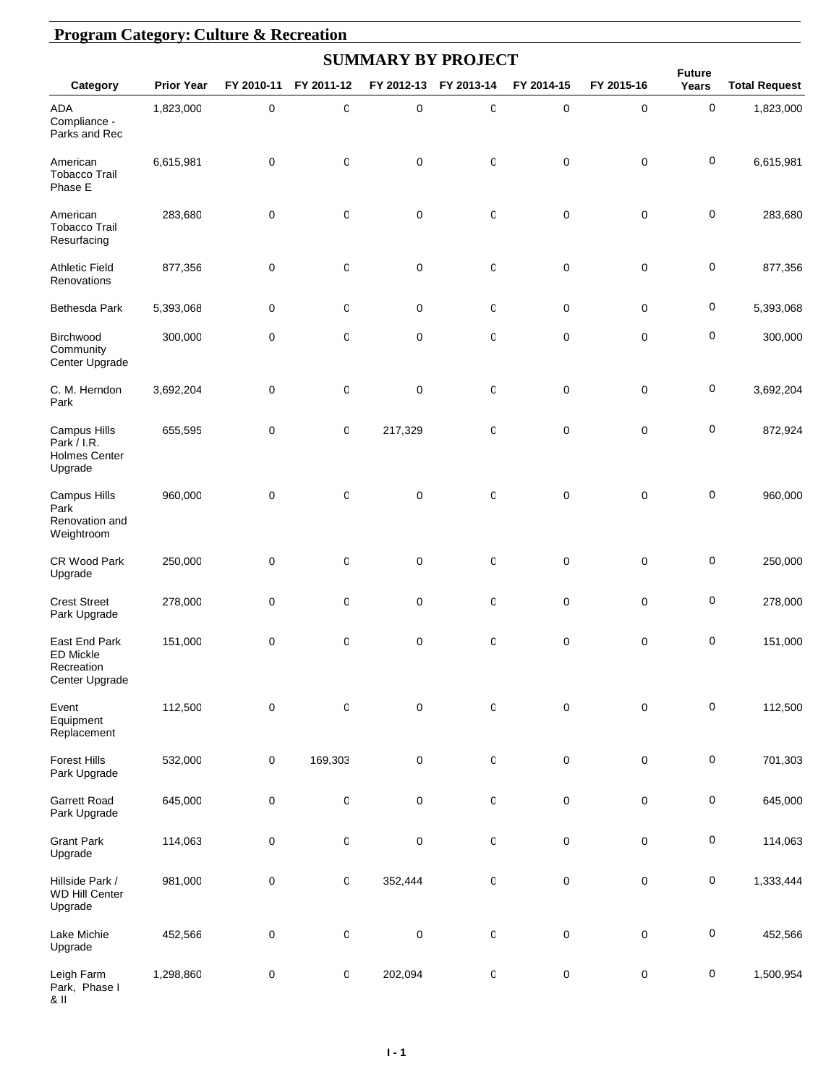|                                                                   |                   |            |              | <b>SUMMARY BY PROJECT</b> |                  |             |             |                        |                      |
|-------------------------------------------------------------------|-------------------|------------|--------------|---------------------------|------------------|-------------|-------------|------------------------|----------------------|
| Category                                                          | <b>Prior Year</b> | FY 2010-11 | FY 2011-12   | FY 2012-13                | FY 2013-14       | FY 2014-15  | FY 2015-16  | <b>Future</b><br>Years | <b>Total Request</b> |
| ADA<br>Compliance -<br>Parks and Rec                              | 1,823,000         | $\pmb{0}$  | O            | $\pmb{0}$                 | $\mathbf 0$      | $\mathbf 0$ | $\mathbf 0$ | 0                      | 1,823,000            |
| American<br><b>Tobacco Trail</b><br>Phase E                       | 6,615,981         | 0          | 0            | $\mathbf 0$               | 0                | 0           | 0           | 0                      | 6,615,981            |
| American<br><b>Tobacco Trail</b><br>Resurfacing                   | 283,680           | 0          | 0            | $\mathbf 0$               | 0                | 0           | 0           | 0                      | 283,680              |
| <b>Athletic Field</b><br>Renovations                              | 877,356           | 0          | 0            | $\mathbf 0$               | 0                | 0           | $\mathbf 0$ | 0                      | 877,356              |
| Bethesda Park                                                     | 5,393,068         | 0          | 0            | $\pmb{0}$                 | 0                | 0           | 0           | 0                      | 5,393,068            |
| Birchwood<br>Community<br>Center Upgrade                          | 300,000           | 0          | O            | $\mathbf 0$               | 0                | 0           | $\mathbf 0$ | 0                      | 300,000              |
| C. M. Herndon<br>Park                                             | 3,692,204         | 0          | O            | $\mathbf 0$               | 0                | 0           | $\pmb{0}$   | 0                      | 3,692,204            |
| Campus Hills<br>Park / I.R.<br><b>Holmes Center</b><br>Upgrade    | 655,595           | 0          | 0            | 217,329                   | 0                | 0           | 0           | 0                      | 872,924              |
| Campus Hills<br>Park<br>Renovation and<br>Weightroom              | 960,000           | 0          | $\mathbb{C}$ | $\mathbf 0$               | 0                | $\mathbf 0$ | 0           | 0                      | 960,000              |
| CR Wood Park<br>Upgrade                                           | 250,000           | 0          | $\mathbb{C}$ | $\mathbf 0$               | 0                | 0           | 0           | 0                      | 250,000              |
| <b>Crest Street</b><br>Park Upgrade                               | 278,000           | 0          | 0            | $\mathbf 0$               | 0                | 0           | 0           | 0                      | 278,000              |
| East End Park<br><b>ED Mickle</b><br>Recreation<br>Center Upgrade | 151,000           | 0          | $\Omega$     | $\Omega$                  | $\Omega$         | $\Omega$    | 0           | 0                      | 151,000              |
| Event<br>Equipment<br>Replacement                                 | 112,500           | $\pmb{0}$  | $\mathbf 0$  | $\pmb{0}$                 | $\boldsymbol{0}$ | $\pmb{0}$   | $\pmb{0}$   | $\pmb{0}$              | 112,500              |
| <b>Forest Hills</b><br>Park Upgrade                               | 532,000           | 0          | 169,303      | $\pmb{0}$                 | $\mathbf 0$      | $\pmb{0}$   | $\pmb{0}$   | $\pmb{0}$              | 701,303              |
| <b>Garrett Road</b><br>Park Upgrade                               | 645,000           | 0          | $\mathsf{C}$ | $\pmb{0}$                 | $\boldsymbol{0}$ | $\mathbf 0$ | $\pmb{0}$   | 0                      | 645,000              |
| <b>Grant Park</b><br>Upgrade                                      | 114,063           | 0          | 0            | $\pmb{0}$                 | $\boldsymbol{0}$ | $\pmb{0}$   | $\pmb{0}$   | $\pmb{0}$              | 114,063              |
| Hillside Park /<br><b>WD Hill Center</b><br>Upgrade               | 981,000           | 0          | $\mathbf 0$  | 352,444                   | $\boldsymbol{0}$ | $\pmb{0}$   | $\pmb{0}$   | 0                      | 1,333,444            |
| Lake Michie<br>Upgrade                                            | 452,566           | 0          | $\mathbf 0$  | $\pmb{0}$                 | $\boldsymbol{0}$ | $\pmb{0}$   | $\pmb{0}$   | $\pmb{0}$              | 452,566              |
| Leigh Farm<br>Park, Phase I<br>$8$ II                             | 1,298,860         | 0          | 0            | 202,094                   | $\boldsymbol{0}$ | $\pmb{0}$   | $\pmb{0}$   | $\pmb{0}$              | 1,500,954            |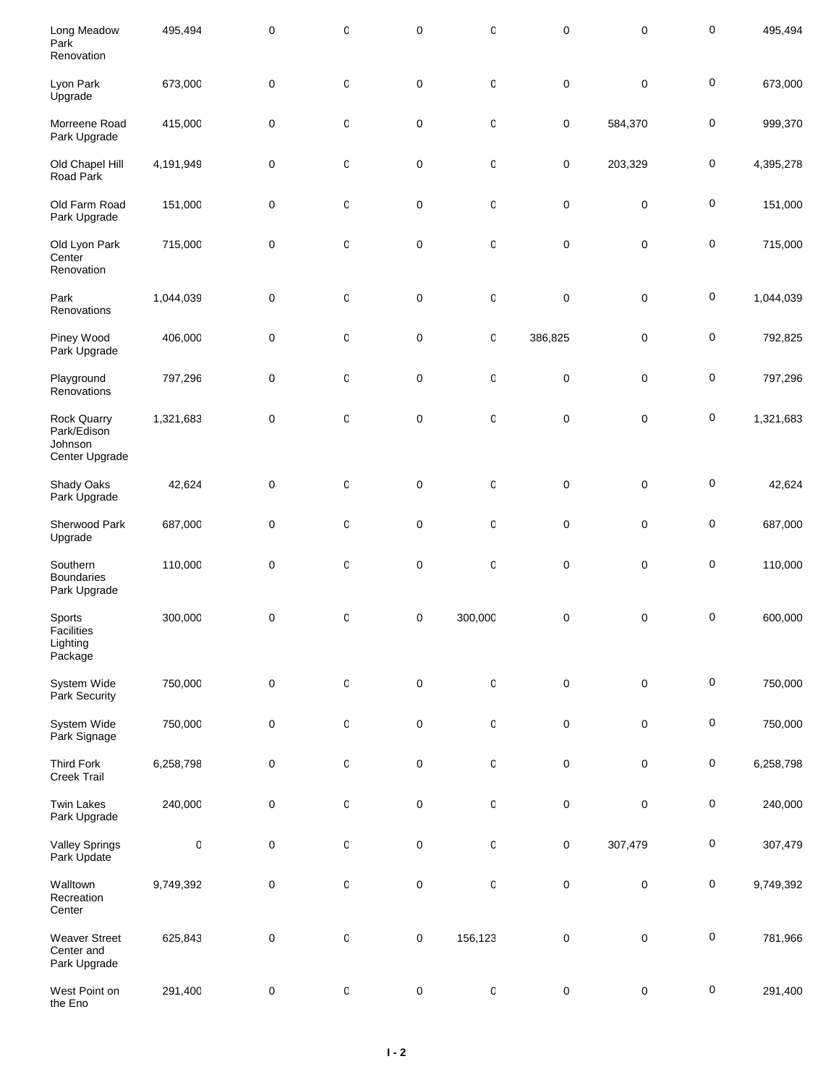| Long Meadow<br>Park<br>Renovation                              | 495,494     | 0         | 0            | $\pmb{0}$   | 0       | $\pmb{0}$   | 0           | $\pmb{0}$ | 495,494   |
|----------------------------------------------------------------|-------------|-----------|--------------|-------------|---------|-------------|-------------|-----------|-----------|
| Lyon Park<br>Upgrade                                           | 673,000     | 0         | 0            | $\pmb{0}$   | 0       | $\pmb{0}$   | $\mathbf 0$ | $\pmb{0}$ | 673,000   |
| Morreene Road<br>Park Upgrade                                  | 415,000     | 0         | 0            | $\pmb{0}$   | 0       | 0           | 584,370     | $\pmb{0}$ | 999,370   |
| Old Chapel Hill<br>Road Park                                   | 4,191,949   | 0         | 0            | $\pmb{0}$   | 0       | 0           | 203,329     | $\pmb{0}$ | 4,395,278 |
| Old Farm Road<br>Park Upgrade                                  | 151,000     | 0         | 0            | $\pmb{0}$   | 0       | $\pmb{0}$   | $\pmb{0}$   | $\pmb{0}$ | 151,000   |
| Old Lyon Park<br>Center<br>Renovation                          | 715,000     | 0         | O            | $\mathbf 0$ | 0       | $\pmb{0}$   | $\mathbf 0$ | $\pmb{0}$ | 715,000   |
| Park<br>Renovations                                            | 1,044,039   | 0         | 0            | $\pmb{0}$   | 0       | $\pmb{0}$   | $\mathbf 0$ | $\pmb{0}$ | 1,044,039 |
| Piney Wood<br>Park Upgrade                                     | 406,000     | 0         | O            | $\pmb{0}$   | 0       | 386,825     | 0           | $\pmb{0}$ | 792,825   |
| Playground<br>Renovations                                      | 797,296     | 0         | 0            | $\pmb{0}$   | 0       | $\pmb{0}$   | $\mathbf 0$ | $\pmb{0}$ | 797,296   |
| <b>Rock Quarry</b><br>Park/Edison<br>Johnson<br>Center Upgrade | 1,321,683   | 0         | $\mathsf{C}$ | $\pmb{0}$   | 0       | $\pmb{0}$   | $\mathbf 0$ | $\pmb{0}$ | 1,321,683 |
| Shady Oaks<br>Park Upgrade                                     | 42,624      | 0         | $\mathsf{C}$ | $\pmb{0}$   | 0       | $\pmb{0}$   | $\pmb{0}$   | $\pmb{0}$ | 42,624    |
| Sherwood Park<br>Upgrade                                       | 687,000     | $\pmb{0}$ | O            | $\pmb{0}$   | 0       | $\mathbf 0$ | $\mathbf 0$ | $\pmb{0}$ | 687,000   |
| Southern<br><b>Boundaries</b><br>Park Upgrade                  | 110,000     | 0         | O            | $\pmb{0}$   | 0       | 0           | 0           | $\pmb{0}$ | 110,000   |
| Sports<br>Facilities<br>Lighting<br>Package                    | 300,000     | 0         | 0            | $\pmb{0}$   | 300,000 | $\pmb{0}$   | 0           | $\pmb{0}$ | 600,000   |
| System Wide<br>Park Security                                   | 750,000     | $\pmb{0}$ | $\mathsf{C}$ | $\pmb{0}$   | 0       | 0           | $\pmb{0}$   | $\pmb{0}$ | 750,000   |
| System Wide<br>Park Signage                                    | 750,000     | 0         | $\mathsf{C}$ | $\pmb{0}$   | 0       | 0           | $\pmb{0}$   | $\pmb{0}$ | 750,000   |
| <b>Third Fork</b><br>Creek Trail                               | 6,258,798   | 0         | $\mathsf C$  | $\pmb{0}$   | 0       | 0           | $\mathbf 0$ | $\pmb{0}$ | 6,258,798 |
| <b>Twin Lakes</b><br>Park Upgrade                              | 240,000     | 0         | $\mathsf C$  | $\pmb{0}$   | 0       | $\pmb{0}$   | $\pmb{0}$   | $\pmb{0}$ | 240,000   |
| <b>Valley Springs</b><br>Park Update                           | $\mathbf 0$ | $\pmb{0}$ | $\mathsf C$  | $\pmb{0}$   | 0       | 0           | 307,479     | $\pmb{0}$ | 307,479   |
| Walltown<br>Recreation<br>Center                               | 9,749,392   | 0         | $\mathsf{C}$ | $\pmb{0}$   | 0       | $\pmb{0}$   | $\pmb{0}$   | $\pmb{0}$ | 9,749,392 |
| <b>Weaver Street</b><br>Center and<br>Park Upgrade             | 625,843     | $\pmb{0}$ | $\mathsf{C}$ | $\pmb{0}$   | 156,123 | $\pmb{0}$   | 0           | $\pmb{0}$ | 781,966   |
| West Point on<br>the Eno                                       | 291,400     | $\pmb{0}$ | $\mathbf 0$  | $\pmb{0}$   | 0       | $\pmb{0}$   | $\pmb{0}$   | $\pmb{0}$ | 291,400   |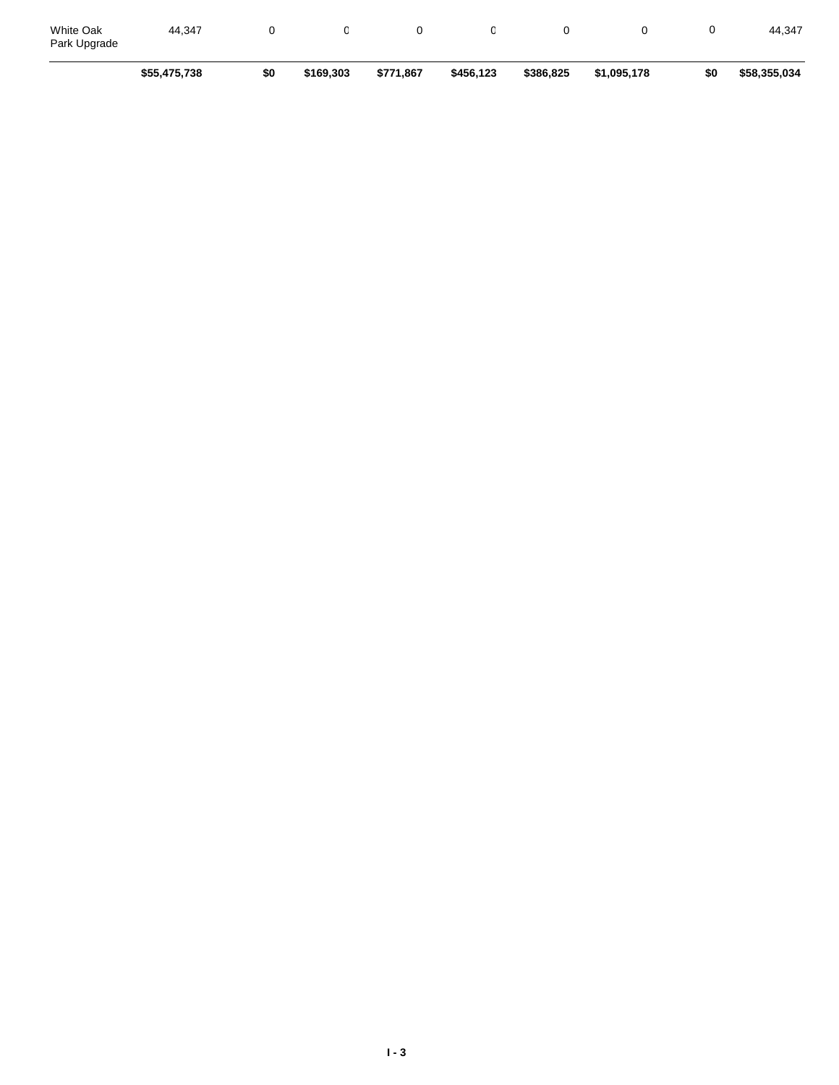|                                  | \$55,475,738 | \$0 | \$169,303 | \$771,867 | \$456,123 | \$386,825 | \$1,095,178 | \$0 | \$58,355,034 |
|----------------------------------|--------------|-----|-----------|-----------|-----------|-----------|-------------|-----|--------------|
| <b>White Oak</b><br>Park Upgrade | 44.347       |     |           |           |           |           |             |     | 44.347       |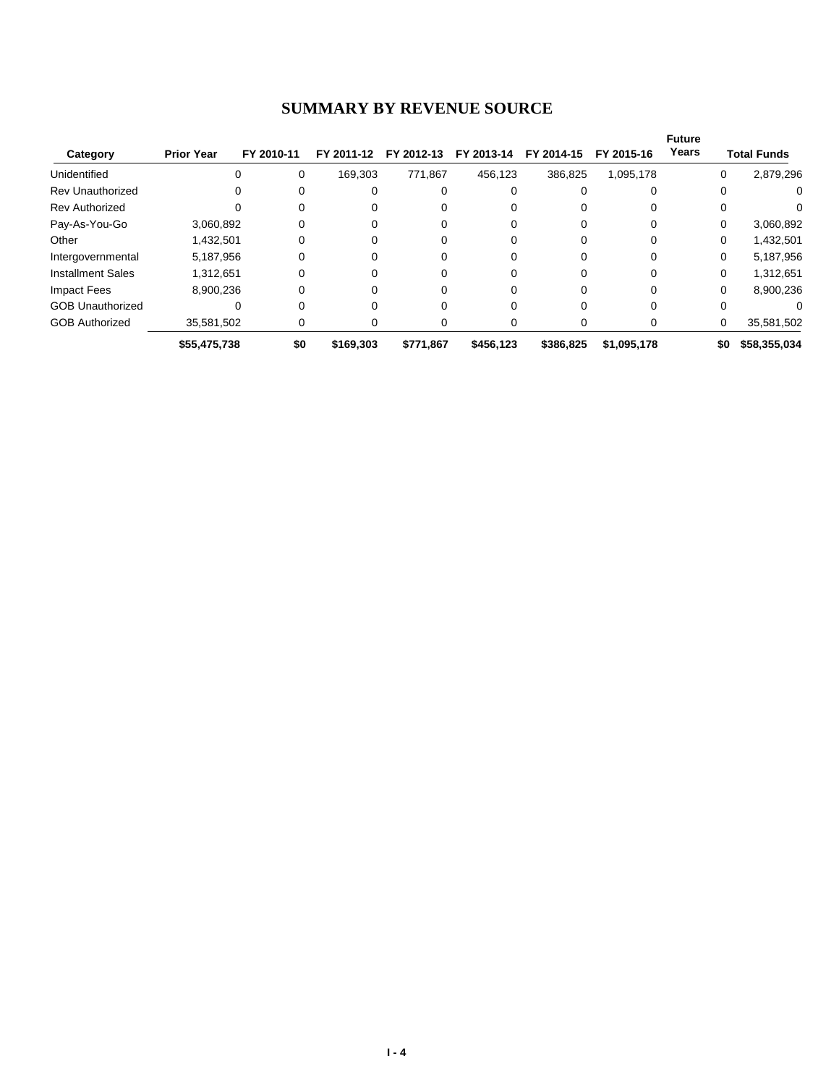#### **SUMMARY BY REVENUE SOURCE**

| Category                 | <b>Prior Year</b> | FY 2010-11 | FY 2011-12 | FY 2012-13 | FY 2013-14 | FY 2014-15 | FY 2015-16  | <b>Future</b><br>Years |          | <b>Total Funds</b> |
|--------------------------|-------------------|------------|------------|------------|------------|------------|-------------|------------------------|----------|--------------------|
| Unidentified             |                   | 0          | 169.303    | 771.867    | 456,123    | 386,825    | 1,095,178   |                        | 0        | 2,879,296          |
| <b>Rev Unauthorized</b>  |                   | 0          | 0          |            | Ω          |            |             |                        | 0        | 0                  |
| <b>Rev Authorized</b>    |                   | 0          | 0          |            |            |            |             |                        | 0        | 0                  |
| Pay-As-You-Go            | 3,060,892         |            |            |            |            |            |             |                        | 0        | 3,060,892          |
| Other                    | 1,432,501         |            |            |            |            |            |             |                        | 0        | 1,432,501          |
| Intergovernmental        | 5,187,956         |            | 0          |            |            |            |             |                        | $\Omega$ | 5,187,956          |
| <b>Installment Sales</b> | 1,312,651         | 0          | 0          |            | 0          |            |             |                        | $\Omega$ | 1,312,651          |
| <b>Impact Fees</b>       | 8,900,236         | 0          | 0          |            | 0          |            |             |                        | $\Omega$ | 8,900,236          |
| <b>GOB Unauthorized</b>  |                   |            |            |            |            |            |             |                        | 0        |                    |
| <b>GOB Authorized</b>    | 35,581,502        | 0          | 0          |            | O          |            |             |                        | 0        | 35,581,502         |
|                          | \$55,475,738      | \$0        | \$169,303  | \$771.867  | \$456,123  | \$386,825  | \$1,095,178 |                        | \$0      | \$58,355,034       |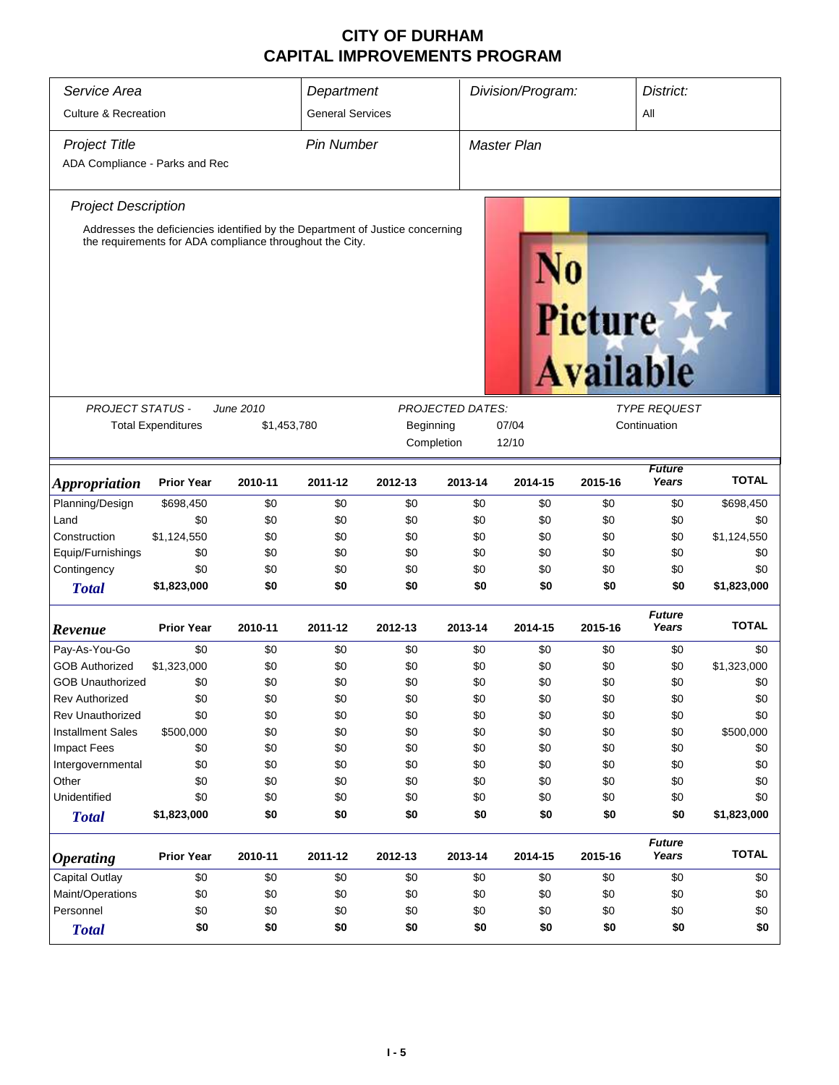| Service Area<br><b>Culture &amp; Recreation</b>        |                                                                                                                                                          |         | Department<br><b>General Services</b> |                                                                               |         | Division/Program: |                                     | District:<br>All       |              |
|--------------------------------------------------------|----------------------------------------------------------------------------------------------------------------------------------------------------------|---------|---------------------------------------|-------------------------------------------------------------------------------|---------|-------------------|-------------------------------------|------------------------|--------------|
| <b>Project Title</b><br>ADA Compliance - Parks and Rec |                                                                                                                                                          |         | <b>Pin Number</b>                     |                                                                               |         | Master Plan       |                                     |                        |              |
| <b>Project Description</b>                             |                                                                                                                                                          |         |                                       |                                                                               |         |                   |                                     |                        |              |
|                                                        | the requirements for ADA compliance throughout the City.                                                                                                 |         |                                       | Addresses the deficiencies identified by the Department of Justice concerning |         |                   | Picture                             | <b>Available</b>       |              |
|                                                        |                                                                                                                                                          |         |                                       |                                                                               |         |                   |                                     |                        |              |
|                                                        | <b>PROJECT STATUS -</b><br><b>PROJECTED DATES:</b><br>June 2010<br><b>Total Expenditures</b><br>\$1,453,780<br>07/04<br>Beginning<br>Completion<br>12/10 |         |                                       |                                                                               |         |                   | <i>TYPE REQUEST</i><br>Continuation |                        |              |
| <i><b>Appropriation</b></i>                            | <b>Prior Year</b>                                                                                                                                        | 2010-11 | 2011-12                               | 2012-13                                                                       | 2013-14 | 2014-15           | 2015-16                             | <b>Future</b><br>Years | <b>TOTAL</b> |
| Planning/Design                                        | \$698,450                                                                                                                                                | \$0     | \$0                                   | \$0                                                                           | \$0     | \$0               | \$0                                 | \$0                    | \$698,450    |
| Land                                                   | \$0                                                                                                                                                      | \$0     | \$0                                   | \$0                                                                           | \$0     | \$0               | \$0                                 | \$0                    | \$0          |
| Construction                                           | \$1,124,550                                                                                                                                              | \$0     | \$0                                   | \$0                                                                           | \$0     | \$0               | \$0                                 | \$0                    | \$1,124,550  |
| Equip/Furnishings                                      | \$0                                                                                                                                                      | \$0     | \$0                                   | \$0                                                                           | \$0     | \$0               | \$0                                 | \$0                    | \$0          |
| Contingency                                            | \$0                                                                                                                                                      | \$0     | \$0                                   | \$0                                                                           | \$0     | \$0               | \$0                                 | \$0                    | \$0          |
| <b>Total</b>                                           | \$1,823,000                                                                                                                                              | \$0     | \$0                                   | \$0                                                                           | \$0     | \$0               | \$0                                 | \$0                    | \$1,823,000  |
| Revenue                                                | <b>Prior Year</b>                                                                                                                                        | 2010-11 | 2011-12                               | 2012-13                                                                       | 2013-14 | 2014-15           | 2015-16                             | <b>Future</b><br>Years | <b>TOTAL</b> |
| Pay-As-You-Go                                          | \$0                                                                                                                                                      | \$0     | \$0                                   | \$0                                                                           | \$0     | \$0               | \$0                                 | \$0                    | \$0          |
| <b>GOB Authorized</b>                                  | \$1,323,000                                                                                                                                              | \$0     | \$0                                   | \$0                                                                           | \$0     | \$0               | \$0                                 | \$0                    | \$1,323,000  |
| <b>GOB Unauthorized</b>                                | \$0                                                                                                                                                      | \$0     | \$0                                   | \$0                                                                           | \$0     | \$0               | \$0                                 | \$0                    | \$0          |
| Rev Authorized                                         | \$0                                                                                                                                                      | \$0     | \$0                                   | \$0                                                                           | \$0     | \$0               | \$0                                 | \$0                    | \$0          |
| <b>Rev Unauthorized</b>                                | \$0                                                                                                                                                      | \$0     | \$0                                   | \$0                                                                           | \$0     | \$0               | \$0                                 | \$0                    | \$0          |
| <b>Installment Sales</b>                               | \$500,000                                                                                                                                                | \$0     | \$0                                   | \$0                                                                           | \$0     | \$0               | \$0                                 | \$0                    | \$500,000    |
| Impact Fees                                            | \$0                                                                                                                                                      | \$0     | \$0                                   | \$0                                                                           | \$0     | \$0               | \$0                                 | \$0                    | \$0          |
| Intergovernmental                                      | \$0                                                                                                                                                      | \$0     | \$0                                   | \$0                                                                           | \$0     | \$0               | \$0                                 | \$0                    | \$0          |
| Other                                                  | \$0                                                                                                                                                      | \$0     | \$0                                   | \$0                                                                           | \$0     | \$0               | \$0                                 | \$0                    | \$0          |
| Unidentified                                           | \$0                                                                                                                                                      | \$0     | \$0                                   | \$0                                                                           | \$0     | \$0               | \$0                                 | \$0                    | \$0          |
| <b>Total</b>                                           | \$1,823,000                                                                                                                                              | \$0     | \$0                                   | \$0                                                                           | \$0     | \$0               | \$0                                 | \$0                    | \$1,823,000  |
| <b>Operating</b>                                       | <b>Prior Year</b>                                                                                                                                        | 2010-11 | 2011-12                               | 2012-13                                                                       | 2013-14 | 2014-15           | 2015-16                             | <b>Future</b><br>Years | <b>TOTAL</b> |
| Capital Outlay                                         | \$0                                                                                                                                                      | \$0     | \$0                                   | \$0                                                                           | \$0     | \$0               | \$0                                 | \$0                    | \$0          |
| Maint/Operations                                       | \$0                                                                                                                                                      | \$0     | \$0                                   | \$0                                                                           | \$0     | \$0               | \$0                                 | \$0                    | \$0          |
| Personnel                                              | \$0                                                                                                                                                      | \$0     | \$0                                   | \$0                                                                           | \$0     | \$0               | \$0                                 | \$0                    | \$0          |
| <b>Total</b>                                           | \$0                                                                                                                                                      | \$0     | \$0                                   | \$0                                                                           | \$0     | \$0               | \$0                                 | \$0                    | \$0          |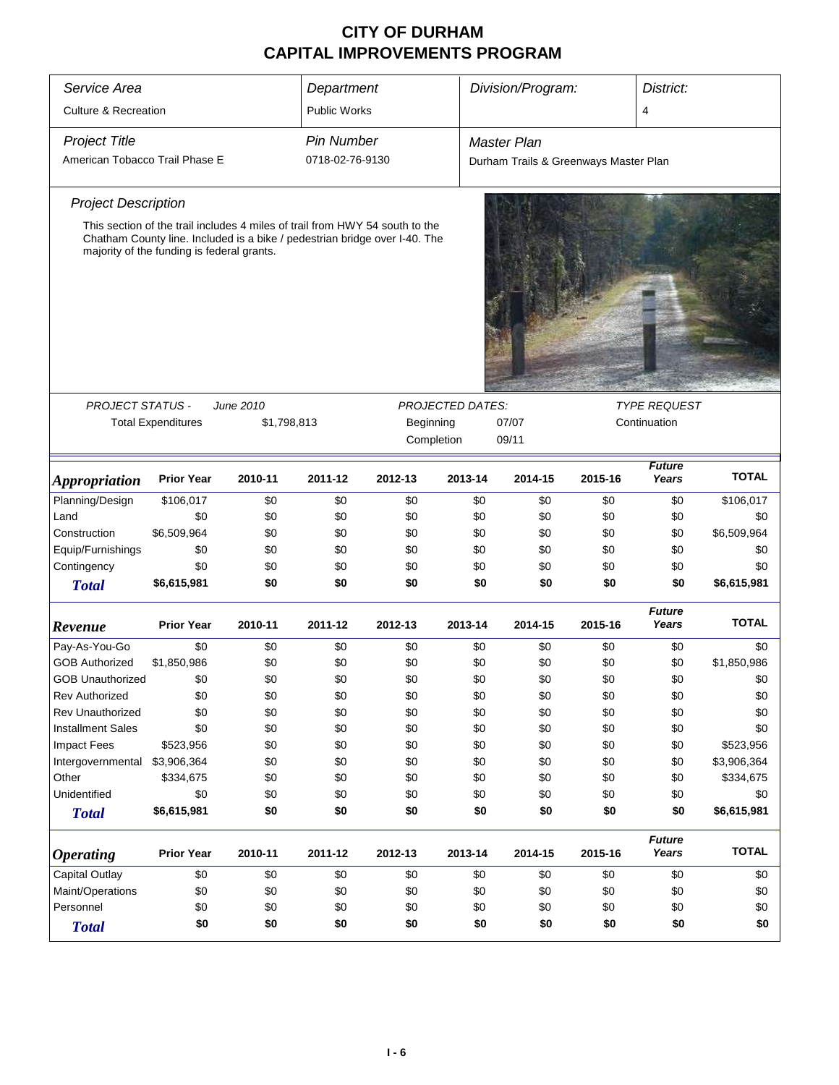| Service Area                    |                                                                                                                          |             | Department          |                     |                         | Division/Program:                     |              |                        | District:    |  |
|---------------------------------|--------------------------------------------------------------------------------------------------------------------------|-------------|---------------------|---------------------|-------------------------|---------------------------------------|--------------|------------------------|--------------|--|
| <b>Culture &amp; Recreation</b> |                                                                                                                          |             | <b>Public Works</b> |                     |                         |                                       |              | $\overline{4}$         |              |  |
| <b>Project Title</b>            |                                                                                                                          |             | <b>Pin Number</b>   |                     |                         | <b>Master Plan</b>                    |              |                        |              |  |
| American Tobacco Trail Phase E  |                                                                                                                          |             | 0718-02-76-9130     |                     |                         | Durham Trails & Greenways Master Plan |              |                        |              |  |
| <b>Project Description</b>      |                                                                                                                          |             |                     |                     |                         |                                       |              |                        |              |  |
|                                 | This section of the trail includes 4 miles of trail from HWY 54 south to the                                             |             |                     |                     |                         |                                       |              |                        |              |  |
|                                 | Chatham County line. Included is a bike / pedestrian bridge over I-40. The<br>majority of the funding is federal grants. |             |                     |                     |                         |                                       |              |                        |              |  |
|                                 |                                                                                                                          |             |                     |                     | <b>PROJECTED DATES:</b> |                                       |              |                        |              |  |
| PROJECT STATUS -                |                                                                                                                          | June 2010   |                     | <b>TYPE REQUEST</b> |                         |                                       |              |                        |              |  |
|                                 | <b>Total Expenditures</b>                                                                                                | \$1,798,813 |                     | Beginning           |                         | 07/07                                 | Continuation |                        |              |  |
|                                 |                                                                                                                          |             |                     | Completion          |                         | 09/11                                 |              |                        |              |  |
| <i><b>Appropriation</b></i>     | <b>Prior Year</b>                                                                                                        | 2010-11     | 2011-12             | 2012-13             | 2013-14                 | 2014-15                               | 2015-16      | <b>Future</b><br>Years | <b>TOTAL</b> |  |
| Planning/Design                 | \$106,017                                                                                                                | \$0         | \$0                 | \$0                 | \$0                     | \$0                                   | \$0          | \$0                    | \$106,017    |  |
| Land                            | \$0                                                                                                                      | \$0         | \$0                 | \$0                 | \$0                     | \$0                                   | \$0          | \$0                    | \$0          |  |
| Construction                    | \$6,509,964                                                                                                              | \$0         | \$0                 | \$0                 | \$0                     | \$0                                   | \$0          | \$0                    | \$6,509,964  |  |
| Equip/Furnishings               | \$0                                                                                                                      | \$0         | \$0                 | \$0                 | \$0                     | \$0                                   | \$0          | \$0                    | \$0          |  |
| Contingency                     | \$0                                                                                                                      | \$0         | \$0                 | \$0                 | \$0                     | \$0                                   | \$0          | \$0                    | \$0          |  |
| <b>Total</b>                    | \$6,615,981                                                                                                              | \$0         | \$0                 | \$0                 | \$0                     | \$0                                   | \$0          | \$0                    | \$6,615,981  |  |
| Revenue                         | <b>Prior Year</b>                                                                                                        | 2010-11     | 2011-12             | 2012-13             | 2013-14                 | 2014-15                               | 2015-16      | <b>Future</b><br>Years | <b>TOTAL</b> |  |
| Pay-As-You-Go                   | \$0                                                                                                                      | \$0         | \$0                 | \$0                 | \$0                     | \$0                                   | \$0          | \$0                    | \$0          |  |
| <b>GOB Authorized</b>           | \$1,850,986                                                                                                              | \$0         | \$0                 | \$0                 | \$0                     | \$0                                   | \$0          | \$0                    | \$1,850,986  |  |
| GOB Unauthorized                | \$0                                                                                                                      | \$0         | \$0                 | \$0                 | \$0                     | \$0                                   | \$0          | \$0                    | \$0          |  |
| <b>Rev Authorized</b>           | \$0                                                                                                                      | \$0         | \$0                 | \$0                 | \$0                     | \$0                                   | \$0          | \$0                    | \$0          |  |
| Rev Unauthorized                | \$0                                                                                                                      | \$0         | \$0                 | \$0                 | \$0                     | \$0                                   | \$0          | \$0                    | \$0          |  |
| <b>Installment Sales</b>        | \$0                                                                                                                      | \$0         | \$0                 | \$0                 | \$0                     | \$0                                   | \$0          | \$0                    | \$0          |  |
| <b>Impact Fees</b>              | \$523,956                                                                                                                | \$0         | \$0                 | \$0                 | \$0                     | \$0                                   | \$0          | \$0                    | \$523,956    |  |
| Intergovernmental               | \$3,906,364                                                                                                              | \$0         | \$0                 | \$0                 | \$0                     | \$0                                   | \$0          | \$0                    | \$3,906,364  |  |
| Other                           | \$334,675                                                                                                                | \$0         | \$0                 | \$0                 | \$0                     | \$0                                   | \$0          | \$0                    | \$334,675    |  |
| Unidentified                    | \$0                                                                                                                      | \$0         | \$0                 | \$0                 | \$0                     | \$0                                   | \$0          | \$0                    | \$0          |  |
| <b>Total</b>                    | \$6,615,981                                                                                                              | \$0         | \$0                 | \$0                 | \$0                     | \$0                                   | \$0          | \$0                    | \$6,615,981  |  |
| <b>Operating</b>                | <b>Prior Year</b>                                                                                                        | 2010-11     | 2011-12             | 2012-13             | 2013-14                 | 2014-15                               | 2015-16      | <b>Future</b><br>Years | <b>TOTAL</b> |  |
| Capital Outlay                  | \$0                                                                                                                      | \$0         | \$0                 | \$0                 | \$0                     | \$0                                   | \$0          | \$0                    | \$0          |  |
| Maint/Operations                | \$0                                                                                                                      | \$0         | \$0                 | \$0                 | \$0                     | \$0                                   | \$0          | \$0                    | \$0          |  |
| Personnel                       | \$0                                                                                                                      | \$0         | \$0                 | \$0                 | \$0                     | \$0                                   | \$0          | \$0                    | \$0          |  |
| <b>Total</b>                    | \$0                                                                                                                      | \$0         | \$0                 | \$0                 | \$0                     | \$0                                   | \$0          | \$0                    | \$0          |  |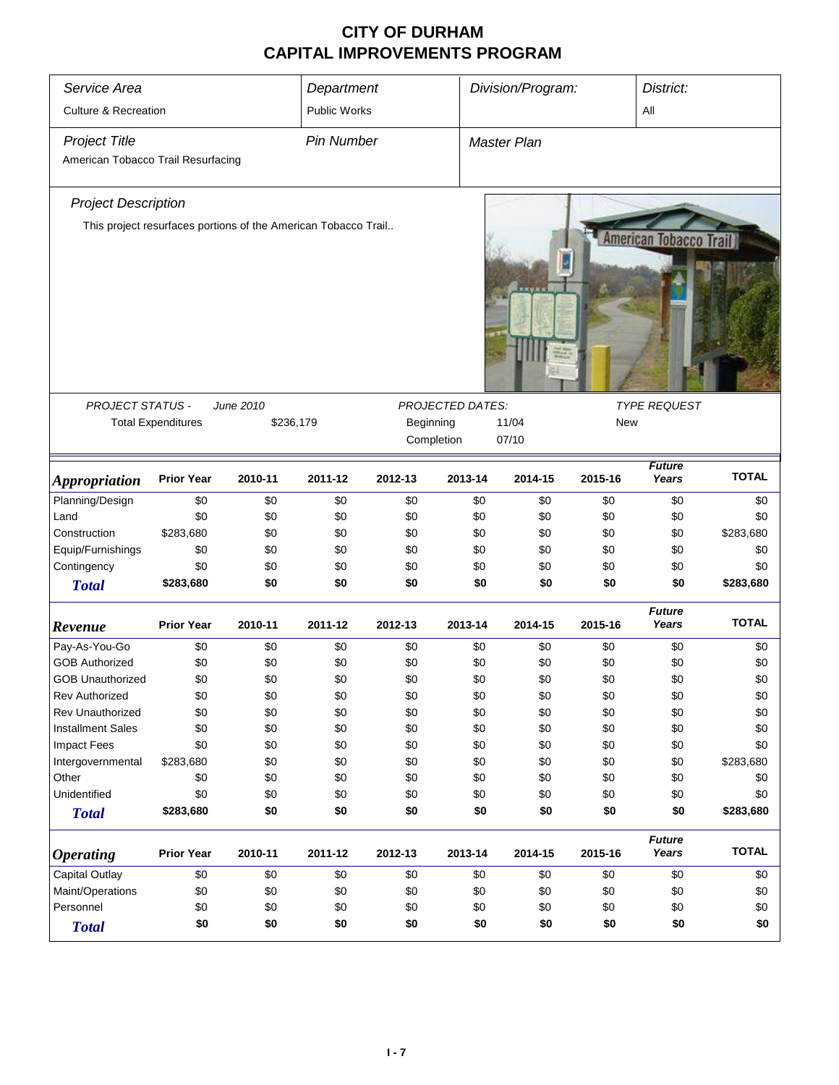| Service Area                       |                                                                |           | Department          |         |            | Division/Program:<br>District:          |         |                        |              |  |
|------------------------------------|----------------------------------------------------------------|-----------|---------------------|---------|------------|-----------------------------------------|---------|------------------------|--------------|--|
|                                    |                                                                |           |                     |         |            |                                         |         |                        |              |  |
| <b>Culture &amp; Recreation</b>    |                                                                |           | <b>Public Works</b> |         |            |                                         |         | All                    |              |  |
| <b>Project Title</b>               |                                                                |           | <b>Pin Number</b>   |         |            | Master Plan                             |         |                        |              |  |
| American Tobacco Trail Resurfacing |                                                                |           |                     |         |            |                                         |         |                        |              |  |
| <b>Project Description</b>         |                                                                |           |                     |         |            |                                         |         |                        |              |  |
|                                    | This project resurfaces portions of the American Tobacco Trail |           |                     |         |            |                                         |         |                        |              |  |
|                                    |                                                                |           |                     |         |            |                                         |         | American Tobacco       |              |  |
| <b>PROJECT STATUS -</b>            |                                                                | June 2010 |                     |         |            | PROJECTED DATES:<br><b>TYPE REQUEST</b> |         |                        |              |  |
|                                    | <b>Total Expenditures</b>                                      |           | \$236,179           |         | Beginning  | 11/04<br><b>New</b>                     |         |                        |              |  |
|                                    |                                                                |           |                     |         | Completion | 07/10                                   |         |                        |              |  |
|                                    |                                                                |           |                     |         |            |                                         |         |                        |              |  |
| <b>Appropriation</b>               | <b>Prior Year</b>                                              | 2010-11   | 2011-12             | 2012-13 | 2013-14    | 2014-15                                 | 2015-16 | <b>Future</b><br>Years | <b>TOTAL</b> |  |
| Planning/Design                    | \$0                                                            | \$0       | \$0                 | \$0     | \$0        | \$0                                     | \$0     | \$0                    | \$0          |  |
| Land                               | \$0                                                            | \$0       | \$0                 | \$0     | \$0        | \$0                                     | \$0     | \$0                    | \$0          |  |
| Construction                       | \$283,680                                                      | \$0       | \$0                 | \$0     | \$0        | \$0                                     | \$0     | \$0                    | \$283,680    |  |
| Equip/Furnishings                  | \$0                                                            | \$0       | \$0                 | \$0     | \$0        | \$0                                     | \$0     | \$0                    | \$0          |  |
| Contingency                        | \$0                                                            | \$0       | \$0                 | \$0     | \$0        | \$0                                     | \$0     | \$0                    | \$0          |  |
| <b>Total</b>                       | \$283,680                                                      | \$0       | \$0                 | \$0     | \$0        | \$0                                     | \$0     | \$0                    | \$283,680    |  |
| Revenue                            | <b>Prior Year</b>                                              | 2010-11   | 2011-12             | 2012-13 | 2013-14    | 2014-15                                 | 2015-16 | <b>Future</b><br>Years | <b>TOTAL</b> |  |
| Pay-As-You-Go                      | \$0                                                            | \$0       | \$0                 | \$0     | \$0        | \$0                                     | \$0     | \$0                    | \$0          |  |
| <b>GOB Authorized</b>              | \$0                                                            | \$0       | \$0                 | \$0     | \$0        | \$0                                     | \$0     | \$0                    | \$0          |  |
| <b>GOB Unauthorized</b>            | \$0                                                            | \$0       | \$0                 | \$0     | \$0        | \$0                                     | \$0     | \$0                    | \$0          |  |
| <b>Rev Authorized</b>              | \$0                                                            | \$0       | \$0                 | \$0     | \$0        | \$0                                     | \$0     | \$0                    | \$0          |  |
| Rev Unauthorized                   | \$0                                                            | \$0       | \$0                 | \$0     | \$0        | \$0                                     | \$0     | \$0                    | \$0          |  |
| <b>Installment Sales</b>           | \$0                                                            | \$0       | \$0                 | \$0     | \$0        | \$0                                     | \$0     | \$0                    | \$0          |  |
| Impact Fees                        | \$0                                                            | \$0       | \$0                 | \$0     | \$0        | \$0                                     | \$0     | \$0                    | \$0          |  |
| Intergovernmental                  | \$283,680                                                      | \$0       | \$0                 | \$0     | \$0        | \$0                                     | \$0     | \$0                    | \$283,680    |  |
| Other                              | \$0                                                            | \$0       | \$0                 | \$0     | \$0        | \$0                                     | \$0     | \$0                    | \$0          |  |
| Unidentified                       | \$0                                                            | \$0       | \$0                 | \$0     | \$0        | \$0                                     | \$0     | \$0                    | \$0          |  |
| <b>Total</b>                       | \$283,680                                                      | \$0       | \$0                 | \$0     | \$0        | \$0                                     | \$0     | \$0                    | \$283,680    |  |
| <i><b>Operating</b></i>            | <b>Prior Year</b>                                              | 2010-11   | 2011-12             | 2012-13 | 2013-14    | 2014-15                                 | 2015-16 | <b>Future</b><br>Years | <b>TOTAL</b> |  |
| Capital Outlay                     | \$0                                                            | \$0       | \$0                 | \$0     | \$0        | \$0                                     | \$0     | \$0                    | \$0          |  |
| Maint/Operations                   | \$0                                                            | \$0       | \$0                 | \$0     | \$0        | \$0                                     | \$0     | \$0                    | \$0          |  |
| Personnel                          | \$0                                                            | \$0       | \$0                 | \$0     | \$0        | \$0                                     | \$0     | \$0                    | \$0          |  |
| <b>Total</b>                       | \$0                                                            | \$0       | \$0                 | \$0     | \$0        | \$0                                     | \$0     | \$0                    | \$0          |  |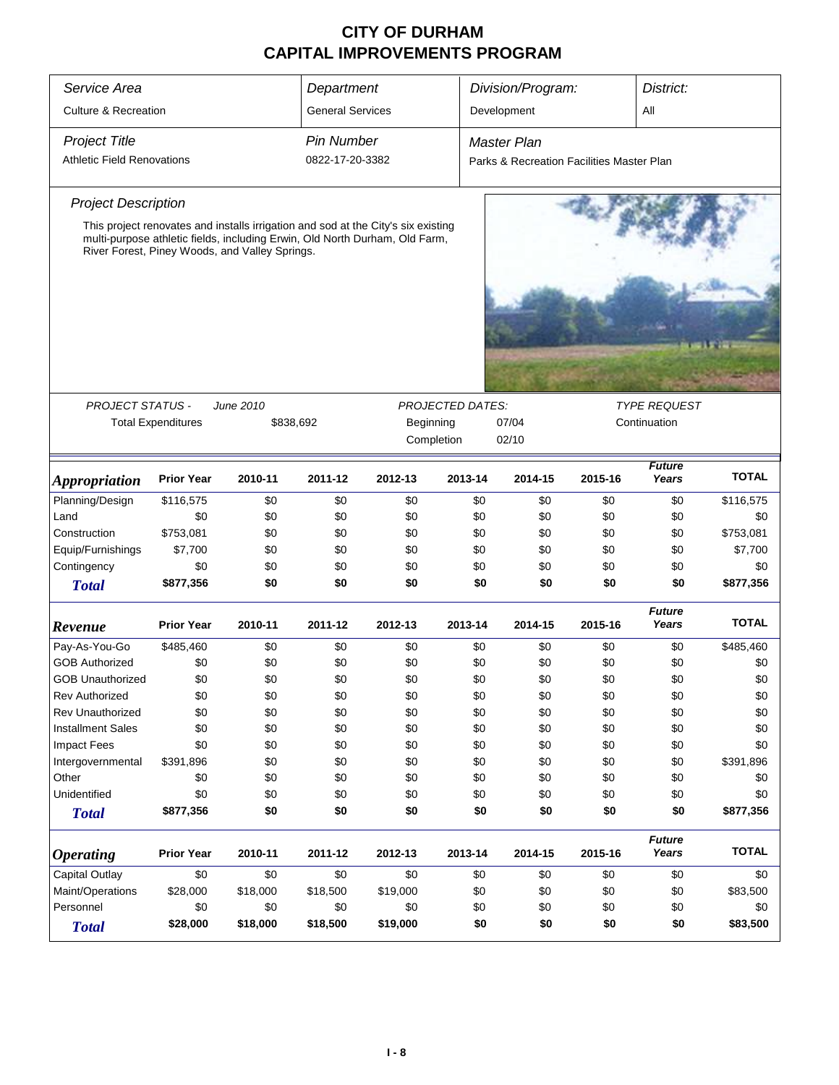| Service Area                      | Department                                                                                                                    |           |                         | Division/Program:                                                                 |                         | District:                                 |         |                        |              |  |
|-----------------------------------|-------------------------------------------------------------------------------------------------------------------------------|-----------|-------------------------|-----------------------------------------------------------------------------------|-------------------------|-------------------------------------------|---------|------------------------|--------------|--|
| <b>Culture &amp; Recreation</b>   |                                                                                                                               |           | <b>General Services</b> |                                                                                   |                         | Development                               |         | All                    |              |  |
|                                   |                                                                                                                               |           |                         |                                                                                   |                         |                                           |         |                        |              |  |
| <b>Project Title</b>              |                                                                                                                               |           | <b>Pin Number</b>       |                                                                                   |                         | <b>Master Plan</b>                        |         |                        |              |  |
| <b>Athletic Field Renovations</b> |                                                                                                                               |           | 0822-17-20-3382         |                                                                                   |                         | Parks & Recreation Facilities Master Plan |         |                        |              |  |
| <b>Project Description</b>        |                                                                                                                               |           |                         |                                                                                   |                         |                                           |         |                        |              |  |
|                                   |                                                                                                                               |           |                         | This project renovates and installs irrigation and sod at the City's six existing |                         |                                           |         |                        |              |  |
|                                   | multi-purpose athletic fields, including Erwin, Old North Durham, Old Farm,<br>River Forest, Piney Woods, and Valley Springs. |           |                         |                                                                                   |                         |                                           |         |                        |              |  |
|                                   |                                                                                                                               |           |                         |                                                                                   |                         |                                           |         |                        |              |  |
|                                   |                                                                                                                               |           |                         |                                                                                   |                         |                                           |         |                        |              |  |
|                                   |                                                                                                                               |           |                         |                                                                                   |                         |                                           |         |                        |              |  |
|                                   |                                                                                                                               |           |                         |                                                                                   |                         |                                           |         |                        |              |  |
|                                   |                                                                                                                               |           |                         |                                                                                   |                         |                                           |         |                        |              |  |
|                                   |                                                                                                                               |           |                         |                                                                                   |                         |                                           |         |                        |              |  |
| <b>PROJECT STATUS -</b>           |                                                                                                                               | June 2010 |                         |                                                                                   | <b>PROJECTED DATES:</b> |                                           |         | <b>TYPE REQUEST</b>    |              |  |
|                                   | <b>Total Expenditures</b>                                                                                                     |           | \$838,692               | Beginning                                                                         |                         | 07/04<br>Continuation                     |         |                        |              |  |
|                                   |                                                                                                                               |           |                         |                                                                                   | Completion              | 02/10                                     |         |                        |              |  |
|                                   |                                                                                                                               |           |                         |                                                                                   |                         |                                           |         | <b>Future</b>          |              |  |
| <b>Appropriation</b>              | <b>Prior Year</b>                                                                                                             | 2010-11   | 2011-12                 | 2012-13                                                                           | 2013-14                 | 2014-15                                   | 2015-16 | Years                  | <b>TOTAL</b> |  |
| Planning/Design                   | \$116,575                                                                                                                     | \$0       | \$0                     | \$0                                                                               | \$0                     | \$0                                       | \$0     | \$0                    | \$116,575    |  |
| Land                              | \$0                                                                                                                           | \$0       | \$0                     | \$0                                                                               | \$0                     | \$0                                       | \$0     | \$0                    | \$0          |  |
| Construction                      | \$753,081                                                                                                                     | \$0       | \$0                     | \$0                                                                               | \$0                     | \$0                                       | \$0     | \$0                    | \$753,081    |  |
| Equip/Furnishings                 | \$7,700                                                                                                                       | \$0       | \$0                     | \$0                                                                               | \$0                     | \$0                                       | \$0     | \$0                    | \$7,700      |  |
| Contingency                       | \$0                                                                                                                           | \$0       | \$0                     | \$0                                                                               | \$0                     | \$0                                       | \$0     | \$0                    | \$0          |  |
| <b>Total</b>                      | \$877,356                                                                                                                     | \$0       | \$0                     | \$0                                                                               | \$0                     | \$0                                       | \$0     | \$0                    | \$877,356    |  |
|                                   |                                                                                                                               |           |                         |                                                                                   |                         |                                           |         | <b>Future</b>          | <b>TOTAL</b> |  |
| Revenue                           | <b>Prior Year</b>                                                                                                             | 2010-11   | 2011-12                 | 2012-13                                                                           | 2013-14                 | 2014-15                                   | 2015-16 | Years                  |              |  |
| Pay-As-You-Go                     | \$485,460                                                                                                                     | \$0       | \$0                     | \$0                                                                               | \$0                     | \$0                                       | \$0     | \$0                    | \$485,460    |  |
| <b>GOB Authorized</b>             | \$0                                                                                                                           | \$0       | \$0                     | \$0                                                                               | \$0                     | \$0                                       | \$0     | \$0                    | \$0          |  |
| <b>GOB Unauthorized</b>           | \$0                                                                                                                           | \$0       | \$0                     | \$0                                                                               | \$0                     | \$0                                       | \$0     | \$0                    | \$0          |  |
| <b>Rev Authorized</b>             | \$0                                                                                                                           | \$0       | \$0                     | \$0                                                                               | \$0                     | \$0                                       | \$0     | \$0                    | \$0          |  |
| <b>Rev Unauthorized</b>           | \$0                                                                                                                           | \$0       | \$0                     | \$0                                                                               | \$0                     | \$0                                       | \$0     | \$0                    | \$0          |  |
| <b>Installment Sales</b>          | \$0                                                                                                                           | \$0       | \$0                     | \$0                                                                               | \$0                     | \$0                                       | \$0     | \$0                    | \$0          |  |
| <b>Impact Fees</b>                | \$0                                                                                                                           | \$0       | \$0                     | \$0                                                                               | \$0                     | \$0                                       | \$0     | \$0                    | \$0          |  |
| Intergovernmental                 | \$391,896                                                                                                                     | \$0       | \$0                     | \$0                                                                               | \$0                     | \$0                                       | \$0     | \$0                    | \$391,896    |  |
| Other                             | \$0                                                                                                                           | \$0       | \$0                     | \$0                                                                               | \$0                     | \$0                                       | \$0     | \$0                    | \$0          |  |
| Unidentified                      | \$0                                                                                                                           | \$0       | \$0                     | \$0                                                                               | \$0                     | \$0                                       | \$0     | \$0                    | \$0          |  |
| <b>Total</b>                      | \$877,356                                                                                                                     | \$0       | \$0                     | \$0                                                                               | \$0                     | \$0                                       | \$0     | \$0                    | \$877,356    |  |
| <b>Operating</b>                  | <b>Prior Year</b>                                                                                                             | 2010-11   | 2011-12                 | 2012-13                                                                           | 2013-14                 | 2014-15                                   | 2015-16 | <b>Future</b><br>Years | <b>TOTAL</b> |  |
| Capital Outlay                    | \$0                                                                                                                           | \$0       | \$0                     | \$0                                                                               | \$0                     | \$0                                       | \$0     | \$0                    | \$0          |  |
| Maint/Operations                  | \$28,000                                                                                                                      | \$18,000  | \$18,500                | \$19,000                                                                          | \$0                     | \$0                                       | \$0     | \$0                    | \$83,500     |  |
| Personnel                         | \$0                                                                                                                           | \$0       | \$0                     | \$0                                                                               | \$0                     | \$0                                       | \$0     | \$0                    | \$0          |  |
| <b>Total</b>                      | \$28,000                                                                                                                      | \$18,000  | \$18,500                | \$19,000                                                                          | \$0                     | \$0                                       | \$0     | \$0                    | \$83,500     |  |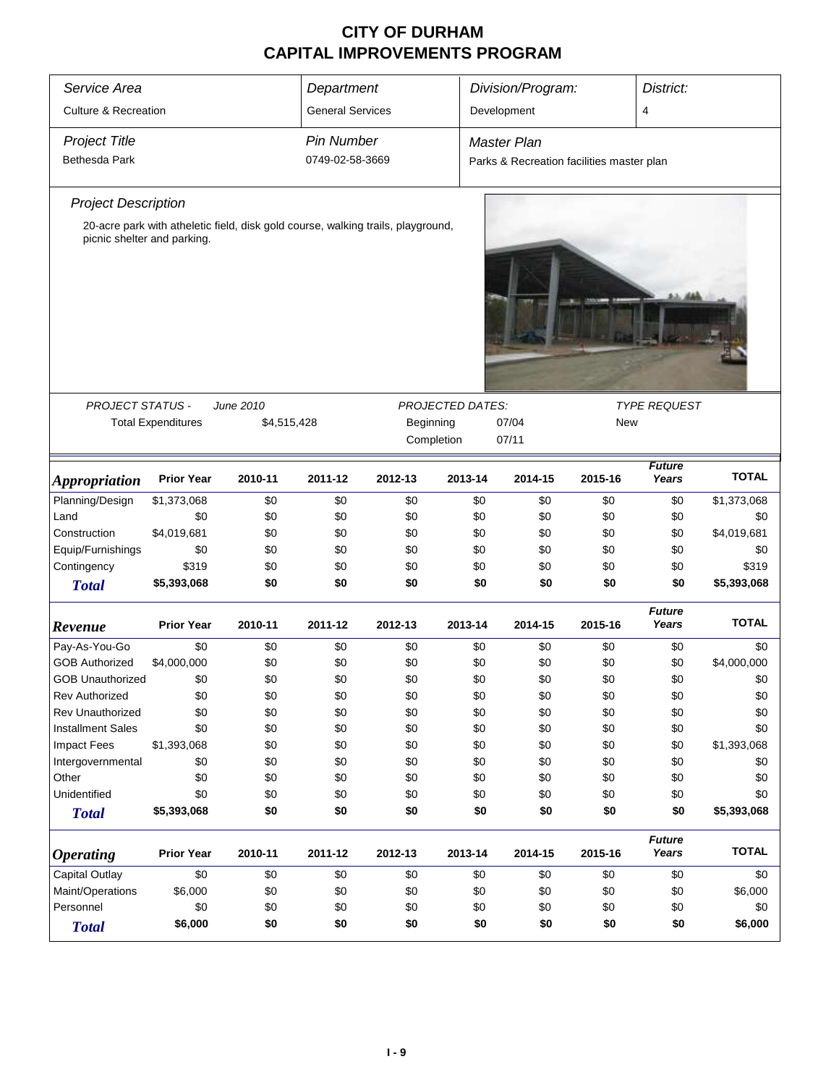| Service Area                    | Department                                                                       |             |                         | Division/Program:<br>District: |                         |                                           |            |                        |              |
|---------------------------------|----------------------------------------------------------------------------------|-------------|-------------------------|--------------------------------|-------------------------|-------------------------------------------|------------|------------------------|--------------|
| <b>Culture &amp; Recreation</b> |                                                                                  |             | <b>General Services</b> |                                |                         | Development<br>4                          |            |                        |              |
|                                 |                                                                                  |             |                         |                                |                         |                                           |            |                        |              |
| <b>Project Title</b>            |                                                                                  |             | <b>Pin Number</b>       |                                |                         | Master Plan                               |            |                        |              |
| <b>Bethesda Park</b>            |                                                                                  |             | 0749-02-58-3669         |                                |                         | Parks & Recreation facilities master plan |            |                        |              |
| <b>Project Description</b>      |                                                                                  |             |                         |                                |                         |                                           |            |                        |              |
|                                 | 20-acre park with atheletic field, disk gold course, walking trails, playground, |             |                         |                                |                         |                                           |            |                        |              |
| picnic shelter and parking.     |                                                                                  |             |                         |                                |                         |                                           |            |                        |              |
|                                 |                                                                                  |             |                         |                                |                         |                                           |            |                        |              |
| <b>PROJECT STATUS -</b>         | <b>Total Expenditures</b>                                                        | June 2010   |                         |                                | <b>PROJECTED DATES:</b> | 07/04                                     | <b>New</b> | <b>TYPE REQUEST</b>    |              |
|                                 |                                                                                  | \$4,515,428 |                         | Beginning                      | Completion              | 07/11                                     |            |                        |              |
|                                 |                                                                                  |             |                         |                                |                         |                                           |            |                        |              |
| <i><b>Appropriation</b></i>     | <b>Prior Year</b>                                                                | 2010-11     | 2011-12                 | 2012-13                        | 2013-14                 | 2014-15                                   | 2015-16    | <b>Future</b><br>Years | <b>TOTAL</b> |
| Planning/Design                 | \$1,373,068                                                                      | \$0         | \$0                     | \$0                            | \$0                     | \$0                                       | \$0        | \$0                    | \$1,373,068  |
| Land                            | \$0                                                                              | \$0         | \$0                     | \$0                            | \$0                     | \$0                                       | \$0        | \$0                    | \$0          |
| Construction                    | \$4,019,681                                                                      | \$0         | \$0                     | \$0                            | \$0                     | \$0                                       | \$0        | \$0                    | \$4,019,681  |
| Equip/Furnishings               | \$0                                                                              | \$0         | \$0                     | \$0                            | \$0                     | \$0                                       | \$0        | \$0                    | \$0          |
| Contingency                     | \$319                                                                            | \$0         | \$0                     | \$0                            | \$0                     | \$0                                       | \$0        | \$0                    | \$319        |
| <b>Total</b>                    | \$5,393,068                                                                      | \$0         | \$0                     | \$0                            | \$0                     | \$0                                       | \$0        | \$0                    | \$5,393,068  |
| Revenue                         | <b>Prior Year</b>                                                                | 2010-11     | 2011-12                 | 2012-13                        | 2013-14                 | 2014-15                                   | 2015-16    | <b>Future</b><br>Years | <b>TOTAL</b> |
| Pay-As-You-Go                   | \$0                                                                              | \$0         | \$0                     | \$0                            | \$0                     | \$0                                       | \$0        | \$0                    | \$0          |
| <b>GOB Authorized</b>           | \$4,000,000                                                                      | \$0         | \$0                     | \$0                            | \$0                     | \$0                                       | \$0        | \$0                    | \$4,000,000  |
| <b>GOB Unauthorized</b>         | \$0                                                                              | \$0         | \$0                     | \$0                            | \$0                     | \$0                                       | \$0        | \$0                    | \$0          |
| <b>Rev Authorized</b>           | \$0                                                                              | \$0         | \$0                     | \$0                            | \$0                     | \$0                                       | \$0        | \$0                    | \$0          |
| Rev Unauthorized                | \$0                                                                              | \$0         | \$0                     | \$0                            | \$0                     | \$0                                       | \$0        | \$0                    | \$0          |
| <b>Installment Sales</b>        | \$0                                                                              | \$0         | \$0                     | \$0                            | \$0                     | \$0                                       | \$0        | \$0                    | \$0          |
| <b>Impact Fees</b>              | \$1,393,068                                                                      | \$0         | \$0                     | \$0                            | \$0                     | \$0                                       | \$0        | \$0                    | \$1,393,068  |
| Intergovernmental               | \$0                                                                              | \$0         | \$0                     | \$0                            | \$0                     | \$0                                       | \$0        | \$0                    | \$0          |
| Other                           | \$0                                                                              | \$0         | \$0                     | \$0                            | \$0                     | \$0                                       | \$0        | \$0                    | \$0          |
| Unidentified                    | \$0                                                                              | \$0         | \$0                     | \$0                            | \$0                     | \$0                                       | \$0        | \$0                    | \$0          |
| <b>Total</b>                    | \$5,393,068                                                                      | \$0         | \$0                     | \$0                            | \$0                     | \$0                                       | \$0        | \$0                    | \$5,393,068  |
| <i><b>Operating</b></i>         | <b>Prior Year</b>                                                                | 2010-11     | 2011-12                 | 2012-13                        | 2013-14                 | 2014-15                                   | 2015-16    | <b>Future</b><br>Years | <b>TOTAL</b> |
| Capital Outlay                  | \$0                                                                              | \$0         | \$0                     | \$0                            | \$0                     | \$0                                       | \$0        | \$0                    | \$0          |
| Maint/Operations                | \$6,000                                                                          | \$0         | \$0                     | \$0                            | \$0                     | \$0                                       | \$0        | \$0                    | \$6,000      |
| Personnel                       | \$0                                                                              | \$0         | \$0                     | \$0                            | \$0                     | \$0                                       | \$0        | \$0                    | \$0          |
| <b>Total</b>                    | \$6,000                                                                          | \$0         | \$0                     | \$0                            | \$0                     | \$0                                       | \$0        | \$0                    | \$6,000      |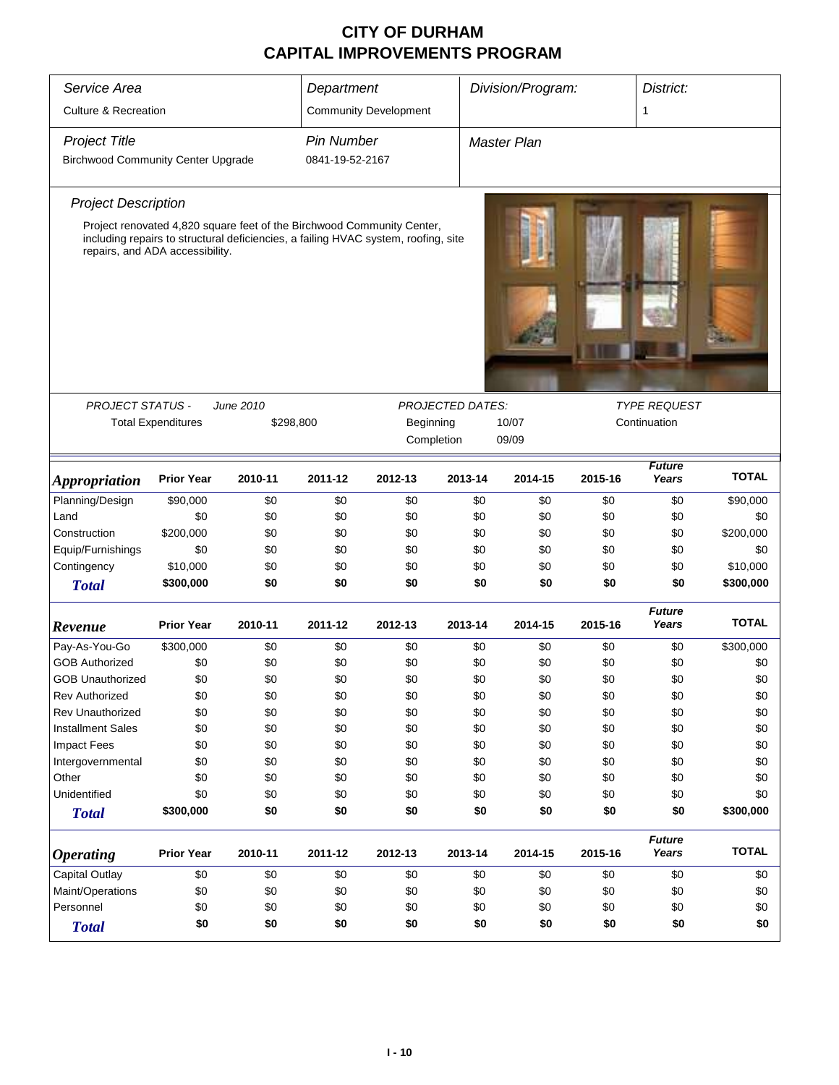| Service Area                              |                                 |           | Department        |                                                                                    |                         | Division/Program: |         | District:              |              |  |
|-------------------------------------------|---------------------------------|-----------|-------------------|------------------------------------------------------------------------------------|-------------------------|-------------------|---------|------------------------|--------------|--|
| <b>Culture &amp; Recreation</b>           |                                 |           |                   | <b>Community Development</b>                                                       |                         |                   |         | 1                      |              |  |
| <b>Project Title</b>                      |                                 |           | <b>Pin Number</b> |                                                                                    |                         | Master Plan       |         |                        |              |  |
| <b>Birchwood Community Center Upgrade</b> |                                 |           | 0841-19-52-2167   |                                                                                    |                         |                   |         |                        |              |  |
| <b>Project Description</b>                |                                 |           |                   |                                                                                    |                         |                   |         |                        |              |  |
|                                           |                                 |           |                   | Project renovated 4,820 square feet of the Birchwood Community Center,             |                         |                   |         |                        |              |  |
|                                           | repairs, and ADA accessibility. |           |                   | including repairs to structural deficiencies, a failing HVAC system, roofing, site |                         |                   |         |                        |              |  |
| <b>PROJECT STATUS -</b>                   |                                 | June 2010 |                   |                                                                                    | <b>PROJECTED DATES:</b> |                   |         | <b>TYPE REQUEST</b>    |              |  |
|                                           | <b>Total Expenditures</b>       |           | \$298,800         | Beginning                                                                          |                         | 10/07             |         |                        |              |  |
|                                           |                                 |           |                   |                                                                                    | Completion              | 09/09             |         |                        |              |  |
|                                           |                                 |           |                   |                                                                                    |                         |                   |         | <b>Future</b>          |              |  |
| <i><b>Appropriation</b></i>               | <b>Prior Year</b>               | 2010-11   | 2011-12           | 2012-13                                                                            | 2013-14                 | 2014-15           | 2015-16 | Years                  | <b>TOTAL</b> |  |
| Planning/Design                           | \$90,000                        | \$0       | \$0               | \$0                                                                                | \$0                     | \$0               | \$0     | \$0                    | \$90,000     |  |
| Land                                      | \$0                             | \$0       | \$0               | \$0                                                                                | \$0                     | \$0               | \$0     | \$0                    | \$0          |  |
| Construction                              | \$200,000                       | \$0       | \$0               | \$0                                                                                | \$0                     | \$0               | \$0     | \$0                    | \$200,000    |  |
| Equip/Furnishings                         | \$0                             | \$0       | \$0               | \$0                                                                                | \$0                     | \$0               | \$0     | \$0                    | \$0          |  |
| Contingency                               | \$10,000                        | \$0       | \$0               | \$0                                                                                | \$0                     | \$0               | \$0     | \$0                    | \$10,000     |  |
| <b>Total</b>                              | \$300,000                       | \$0       | \$0               | \$0                                                                                | \$0                     | \$0               | \$0     | \$0                    | \$300,000    |  |
| Revenue                                   | <b>Prior Year</b>               | 2010-11   | 2011-12           | 2012-13                                                                            | 2013-14                 | 2014-15           | 2015-16 | <b>Future</b><br>Years | <b>TOTAL</b> |  |
| Pay-As-You-Go                             | \$300,000                       | \$0       | \$0               | \$0                                                                                | \$0                     | \$0               | \$0     | \$0                    | \$300,000    |  |
| <b>GOB Authorized</b>                     | \$0                             | \$0       | \$0               | \$0                                                                                | \$0                     | \$0               | \$0     | \$0                    | \$0          |  |
| GOB Unauthorized                          | \$0                             | \$0       | \$0               | \$0                                                                                | \$0                     | \$0               | \$0     | \$0                    | \$0          |  |
| <b>Rev Authorized</b>                     | \$0                             | \$0       | \$0               | \$0                                                                                | \$0                     | \$0               | \$0     | \$0                    | \$0          |  |
| <b>Rev Unauthorized</b>                   | \$0                             | \$0       | \$0               | \$0                                                                                | \$0                     | \$0               | \$0     | \$0                    | \$0          |  |
| <b>Installment Sales</b>                  | \$0                             | \$0       | \$0               | \$0                                                                                | \$0                     | \$0               | \$0     | \$0                    | \$0          |  |
| <b>Impact Fees</b>                        | \$0                             | \$0       | \$0               | \$0                                                                                | \$0                     | \$0               | \$0     | \$0                    | \$0          |  |
| Intergovernmental                         | \$0                             | \$0       | \$0               | \$0                                                                                | \$0                     | \$0               | \$0     | \$0                    | \$0          |  |
| Other                                     | \$0                             | \$0       | \$0               | \$0                                                                                | \$0                     | \$0               | \$0     | \$0                    | \$0          |  |
| Unidentified                              | \$0                             | \$0       | \$0               | \$0                                                                                | \$0                     | \$0               | \$0     | \$0                    | \$0          |  |
| <b>Total</b>                              | \$300,000                       | \$0       | \$0               | \$0                                                                                | \$0                     | \$0               | \$0     | \$0                    | \$300,000    |  |
| <b>Operating</b>                          | <b>Prior Year</b>               | 2010-11   | 2011-12           | 2012-13                                                                            | 2013-14                 | 2014-15           | 2015-16 | <b>Future</b><br>Years | <b>TOTAL</b> |  |
| Capital Outlay                            | \$0                             | \$0       | \$0               | \$0                                                                                | \$0                     | \$0               | \$0     | \$0                    | \$0          |  |
| Maint/Operations                          | \$0                             | \$0       | \$0               | \$0                                                                                | \$0                     | \$0               | \$0     | \$0                    | \$0          |  |
| Personnel                                 | \$0                             | \$0       | \$0               | \$0                                                                                | \$0                     | \$0               | \$0     | \$0                    | \$0          |  |
| <b>Total</b>                              | \$0                             | \$0       | \$0               | \$0                                                                                | \$0                     | \$0               | \$0     | \$0                    | \$0          |  |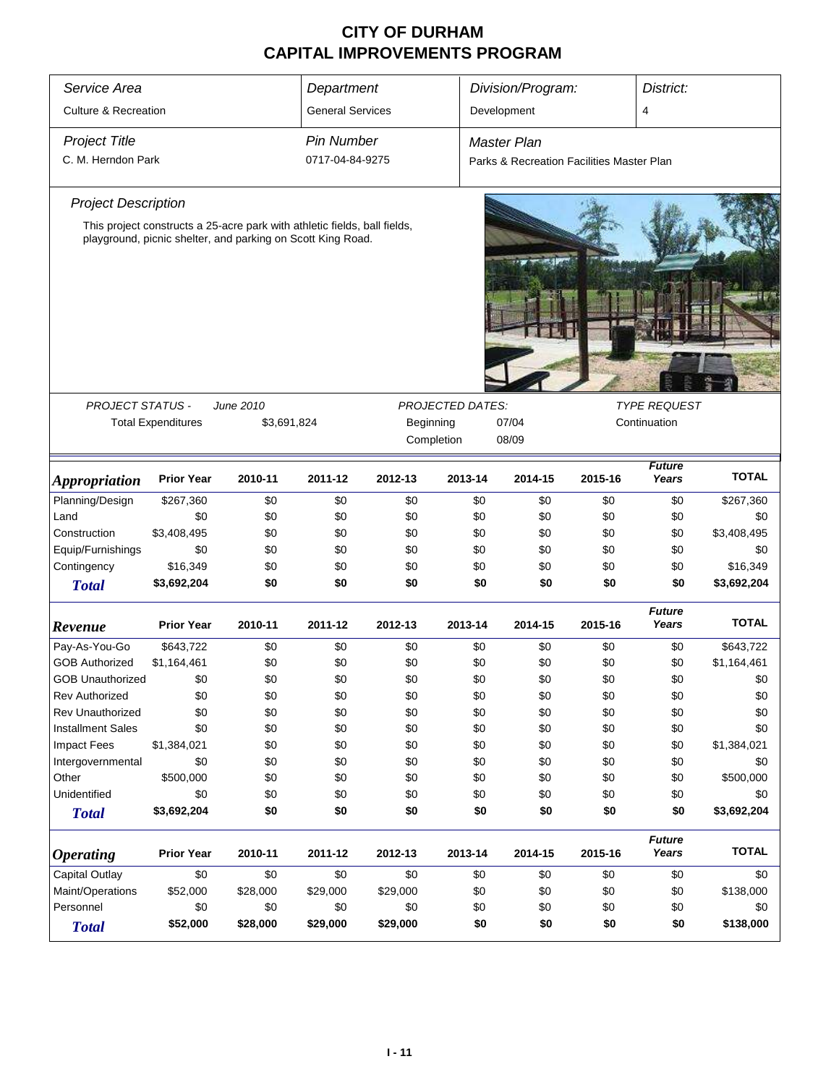| Service Area                       |                                                                           |                 | Department              |                 |                         | Division/Program:                         |            | District:              |                  |  |  |
|------------------------------------|---------------------------------------------------------------------------|-----------------|-------------------------|-----------------|-------------------------|-------------------------------------------|------------|------------------------|------------------|--|--|
| <b>Culture &amp; Recreation</b>    |                                                                           |                 | <b>General Services</b> |                 |                         | Development                               |            | 4                      |                  |  |  |
| <b>Project Title</b>               |                                                                           |                 | <b>Pin Number</b>       |                 |                         | <b>Master Plan</b>                        |            |                        |                  |  |  |
| C. M. Herndon Park                 |                                                                           |                 | 0717-04-84-9275         |                 |                         | Parks & Recreation Facilities Master Plan |            |                        |                  |  |  |
| <b>Project Description</b>         |                                                                           |                 |                         |                 |                         |                                           |            |                        |                  |  |  |
|                                    | This project constructs a 25-acre park with athletic fields, ball fields, |                 |                         |                 |                         |                                           |            |                        |                  |  |  |
|                                    | playground, picnic shelter, and parking on Scott King Road.               |                 |                         |                 |                         |                                           |            |                        |                  |  |  |
|                                    |                                                                           |                 |                         |                 |                         |                                           |            |                        |                  |  |  |
|                                    |                                                                           |                 |                         |                 |                         |                                           |            |                        |                  |  |  |
|                                    |                                                                           |                 |                         |                 |                         |                                           |            |                        |                  |  |  |
|                                    |                                                                           |                 |                         |                 |                         |                                           |            |                        |                  |  |  |
|                                    |                                                                           |                 |                         |                 |                         |                                           |            |                        |                  |  |  |
|                                    |                                                                           |                 |                         |                 |                         |                                           |            |                        |                  |  |  |
|                                    |                                                                           |                 |                         |                 |                         |                                           |            |                        |                  |  |  |
|                                    |                                                                           |                 |                         |                 |                         |                                           |            |                        |                  |  |  |
| <b>PROJECT STATUS -</b>            |                                                                           | June 2010       |                         |                 | <b>PROJECTED DATES:</b> |                                           |            | <b>TYPE REQUEST</b>    |                  |  |  |
|                                    | <b>Total Expenditures</b>                                                 | \$3,691,824     |                         | Beginning       |                         | 07/04                                     |            | Continuation           |                  |  |  |
|                                    |                                                                           |                 |                         |                 | Completion              | 08/09                                     |            |                        |                  |  |  |
| <b>Appropriation</b>               | <b>Prior Year</b>                                                         | 2010-11         | 2011-12                 | 2012-13         | 2013-14                 | 2014-15                                   | 2015-16    | <b>Future</b><br>Years | <b>TOTAL</b>     |  |  |
| Planning/Design                    | \$267,360                                                                 | \$0             | \$0                     | \$0             | \$0                     | \$0                                       | \$0        | \$0                    | \$267,360        |  |  |
| Land                               | \$0                                                                       | \$0             | \$0                     | \$0             | \$0                     | \$0                                       | \$0        | \$0                    | \$0              |  |  |
| Construction                       | \$3,408,495                                                               | \$0             | \$0                     | \$0             | \$0                     | \$0                                       | \$0        | \$0                    | \$3,408,495      |  |  |
| Equip/Furnishings                  | \$0                                                                       | \$0             | \$0                     | \$0             | \$0                     | \$0                                       | \$0        | \$0                    | \$0              |  |  |
| Contingency                        | \$16,349                                                                  | \$0             | \$0                     | \$0             | \$0                     | \$0                                       | \$0        | \$0                    | \$16,349         |  |  |
| <b>Total</b>                       | \$3,692,204                                                               | \$0             | \$0                     | \$0             | \$0                     | \$0                                       | \$0        | \$0                    | \$3,692,204      |  |  |
| Revenue                            | <b>Prior Year</b>                                                         | 2010-11         | 2011-12                 | 2012-13         | 2013-14                 | 2014-15                                   | 2015-16    | <b>Future</b><br>Years | <b>TOTAL</b>     |  |  |
| Pay-As-You-Go                      | \$643,722                                                                 | \$0             | \$0                     | \$0             | \$0                     | \$0                                       | \$0        | \$0                    | \$643,722        |  |  |
| <b>GOB Authorized</b>              | \$1,164,461                                                               | \$0             | \$0                     | \$0             | \$0                     | \$0                                       | \$0        | \$0                    | \$1,164,461      |  |  |
| <b>GOB Unauthorized</b>            | \$0                                                                       | \$0             | \$0                     | \$0             | \$0                     | \$0                                       | \$0        | \$0                    | \$0              |  |  |
| <b>Rev Authorized</b>              | \$0                                                                       | \$0             | \$0                     | \$0             | \$0                     | \$0                                       | \$0        | \$0                    | \$0              |  |  |
| Rev Unauthorized                   | \$0                                                                       | \$0             | \$0                     | \$0             | \$0                     | \$0                                       | \$0        | \$0                    | \$0              |  |  |
| <b>Installment Sales</b>           | \$0                                                                       | \$0             | \$0                     | \$0             | \$0                     | \$0                                       | \$0        | \$0                    | \$0              |  |  |
| Impact Fees                        | \$1,384,021                                                               | \$0             | \$0                     | \$0             | \$0                     | \$0                                       | \$0        | \$0                    | \$1,384,021      |  |  |
| Intergovernmental                  | \$0                                                                       | \$0             | \$0                     | \$0             | \$0                     | \$0                                       | \$0        | \$0                    | \$0              |  |  |
| Other                              | \$500,000                                                                 | \$0             | \$0                     | \$0             | \$0                     | \$0                                       | \$0        | \$0                    | \$500,000        |  |  |
| Unidentified                       | \$0                                                                       | \$0             | \$0                     | \$0             | \$0                     | \$0                                       | \$0        | \$0                    | \$0              |  |  |
| <b>Total</b>                       | \$3,692,204                                                               | \$0             | \$0                     | \$0             | \$0                     | \$0                                       | \$0        | \$0                    | \$3,692,204      |  |  |
|                                    | <b>Prior Year</b>                                                         | 2010-11         | 2011-12                 | 2012-13         | 2013-14                 | 2014-15                                   | 2015-16    | <b>Future</b><br>Years | <b>TOTAL</b>     |  |  |
| <b>Operating</b>                   |                                                                           |                 |                         |                 |                         |                                           |            |                        |                  |  |  |
| Capital Outlay<br>Maint/Operations | \$0<br>\$52,000                                                           | \$0<br>\$28,000 | \$0<br>\$29,000         | \$0<br>\$29,000 | \$0<br>\$0              | \$0<br>\$0                                | \$0<br>\$0 | \$0<br>\$0             | \$0<br>\$138,000 |  |  |
| Personnel                          | \$0                                                                       | \$0             | \$0                     | \$0             | \$0                     | \$0                                       | \$0        | \$0                    | \$0              |  |  |
|                                    | \$52,000                                                                  | \$28,000        | \$29,000                | \$29,000        | \$0                     | \$0                                       | \$0        | \$0                    | \$138,000        |  |  |
| <b>Total</b>                       |                                                                           |                 |                         |                 |                         |                                           |            |                        |                  |  |  |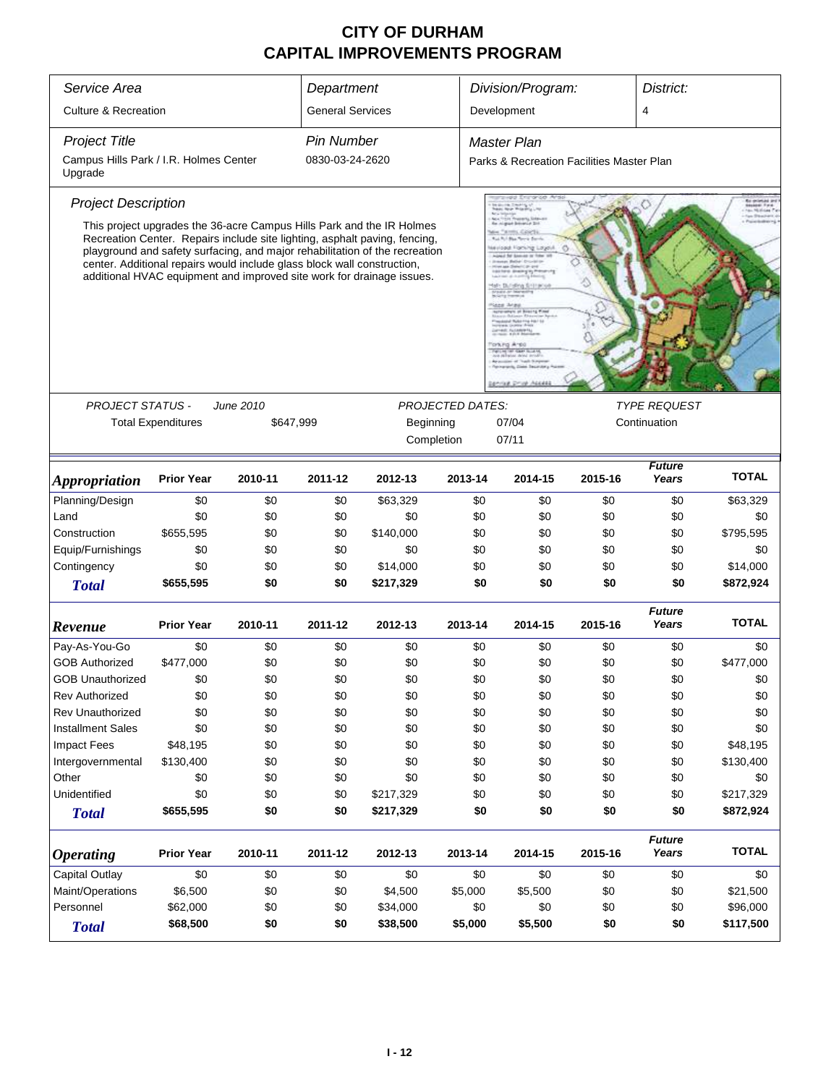| Service Area                                      |                                                                         |           | Department              |                                                                                                                                                                                                                                                                                                             |                         | Division/Program:                         |                     | District:              |              |  |
|---------------------------------------------------|-------------------------------------------------------------------------|-----------|-------------------------|-------------------------------------------------------------------------------------------------------------------------------------------------------------------------------------------------------------------------------------------------------------------------------------------------------------|-------------------------|-------------------------------------------|---------------------|------------------------|--------------|--|
| <b>Culture &amp; Recreation</b>                   |                                                                         |           | <b>General Services</b> |                                                                                                                                                                                                                                                                                                             |                         | Development                               |                     | $\overline{4}$         |              |  |
| <b>Project Title</b>                              |                                                                         |           | <b>Pin Number</b>       |                                                                                                                                                                                                                                                                                                             |                         | <b>Master Plan</b>                        |                     |                        |              |  |
| Campus Hills Park / I.R. Holmes Center<br>Upgrade |                                                                         |           | 0830-03-24-2620         |                                                                                                                                                                                                                                                                                                             |                         | Parks & Recreation Facilities Master Plan |                     |                        |              |  |
| <b>Project Description</b>                        |                                                                         |           |                         |                                                                                                                                                                                                                                                                                                             |                         |                                           |                     |                        |              |  |
|                                                   | center. Additional repairs would include glass block wall construction, |           |                         | This project upgrades the 36-acre Campus Hills Park and the IR Holmes<br>Recreation Center. Repairs include site lighting, asphalt paving, fencing,<br>playground and safety surfacing, and major rehabilitation of the recreation<br>additional HVAC equipment and improved site work for drainage issues. |                         |                                           |                     |                        |              |  |
|                                                   |                                                                         |           |                         |                                                                                                                                                                                                                                                                                                             |                         |                                           |                     |                        |              |  |
| <b>PROJECT STATUS -</b>                           |                                                                         | June 2010 |                         |                                                                                                                                                                                                                                                                                                             | <b>PROJECTED DATES:</b> |                                           | <b>TYPE REQUEST</b> |                        |              |  |
|                                                   | <b>Total Expenditures</b>                                               | \$647,999 |                         | Beginning                                                                                                                                                                                                                                                                                                   |                         | 07/04                                     |                     | Continuation           |              |  |
|                                                   |                                                                         |           |                         | Completion                                                                                                                                                                                                                                                                                                  |                         |                                           |                     |                        |              |  |
| <i><b>Appropriation</b></i>                       | <b>Prior Year</b>                                                       | 2010-11   | 2011-12                 | 2012-13                                                                                                                                                                                                                                                                                                     | 2013-14                 | 2014-15                                   | 2015-16             | <b>Future</b><br>Years | <b>TOTAL</b> |  |
| Planning/Design                                   | \$0                                                                     | \$0       | \$0                     | \$63,329                                                                                                                                                                                                                                                                                                    | \$0                     | \$0                                       | \$0                 | \$0                    | \$63,329     |  |
| Land                                              | \$0                                                                     | \$0       | \$0                     | \$0                                                                                                                                                                                                                                                                                                         | \$0                     | \$0                                       | \$0                 | \$0                    | \$0          |  |
| Construction                                      | \$655,595                                                               | \$0       | \$0                     | \$140,000                                                                                                                                                                                                                                                                                                   | \$0                     | \$0                                       | \$0                 | \$0                    | \$795,595    |  |
| Equip/Furnishings                                 | \$0                                                                     | \$0       | \$0                     | \$0                                                                                                                                                                                                                                                                                                         | \$0                     | \$0                                       | \$0                 | \$0                    | \$0          |  |
| Contingency                                       | \$0                                                                     | \$0       | \$0                     | \$14,000                                                                                                                                                                                                                                                                                                    | \$0                     | \$0                                       | \$0                 | \$0                    | \$14,000     |  |
| <b>Total</b>                                      | \$655,595                                                               | \$0       | \$0                     | \$217,329                                                                                                                                                                                                                                                                                                   | \$0                     | \$0                                       | \$0                 | \$0                    | \$872,924    |  |
| Revenue                                           | <b>Prior Year</b>                                                       | 2010-11   | 2011-12                 | 2012-13                                                                                                                                                                                                                                                                                                     | 2013-14                 | 2014-15                                   | 2015-16             | <b>Future</b><br>Years | <b>TOTAL</b> |  |
| Pay-As-You-Go                                     | \$0                                                                     | \$0       | \$0                     | \$0                                                                                                                                                                                                                                                                                                         | \$0                     | \$0                                       | \$0                 | \$0                    | \$0          |  |
| <b>GOB Authorized</b>                             | \$477,000                                                               | \$0       | \$0                     | \$0                                                                                                                                                                                                                                                                                                         | \$0                     | \$0                                       | \$0                 | \$0                    | \$477,000    |  |
| GOB Unauthorized                                  | \$0                                                                     | \$0       | \$0                     | \$0                                                                                                                                                                                                                                                                                                         | \$0                     | \$0                                       | \$0                 | \$0                    | \$0          |  |
| <b>Rev Authorized</b>                             | \$0                                                                     | \$0       | \$0                     | \$0                                                                                                                                                                                                                                                                                                         | \$0                     | \$0                                       | \$0                 | \$0                    | \$0          |  |
| Rev Unauthorized                                  | \$0                                                                     | \$0       | \$0                     | \$0                                                                                                                                                                                                                                                                                                         | \$0                     | \$0                                       | \$0                 | \$0                    | \$0          |  |
| <b>Installment Sales</b>                          | \$0                                                                     | \$0       | \$0                     | \$0                                                                                                                                                                                                                                                                                                         | \$0                     | \$0                                       | \$0                 | \$0                    | \$0          |  |
| <b>Impact Fees</b>                                | \$48,195                                                                | \$0       | \$0                     | \$0                                                                                                                                                                                                                                                                                                         | \$0                     | \$0                                       | \$0                 | \$0                    | \$48,195     |  |
| Intergovernmental                                 | \$130,400                                                               | \$0       | \$0                     | \$0                                                                                                                                                                                                                                                                                                         | \$0                     | \$0                                       | \$0                 | \$0                    | \$130,400    |  |
| Other                                             | \$0                                                                     | \$0       | \$0                     | \$0                                                                                                                                                                                                                                                                                                         | \$0                     | \$0                                       | \$0                 | \$0                    | \$0          |  |
| Unidentified                                      | \$0                                                                     | \$0       | \$0                     | \$217,329                                                                                                                                                                                                                                                                                                   | \$0                     | \$0                                       | \$0                 | \$0                    | \$217,329    |  |
| <b>Total</b>                                      | \$655,595                                                               | \$0       | \$0                     | \$217,329                                                                                                                                                                                                                                                                                                   | \$0                     | \$0                                       | \$0                 | \$0                    | \$872,924    |  |
| <b>Operating</b>                                  | <b>Prior Year</b><br>2010-11<br>2011-12<br>2012-13                      |           |                         |                                                                                                                                                                                                                                                                                                             | 2013-14                 | 2014-15                                   | 2015-16             | <b>Future</b><br>Years | <b>TOTAL</b> |  |
| Capital Outlay                                    | \$0                                                                     | \$0       | \$0                     | \$0                                                                                                                                                                                                                                                                                                         | \$0                     | \$0                                       | \$0                 | \$0                    | \$0          |  |
| Maint/Operations                                  | \$6,500                                                                 | \$0       | \$0                     | \$4,500                                                                                                                                                                                                                                                                                                     | \$5,000                 | \$5,500                                   | \$0                 | \$0                    | \$21,500     |  |
| Personnel                                         | \$62,000                                                                | \$0       | \$0                     | \$34,000                                                                                                                                                                                                                                                                                                    | \$0                     | \$0                                       | \$0                 | \$0                    | \$96,000     |  |
| <b>Total</b>                                      | \$68,500                                                                | \$0       | \$0                     | \$38,500                                                                                                                                                                                                                                                                                                    | \$5,000                 | \$5,500                                   | \$0                 | \$0                    | \$117,500    |  |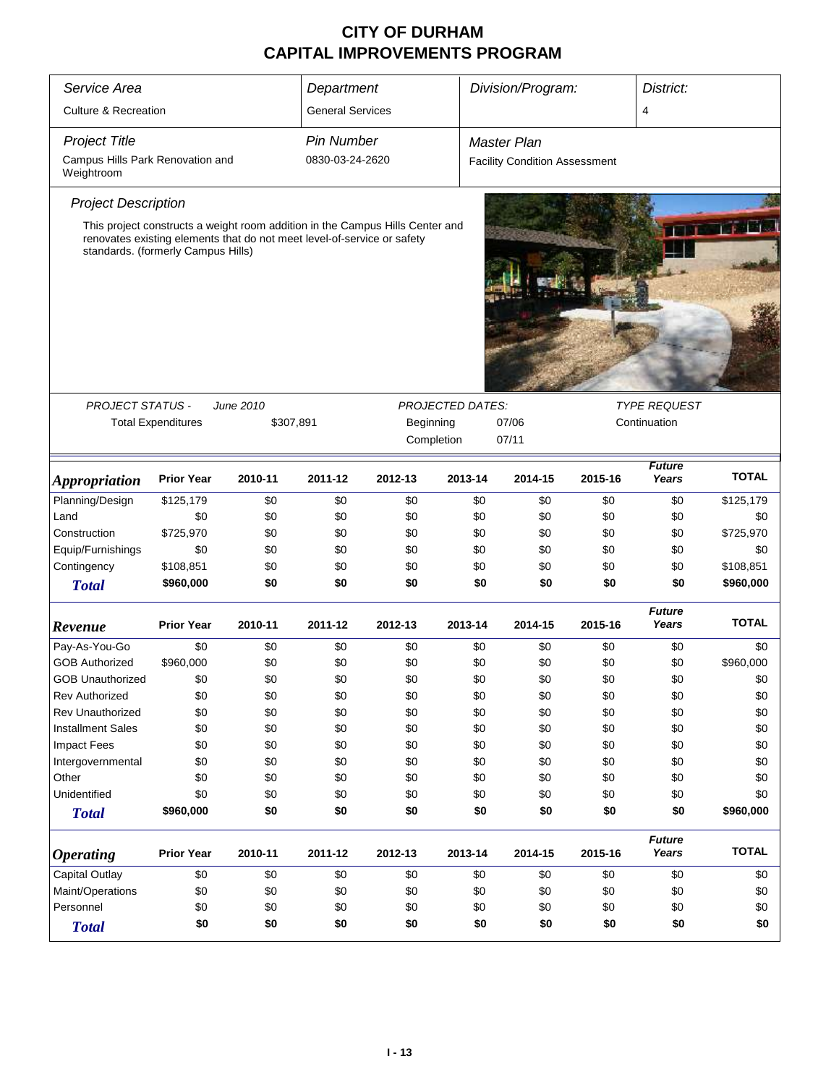| Service Area                                        | Department                                                                                                                                                                                     |           |                                 |         |                         |                    | Division/Program: |                                      | District:              |              |  |  |
|-----------------------------------------------------|------------------------------------------------------------------------------------------------------------------------------------------------------------------------------------------------|-----------|---------------------------------|---------|-------------------------|--------------------|-------------------|--------------------------------------|------------------------|--------------|--|--|
| <b>Culture &amp; Recreation</b>                     |                                                                                                                                                                                                |           | <b>General Services</b>         |         |                         |                    |                   |                                      | 4                      |              |  |  |
| <b>Project Title</b>                                |                                                                                                                                                                                                |           | <b>Pin Number</b>               |         |                         | <b>Master Plan</b> |                   |                                      |                        |              |  |  |
| Campus Hills Park Renovation and<br>Weightroom      |                                                                                                                                                                                                |           | 0830-03-24-2620                 |         |                         |                    |                   | <b>Facility Condition Assessment</b> |                        |              |  |  |
| <b>Project Description</b>                          |                                                                                                                                                                                                |           |                                 |         |                         |                    |                   |                                      |                        |              |  |  |
|                                                     | This project constructs a weight room addition in the Campus Hills Center and<br>renovates existing elements that do not meet level-of-service or safety<br>standards. (formerly Campus Hills) |           |                                 |         |                         |                    |                   |                                      |                        |              |  |  |
|                                                     |                                                                                                                                                                                                |           |                                 |         |                         |                    |                   |                                      |                        |              |  |  |
| <b>PROJECT STATUS -</b>                             |                                                                                                                                                                                                | June 2010 |                                 |         | <b>PROJECTED DATES:</b> |                    |                   |                                      | <b>TYPE REQUEST</b>    |              |  |  |
|                                                     | <b>Total Expenditures</b>                                                                                                                                                                      |           | \$307,891<br>Beginning<br>07/06 |         |                         |                    |                   |                                      | Continuation           |              |  |  |
|                                                     |                                                                                                                                                                                                |           | Completion<br>07/11             |         |                         |                    |                   |                                      |                        |              |  |  |
| <b>Appropriation</b>                                | <b>Prior Year</b>                                                                                                                                                                              | 2010-11   | 2011-12                         | 2012-13 | 2013-14                 |                    | 2014-15           | 2015-16                              | <b>Future</b><br>Years | <b>TOTAL</b> |  |  |
| Planning/Design                                     | \$125,179                                                                                                                                                                                      | \$0       | \$0                             | \$0     |                         | \$0                | \$0               | \$0                                  | \$0                    | \$125,179    |  |  |
| Land                                                | \$0                                                                                                                                                                                            | \$0       | \$0                             | \$0     |                         | \$0                | \$0               | \$0                                  | \$0                    | \$0          |  |  |
| Construction                                        | \$725,970                                                                                                                                                                                      | \$0       | \$0                             | \$0     |                         | \$0                | \$0               | \$0                                  | \$0                    | \$725,970    |  |  |
| Equip/Furnishings                                   | \$0                                                                                                                                                                                            | \$0       | \$0                             | \$0     |                         | \$0                | \$0               | \$0                                  | \$0                    | \$0          |  |  |
| Contingency                                         | \$108,851                                                                                                                                                                                      | \$0       | \$0                             | \$0     |                         | \$0                | \$0               | \$0                                  | \$0                    | \$108,851    |  |  |
| <b>Total</b>                                        | \$960,000                                                                                                                                                                                      | \$0       | \$0                             | \$0     |                         | \$0                | \$0               | \$0                                  | \$0                    | \$960,000    |  |  |
| Revenue                                             | <b>Prior Year</b>                                                                                                                                                                              | 2010-11   | 2011-12                         | 2012-13 | 2013-14                 |                    | 2014-15           | 2015-16                              | <b>Future</b><br>Years | <b>TOTAL</b> |  |  |
| Pay-As-You-Go                                       | \$0                                                                                                                                                                                            | \$0       | \$0                             | \$0     |                         | \$0                | \$0               | \$0                                  | \$0                    | \$0          |  |  |
| <b>GOB Authorized</b>                               | \$960,000                                                                                                                                                                                      | \$0       | \$0                             | \$0     |                         | \$0                | \$0               | \$0                                  | \$0                    | \$960,000    |  |  |
| <b>GOB Unauthorized</b>                             | \$0                                                                                                                                                                                            | \$0       | \$0                             | \$0     |                         | \$0                | \$0               | \$0                                  | \$0                    | \$0          |  |  |
| <b>Rev Authorized</b>                               | \$0                                                                                                                                                                                            | \$0       | \$0                             | \$0     |                         | \$0                | \$0               | \$0                                  | \$0                    | \$0          |  |  |
| <b>Rev Unauthorized</b>                             | \$0                                                                                                                                                                                            | \$0       | \$0                             | \$0     |                         | \$0                | \$0               | \$0                                  | \$0                    | \$0          |  |  |
| <b>Installment Sales</b>                            | \$0                                                                                                                                                                                            | \$0       | \$0                             | \$0     |                         | \$0                | \$0               | \$0                                  | \$0                    | \$0          |  |  |
| <b>Impact Fees</b>                                  | \$0                                                                                                                                                                                            | \$0       | \$0                             | \$0     |                         | \$0                | \$0               | \$0                                  | \$0                    | \$0          |  |  |
| Intergovernmental                                   | \$0                                                                                                                                                                                            | \$0       | \$0                             | \$0     |                         | \$0                | \$0               | \$0                                  | \$0                    | \$0          |  |  |
| Other                                               | \$0                                                                                                                                                                                            | \$0       | \$0                             | \$0     |                         | \$0                | \$0               | \$0                                  | \$0                    | \$0          |  |  |
| Unidentified                                        | \$0                                                                                                                                                                                            | \$0       | \$0                             | \$0     |                         | \$0                | \$0               | \$0                                  | \$0                    | \$0          |  |  |
| <b>Total</b>                                        | \$960,000                                                                                                                                                                                      | \$0       | \$0                             | \$0     |                         | \$0                | \$0               | \$0                                  | \$0                    | \$960,000    |  |  |
| <b>Operating</b>                                    | <b>Prior Year</b>                                                                                                                                                                              | 2010-11   | 2011-12                         | 2012-13 | 2013-14                 |                    | 2014-15           | 2015-16                              | <b>Future</b><br>Years | <b>TOTAL</b> |  |  |
| Capital Outlay<br>\$0<br>\$0<br>\$0<br>\$0<br>\$0   |                                                                                                                                                                                                |           |                                 |         |                         | \$0                | \$0               | \$0                                  | \$0                    |              |  |  |
| Maint/Operations<br>\$0<br>\$0<br>\$0<br>\$0<br>\$0 |                                                                                                                                                                                                |           |                                 |         |                         |                    | \$0               | \$0                                  | \$0                    | \$0          |  |  |
| Personnel                                           | \$0                                                                                                                                                                                            | \$0       | \$0                             | \$0     |                         |                    | \$0               | \$0                                  | \$0                    | \$0          |  |  |
| <b>Total</b>                                        | \$0<br>\$0<br>\$0<br>\$0<br>\$0<br>\$0<br>\$0<br>\$0<br>\$0                                                                                                                                    |           |                                 |         |                         |                    |                   |                                      | \$0                    |              |  |  |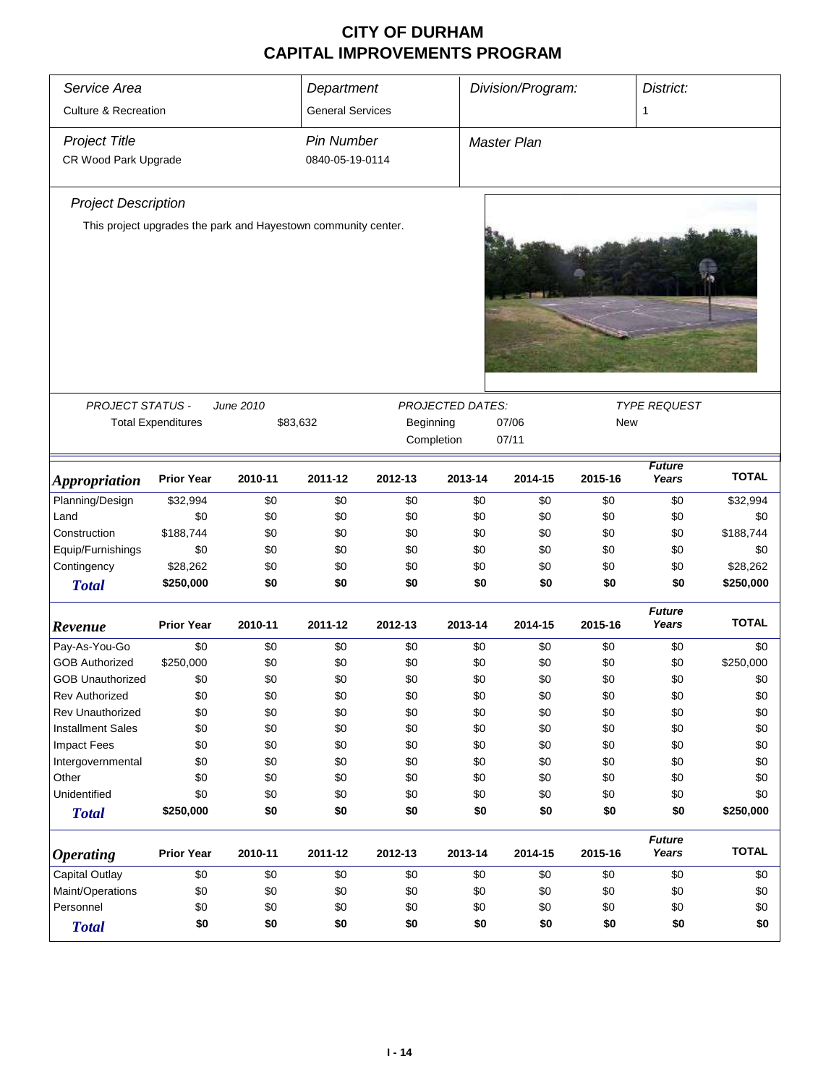| Service Area<br>Department      |                                                                |           |                         |                                                             |            | Division/Program:  |                        | District:              |              |  |
|---------------------------------|----------------------------------------------------------------|-----------|-------------------------|-------------------------------------------------------------|------------|--------------------|------------------------|------------------------|--------------|--|
| <b>Culture &amp; Recreation</b> |                                                                |           | <b>General Services</b> |                                                             |            |                    |                        | 1                      |              |  |
| <b>Project Title</b>            |                                                                |           | <b>Pin Number</b>       |                                                             |            | <b>Master Plan</b> |                        |                        |              |  |
| CR Wood Park Upgrade            |                                                                |           | 0840-05-19-0114         |                                                             |            |                    |                        |                        |              |  |
| <b>Project Description</b>      |                                                                |           |                         |                                                             |            |                    |                        |                        |              |  |
|                                 | This project upgrades the park and Hayestown community center. |           |                         |                                                             |            |                    |                        |                        |              |  |
|                                 |                                                                |           |                         |                                                             |            |                    |                        |                        |              |  |
| <b>PROJECT STATUS -</b>         |                                                                | June 2010 |                         |                                                             |            |                    |                        | <b>TYPE REQUEST</b>    |              |  |
|                                 | <b>Total Expenditures</b>                                      |           | \$83,632                | <b>PROJECTED DATES:</b><br>Beginning<br>07/06<br><b>New</b> |            |                    |                        |                        |              |  |
|                                 |                                                                |           |                         |                                                             | Completion |                    |                        |                        |              |  |
|                                 |                                                                |           |                         |                                                             |            | 07/11              |                        |                        |              |  |
| <b>Appropriation</b>            | <b>Prior Year</b>                                              | 2010-11   | 2011-12                 | 2012-13                                                     | 2013-14    | 2014-15            | <b>Future</b><br>Years | <b>TOTAL</b>           |              |  |
| Planning/Design                 | \$32,994                                                       | \$0       | \$0                     | \$0                                                         | \$0        | \$0                | \$0                    | \$0                    | \$32,994     |  |
| Land                            | \$0                                                            | \$0       | \$0                     | \$0                                                         | \$0        | \$0                | \$0                    | \$0                    | \$0          |  |
| Construction                    | \$188,744                                                      | \$0       | \$0                     | \$0                                                         | \$0        | \$0                | \$0                    | \$0                    | \$188,744    |  |
| Equip/Furnishings               | \$0                                                            | \$0       | \$0                     | \$0                                                         | \$0        | \$0                | \$0                    | \$0                    | \$0          |  |
| Contingency                     | \$28,262                                                       | \$0       | \$0                     | \$0                                                         | \$0        | \$0                | \$0                    | \$0                    | \$28,262     |  |
| <b>Total</b>                    | \$250,000                                                      | \$0       | \$0                     | \$0                                                         | \$0        | \$0                | \$0                    | \$0                    | \$250,000    |  |
| Revenue                         | <b>Prior Year</b>                                              | 2010-11   | 2011-12                 | 2012-13                                                     | 2013-14    | 2014-15            | 2015-16                | <b>Future</b><br>Years | <b>TOTAL</b> |  |
| Pay-As-You-Go                   | \$0                                                            | \$0       | \$0                     | \$0                                                         | \$0        | \$0                | \$0                    | \$0                    | \$0          |  |
| <b>GOB Authorized</b>           | \$250,000                                                      | \$0       | \$0                     | \$0                                                         | \$0        | \$0                | \$0                    | \$0                    | \$250,000    |  |
| <b>GOB Unauthorized</b>         | \$0                                                            | \$0       | \$0                     | \$0                                                         | \$0        | \$0                | \$0                    | \$0                    | \$0          |  |
| <b>Rev Authorized</b>           | \$0                                                            | \$0       | \$0                     | \$0                                                         | \$0        | \$0                | \$0                    | \$0                    | \$0          |  |
| <b>Rev Unauthorized</b>         | \$0                                                            | \$0       | \$0                     | \$0                                                         | \$0        | \$0                | \$0                    | \$0                    | \$0          |  |
| <b>Installment Sales</b>        | \$0                                                            | \$0       | \$0                     | \$0                                                         | \$0        | \$0                | \$0                    | \$0                    | \$0          |  |
| <b>Impact Fees</b>              | \$0                                                            | \$0       | \$0                     | \$0                                                         | \$0        | \$0                | \$0                    | \$0                    | \$0          |  |
| Intergovernmental               | \$0                                                            | \$0       | \$0                     | \$0                                                         | \$0        | \$0                | \$0                    | \$0                    | \$0          |  |
| Other                           | \$0                                                            | \$0       | \$0                     | \$0                                                         | \$0        | \$0                | \$0                    | \$0                    | \$0          |  |
| Unidentified                    | \$0                                                            | \$0       | \$0                     | \$0                                                         | \$0        | \$0                | \$0                    | \$0                    | \$0          |  |
| <b>Total</b>                    | \$250,000                                                      | \$0       | \$0                     | \$0                                                         | \$0        | \$0                | \$0                    | \$0                    | \$250,000    |  |
| <b>Operating</b>                | <b>Prior Year</b>                                              | 2010-11   | 2011-12                 | 2012-13                                                     | 2013-14    | 2014-15            | 2015-16                | <b>Future</b><br>Years | <b>TOTAL</b> |  |
| Capital Outlay                  | \$0                                                            | \$0       | \$0                     | \$0                                                         | \$0        | \$0                | \$0                    | \$0                    | \$0          |  |
| Maint/Operations                | \$0                                                            | \$0       | \$0                     | \$0                                                         | \$0        | \$0                | \$0                    | \$0                    | \$0          |  |
| Personnel                       | \$0                                                            | \$0       | \$0                     | \$0                                                         | \$0        | \$0                | \$0                    | \$0                    | \$0          |  |
| <b>Total</b>                    | \$0<br>\$0<br>\$0<br>\$0<br>\$0<br>\$0<br>\$0<br>\$0           |           |                         |                                                             |            |                    |                        |                        |              |  |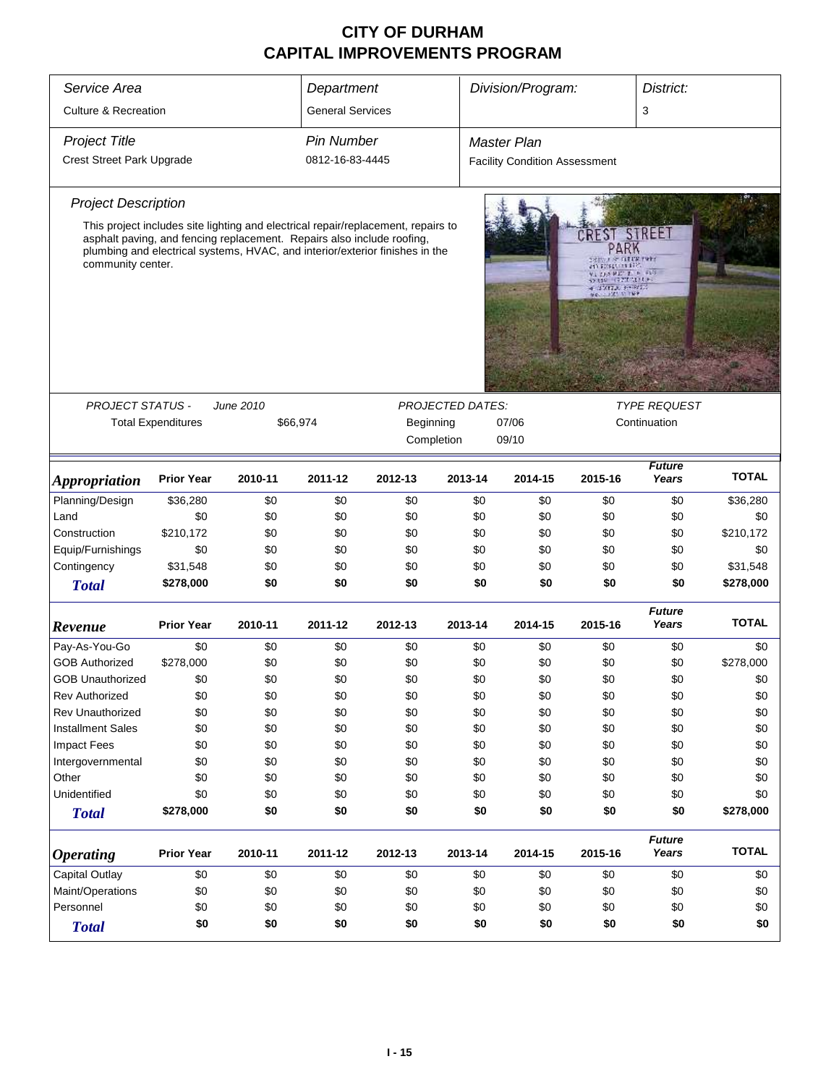| Service Area<br>Department                                                        |                                                                                                                                                        |           |                                                |                                                                                   |                         | Division/Program:<br>District:                                                                   |               |                        |              |  |
|-----------------------------------------------------------------------------------|--------------------------------------------------------------------------------------------------------------------------------------------------------|-----------|------------------------------------------------|-----------------------------------------------------------------------------------|-------------------------|--------------------------------------------------------------------------------------------------|---------------|------------------------|--------------|--|
| <b>Culture &amp; Recreation</b>                                                   |                                                                                                                                                        |           | <b>General Services</b>                        |                                                                                   |                         |                                                                                                  |               | 3                      |              |  |
|                                                                                   |                                                                                                                                                        |           |                                                |                                                                                   |                         |                                                                                                  |               |                        |              |  |
| <b>Project Title</b>                                                              |                                                                                                                                                        |           | <b>Pin Number</b>                              |                                                                                   |                         | <b>Master Plan</b>                                                                               |               |                        |              |  |
| Crest Street Park Upgrade                                                         |                                                                                                                                                        |           | 0812-16-83-4445                                |                                                                                   |                         | <b>Facility Condition Assessment</b>                                                             |               |                        |              |  |
| <b>Project Description</b>                                                        |                                                                                                                                                        |           |                                                |                                                                                   |                         |                                                                                                  |               |                        |              |  |
|                                                                                   |                                                                                                                                                        |           |                                                | This project includes site lighting and electrical repair/replacement, repairs to |                         |                                                                                                  |               |                        |              |  |
| community center.                                                                 | asphalt paving, and fencing replacement. Repairs also include roofing,<br>plumbing and electrical systems, HVAC, and interior/exterior finishes in the |           |                                                |                                                                                   |                         | CREST<br>PARK<br>an proprieta part<br>AT DEATH 2 P. LA<br><b>CONTRACTOR</b><br><b>CONTACTORS</b> | STREET        |                        |              |  |
|                                                                                   |                                                                                                                                                        |           |                                                |                                                                                   |                         |                                                                                                  |               |                        |              |  |
| <b>PROJECT STATUS -</b>                                                           |                                                                                                                                                        | June 2010 |                                                |                                                                                   | <b>PROJECTED DATES:</b> |                                                                                                  |               | <b>TYPE REQUEST</b>    |              |  |
|                                                                                   | <b>Total Expenditures</b>                                                                                                                              |           | Beginning<br>Continuation<br>\$66,974<br>07/06 |                                                                                   |                         |                                                                                                  |               |                        |              |  |
|                                                                                   |                                                                                                                                                        |           |                                                | Completion                                                                        |                         | 09/10                                                                                            |               |                        |              |  |
|                                                                                   |                                                                                                                                                        |           |                                                |                                                                                   |                         |                                                                                                  | <b>Future</b> |                        |              |  |
| <b>Appropriation</b>                                                              | <b>Prior Year</b>                                                                                                                                      | 2010-11   | 2011-12                                        | 2012-13                                                                           | 2013-14                 | 2014-15                                                                                          | 2015-16       | Years                  | <b>TOTAL</b> |  |
| Planning/Design                                                                   | \$36,280                                                                                                                                               | \$0       | \$0                                            | \$0                                                                               | \$0                     | \$0                                                                                              | \$0           | \$0                    | \$36,280     |  |
| Land                                                                              | \$0                                                                                                                                                    | \$0       | \$0                                            | \$0                                                                               | \$0                     | \$0                                                                                              | \$0           | \$0                    | \$0          |  |
| Construction                                                                      | \$210,172                                                                                                                                              | \$0       | \$0                                            | \$0                                                                               | \$0                     | \$0                                                                                              | \$0           | \$0                    | \$210,172    |  |
| Equip/Furnishings                                                                 | \$0                                                                                                                                                    | \$0       | \$0                                            | \$0                                                                               | \$0                     | \$0                                                                                              | \$0           | \$0                    | \$0          |  |
| Contingency                                                                       | \$31,548                                                                                                                                               | \$0       | \$0                                            | \$0                                                                               | \$0                     | \$0                                                                                              | \$0           | \$0                    | \$31,548     |  |
| <b>Total</b>                                                                      | \$278,000                                                                                                                                              | \$0       | \$0                                            | \$0                                                                               | \$0                     | \$0                                                                                              | \$0           | \$0                    | \$278,000    |  |
| Revenue                                                                           | <b>Prior Year</b>                                                                                                                                      | 2010-11   | 2011-12                                        | 2012-13                                                                           | 2013-14                 | 2014-15                                                                                          | 2015-16       | <b>Future</b><br>Years | <b>TOTAL</b> |  |
| Pay-As-You-Go                                                                     | \$0                                                                                                                                                    | \$0       | \$0                                            | \$0                                                                               | \$0                     | \$0                                                                                              | \$0           | \$0                    | \$0          |  |
| <b>GOB Authorized</b>                                                             | \$278,000                                                                                                                                              | \$0       | \$0                                            | \$0                                                                               | \$0                     | \$0                                                                                              | \$0           | \$0                    | \$278,000    |  |
| <b>GOB Unauthorized</b>                                                           | \$0                                                                                                                                                    | \$0       | \$0                                            | \$0                                                                               | \$0                     | \$0                                                                                              | \$0           | \$0                    | \$0          |  |
| <b>Rev Authorized</b>                                                             | \$0                                                                                                                                                    | \$0       | \$0                                            | \$0                                                                               | \$0                     | \$0                                                                                              | \$0           | \$0                    | \$0          |  |
| <b>Rev Unauthorized</b>                                                           | \$0                                                                                                                                                    | \$0       | \$0                                            | \$0                                                                               | \$0                     | \$0                                                                                              | \$0           | \$0                    | \$0          |  |
| <b>Installment Sales</b>                                                          | \$0                                                                                                                                                    | \$0       | \$0                                            | \$0                                                                               | \$0                     | \$0                                                                                              | \$0           | \$0                    | \$0          |  |
| <b>Impact Fees</b>                                                                | \$0                                                                                                                                                    | \$0       | \$0                                            | \$0                                                                               | \$0                     | \$0                                                                                              | \$0           | \$0                    | \$0          |  |
| Intergovernmental                                                                 | \$0                                                                                                                                                    | \$0       | \$0                                            | \$0                                                                               | \$0                     | \$0                                                                                              | \$0           | \$0                    | \$0          |  |
| Other                                                                             | \$0                                                                                                                                                    | \$0       | \$0                                            | \$0                                                                               | \$0                     | \$0                                                                                              | \$0           | \$0                    | \$0          |  |
| Unidentified                                                                      | \$0                                                                                                                                                    | \$0       | \$0                                            | \$0                                                                               | \$0                     | \$0                                                                                              | \$0           | \$0                    | \$0          |  |
| <b>Total</b>                                                                      | \$278,000                                                                                                                                              | \$0       | \$0                                            | \$0                                                                               | \$0                     | \$0                                                                                              | \$0           | \$0                    | \$278,000    |  |
| <b>Prior Year</b><br>2010-11<br>2011-12<br>2013-14<br>2012-13<br><b>Operating</b> |                                                                                                                                                        |           |                                                |                                                                                   |                         | 2014-15                                                                                          | 2015-16       | <b>Future</b><br>Years | <b>TOTAL</b> |  |
| Capital Outlay<br>\$0<br>\$0<br>\$0<br>\$0<br>\$0<br>\$0<br>\$0                   |                                                                                                                                                        |           |                                                |                                                                                   |                         | \$0                                                                                              | \$0           |                        |              |  |
| Maint/Operations                                                                  | \$0                                                                                                                                                    | \$0       | \$0                                            | \$0                                                                               | \$0                     | \$0                                                                                              | \$0           | \$0                    | \$0          |  |
| Personnel                                                                         | \$0                                                                                                                                                    | \$0       | \$0                                            | \$0                                                                               | \$0                     | \$0                                                                                              | \$0           | \$0                    | \$0          |  |
| <b>Total</b>                                                                      | \$0<br>\$0<br>\$0<br>\$0<br>\$0<br>\$0<br>\$0<br>\$0                                                                                                   |           |                                                |                                                                                   |                         |                                                                                                  |               |                        | \$0          |  |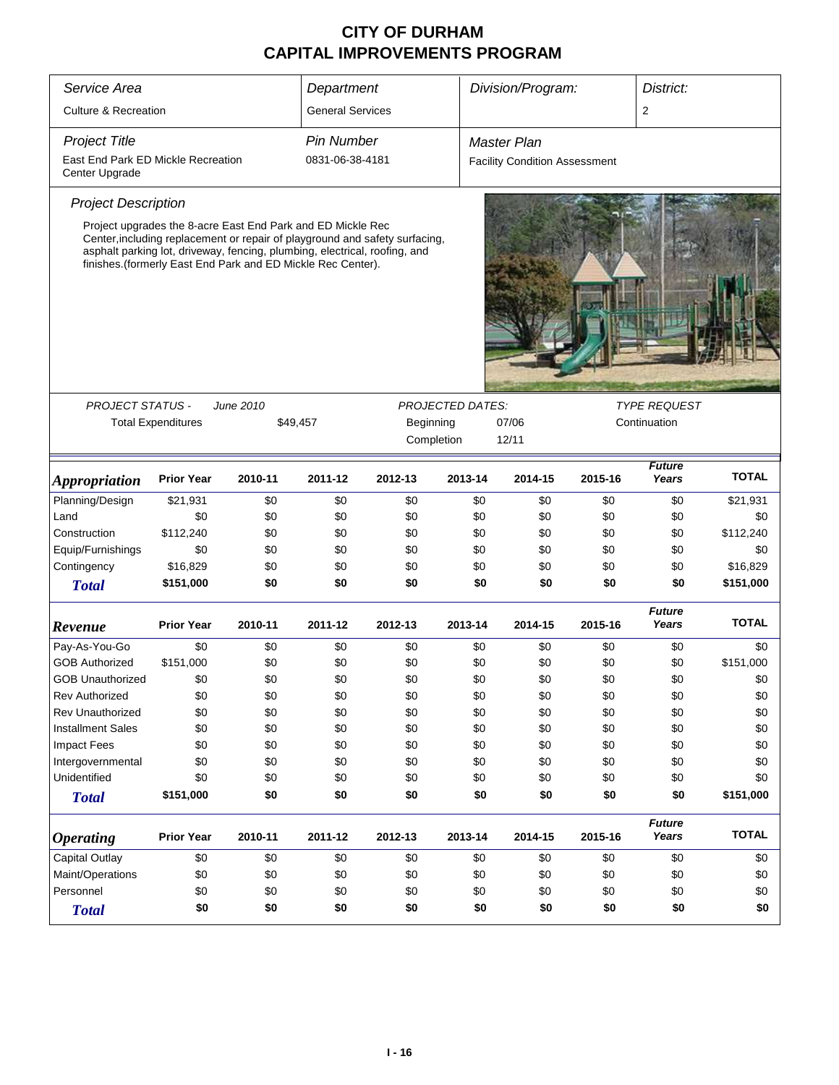| Service Area<br>Department                                             |                                                             |                                                                                                                                                                                                                                                                                                       |                         |                         | Division/Program:<br>District: |                                      |                     |                        |              |
|------------------------------------------------------------------------|-------------------------------------------------------------|-------------------------------------------------------------------------------------------------------------------------------------------------------------------------------------------------------------------------------------------------------------------------------------------------------|-------------------------|-------------------------|--------------------------------|--------------------------------------|---------------------|------------------------|--------------|
| <b>Culture &amp; Recreation</b>                                        |                                                             |                                                                                                                                                                                                                                                                                                       | <b>General Services</b> |                         |                                |                                      |                     | $\overline{2}$         |              |
| <b>Project Title</b>                                                   |                                                             |                                                                                                                                                                                                                                                                                                       | <b>Pin Number</b>       |                         |                                | Master Plan                          |                     |                        |              |
| East End Park ED Mickle Recreation<br>Center Upgrade                   |                                                             |                                                                                                                                                                                                                                                                                                       | 0831-06-38-4181         |                         |                                | <b>Facility Condition Assessment</b> |                     |                        |              |
| <b>Project Description</b>                                             |                                                             |                                                                                                                                                                                                                                                                                                       |                         |                         |                                |                                      |                     |                        |              |
| <b>PROJECT STATUS -</b>                                                |                                                             | Project upgrades the 8-acre East End Park and ED Mickle Rec<br>Center, including replacement or repair of playground and safety surfacing,<br>asphalt parking lot, driveway, fencing, plumbing, electrical, roofing, and<br>finishes. (formerly East End Park and ED Mickle Rec Center).<br>June 2010 |                         | <b>PROJECTED DATES:</b> |                                |                                      | <b>TYPE REQUEST</b> |                        |              |
|                                                                        | <b>Total Expenditures</b><br>\$49,457<br>Beginning<br>07/06 |                                                                                                                                                                                                                                                                                                       |                         |                         |                                |                                      |                     | Continuation           |              |
|                                                                        | Completion<br>12/11                                         |                                                                                                                                                                                                                                                                                                       |                         |                         |                                |                                      |                     |                        |              |
| <b>Appropriation</b>                                                   | <b>Prior Year</b>                                           | 2010-11                                                                                                                                                                                                                                                                                               | 2011-12                 | 2012-13                 | 2013-14                        | 2014-15                              | 2015-16             | <b>Future</b><br>Years | <b>TOTAL</b> |
| Planning/Design                                                        | \$21,931                                                    | \$0                                                                                                                                                                                                                                                                                                   | \$0                     | \$0                     | \$0                            | \$0                                  | \$0                 | \$0                    | \$21,931     |
| Land                                                                   | \$0                                                         | \$0                                                                                                                                                                                                                                                                                                   | \$0                     | \$0                     | \$0                            | \$0                                  | \$0                 | \$0                    | \$0          |
| Construction                                                           | \$112,240                                                   | \$0                                                                                                                                                                                                                                                                                                   | \$0                     | \$0                     | \$0                            | \$0                                  | \$0                 | \$0                    | \$112,240    |
| Equip/Furnishings                                                      | \$0                                                         | \$0                                                                                                                                                                                                                                                                                                   | \$0                     | \$0                     | \$0                            | \$0                                  | \$0                 | \$0                    | \$0          |
| Contingency                                                            | \$16,829                                                    | \$0                                                                                                                                                                                                                                                                                                   | \$0                     | \$0                     | \$0                            | \$0                                  | \$0                 | \$0                    | \$16,829     |
| <b>Total</b>                                                           | \$151,000                                                   | \$0                                                                                                                                                                                                                                                                                                   | \$0                     | \$0                     | \$0                            | \$0                                  | \$0                 | \$0                    | \$151,000    |
| Revenue                                                                | <b>Prior Year</b>                                           | 2010-11                                                                                                                                                                                                                                                                                               | 2011-12                 | 2012-13                 | 2013-14                        | 2014-15                              | 2015-16             | <b>Future</b><br>Years | <b>TOTAL</b> |
| Pay-As-You-Go                                                          | \$0                                                         | \$0                                                                                                                                                                                                                                                                                                   | \$0                     | \$0                     | \$0                            | \$0                                  | \$0                 | \$0                    | \$0          |
| <b>GOB Authorized</b>                                                  | \$151,000                                                   | \$0                                                                                                                                                                                                                                                                                                   | \$0                     | \$0                     | \$0                            | \$0                                  | \$0                 | \$0                    | \$151,000    |
| <b>GOB Unauthorized</b>                                                | \$0                                                         | \$0                                                                                                                                                                                                                                                                                                   | \$0                     | \$0                     | \$0                            | \$0                                  | \$0                 | \$0                    | \$0          |
| <b>Rev Authorized</b>                                                  | \$0                                                         | \$0                                                                                                                                                                                                                                                                                                   | \$0                     | \$0                     | \$0                            | \$0                                  | \$0                 | \$0                    | \$0          |
| <b>Rev Unauthorized</b>                                                | \$0                                                         | \$0                                                                                                                                                                                                                                                                                                   | \$0                     | \$0                     | \$0                            | \$0                                  | \$0                 | \$0                    | \$0          |
| <b>Installment Sales</b>                                               | \$0                                                         | \$0                                                                                                                                                                                                                                                                                                   | \$0                     | \$0                     | \$0                            | \$0                                  | \$0                 | \$0                    | \$0          |
| <b>Impact Fees</b>                                                     | \$0                                                         | \$0                                                                                                                                                                                                                                                                                                   | \$0                     | \$0                     | \$0                            | \$0                                  | \$0                 | \$0                    | \$0          |
| Intergovernmental                                                      | \$0                                                         | \$0                                                                                                                                                                                                                                                                                                   | \$0                     | \$0                     | \$0                            | \$0                                  | \$0                 | \$0                    | \$0          |
| Unidentified                                                           | \$0                                                         | \$0                                                                                                                                                                                                                                                                                                   | \$0                     | \$0                     | \$0                            | \$0                                  | \$0                 | \$0                    | \$0          |
| <b>Total</b>                                                           | \$151,000                                                   | \$0                                                                                                                                                                                                                                                                                                   | \$0                     | \$0                     | \$0                            | \$0                                  | \$0                 | \$0                    | \$151,000    |
| <b>Prior Year</b><br>2010-11<br>2011-12<br>2012-13<br><b>Operating</b> |                                                             |                                                                                                                                                                                                                                                                                                       |                         |                         | 2013-14                        | 2014-15                              | 2015-16             | <b>Future</b><br>Years | <b>TOTAL</b> |
| Capital Outlay                                                         | \$0<br>\$0<br>\$0<br>\$0                                    |                                                                                                                                                                                                                                                                                                       |                         |                         |                                | \$0                                  | \$0                 | \$0                    | \$0          |
| Maint/Operations                                                       | \$0                                                         | \$0                                                                                                                                                                                                                                                                                                   | \$0                     | \$0                     | \$0<br>\$0                     | \$0                                  | \$0                 | \$0                    | \$0          |
| Personnel                                                              | \$0<br>\$0<br>\$0<br>\$0                                    |                                                                                                                                                                                                                                                                                                       |                         |                         |                                | \$0                                  | \$0                 | \$0                    | \$0          |
| <b>Total</b>                                                           | \$0                                                         | \$0                                                                                                                                                                                                                                                                                                   | \$0                     | \$0                     | \$0<br>\$0                     | \$0                                  | \$0                 | \$0                    | \$0          |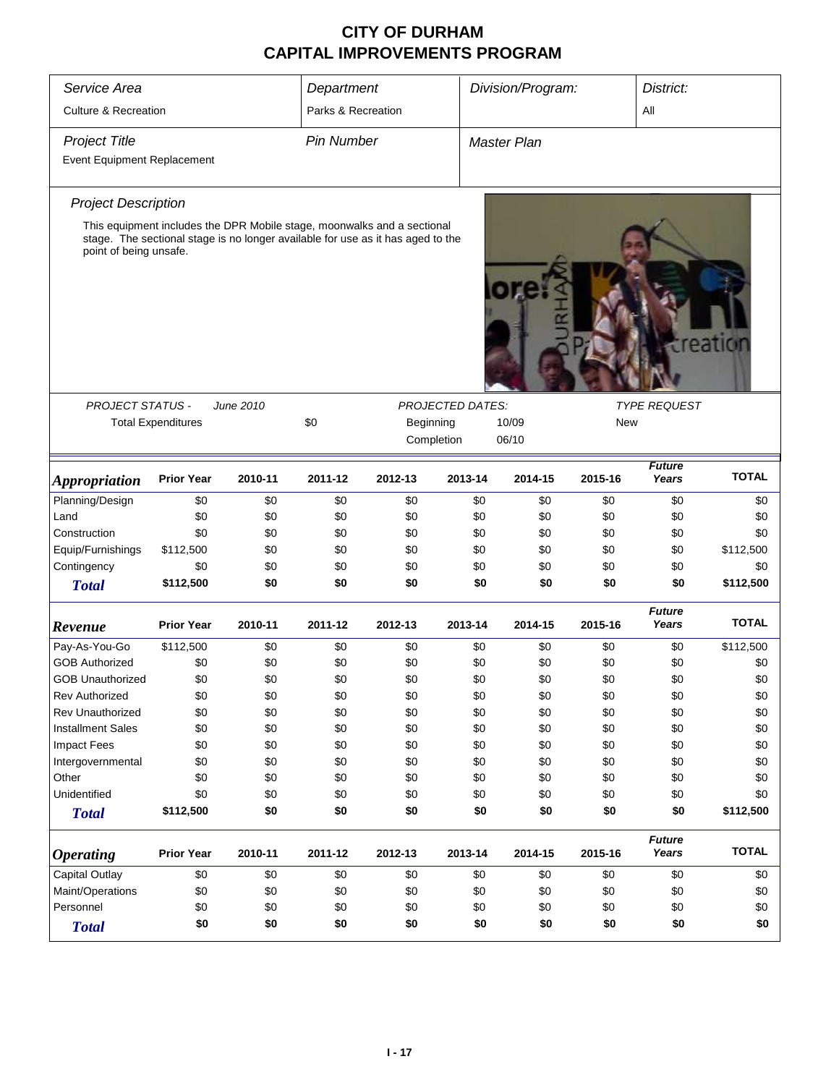| Service Area                                        |                                                      | Department |                    | Division/Program:                                                               |                         | District:          |         |                        |              |  |  |  |
|-----------------------------------------------------|------------------------------------------------------|------------|--------------------|---------------------------------------------------------------------------------|-------------------------|--------------------|---------|------------------------|--------------|--|--|--|
| <b>Culture &amp; Recreation</b>                     |                                                      |            | Parks & Recreation |                                                                                 |                         |                    |         | All                    |              |  |  |  |
| <b>Project Title</b>                                |                                                      |            | <b>Pin Number</b>  |                                                                                 |                         | <b>Master Plan</b> |         |                        |              |  |  |  |
| <b>Event Equipment Replacement</b>                  |                                                      |            |                    |                                                                                 |                         |                    |         |                        |              |  |  |  |
| <b>Project Description</b>                          |                                                      |            |                    |                                                                                 |                         |                    |         |                        |              |  |  |  |
|                                                     |                                                      |            |                    | This equipment includes the DPR Mobile stage, moonwalks and a sectional         |                         |                    |         |                        |              |  |  |  |
| point of being unsafe.                              |                                                      |            |                    | stage. The sectional stage is no longer available for use as it has aged to the |                         |                    |         |                        | creatiol     |  |  |  |
| PROJECT STATUS -                                    |                                                      | June 2010  |                    |                                                                                 | <b>PROJECTED DATES:</b> |                    |         | <b>TYPE REQUEST</b>    |              |  |  |  |
|                                                     | <b>Total Expenditures</b>                            |            | \$0                | Beginning                                                                       | New                     |                    |         |                        |              |  |  |  |
|                                                     |                                                      |            |                    | Completion                                                                      |                         | 10/09<br>06/10     |         |                        |              |  |  |  |
|                                                     |                                                      |            |                    |                                                                                 |                         |                    |         |                        |              |  |  |  |
| <i><b>Appropriation</b></i>                         | <b>Prior Year</b>                                    | 2010-11    | 2011-12            | 2012-13                                                                         | 2013-14                 | 2014-15            | 2015-16 | <b>Future</b><br>Years | <b>TOTAL</b> |  |  |  |
| Planning/Design                                     | \$0                                                  | \$0        | \$0                | \$0                                                                             | \$0                     | \$0                | \$0     | \$0                    | \$0          |  |  |  |
| Land                                                | \$0                                                  | \$0        | \$0                | \$0                                                                             | \$0                     | \$0                | \$0     | \$0                    | \$0          |  |  |  |
| Construction                                        | \$0                                                  | \$0        | \$0                | \$0                                                                             | \$0                     | \$0                | \$0     | \$0                    | \$0          |  |  |  |
| Equip/Furnishings                                   | \$112,500                                            | \$0        | \$0                | \$0                                                                             | \$0                     | \$0                | \$0     | \$0                    | \$112,500    |  |  |  |
| Contingency                                         | \$0                                                  | \$0        | \$0                | \$0                                                                             | \$0                     | \$0                | \$0     | \$0                    | \$0          |  |  |  |
| <b>Total</b>                                        | \$112,500                                            | \$0        | \$0                | \$0                                                                             | \$0                     | \$0                | \$0     | \$0                    | \$112,500    |  |  |  |
| Revenue                                             | <b>Prior Year</b>                                    | 2010-11    | 2011-12            | 2012-13                                                                         | 2013-14                 | 2014-15            | 2015-16 | <b>Future</b><br>Years | <b>TOTAL</b> |  |  |  |
| Pay-As-You-Go                                       | \$112,500                                            | \$0        | \$0                | \$0                                                                             | \$0                     | \$0                | \$0     | \$0                    | \$112,500    |  |  |  |
| <b>GOB Authorized</b>                               | \$0                                                  | \$0        | \$0                | \$0                                                                             | \$0                     | \$0                | \$0     | \$0                    | \$0          |  |  |  |
| <b>GOB Unauthorized</b>                             | \$0                                                  | \$0        | \$0                | \$0                                                                             | \$0                     | \$0                | \$0     | \$0                    | \$0          |  |  |  |
| Rev Authorized                                      | \$0                                                  | \$0        | \$0                | \$0                                                                             | \$0                     | \$0                | \$0     | \$0                    | \$0          |  |  |  |
| Rev Unauthorized                                    | \$0                                                  | \$0        | \$0                | \$0                                                                             | \$0                     | \$0                | \$0     | \$0                    | \$0          |  |  |  |
| <b>Installment Sales</b>                            | \$0                                                  | \$0        | \$0                | \$0                                                                             | \$0                     | \$0                | \$0     | \$0                    | \$0          |  |  |  |
| <b>Impact Fees</b>                                  | \$0                                                  | \$0        | \$0                | \$0                                                                             | \$0                     | \$0                | \$0     | \$0                    | \$0          |  |  |  |
| Intergovernmental                                   | \$0                                                  | \$0        | \$0                | \$0                                                                             | \$0                     | \$0                | \$0     | \$0                    | \$0          |  |  |  |
| Other                                               | \$0                                                  | \$0        | \$0                | \$0                                                                             | \$0                     | \$0                | \$0     | \$0                    | \$0          |  |  |  |
| Unidentified                                        | \$0                                                  | \$0        | \$0                | \$0                                                                             | \$0                     | \$0                | \$0     | \$0                    | \$0          |  |  |  |
| <b>Total</b>                                        | \$112,500                                            | \$0        | \$0                | \$0                                                                             | \$0                     | \$0                | \$0     | \$0                    | \$112,500    |  |  |  |
| <b>Operating</b>                                    | <b>Prior Year</b>                                    | 2010-11    | 2011-12            | 2012-13                                                                         | 2013-14                 | 2014-15            | 2015-16 | <b>Future</b><br>Years | <b>TOTAL</b> |  |  |  |
| Capital Outlay                                      | \$0                                                  | \$0        | \$0                | \$0                                                                             | \$0                     | \$0                | \$0     | \$0                    | \$0          |  |  |  |
| Maint/Operations<br>\$0<br>\$0<br>\$0<br>\$0<br>\$0 |                                                      |            |                    |                                                                                 | \$0                     | \$0                | \$0     | \$0                    |              |  |  |  |
| Personnel                                           | \$0                                                  | \$0        | \$0                | \$0                                                                             | \$0                     | \$0                | \$0     | \$0                    | \$0          |  |  |  |
| <b>Total</b>                                        | \$0<br>\$0<br>\$0<br>\$0<br>\$0<br>\$0<br>\$0<br>\$0 |            |                    |                                                                                 |                         |                    |         |                        | \$0          |  |  |  |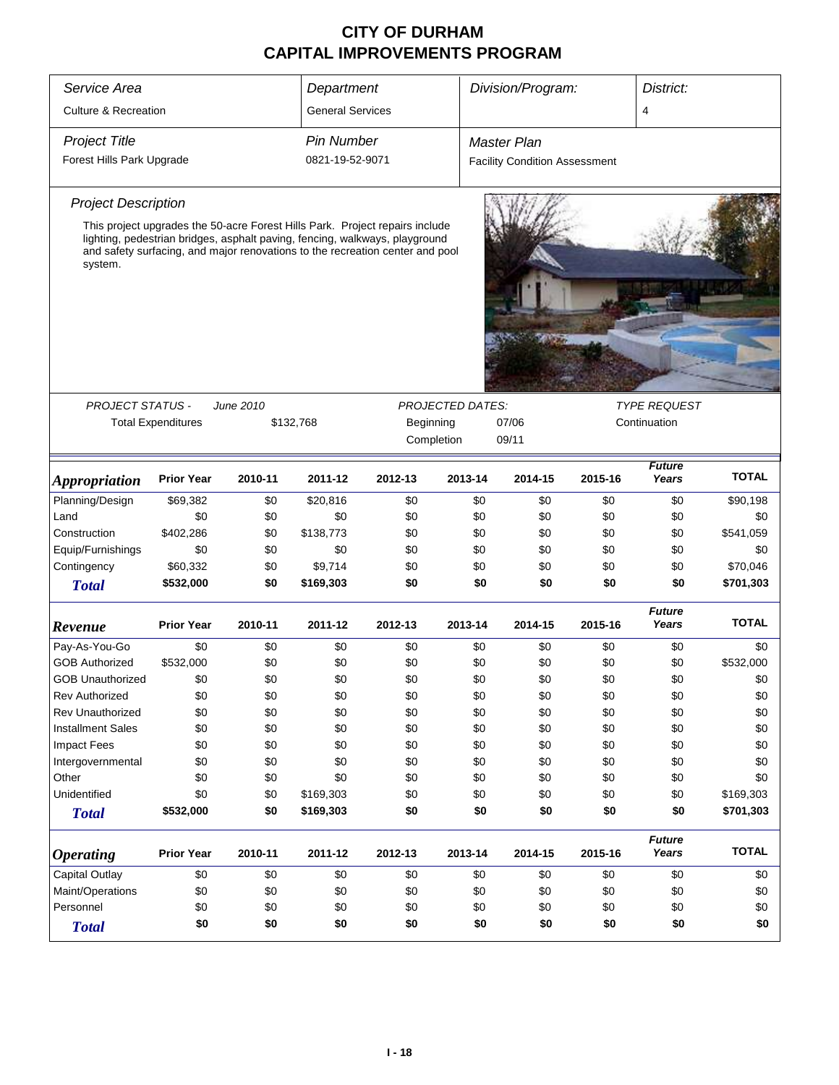| Service Area                                                           | Department                | Division/Program:<br>District: |                         |                                                                                                                                                                                                                                              |                         |                                      |         |                        |              |
|------------------------------------------------------------------------|---------------------------|--------------------------------|-------------------------|----------------------------------------------------------------------------------------------------------------------------------------------------------------------------------------------------------------------------------------------|-------------------------|--------------------------------------|---------|------------------------|--------------|
| <b>Culture &amp; Recreation</b>                                        |                           |                                | <b>General Services</b> |                                                                                                                                                                                                                                              |                         |                                      |         | 4                      |              |
| <b>Project Title</b>                                                   |                           |                                | <b>Pin Number</b>       |                                                                                                                                                                                                                                              |                         | <b>Master Plan</b>                   |         |                        |              |
| Forest Hills Park Upgrade                                              |                           |                                | 0821-19-52-9071         |                                                                                                                                                                                                                                              |                         | <b>Facility Condition Assessment</b> |         |                        |              |
| <b>Project Description</b>                                             |                           |                                |                         |                                                                                                                                                                                                                                              |                         |                                      |         |                        |              |
| system.                                                                |                           |                                |                         | This project upgrades the 50-acre Forest Hills Park. Project repairs include<br>lighting, pedestrian bridges, asphalt paving, fencing, walkways, playground<br>and safety surfacing, and major renovations to the recreation center and pool |                         |                                      |         |                        |              |
|                                                                        |                           |                                |                         |                                                                                                                                                                                                                                              |                         |                                      |         |                        |              |
| <b>PROJECT STATUS -</b>                                                |                           | June 2010                      |                         |                                                                                                                                                                                                                                              | <b>PROJECTED DATES:</b> |                                      |         | <b>TYPE REQUEST</b>    |              |
|                                                                        | <b>Total Expenditures</b> |                                | \$132,768               | Beginning<br>Completion                                                                                                                                                                                                                      |                         | 07/06<br>09/11                       |         | Continuation           |              |
|                                                                        |                           |                                |                         |                                                                                                                                                                                                                                              |                         | <b>Future</b>                        |         |                        |              |
| <i><b>Appropriation</b></i>                                            | <b>Prior Year</b>         | 2010-11                        | 2011-12                 | 2012-13                                                                                                                                                                                                                                      | 2013-14                 | 2014-15                              | 2015-16 | Years                  | <b>TOTAL</b> |
| Planning/Design                                                        | \$69,382                  | \$0                            | \$20,816                | \$0                                                                                                                                                                                                                                          | \$0                     | \$0                                  | \$0     | \$0                    | \$90,198     |
| Land                                                                   | \$0                       | \$0                            | \$0                     | \$0                                                                                                                                                                                                                                          | \$0                     | \$0                                  | \$0     | \$0                    | \$0          |
| Construction                                                           | \$402,286                 | \$0                            | \$138,773               | \$0                                                                                                                                                                                                                                          | \$0                     | \$0                                  | \$0     | \$0                    | \$541,059    |
| Equip/Furnishings                                                      | \$0                       | \$0                            | \$0                     | \$0                                                                                                                                                                                                                                          | \$0                     | \$0                                  | \$0     | \$0                    | \$0          |
| Contingency                                                            | \$60,332                  | \$0                            | \$9,714                 | \$0                                                                                                                                                                                                                                          | \$0                     | \$0                                  | \$0     | \$0                    | \$70,046     |
| <b>Total</b>                                                           | \$532,000                 | \$0                            | \$169,303               | \$0                                                                                                                                                                                                                                          | \$0                     | \$0                                  | \$0     | \$0                    | \$701,303    |
| Revenue                                                                | <b>Prior Year</b>         | 2010-11                        | 2011-12                 | 2012-13                                                                                                                                                                                                                                      | 2013-14                 | 2014-15                              | 2015-16 | <b>Future</b><br>Years | <b>TOTAL</b> |
| Pay-As-You-Go                                                          | \$0                       | \$0                            | \$0                     | \$0                                                                                                                                                                                                                                          | \$0                     | \$0                                  | \$0     | \$0                    | \$0          |
| <b>GOB Authorized</b>                                                  | \$532,000                 | \$0                            | \$0                     | \$0                                                                                                                                                                                                                                          | \$0                     | \$0                                  | \$0     | \$0                    | \$532,000    |
| <b>GOB Unauthorized</b>                                                | \$0                       | \$0                            | \$0                     | \$0                                                                                                                                                                                                                                          | \$0                     | \$0                                  | \$0     | \$0                    | \$0          |
| <b>Rev Authorized</b>                                                  | \$0                       | \$0                            | \$0                     | \$0                                                                                                                                                                                                                                          | \$0                     | \$0                                  | \$0     | \$0                    | \$0          |
| <b>Rev Unauthorized</b>                                                | \$0                       | \$0                            | \$0                     | \$0                                                                                                                                                                                                                                          | \$0                     | \$0                                  | \$0     | \$0                    | \$0          |
| <b>Installment Sales</b>                                               | \$0                       | \$0                            | \$0                     | \$0                                                                                                                                                                                                                                          | \$0                     | \$0                                  | \$0     | \$0                    | \$0          |
| <b>Impact Fees</b>                                                     | \$0                       | \$0                            | \$0                     | \$0                                                                                                                                                                                                                                          | \$0                     | \$0                                  | \$0     | \$0                    | \$0          |
| Intergovernmental                                                      | \$0                       | \$0                            | \$0                     | \$0                                                                                                                                                                                                                                          | \$0                     | \$0                                  | \$0     | \$0                    | \$0          |
| Other                                                                  | \$0                       | \$0                            | \$0                     | \$0                                                                                                                                                                                                                                          | \$0                     | \$0                                  | \$0     | \$0                    | \$0          |
| Unidentified                                                           | \$0                       | \$0                            | \$169,303               | \$0                                                                                                                                                                                                                                          | \$0                     | \$0                                  | \$0     | \$0                    | \$169,303    |
| <b>Total</b>                                                           | \$532,000                 | \$0                            | \$169,303               | \$0                                                                                                                                                                                                                                          | \$0                     | \$0                                  | \$0     | \$0                    | \$701,303    |
| <b>Prior Year</b><br>2011-12<br>2010-11<br>2012-13<br><b>Operating</b> |                           |                                |                         |                                                                                                                                                                                                                                              | 2013-14                 | 2014-15                              | 2015-16 | <b>Future</b><br>Years | <b>TOTAL</b> |
| Capital Outlay                                                         | \$0<br>\$0<br>\$0<br>\$0  |                                |                         |                                                                                                                                                                                                                                              |                         | \$0                                  | \$0     | \$0                    | \$0          |
| Maint/Operations                                                       | \$0<br>\$0<br>\$0<br>\$0  |                                |                         |                                                                                                                                                                                                                                              |                         | \$0                                  | \$0     | \$0                    | \$0          |
| Personnel<br>\$0<br>\$0<br>\$0<br>\$0                                  |                           |                                |                         |                                                                                                                                                                                                                                              | \$0<br>\$0              | \$0                                  | \$0     | \$0                    | \$0          |
| <b>Total</b>                                                           | \$0                       | \$0                            | \$0                     | \$0                                                                                                                                                                                                                                          | \$0                     | \$0                                  | \$0     | \$0                    | \$0          |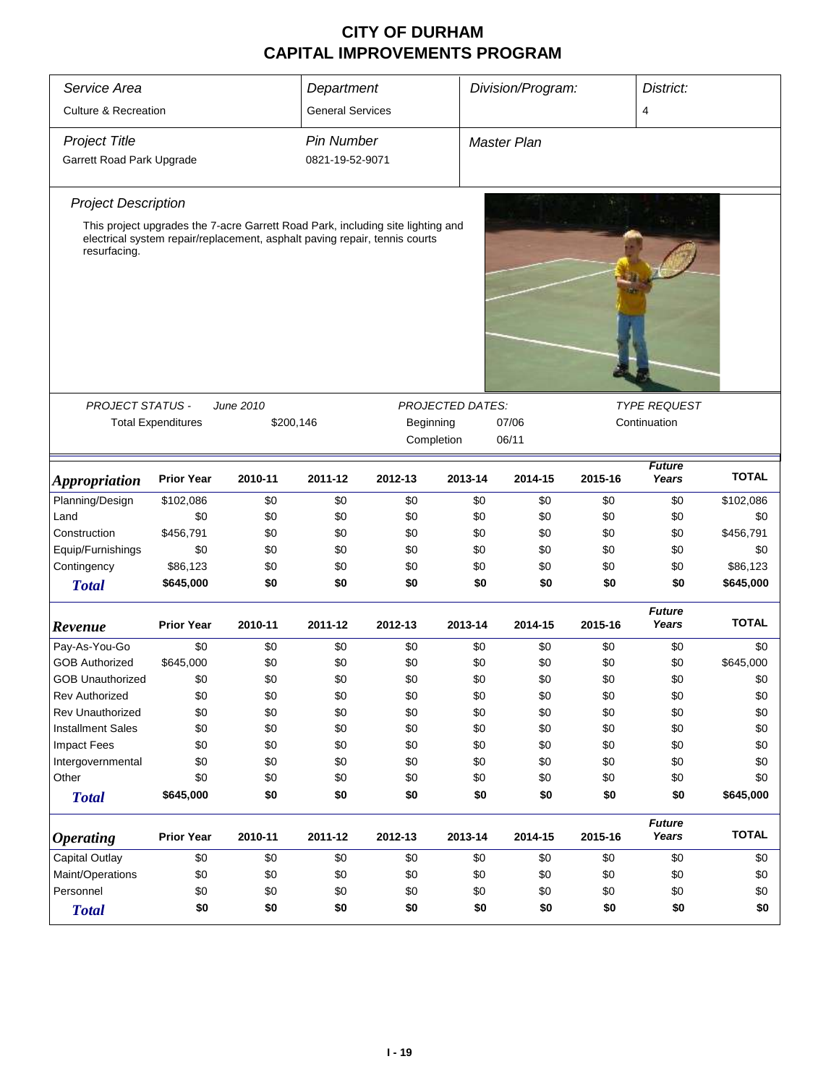| Service Area                    | Division/Program:<br>District:<br>Department                       |                                                                                                                                                               |                         |           |                         |                    |         |         |                        |              |
|---------------------------------|--------------------------------------------------------------------|---------------------------------------------------------------------------------------------------------------------------------------------------------------|-------------------------|-----------|-------------------------|--------------------|---------|---------|------------------------|--------------|
| <b>Culture &amp; Recreation</b> |                                                                    |                                                                                                                                                               | <b>General Services</b> |           |                         |                    |         |         | $\overline{4}$         |              |
| <b>Project Title</b>            |                                                                    |                                                                                                                                                               | <b>Pin Number</b>       |           |                         | <b>Master Plan</b> |         |         |                        |              |
| Garrett Road Park Upgrade       |                                                                    |                                                                                                                                                               | 0821-19-52-9071         |           |                         |                    |         |         |                        |              |
| <b>Project Description</b>      |                                                                    |                                                                                                                                                               |                         |           |                         |                    |         |         |                        |              |
| resurfacing.                    |                                                                    | This project upgrades the 7-acre Garrett Road Park, including site lighting and<br>electrical system repair/replacement, asphalt paving repair, tennis courts |                         |           |                         |                    |         |         |                        |              |
|                                 |                                                                    |                                                                                                                                                               |                         |           |                         |                    |         |         |                        |              |
| <b>PROJECT STATUS -</b>         |                                                                    | June 2010                                                                                                                                                     |                         |           | <b>PROJECTED DATES:</b> |                    |         |         | <b>TYPE REQUEST</b>    |              |
|                                 | <b>Total Expenditures</b>                                          | \$200,146                                                                                                                                                     |                         | Beginning |                         | 07/06              |         |         | Continuation           |              |
|                                 |                                                                    |                                                                                                                                                               |                         |           | Completion              | 06/11              |         |         |                        |              |
| <i><b>Appropriation</b></i>     | <b>Prior Year</b>                                                  | 2010-11                                                                                                                                                       | 2011-12                 | 2012-13   | 2013-14                 |                    | 2014-15 | 2015-16 | <b>Future</b><br>Years | <b>TOTAL</b> |
| Planning/Design                 | \$102,086                                                          | \$0                                                                                                                                                           | \$0                     | \$0       | \$0                     |                    | \$0     | \$0     | \$0                    | \$102,086    |
| Land                            | \$0                                                                | \$0                                                                                                                                                           | \$0                     | \$0       | \$0                     |                    | \$0     | \$0     | \$0                    | \$0          |
| Construction                    | \$456,791                                                          | \$0                                                                                                                                                           | \$0                     | \$0       | \$0                     |                    | \$0     | \$0     | \$0                    | \$456,791    |
| Equip/Furnishings               | \$0                                                                | \$0                                                                                                                                                           | \$0                     | \$0       | \$0                     |                    | \$0     | \$0     | \$0                    | \$0          |
| Contingency                     | \$86,123                                                           | \$0                                                                                                                                                           | \$0                     | \$0       |                         | \$0                | \$0     | \$0     | \$0                    | \$86,123     |
| <b>Total</b>                    | \$645,000                                                          | \$0                                                                                                                                                           | \$0                     | \$0       |                         | \$0                | \$0     | \$0     | \$0                    | \$645,000    |
| Revenue                         | <b>Prior Year</b>                                                  | 2010-11                                                                                                                                                       | 2011-12                 | 2012-13   | 2013-14                 |                    | 2014-15 | 2015-16 | <b>Future</b><br>Years | <b>TOTAL</b> |
| Pay-As-You-Go                   | \$0                                                                | \$0                                                                                                                                                           | \$0                     | \$0       | \$0                     |                    | \$0     | \$0     | \$0                    | \$0          |
| <b>GOB Authorized</b>           | \$645,000                                                          | \$0                                                                                                                                                           | \$0                     | \$0       | \$0                     |                    | \$0     | \$0     | \$0                    | \$645,000    |
| <b>GOB Unauthorized</b>         | \$0                                                                | \$0                                                                                                                                                           | \$0                     | \$0       | \$0                     |                    | \$0     | \$0     | \$0                    | \$0          |
| <b>Rev Authorized</b>           | \$0                                                                | \$0                                                                                                                                                           | \$0                     | \$0       | \$0                     |                    | \$0     | \$0     | \$0                    | \$0          |
| <b>Rev Unauthorized</b>         | \$0                                                                | \$0                                                                                                                                                           | \$0                     | \$0       |                         | \$0                | \$0     | \$0     | \$0                    | \$0          |
| <b>Installment Sales</b>        | \$0                                                                | \$0                                                                                                                                                           | \$0                     | \$0       |                         | \$0                | \$0     | \$0     | \$0                    | \$0          |
| <b>Impact Fees</b>              | \$0                                                                | \$0                                                                                                                                                           | \$0                     | \$0       |                         | \$0                | \$0     | \$0     | \$0                    | \$0          |
| Intergovernmental               | \$0                                                                | \$0                                                                                                                                                           | \$0                     | \$0       |                         | \$0                | \$0     | \$0     | \$0                    | \$0          |
| Other                           | \$0                                                                | \$0                                                                                                                                                           | \$0                     | \$0       |                         | \$0                | \$0     | \$0     | \$0                    | \$0          |
| <b>Total</b>                    | \$645,000                                                          | \$0                                                                                                                                                           | \$0                     | \$0       |                         | \$0                | \$0     | \$0     | \$0                    | \$645,000    |
| <i><b>Operating</b></i>         | <b>Prior Year</b>                                                  | 2010-11                                                                                                                                                       | 2011-12                 | 2012-13   | 2013-14                 |                    | 2014-15 | 2015-16 | <b>Future</b><br>Years | <b>TOTAL</b> |
| Capital Outlay                  | \$0                                                                | \$0                                                                                                                                                           | \$0                     | \$0       | \$0                     |                    | \$0     | \$0     | \$0                    | \$0          |
| Maint/Operations                | \$0                                                                | \$0                                                                                                                                                           | \$0                     | \$0       | \$0                     |                    | \$0     | \$0     | \$0                    | \$0          |
| Personnel                       | \$0                                                                | \$0                                                                                                                                                           | \$0                     | \$0       |                         |                    | \$0     | \$0     | \$0                    | \$0          |
| <b>Total</b>                    | \$0<br>\$0<br>\$0<br>\$0<br>\$0<br>\$0<br>\$0<br>\$0<br>\$0<br>\$0 |                                                                                                                                                               |                         |           |                         |                    |         |         |                        |              |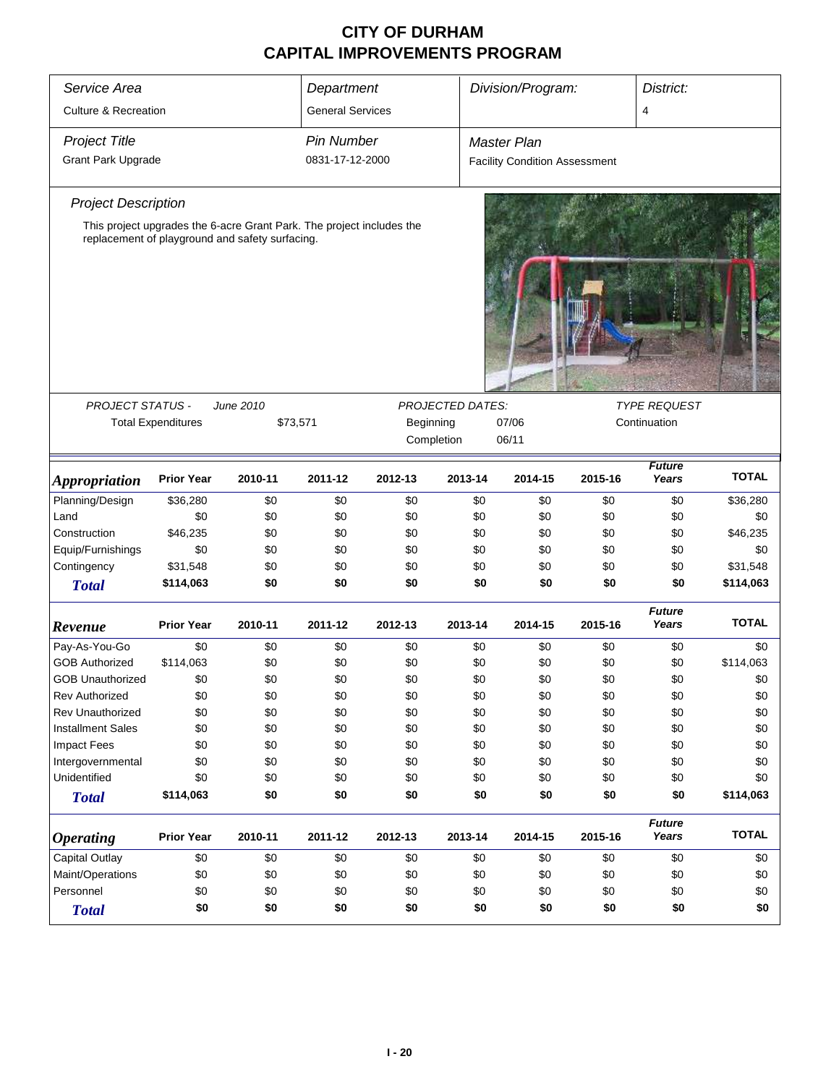| Service Area                    |                           |                                                                       | Department              | Division/Program:<br>District: |                         |                                      |         |                        |              |  |
|---------------------------------|---------------------------|-----------------------------------------------------------------------|-------------------------|--------------------------------|-------------------------|--------------------------------------|---------|------------------------|--------------|--|
| <b>Culture &amp; Recreation</b> |                           |                                                                       | <b>General Services</b> |                                |                         |                                      |         | $\overline{4}$         |              |  |
| <b>Project Title</b>            |                           |                                                                       | <b>Pin Number</b>       |                                |                         | <b>Master Plan</b>                   |         |                        |              |  |
| <b>Grant Park Upgrade</b>       |                           |                                                                       | 0831-17-12-2000         |                                |                         | <b>Facility Condition Assessment</b> |         |                        |              |  |
| <b>Project Description</b>      |                           |                                                                       |                         |                                |                         |                                      |         |                        |              |  |
|                                 |                           | This project upgrades the 6-acre Grant Park. The project includes the |                         |                                |                         |                                      |         |                        |              |  |
|                                 |                           | replacement of playground and safety surfacing.                       |                         |                                |                         |                                      |         |                        |              |  |
|                                 |                           |                                                                       |                         |                                |                         |                                      |         |                        |              |  |
| <b>PROJECT STATUS -</b>         |                           | June 2010                                                             |                         |                                | <b>PROJECTED DATES:</b> | 07/06                                |         | <b>TYPE REQUEST</b>    |              |  |
|                                 | <b>Total Expenditures</b> | \$73,571                                                              |                         | Beginning                      |                         | Continuation                         |         |                        |              |  |
|                                 |                           |                                                                       |                         |                                | Completion              | 06/11                                |         |                        |              |  |
| <i><b>Appropriation</b></i>     | <b>Prior Year</b>         | 2010-11                                                               | 2011-12                 | 2012-13                        | 2013-14                 | 2014-15                              | 2015-16 | <b>Future</b><br>Years | <b>TOTAL</b> |  |
| Planning/Design                 | \$36,280                  | \$0                                                                   | \$0                     | \$0                            | \$0                     | \$0                                  | \$0     | \$0                    | \$36,280     |  |
| Land                            | \$0                       | \$0                                                                   | \$0                     | \$0                            | \$0                     | \$0                                  | \$0     | \$0                    | \$0          |  |
| Construction                    | \$46,235                  | \$0                                                                   | \$0                     | \$0                            | \$0                     | \$0                                  | \$0     | \$0                    | \$46,235     |  |
| Equip/Furnishings               | \$0                       | \$0                                                                   | \$0                     | \$0                            | \$0                     | \$0                                  | \$0     | \$0                    | \$0          |  |
| Contingency                     | \$31,548                  | \$0                                                                   | \$0                     | \$0                            | \$0                     | \$0                                  | \$0     | \$0                    | \$31,548     |  |
| <b>Total</b>                    | \$114,063                 | \$0                                                                   | \$0                     | \$0                            | \$0                     | \$0                                  | \$0     | \$0                    | \$114,063    |  |
| Revenue                         | <b>Prior Year</b>         | 2010-11                                                               | 2011-12                 | 2012-13                        | 2013-14                 | 2014-15                              | 2015-16 | <b>Future</b><br>Years | <b>TOTAL</b> |  |
| Pay-As-You-Go                   | \$0                       | \$0                                                                   | \$0                     | \$0                            | \$0                     | \$0                                  | \$0     | \$0                    | \$0          |  |
| <b>GOB Authorized</b>           | \$114,063                 | \$0                                                                   | \$0                     | \$0                            | \$0                     | \$0                                  | \$0     | \$0                    | \$114,063    |  |
| <b>GOB Unauthorized</b>         | \$0                       | \$0                                                                   | \$0                     | \$0                            | \$0                     | \$0                                  | \$0     | \$0                    | \$0          |  |
| <b>Rev Authorized</b>           | \$0                       | \$0                                                                   | \$0                     | \$0                            | \$0                     | \$0                                  | \$0     | \$0                    | \$0          |  |
| <b>Rev Unauthorized</b>         | \$0                       | \$0                                                                   | \$0                     | \$0                            | \$0                     | \$0                                  | \$0     | \$0                    | \$0          |  |
| <b>Installment Sales</b>        | \$0                       | \$0                                                                   | \$0                     | \$0                            | \$0                     | \$0                                  | \$0     | \$0                    | \$0          |  |
| <b>Impact Fees</b>              | \$0                       | \$0                                                                   | \$0                     | \$0                            | \$0                     | \$0                                  | \$0     | \$0                    | \$0          |  |
| Intergovernmental               | \$0                       | \$0                                                                   | \$0                     | \$0                            | \$0                     | \$0                                  | \$0     | \$0                    | \$0          |  |
| Unidentified                    | \$0                       | \$0                                                                   | \$0                     | \$0                            | \$0                     | \$0                                  | \$0     | \$0                    | \$0          |  |
| <b>Total</b>                    | \$114,063                 | \$0                                                                   | \$0                     | \$0                            | \$0                     | \$0                                  | \$0     | \$0                    | \$114,063    |  |
| <i><b>Operating</b></i>         | <b>Prior Year</b>         | 2010-11                                                               | 2011-12                 | 2012-13                        | 2013-14                 | 2014-15                              | 2015-16 | <b>Future</b><br>Years | <b>TOTAL</b> |  |
| Capital Outlay                  | \$0                       | \$0                                                                   | \$0                     | \$0                            | \$0                     | \$0                                  | \$0     | \$0                    | \$0          |  |
| Maint/Operations                | \$0                       | \$0                                                                   | \$0                     | \$0                            | \$0                     | \$0                                  | \$0     | \$0                    | \$0          |  |
| Personnel                       | \$0                       | \$0                                                                   | \$0                     | \$0                            | \$0                     | \$0                                  | \$0     | \$0                    | \$0          |  |
| <b>Total</b>                    | \$0                       | \$0<br>\$0<br>\$0<br>\$0<br>\$0<br>\$0                                |                         |                                |                         |                                      |         |                        |              |  |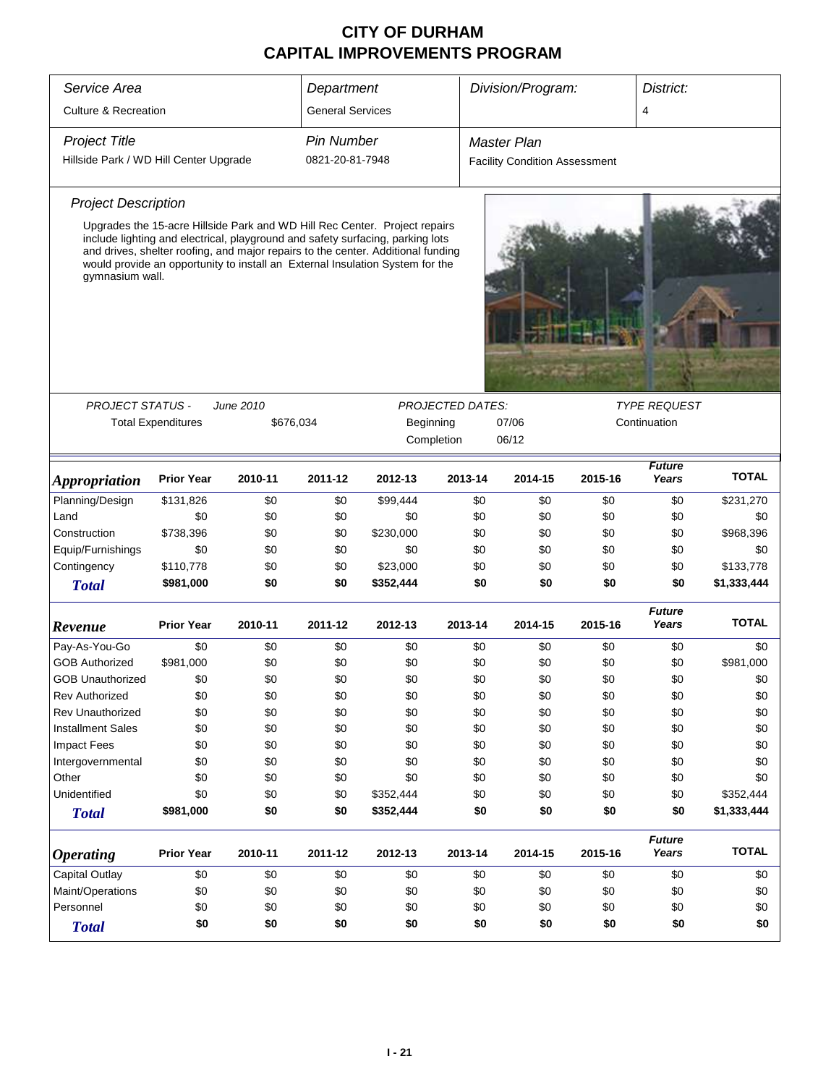| Service Area                                 | Department                                                                                                                                                                                                                                                                                                                        |         |                         | Division/Program: |         | District:                            |                                     |                        |              |
|----------------------------------------------|-----------------------------------------------------------------------------------------------------------------------------------------------------------------------------------------------------------------------------------------------------------------------------------------------------------------------------------|---------|-------------------------|-------------------|---------|--------------------------------------|-------------------------------------|------------------------|--------------|
| <b>Culture &amp; Recreation</b>              |                                                                                                                                                                                                                                                                                                                                   |         | <b>General Services</b> |                   |         |                                      |                                     | 4                      |              |
| <b>Project Title</b>                         |                                                                                                                                                                                                                                                                                                                                   |         | <b>Pin Number</b>       |                   |         | Master Plan                          |                                     |                        |              |
| Hillside Park / WD Hill Center Upgrade       |                                                                                                                                                                                                                                                                                                                                   |         | 0821-20-81-7948         |                   |         | <b>Facility Condition Assessment</b> |                                     |                        |              |
| <b>Project Description</b>                   |                                                                                                                                                                                                                                                                                                                                   |         |                         |                   |         |                                      |                                     |                        |              |
| gymnasium wall.                              | Upgrades the 15-acre Hillside Park and WD Hill Rec Center. Project repairs<br>include lighting and electrical, playground and safety surfacing, parking lots<br>and drives, shelter roofing, and major repairs to the center. Additional funding<br>would provide an opportunity to install an External Insulation System for the |         |                         |                   |         |                                      |                                     |                        |              |
|                                              |                                                                                                                                                                                                                                                                                                                                   |         |                         |                   |         |                                      |                                     |                        |              |
|                                              | <b>PROJECT STATUS -</b><br>June 2010<br><b>PROJECTED DATES:</b><br><b>Total Expenditures</b><br>\$676,034<br>Beginning<br>07/06<br>Completion<br>06/12                                                                                                                                                                            |         |                         |                   |         |                                      | <b>TYPE REQUEST</b><br>Continuation |                        |              |
| <i><b>Appropriation</b></i>                  | <b>Prior Year</b>                                                                                                                                                                                                                                                                                                                 | 2010-11 | 2011-12                 | 2012-13           | 2013-14 | 2014-15                              | 2015-16                             | <b>Future</b><br>Years | <b>TOTAL</b> |
| Planning/Design                              | \$131,826                                                                                                                                                                                                                                                                                                                         | \$0     | \$0                     | \$99,444          | \$0     | \$0                                  | \$0                                 | \$0                    | \$231,270    |
| Land                                         | \$0                                                                                                                                                                                                                                                                                                                               | \$0     | \$0                     | \$0               | \$0     | \$0                                  | \$0                                 | \$0                    | \$0          |
| Construction                                 | \$738,396                                                                                                                                                                                                                                                                                                                         | \$0     | \$0                     | \$230,000         | \$0     | \$0                                  | \$0                                 | \$0                    | \$968,396    |
| Equip/Furnishings                            | \$0                                                                                                                                                                                                                                                                                                                               | \$0     | \$0                     | \$0               | \$0     | \$0                                  | \$0                                 | \$0                    | \$0          |
| Contingency                                  | \$110,778                                                                                                                                                                                                                                                                                                                         | \$0     | \$0                     | \$23,000          | \$0     | \$0                                  | \$0                                 | \$0                    | \$133,778    |
| <b>Total</b>                                 | \$981,000                                                                                                                                                                                                                                                                                                                         | \$0     | \$0                     | \$352,444         | \$0     | \$0                                  | \$0                                 | \$0                    | \$1,333,444  |
| Revenue                                      | <b>Prior Year</b>                                                                                                                                                                                                                                                                                                                 | 2010-11 | 2011-12                 | 2012-13           | 2013-14 | 2014-15                              | 2015-16                             | <b>Future</b><br>Years | <b>TOTAL</b> |
| Pay-As-You-Go                                | \$0                                                                                                                                                                                                                                                                                                                               | \$0     | \$0                     | \$0               | \$0     | \$0                                  | \$0                                 | \$0                    | \$0          |
| <b>GOB Authorized</b>                        | \$981,000                                                                                                                                                                                                                                                                                                                         | \$0     | \$0                     | \$0               | \$0     | \$0                                  | \$0                                 | \$0                    | \$981,000    |
| GOB Unauthorized                             | \$0                                                                                                                                                                                                                                                                                                                               | \$0     | \$0                     | \$0               | \$0     | \$0                                  | \$0                                 | \$0                    | \$0          |
| <b>Rev Authorized</b>                        | \$0                                                                                                                                                                                                                                                                                                                               | \$0     | \$0                     | \$0               | \$0     | \$0                                  | \$0                                 | \$0                    | \$0          |
| <b>Rev Unauthorized</b>                      | \$0                                                                                                                                                                                                                                                                                                                               | \$0     | \$0                     | \$0               | \$0     | \$0                                  | \$0                                 | \$0                    | \$0          |
| <b>Installment Sales</b>                     | \$0                                                                                                                                                                                                                                                                                                                               | \$0     | \$0                     | \$0               | \$0     | \$0                                  | \$0                                 | \$0                    | \$0          |
| <b>Impact Fees</b>                           | \$0                                                                                                                                                                                                                                                                                                                               | \$0     | \$0                     | \$0               | \$0     | \$0                                  | \$0                                 | \$0                    | \$0          |
| Intergovernmental                            | \$0                                                                                                                                                                                                                                                                                                                               | \$0     | \$0                     | \$0               | \$0     | \$0                                  | \$0                                 | \$0                    | \$0          |
| Other                                        | \$0                                                                                                                                                                                                                                                                                                                               | \$0     | \$0                     | \$0               | \$0     | \$0                                  | \$0                                 | \$0                    | \$0          |
| Unidentified                                 | \$0                                                                                                                                                                                                                                                                                                                               | \$0     | \$0                     | \$352,444         | \$0     | \$0                                  | \$0                                 | \$0                    | \$352,444    |
| <b>Total</b>                                 | \$981,000                                                                                                                                                                                                                                                                                                                         | \$0     | \$0                     | \$352,444         | \$0     | \$0                                  | \$0                                 | \$0                    | \$1,333,444  |
| <b>Operating</b>                             | <b>Prior Year</b>                                                                                                                                                                                                                                                                                                                 | 2010-11 | 2011-12                 | 2012-13           | 2013-14 | 2014-15                              | 2015-16                             | <b>Future</b><br>Years | <b>TOTAL</b> |
| Capital Outlay                               | \$0                                                                                                                                                                                                                                                                                                                               | \$0     | \$0                     | \$0               | \$0     | \$0                                  | \$0                                 | \$0                    | \$0          |
| Maint/Operations<br>\$0<br>\$0<br>\$0<br>\$0 |                                                                                                                                                                                                                                                                                                                                   |         |                         | \$0               | \$0     | \$0                                  | \$0                                 | \$0                    |              |
| Personnel<br>\$0<br>\$0<br>\$0<br>\$0        |                                                                                                                                                                                                                                                                                                                                   |         |                         | \$0               | \$0     | \$0                                  | \$0                                 | \$0                    |              |
| <b>Total</b>                                 | \$0<br>\$0<br>\$0<br>\$0                                                                                                                                                                                                                                                                                                          |         |                         |                   |         | \$0<br>\$0                           | \$0                                 | \$0                    | \$0          |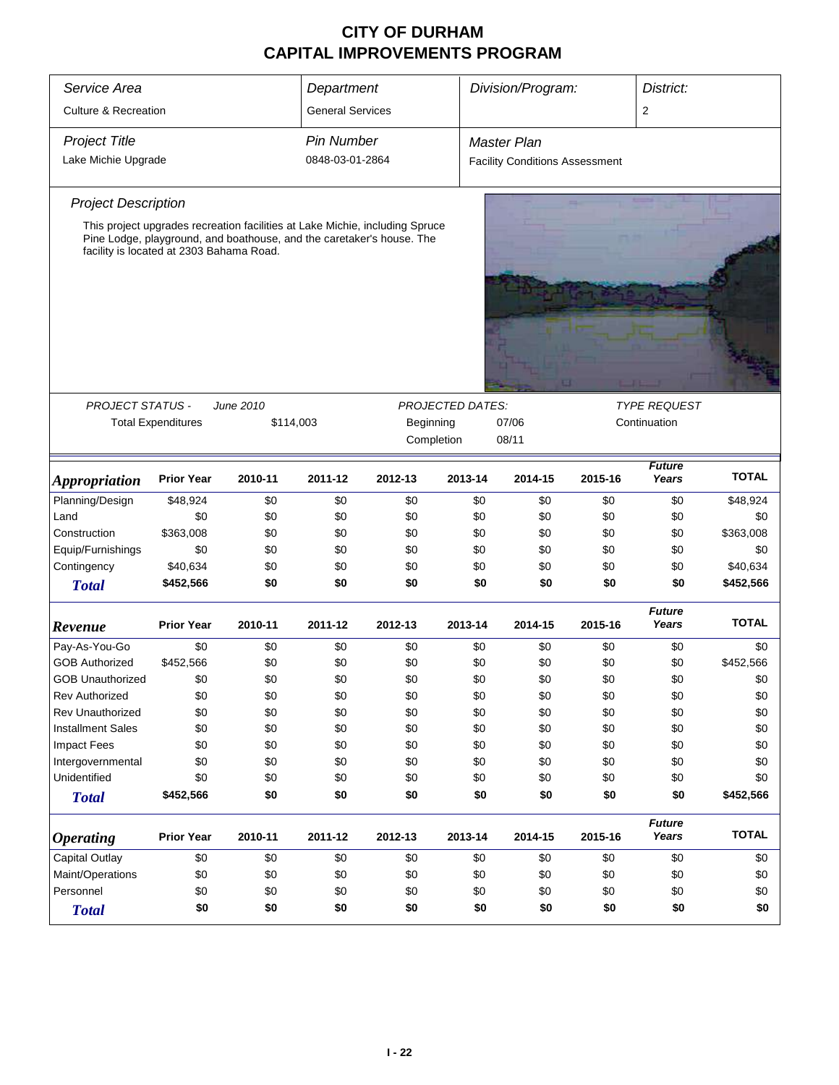| Service Area                             |                           |                                                                              | Department              |                        |                         | Division/Program:                     |              | District:           |              |  |  |
|------------------------------------------|---------------------------|------------------------------------------------------------------------------|-------------------------|------------------------|-------------------------|---------------------------------------|--------------|---------------------|--------------|--|--|
| <b>Culture &amp; Recreation</b>          |                           |                                                                              | <b>General Services</b> |                        |                         |                                       |              | $\overline{2}$      |              |  |  |
| <b>Project Title</b>                     |                           |                                                                              | <b>Pin Number</b>       |                        |                         | <b>Master Plan</b>                    |              |                     |              |  |  |
| Lake Michie Upgrade                      |                           |                                                                              | 0848-03-01-2864         |                        |                         | <b>Facility Conditions Assessment</b> |              |                     |              |  |  |
|                                          |                           |                                                                              |                         |                        |                         |                                       |              |                     |              |  |  |
| <b>Project Description</b>               |                           |                                                                              |                         |                        |                         |                                       |              |                     |              |  |  |
|                                          |                           | This project upgrades recreation facilities at Lake Michie, including Spruce |                         |                        |                         |                                       |              |                     |              |  |  |
| facility is located at 2303 Bahama Road. |                           | Pine Lodge, playground, and boathouse, and the caretaker's house. The        |                         |                        |                         |                                       |              |                     |              |  |  |
|                                          |                           |                                                                              |                         |                        |                         |                                       |              |                     |              |  |  |
|                                          |                           |                                                                              |                         |                        |                         |                                       |              |                     |              |  |  |
|                                          |                           |                                                                              |                         |                        |                         |                                       |              |                     |              |  |  |
|                                          |                           |                                                                              |                         |                        |                         |                                       |              |                     |              |  |  |
|                                          |                           |                                                                              |                         |                        |                         |                                       |              |                     |              |  |  |
|                                          |                           |                                                                              |                         |                        |                         |                                       |              |                     |              |  |  |
|                                          |                           |                                                                              |                         |                        |                         |                                       |              |                     |              |  |  |
| PROJECT STATUS -                         |                           | June 2010                                                                    |                         |                        | <b>PROJECTED DATES:</b> |                                       |              | <b>TYPE REQUEST</b> |              |  |  |
|                                          | <b>Total Expenditures</b> |                                                                              | \$114,003               | Beginning              |                         |                                       | Continuation |                     |              |  |  |
|                                          |                           |                                                                              |                         | Completion             |                         |                                       |              |                     |              |  |  |
|                                          |                           |                                                                              |                         | 08/11<br><b>Future</b> |                         |                                       |              |                     |              |  |  |
| <i><b>Appropriation</b></i>              | <b>Prior Year</b>         | 2010-11                                                                      | 2011-12                 | 2012-13                | 2013-14                 | 2014-15                               | 2015-16      | Years               | <b>TOTAL</b> |  |  |
| Planning/Design                          | \$48,924                  | \$0                                                                          | \$0                     | \$0                    | \$0                     | \$0                                   | \$0          | \$0                 | \$48,924     |  |  |
| Land                                     | \$0                       | \$0                                                                          | \$0                     | \$0                    | \$0                     | \$0                                   | \$0          | \$0                 | \$0          |  |  |
| Construction                             | \$363,008                 | \$0                                                                          | \$0                     | \$0                    | \$0                     | \$0                                   | \$0          | \$0                 | \$363,008    |  |  |
| Equip/Furnishings                        | \$0                       | \$0                                                                          | \$0                     | \$0                    | \$0                     | \$0                                   | \$0          | \$0                 | \$0          |  |  |
| Contingency                              | \$40,634                  | \$0                                                                          | \$0                     | \$0                    | \$0                     | \$0                                   | \$0          | \$0                 | \$40,634     |  |  |
| <b>Total</b>                             | \$452,566                 | \$0                                                                          | \$0                     | \$0                    | \$0                     | \$0                                   | \$0          | \$0                 | \$452,566    |  |  |
|                                          |                           |                                                                              |                         |                        |                         |                                       |              | <b>Future</b>       |              |  |  |
| Revenue                                  | <b>Prior Year</b>         | 2010-11                                                                      | 2011-12                 | 2012-13                | 2013-14                 | 2014-15                               | 2015-16      | Years               | <b>TOTAL</b> |  |  |
| Pay-As-You-Go                            | \$0                       | \$0                                                                          | \$0                     | \$0                    | \$0                     | \$0                                   | \$0          | \$0                 | \$0          |  |  |
| <b>GOB Authorized</b>                    | \$452,566                 | \$0                                                                          | \$0                     | \$0                    | \$0                     | \$0                                   | \$0          | \$0                 | \$452,566    |  |  |
| <b>GOB Unauthorized</b>                  | \$0                       | \$0                                                                          | \$0                     | \$0                    | \$0                     | \$0                                   | \$0          | \$0                 | \$0          |  |  |
| <b>Rev Authorized</b>                    | \$0                       | \$0                                                                          | \$0                     | \$0                    | \$0                     | \$0                                   | \$0          | \$0                 | \$0          |  |  |
| Rev Unauthorized                         | \$0                       | \$0                                                                          | \$0                     | \$0                    | \$0                     | \$0                                   | \$0          | \$0                 | \$0          |  |  |
| <b>Installment Sales</b>                 | \$0                       | \$0                                                                          | \$0                     | \$0                    | \$0                     | \$0                                   | \$0          | \$0                 | \$0          |  |  |
| <b>Impact Fees</b>                       | \$0                       | \$0                                                                          | \$0                     | \$0                    | \$0                     | \$0                                   | \$0          | \$0                 | \$0          |  |  |
| Intergovernmental                        | \$0                       | \$0                                                                          | \$0                     | \$0                    | \$0                     | \$0                                   | \$0          | \$0                 | \$0          |  |  |
| Unidentified                             | \$0                       | \$0                                                                          | \$0                     | \$0                    | \$0                     | \$0                                   | \$0          | \$0                 | \$0          |  |  |
| <b>Total</b>                             | \$452,566                 | \$0                                                                          | \$0                     | \$0                    | \$0                     | \$0                                   | \$0          | \$0                 | \$452,566    |  |  |
|                                          |                           |                                                                              |                         |                        |                         |                                       |              | <b>Future</b>       |              |  |  |
| <b>Operating</b>                         | <b>Prior Year</b>         | 2010-11                                                                      | 2011-12                 | 2012-13                | 2013-14                 | 2014-15                               | 2015-16      | Years               | <b>TOTAL</b> |  |  |
| Capital Outlay                           | \$0                       | \$0                                                                          | \$0                     | \$0                    | \$0                     | \$0                                   | \$0          | \$0                 | \$0          |  |  |
| Maint/Operations                         | \$0<br>\$0<br>\$0<br>\$0  |                                                                              |                         |                        | \$0                     | \$0                                   | \$0          | \$0                 | \$0          |  |  |
| Personnel                                | \$0<br>\$0<br>\$0<br>\$0  |                                                                              |                         |                        |                         | \$0                                   | \$0          | \$0                 | \$0          |  |  |
| <b>Total</b>                             | \$0                       | \$0                                                                          | \$0                     | \$0                    | \$0                     | \$0                                   | \$0          | \$0                 | \$0          |  |  |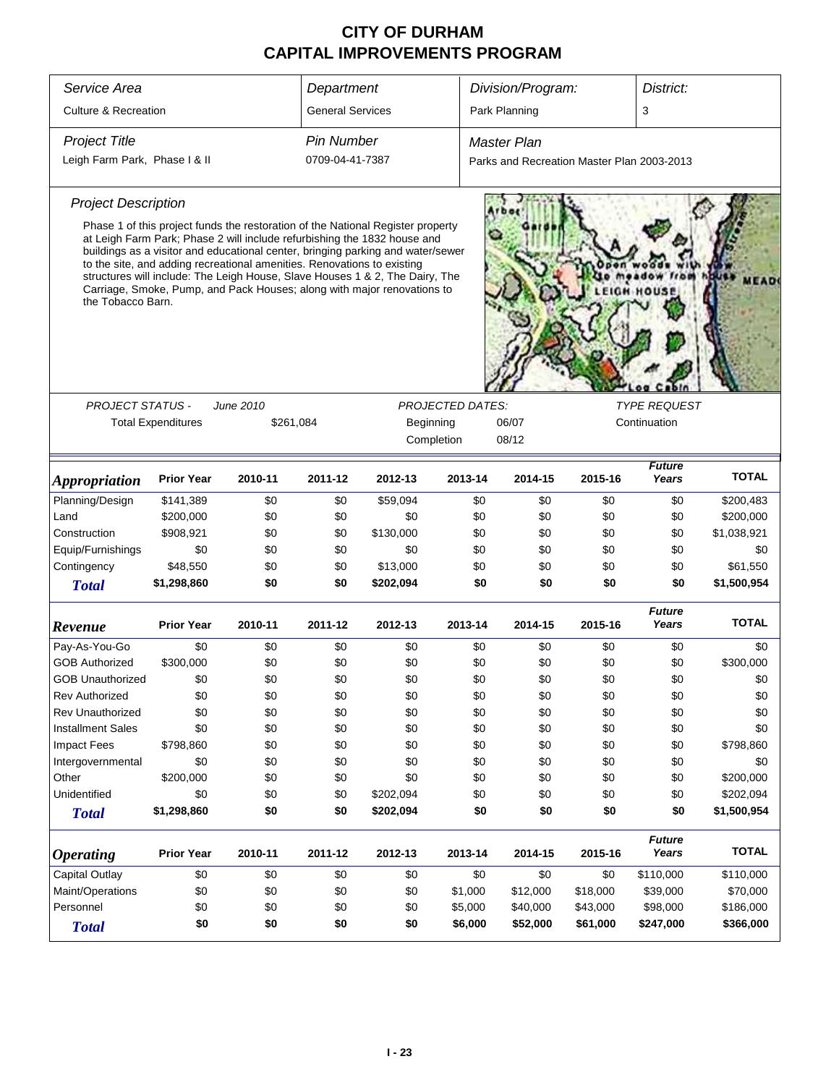| Service Area                                                                             |                                                                                                                                                                                                                                                                                                                                                                                                                                                                                      |           | Department              |           |                         | Division/Program:                          |          | District:              |              |  |  |  |
|------------------------------------------------------------------------------------------|--------------------------------------------------------------------------------------------------------------------------------------------------------------------------------------------------------------------------------------------------------------------------------------------------------------------------------------------------------------------------------------------------------------------------------------------------------------------------------------|-----------|-------------------------|-----------|-------------------------|--------------------------------------------|----------|------------------------|--------------|--|--|--|
| <b>Culture &amp; Recreation</b>                                                          |                                                                                                                                                                                                                                                                                                                                                                                                                                                                                      |           | <b>General Services</b> |           |                         | Park Planning                              |          | 3                      |              |  |  |  |
| <b>Project Title</b>                                                                     |                                                                                                                                                                                                                                                                                                                                                                                                                                                                                      |           | <b>Pin Number</b>       |           |                         | <b>Master Plan</b>                         |          |                        |              |  |  |  |
| Leigh Farm Park, Phase I & II                                                            |                                                                                                                                                                                                                                                                                                                                                                                                                                                                                      |           | 0709-04-41-7387         |           |                         | Parks and Recreation Master Plan 2003-2013 |          |                        |              |  |  |  |
| <b>Project Description</b>                                                               |                                                                                                                                                                                                                                                                                                                                                                                                                                                                                      |           |                         |           |                         |                                            |          |                        |              |  |  |  |
| the Tobacco Barn.                                                                        | Phase 1 of this project funds the restoration of the National Register property<br>at Leigh Farm Park; Phase 2 will include refurbishing the 1832 house and<br>buildings as a visitor and educational center, bringing parking and water/sewer<br>to the site, and adding recreational amenities. Renovations to existing<br>structures will include: The Leigh House, Slave Houses 1 & 2, The Dairy, The<br>Carriage, Smoke, Pump, and Pack Houses; along with major renovations to |           |                         |           |                         |                                            |          |                        |              |  |  |  |
| <b>PROJECT STATUS -</b>                                                                  |                                                                                                                                                                                                                                                                                                                                                                                                                                                                                      | June 2010 |                         |           | <b>PROJECTED DATES:</b> |                                            |          | <b>TYPE REQUEST</b>    |              |  |  |  |
|                                                                                          | <b>Total Expenditures</b>                                                                                                                                                                                                                                                                                                                                                                                                                                                            |           | \$261,084               | Beginning |                         | 06/07                                      |          | Continuation           |              |  |  |  |
|                                                                                          |                                                                                                                                                                                                                                                                                                                                                                                                                                                                                      |           |                         |           |                         |                                            |          |                        |              |  |  |  |
|                                                                                          |                                                                                                                                                                                                                                                                                                                                                                                                                                                                                      |           |                         |           | Completion              | 08/12                                      |          |                        |              |  |  |  |
| <i><b>Appropriation</b></i>                                                              | <b>Prior Year</b>                                                                                                                                                                                                                                                                                                                                                                                                                                                                    | 2010-11   | 2011-12                 | 2012-13   | 2013-14                 | 2014-15                                    | 2015-16  | <b>Future</b><br>Years | <b>TOTAL</b> |  |  |  |
| Planning/Design                                                                          | \$141,389                                                                                                                                                                                                                                                                                                                                                                                                                                                                            | \$0       | \$0                     | \$59,094  | \$0                     | \$0                                        | \$0      | \$0                    | \$200,483    |  |  |  |
| Land                                                                                     | \$200,000                                                                                                                                                                                                                                                                                                                                                                                                                                                                            | \$0       | \$0                     | \$0       | \$0                     | \$0                                        | \$0      | \$0                    | \$200,000    |  |  |  |
| Construction                                                                             | \$908,921                                                                                                                                                                                                                                                                                                                                                                                                                                                                            | \$0       | \$0                     | \$130,000 | \$0                     | \$0                                        | \$0      | \$0                    | \$1,038,921  |  |  |  |
| Equip/Furnishings                                                                        | \$0                                                                                                                                                                                                                                                                                                                                                                                                                                                                                  | \$0       | \$0                     | \$0       | \$0                     | \$0                                        | \$0      | \$0                    | \$0          |  |  |  |
| Contingency                                                                              | \$48,550                                                                                                                                                                                                                                                                                                                                                                                                                                                                             | \$0       | \$0                     | \$13,000  | \$0                     | \$0                                        | \$0      | \$0                    | \$61,550     |  |  |  |
| <b>Total</b>                                                                             | \$1,298,860                                                                                                                                                                                                                                                                                                                                                                                                                                                                          | \$0       | \$0                     | \$202,094 | \$0                     | \$0                                        | \$0      | \$0                    | \$1,500,954  |  |  |  |
| Revenue                                                                                  | <b>Prior Year</b>                                                                                                                                                                                                                                                                                                                                                                                                                                                                    | 2010-11   | 2011-12                 | 2012-13   | 2013-14                 | 2014-15                                    | 2015-16  | <b>Future</b><br>Years | <b>TOTAL</b> |  |  |  |
| Pay-As-You-Go                                                                            | \$0                                                                                                                                                                                                                                                                                                                                                                                                                                                                                  | \$0       | \$0                     | \$0       | \$0                     | \$0                                        | \$0      | \$0                    | \$0          |  |  |  |
| <b>GOB Authorized</b>                                                                    | \$300,000                                                                                                                                                                                                                                                                                                                                                                                                                                                                            | \$0       | \$0                     | \$0       | \$0                     | \$0                                        | \$0      | \$0                    | \$300,000    |  |  |  |
| <b>GOB Unauthorized</b>                                                                  | \$0                                                                                                                                                                                                                                                                                                                                                                                                                                                                                  | \$0       | \$0                     | \$0       | \$0                     | \$0                                        | \$0      | \$0                    | \$0          |  |  |  |
| <b>Rev Authorized</b>                                                                    | \$0                                                                                                                                                                                                                                                                                                                                                                                                                                                                                  | \$0       | \$0                     | \$0       | \$0                     | \$0                                        | \$0      | \$0                    | \$0          |  |  |  |
| Rev Unauthorized                                                                         | \$0                                                                                                                                                                                                                                                                                                                                                                                                                                                                                  | \$0       | \$0                     | \$0       | \$0                     | \$0                                        | \$0      | \$0                    | \$0          |  |  |  |
| <b>Installment Sales</b>                                                                 | \$0                                                                                                                                                                                                                                                                                                                                                                                                                                                                                  | \$0       | \$0                     | \$0       | \$0                     | \$0                                        | \$0      | \$0                    | \$0          |  |  |  |
| <b>Impact Fees</b>                                                                       | \$798,860                                                                                                                                                                                                                                                                                                                                                                                                                                                                            | \$0       | \$0                     | \$0       | \$0                     | \$0                                        | \$0      | \$0                    | \$798,860    |  |  |  |
| Intergovernmental                                                                        | \$0                                                                                                                                                                                                                                                                                                                                                                                                                                                                                  | \$0       | \$0                     | \$0       | \$0                     | \$0                                        | \$0      | \$0                    | \$0          |  |  |  |
| Other                                                                                    | \$200,000                                                                                                                                                                                                                                                                                                                                                                                                                                                                            | \$0       | \$0                     | \$0       | \$0                     | \$0                                        | \$0      | \$0                    | \$200,000    |  |  |  |
| Unidentified                                                                             | \$0                                                                                                                                                                                                                                                                                                                                                                                                                                                                                  | \$0       | \$0                     | \$202,094 | \$0                     | \$0                                        | \$0      | \$0                    | \$202,094    |  |  |  |
| <b>Total</b>                                                                             | \$1,298,860                                                                                                                                                                                                                                                                                                                                                                                                                                                                          | \$0       | \$0                     | \$202,094 | \$0                     | \$0                                        | \$0      | \$0                    | \$1,500,954  |  |  |  |
| <b>Prior Year</b><br>2010-11<br>2011-12<br>2012-13<br>2013-14<br><i><b>Operating</b></i> |                                                                                                                                                                                                                                                                                                                                                                                                                                                                                      |           |                         |           |                         | 2014-15                                    | 2015-16  | <b>Future</b><br>Years | <b>TOTAL</b> |  |  |  |
| Capital Outlay                                                                           | \$0<br>\$0<br>\$0<br>\$0                                                                                                                                                                                                                                                                                                                                                                                                                                                             |           |                         |           |                         | \$0                                        | \$0      | \$110,000              | \$110,000    |  |  |  |
| Maint/Operations                                                                         | \$0<br>\$0<br>\$0<br>\$0<br>\$1,000                                                                                                                                                                                                                                                                                                                                                                                                                                                  |           |                         |           |                         | \$12,000                                   | \$18,000 | \$39,000               | \$70,000     |  |  |  |
| Personnel                                                                                | \$0<br>\$0<br>\$0<br>\$0<br>\$5,000                                                                                                                                                                                                                                                                                                                                                                                                                                                  |           |                         |           |                         | \$40,000                                   | \$43,000 | \$98,000               | \$186,000    |  |  |  |
| <b>Total</b>                                                                             | \$0                                                                                                                                                                                                                                                                                                                                                                                                                                                                                  | \$0       | \$0                     | \$0       | \$6,000                 | \$52,000                                   | \$61,000 | \$247,000              | \$366,000    |  |  |  |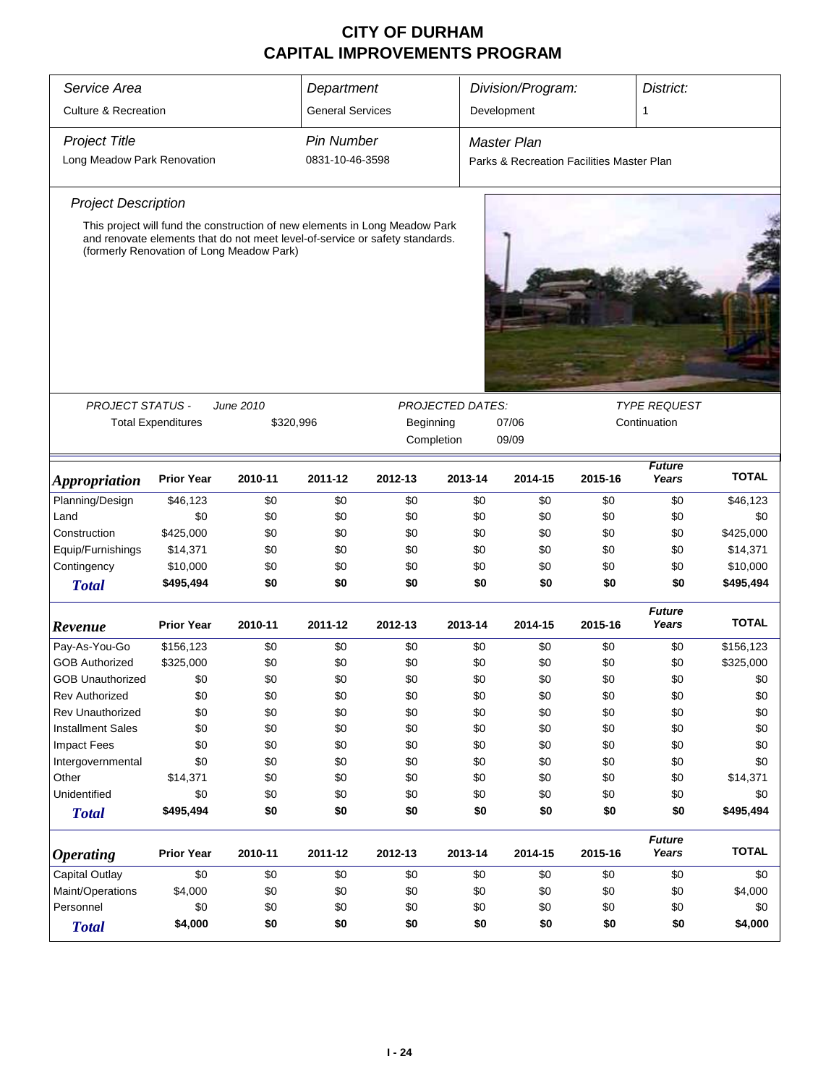| Service Area                    | Department                |                                                                                                                                                                                                          |                         |         |         | Division/Program:<br>District:            |         |                                     |              |  |
|---------------------------------|---------------------------|----------------------------------------------------------------------------------------------------------------------------------------------------------------------------------------------------------|-------------------------|---------|---------|-------------------------------------------|---------|-------------------------------------|--------------|--|
| <b>Culture &amp; Recreation</b> |                           |                                                                                                                                                                                                          | <b>General Services</b> |         |         | Development                               |         | 1                                   |              |  |
| <b>Project Title</b>            |                           |                                                                                                                                                                                                          | <b>Pin Number</b>       |         |         | <b>Master Plan</b>                        |         |                                     |              |  |
| Long Meadow Park Renovation     |                           |                                                                                                                                                                                                          | 0831-10-46-3598         |         |         | Parks & Recreation Facilities Master Plan |         |                                     |              |  |
| <b>Project Description</b>      |                           |                                                                                                                                                                                                          |                         |         |         |                                           |         |                                     |              |  |
|                                 |                           | This project will fund the construction of new elements in Long Meadow Park<br>and renovate elements that do not meet level-of-service or safety standards.<br>(formerly Renovation of Long Meadow Park) |                         |         |         |                                           |         |                                     |              |  |
|                                 |                           |                                                                                                                                                                                                          |                         |         |         |                                           |         |                                     |              |  |
| <b>PROJECT STATUS -</b>         | <b>Total Expenditures</b> | June 2010<br><b>PROJECTED DATES:</b><br>\$320,996<br>Beginning<br>07/06<br>Completion<br>09/09                                                                                                           |                         |         |         |                                           |         | <b>TYPE REQUEST</b><br>Continuation |              |  |
| <i><b>Appropriation</b></i>     | <b>Prior Year</b>         | 2010-11                                                                                                                                                                                                  | 2011-12                 | 2012-13 | 2013-14 | 2014-15                                   | 2015-16 | <b>Future</b><br>Years              | <b>TOTAL</b> |  |
| Planning/Design                 | \$46,123                  | \$0                                                                                                                                                                                                      | \$0                     | \$0     | \$0     | \$0                                       | \$0     | \$0                                 | \$46,123     |  |
| Land                            | \$0                       | \$0                                                                                                                                                                                                      | \$0                     | \$0     | \$0     | \$0                                       | \$0     | \$0                                 | \$0          |  |
| Construction                    | \$425,000                 | \$0                                                                                                                                                                                                      | \$0                     | \$0     | \$0     | \$0                                       | \$0     | \$0                                 | \$425,000    |  |
| Equip/Furnishings               | \$14,371                  | \$0                                                                                                                                                                                                      | \$0                     | \$0     | \$0     | \$0                                       | \$0     | \$0                                 | \$14,371     |  |
| Contingency                     | \$10,000                  | \$0                                                                                                                                                                                                      | \$0                     | \$0     | \$0     | \$0                                       | \$0     | \$0                                 | \$10,000     |  |
| <b>Total</b>                    | \$495,494                 | \$0                                                                                                                                                                                                      | \$0                     | \$0     | \$0     | \$0                                       | \$0     | \$0                                 | \$495,494    |  |
| Revenue                         | <b>Prior Year</b>         | 2010-11                                                                                                                                                                                                  | 2011-12                 | 2012-13 | 2013-14 | 2014-15                                   | 2015-16 | <b>Future</b><br>Years              | <b>TOTAL</b> |  |
| Pay-As-You-Go                   | \$156,123                 | \$0                                                                                                                                                                                                      | \$0                     | \$0     | \$0     | \$0                                       | \$0     | \$0                                 | \$156,123    |  |
| <b>GOB Authorized</b>           | \$325,000                 | \$0                                                                                                                                                                                                      | \$0                     | \$0     | \$0     | \$0                                       | \$0     | \$0                                 | \$325,000    |  |
| <b>GOB Unauthorized</b>         | \$0                       | \$0                                                                                                                                                                                                      | \$0                     | \$0     | \$0     | \$0                                       | \$0     | \$0                                 | \$0          |  |
| <b>Rev Authorized</b>           | \$0                       | \$0                                                                                                                                                                                                      | \$0                     | \$0     | \$0     | \$0                                       | \$0     | \$0                                 | \$0          |  |
| <b>Rev Unauthorized</b>         | \$0                       | \$0                                                                                                                                                                                                      | \$0                     | \$0     | \$0     | \$0                                       | \$0     | \$0                                 | \$0          |  |
| <b>Installment Sales</b>        | \$0                       | \$0                                                                                                                                                                                                      | \$0                     | \$0     | \$0     | \$0                                       | \$0     | \$0                                 | \$0          |  |
| Impact Fees                     | \$0                       | \$0                                                                                                                                                                                                      | \$0                     | \$0     | \$0     | \$0                                       | \$0     | \$0                                 | \$0          |  |
| Intergovernmental               | \$0                       | \$0                                                                                                                                                                                                      | \$0                     | \$0     | \$0     | \$0                                       | \$0     | \$0                                 | \$0          |  |
| Other                           | \$14,371                  | \$0                                                                                                                                                                                                      | \$0                     | \$0     | \$0     | \$0                                       | \$0     | \$0                                 | \$14,371     |  |
| Unidentified                    | \$0                       | \$0                                                                                                                                                                                                      | \$0                     | \$0     | \$0     | \$0                                       | \$0     | \$0                                 | \$0          |  |
| <b>Total</b>                    | \$495,494                 | \$0                                                                                                                                                                                                      | \$0                     | \$0     | \$0     | \$0                                       | \$0     | \$0                                 | \$495,494    |  |
| <b>Operating</b>                | <b>Prior Year</b>         | 2010-11                                                                                                                                                                                                  | 2011-12                 | 2012-13 | 2013-14 | 2014-15                                   | 2015-16 | <b>Future</b><br>Years              | <b>TOTAL</b> |  |
| <b>Capital Outlay</b>           | \$0                       | \$0                                                                                                                                                                                                      | \$0                     | \$0     | \$0     | \$0                                       | \$0     | \$0                                 | \$0          |  |
| Maint/Operations                | \$4,000                   | \$0                                                                                                                                                                                                      | \$0                     | \$0     | \$0     | \$0                                       | \$0     | \$0                                 | \$4,000      |  |
| Personnel                       | \$0                       | \$0                                                                                                                                                                                                      | \$0                     | \$0     | \$0     | \$0                                       | \$0     | \$0                                 | \$0          |  |
| <b>Total</b>                    | \$4,000                   | \$0                                                                                                                                                                                                      | \$0                     | \$0     | \$0     | \$0                                       | \$0     | \$0                                 | \$4,000      |  |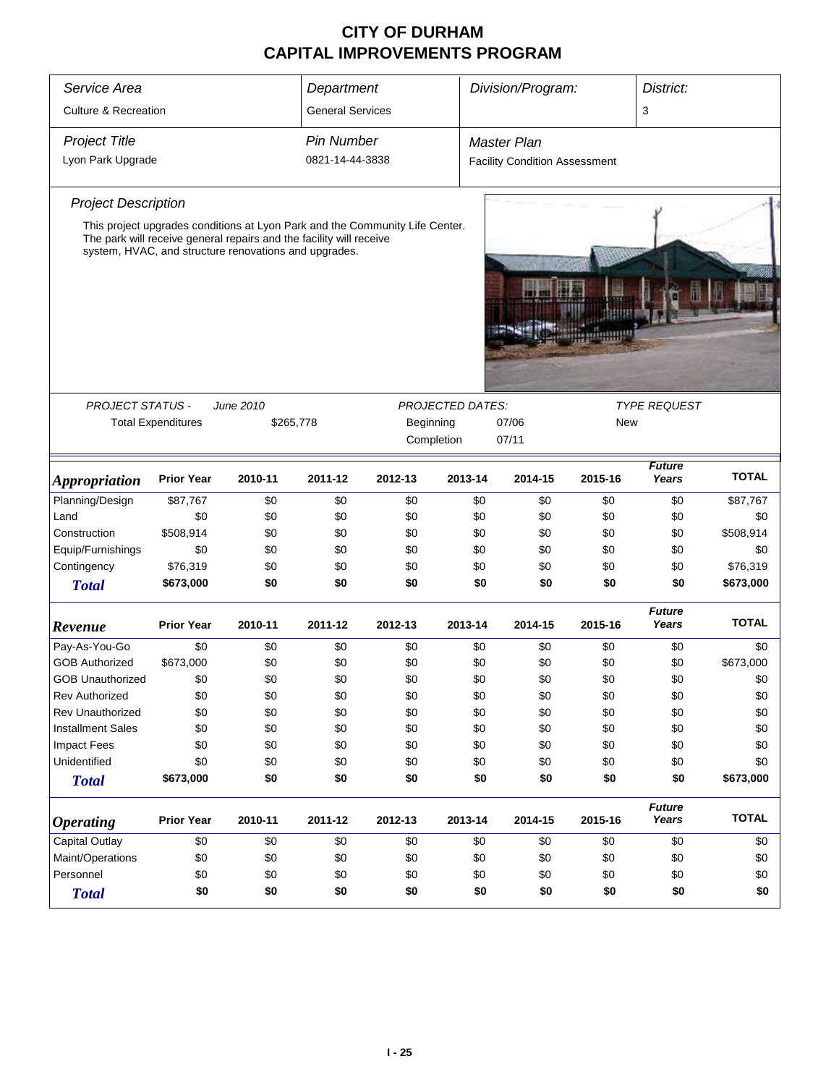| Service Area                                                      | Division/Program:<br>Department<br>District: |                                                                                                                                                                                                              |                         |                                                         |                         |                                      |         |                        |              |
|-------------------------------------------------------------------|----------------------------------------------|--------------------------------------------------------------------------------------------------------------------------------------------------------------------------------------------------------------|-------------------------|---------------------------------------------------------|-------------------------|--------------------------------------|---------|------------------------|--------------|
| <b>Culture &amp; Recreation</b>                                   |                                              |                                                                                                                                                                                                              | <b>General Services</b> |                                                         |                         |                                      |         | 3                      |              |
| <b>Project Title</b>                                              |                                              |                                                                                                                                                                                                              | <b>Pin Number</b>       |                                                         |                         | Master Plan                          |         |                        |              |
| Lyon Park Upgrade                                                 |                                              |                                                                                                                                                                                                              | 0821-14-44-3838         |                                                         |                         | <b>Facility Condition Assessment</b> |         |                        |              |
| <b>Project Description</b>                                        |                                              |                                                                                                                                                                                                              |                         |                                                         |                         |                                      |         |                        |              |
|                                                                   |                                              | This project upgrades conditions at Lyon Park and the Community Life Center.<br>The park will receive general repairs and the facility will receive<br>system, HVAC, and structure renovations and upgrades. |                         |                                                         |                         |                                      |         |                        |              |
|                                                                   |                                              |                                                                                                                                                                                                              |                         |                                                         |                         |                                      | umu     |                        |              |
| <b>PROJECT STATUS -</b>                                           |                                              | June 2010                                                                                                                                                                                                    |                         |                                                         | <b>PROJECTED DATES:</b> |                                      |         | <b>TYPE REQUEST</b>    |              |
|                                                                   | <b>Total Expenditures</b>                    | \$265,778                                                                                                                                                                                                    |                         | 07/06<br><b>New</b><br>Beginning<br>07/11<br>Completion |                         |                                      |         |                        |              |
| <i><b>Appropriation</b></i>                                       | <b>Prior Year</b>                            | 2010-11                                                                                                                                                                                                      | 2011-12                 | 2012-13                                                 | 2013-14                 | 2014-15                              | 2015-16 | <b>Future</b><br>Years | <b>TOTAL</b> |
| Planning/Design                                                   | \$87,767                                     | \$0                                                                                                                                                                                                          | \$0                     | \$0                                                     | \$0                     | \$0                                  | \$0     | \$0                    | \$87,767     |
| Land                                                              | \$0                                          | \$0                                                                                                                                                                                                          | \$0                     | \$0                                                     | \$0                     | \$0                                  | \$0     | \$0                    | \$0          |
| Construction                                                      | \$508,914                                    | \$0                                                                                                                                                                                                          | \$0                     | \$0                                                     | \$0                     | \$0                                  | \$0     | \$0                    | \$508,914    |
| Equip/Furnishings                                                 | \$0                                          | \$0                                                                                                                                                                                                          | \$0                     | \$0                                                     | \$0                     | \$0                                  | \$0     | \$0                    | \$0          |
| Contingency                                                       | \$76,319                                     | \$0                                                                                                                                                                                                          | \$0                     | \$0                                                     | \$0                     | \$0                                  | \$0     | \$0                    | \$76,319     |
| <b>Total</b>                                                      | \$673,000                                    | \$0                                                                                                                                                                                                          | \$0                     | \$0                                                     | \$0                     | \$0                                  | \$0     | \$0                    | \$673,000    |
| Revenue                                                           | <b>Prior Year</b>                            | 2010-11                                                                                                                                                                                                      | 2011-12                 | 2012-13                                                 | 2013-14                 | 2014-15                              | 2015-16 | <b>Future</b><br>Years | <b>TOTAL</b> |
| Pay-As-You-Go                                                     | \$0                                          | \$0                                                                                                                                                                                                          | \$0                     | \$0                                                     | \$0                     | \$0                                  | \$0     | \$0                    | \$0          |
| <b>GOB Authorized</b>                                             | \$673,000                                    | \$0                                                                                                                                                                                                          | \$0                     | \$0                                                     | \$0                     | \$0                                  | \$0     | \$0                    | \$673,000    |
| <b>GOB Unauthorized</b>                                           | \$0                                          | \$0                                                                                                                                                                                                          | \$0                     | \$0                                                     | \$0                     | \$0                                  | \$0     | \$0                    | \$0          |
| <b>Rev Authorized</b>                                             | \$0                                          | \$0                                                                                                                                                                                                          | \$0                     | \$0                                                     | \$0                     | \$0                                  | \$0     | \$0                    | \$0          |
| <b>Rev Unauthorized</b>                                           | \$0                                          | \$0                                                                                                                                                                                                          | \$0                     | \$0                                                     | \$0                     | \$0                                  | \$0     | \$0                    | \$0          |
| <b>Installment Sales</b>                                          | \$0                                          | \$0                                                                                                                                                                                                          | \$0                     | \$0                                                     | \$0                     | \$0                                  | \$0     | \$0                    | \$0          |
| <b>Impact Fees</b>                                                | \$0                                          | \$0                                                                                                                                                                                                          | \$0                     | \$0                                                     | \$0                     | \$0                                  | \$0     | \$0                    | \$0          |
| Unidentified                                                      | \$0                                          | \$0                                                                                                                                                                                                          | \$0                     | \$0                                                     | \$0                     | \$0                                  | \$0     | \$0                    | \$0          |
| <b>Total</b>                                                      | \$673,000                                    | \$0                                                                                                                                                                                                          | \$0                     | \$0                                                     | \$0                     | \$0                                  | \$0     | \$0                    | \$673,000    |
| <b>Operating</b>                                                  | <b>Prior Year</b>                            | 2013-14<br>2015-16<br>2010-11<br>2011-12<br>2012-13<br>2014-15                                                                                                                                               |                         |                                                         |                         |                                      |         | <b>Future</b><br>Years | <b>TOTAL</b> |
| Capital Outlay                                                    | \$0                                          | \$0                                                                                                                                                                                                          | \$0                     | \$0                                                     | \$0                     | \$0                                  | \$0     | \$0                    | \$0          |
| Maint/Operations                                                  | \$0                                          | \$0                                                                                                                                                                                                          | \$0                     | \$0                                                     | \$0                     | \$0                                  | \$0     | \$0                    | \$0          |
| Personnel<br>\$0<br>\$0<br>\$0<br>\$0<br>\$0<br>\$0<br>\$0<br>\$0 |                                              |                                                                                                                                                                                                              |                         |                                                         |                         | \$0                                  |         |                        |              |
| <b>Total</b>                                                      | \$0                                          | \$0                                                                                                                                                                                                          | \$0                     | \$0                                                     | \$0                     | \$0                                  | \$0     | \$0                    | \$0          |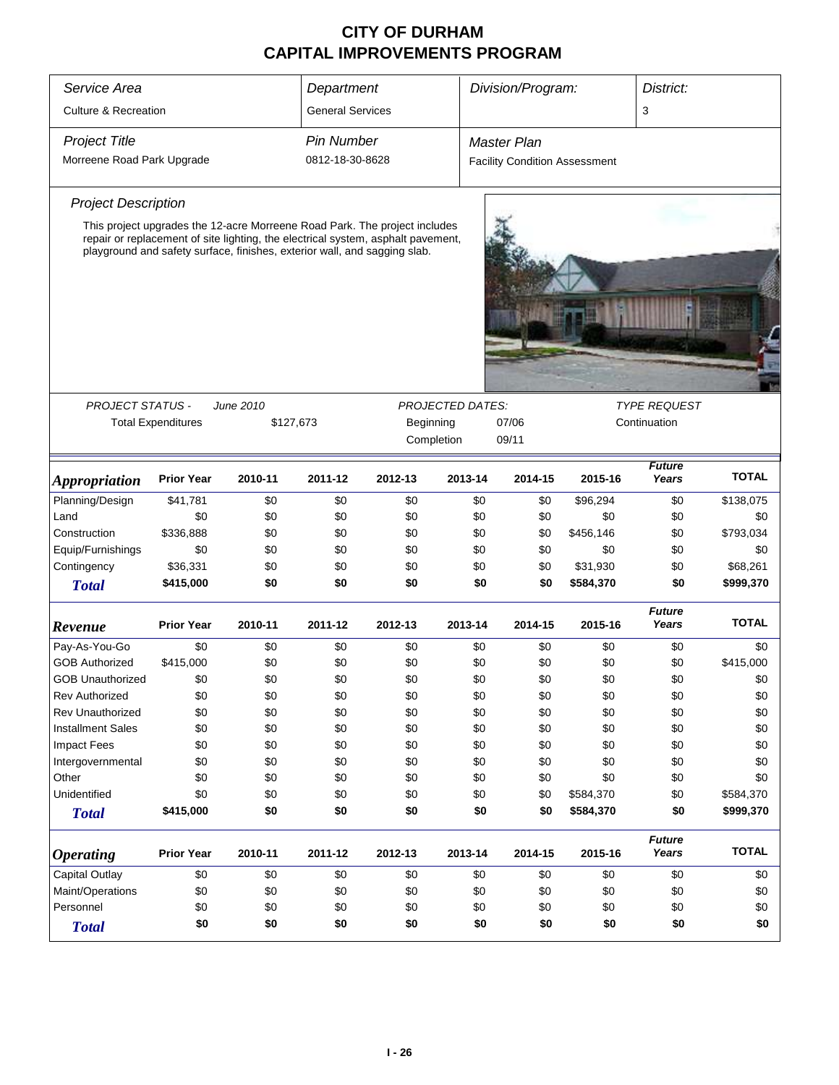| Service Area                                                                      |                                                                                                                                                 |           | Division/Program:<br>District: |                                                                                  |                                                                                |                                      |     |           |                        |              |
|-----------------------------------------------------------------------------------|-------------------------------------------------------------------------------------------------------------------------------------------------|-----------|--------------------------------|----------------------------------------------------------------------------------|--------------------------------------------------------------------------------|--------------------------------------|-----|-----------|------------------------|--------------|
|                                                                                   |                                                                                                                                                 |           | Department                     |                                                                                  |                                                                                |                                      |     |           |                        |              |
| <b>Culture &amp; Recreation</b>                                                   |                                                                                                                                                 |           | <b>General Services</b>        |                                                                                  |                                                                                |                                      |     |           | 3                      |              |
| <b>Project Title</b>                                                              |                                                                                                                                                 |           | <b>Pin Number</b>              |                                                                                  |                                                                                | <b>Master Plan</b>                   |     |           |                        |              |
| Morreene Road Park Upgrade                                                        |                                                                                                                                                 |           | 0812-18-30-8628                |                                                                                  |                                                                                | <b>Facility Condition Assessment</b> |     |           |                        |              |
| <b>Project Description</b>                                                        |                                                                                                                                                 |           |                                |                                                                                  |                                                                                |                                      |     |           |                        |              |
|                                                                                   |                                                                                                                                                 |           |                                | This project upgrades the 12-acre Morreene Road Park. The project includes       |                                                                                |                                      |     |           |                        |              |
|                                                                                   | playground and safety surface, finishes, exterior wall, and sagging slab.                                                                       |           |                                | repair or replacement of site lighting, the electrical system, asphalt pavement, |                                                                                |                                      |     |           |                        |              |
|                                                                                   |                                                                                                                                                 |           |                                |                                                                                  |                                                                                |                                      |     |           |                        |              |
|                                                                                   |                                                                                                                                                 |           |                                |                                                                                  |                                                                                |                                      |     |           |                        |              |
|                                                                                   |                                                                                                                                                 |           |                                |                                                                                  |                                                                                |                                      |     |           |                        |              |
|                                                                                   |                                                                                                                                                 |           |                                |                                                                                  |                                                                                |                                      |     |           |                        |              |
|                                                                                   |                                                                                                                                                 |           |                                |                                                                                  |                                                                                |                                      |     |           |                        |              |
| <b>PROJECT STATUS -</b>                                                           |                                                                                                                                                 | June 2010 |                                |                                                                                  | <b>PROJECTED DATES:</b>                                                        |                                      |     |           | <b>TYPE REQUEST</b>    |              |
|                                                                                   | <b>Total Expenditures</b>                                                                                                                       | \$127,673 |                                | Beginning                                                                        |                                                                                | 07/06                                |     |           | Continuation           |              |
|                                                                                   |                                                                                                                                                 |           |                                |                                                                                  |                                                                                |                                      |     |           |                        |              |
| <b>Appropriation</b>                                                              | <b>Prior Year</b>                                                                                                                               | 2010-11   | 2011-12                        | 2012-13                                                                          | Completion<br>09/11<br><b>Future</b><br>Years<br>2013-14<br>2014-15<br>2015-16 |                                      |     |           |                        | <b>TOTAL</b> |
| Planning/Design                                                                   | \$41,781                                                                                                                                        | \$0       | \$0                            | \$0                                                                              |                                                                                | \$0                                  | \$0 | \$96,294  | \$0                    | \$138,075    |
| Land                                                                              | \$0                                                                                                                                             | \$0       | \$0                            | \$0                                                                              |                                                                                | \$0                                  | \$0 | \$0       | \$0                    | \$0          |
| Construction                                                                      | \$336,888                                                                                                                                       | \$0       | \$0                            | \$0                                                                              |                                                                                | \$0                                  | \$0 | \$456,146 | \$0                    | \$793,034    |
| Equip/Furnishings                                                                 | \$0                                                                                                                                             | \$0       | \$0                            | \$0                                                                              |                                                                                | \$0                                  | \$0 | \$0       | \$0                    | \$0          |
| Contingency                                                                       | \$36,331                                                                                                                                        | \$0       | \$0                            | \$0                                                                              |                                                                                | \$0                                  | \$0 | \$31,930  | \$0                    | \$68,261     |
| <b>Total</b>                                                                      | \$415,000                                                                                                                                       | \$0       | \$0                            | \$0                                                                              |                                                                                | \$0                                  | \$0 | \$584,370 | \$0                    | \$999,370    |
|                                                                                   |                                                                                                                                                 |           |                                |                                                                                  |                                                                                |                                      |     |           | <b>Future</b>          |              |
| Revenue                                                                           | <b>Prior Year</b>                                                                                                                               | 2010-11   | 2011-12                        | 2012-13                                                                          | 2013-14                                                                        | 2014-15                              |     | 2015-16   | Years                  | <b>TOTAL</b> |
| Pay-As-You-Go                                                                     | \$0                                                                                                                                             | \$0       | \$0                            | \$0                                                                              |                                                                                | \$0                                  | \$0 | \$0       | \$0                    | \$0          |
| <b>GOB Authorized</b>                                                             | \$415,000                                                                                                                                       | \$0       | \$0                            | \$0                                                                              |                                                                                | \$0                                  | \$0 | \$0       | \$0                    | \$415,000    |
| <b>GOB Unauthorized</b>                                                           | \$0                                                                                                                                             | \$0       | \$0                            | \$0                                                                              |                                                                                | \$0                                  | \$0 | \$0       | \$0                    | \$0          |
| <b>Rev Authorized</b>                                                             | \$0                                                                                                                                             | \$0       | \$0                            | \$0                                                                              |                                                                                | \$0                                  | \$0 | \$0       | \$0                    | \$0          |
| <b>Rev Unauthorized</b>                                                           | \$0                                                                                                                                             | \$0       | \$0                            | \$0                                                                              |                                                                                | \$0                                  | \$0 | \$0       | \$0                    | \$0          |
| <b>Installment Sales</b>                                                          | \$0                                                                                                                                             | \$0       | \$0                            | \$0                                                                              |                                                                                | \$0                                  | \$0 | \$0       | \$0                    | \$0          |
| <b>Impact Fees</b>                                                                | \$0                                                                                                                                             | \$0       | \$0                            | \$0                                                                              |                                                                                | \$0                                  | \$0 | \$0       | \$0                    | \$0          |
| Intergovernmental                                                                 | \$0                                                                                                                                             | \$0       | \$0                            | \$0                                                                              |                                                                                | \$0                                  | \$0 | \$0       | \$0                    | \$0          |
| Other                                                                             | \$0                                                                                                                                             | \$0       | \$0                            | \$0                                                                              |                                                                                | \$0                                  | \$0 | \$0       | \$0                    | \$0          |
| Unidentified                                                                      | \$0                                                                                                                                             | \$0       | \$0                            | \$0                                                                              |                                                                                | \$0                                  | \$0 | \$584,370 | \$0                    | \$584,370    |
| <b>Total</b>                                                                      | \$415,000                                                                                                                                       | \$0       | \$0                            | \$0                                                                              |                                                                                | \$0                                  | \$0 | \$584,370 | \$0                    | \$999,370    |
| <b>Prior Year</b><br>2010-11<br>2011-12<br>2012-13<br>2013-14<br><b>Operating</b> |                                                                                                                                                 |           |                                |                                                                                  |                                                                                | 2014-15                              |     | 2015-16   | <b>Future</b><br>Years | <b>TOTAL</b> |
| <b>Capital Outlay</b>                                                             | \$0                                                                                                                                             | \$0       | \$0                            | \$0                                                                              |                                                                                | \$0                                  | \$0 | \$0       | \$0                    | \$0          |
| Maint/Operations                                                                  |                                                                                                                                                 |           |                                |                                                                                  |                                                                                |                                      |     | \$0       | \$0                    |              |
| Personnel                                                                         |                                                                                                                                                 |           |                                |                                                                                  |                                                                                |                                      |     |           | \$0                    | \$0          |
| <b>Total</b>                                                                      | \$0<br>\$0<br>\$0<br>\$0<br>\$0<br>\$0<br>\$0<br>\$0<br>\$0<br>\$0<br>\$0<br>\$0<br>\$0<br>\$0<br>\$0<br>\$0<br>\$0<br>\$0<br>\$0<br>\$0<br>\$0 |           |                                |                                                                                  |                                                                                |                                      |     |           |                        | \$0          |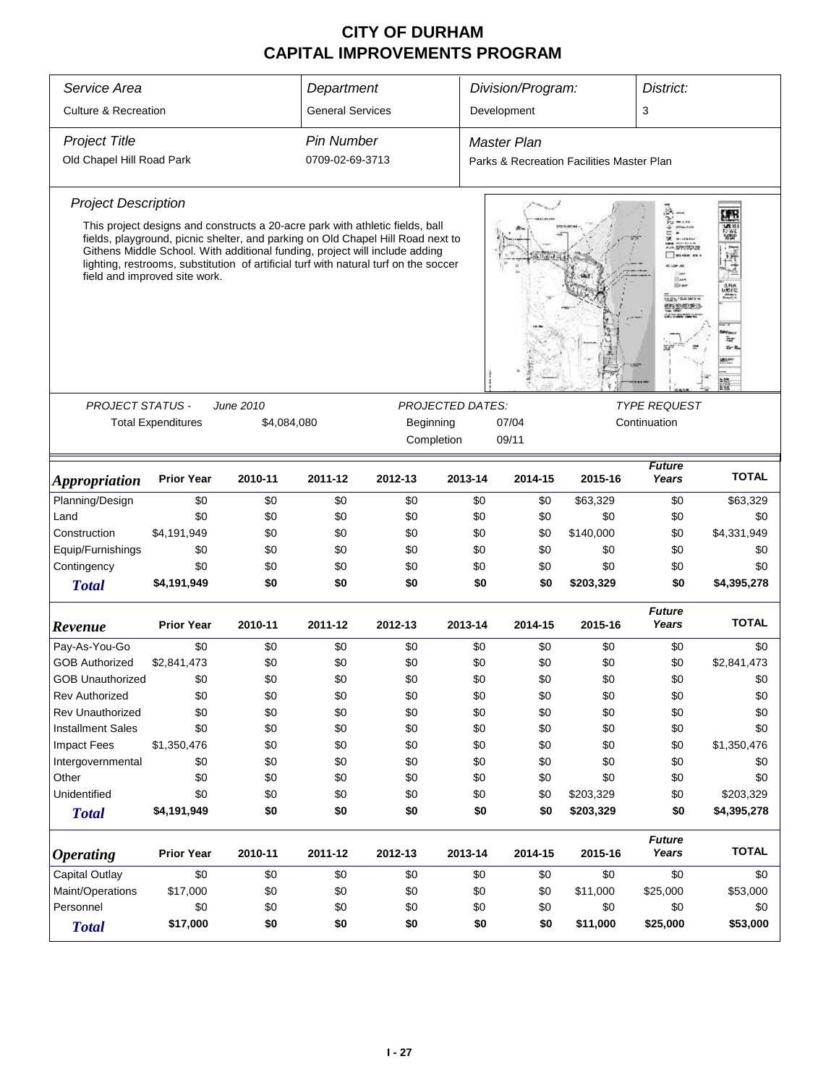| Service Area<br>Department<br>Division/Program:<br>District:                                                                      |                                                                                                                                                                                                                                                                                                                                                                          |             |                         |                                                                                                             |         |                                           |                                   |                        |              |  |  |
|-----------------------------------------------------------------------------------------------------------------------------------|--------------------------------------------------------------------------------------------------------------------------------------------------------------------------------------------------------------------------------------------------------------------------------------------------------------------------------------------------------------------------|-------------|-------------------------|-------------------------------------------------------------------------------------------------------------|---------|-------------------------------------------|-----------------------------------|------------------------|--------------|--|--|
| <b>Culture &amp; Recreation</b>                                                                                                   |                                                                                                                                                                                                                                                                                                                                                                          |             | <b>General Services</b> |                                                                                                             |         | Development                               |                                   | 3                      |              |  |  |
| <b>Project Title</b>                                                                                                              |                                                                                                                                                                                                                                                                                                                                                                          |             | <b>Pin Number</b>       |                                                                                                             |         | <b>Master Plan</b>                        |                                   |                        |              |  |  |
| Old Chapel Hill Road Park                                                                                                         |                                                                                                                                                                                                                                                                                                                                                                          |             | 0709-02-69-3713         |                                                                                                             |         | Parks & Recreation Facilities Master Plan |                                   |                        |              |  |  |
| <b>Project Description</b>                                                                                                        |                                                                                                                                                                                                                                                                                                                                                                          |             |                         |                                                                                                             |         |                                           |                                   |                        |              |  |  |
|                                                                                                                                   | This project designs and constructs a 20-acre park with athletic fields, ball<br>fields, playground, picnic shelter, and parking on Old Chapel Hill Road next to<br>Githens Middle School. With additional funding, project will include adding<br>lighting, restrooms, substitution of artificial turf with natural turf on the soccer<br>field and improved site work. |             |                         |                                                                                                             |         |                                           | <b>GENTLEMAN</b><br>engers:       | $rac{1}{1000}$         |              |  |  |
| <b>PROJECT STATUS -</b>                                                                                                           |                                                                                                                                                                                                                                                                                                                                                                          | June 2010   |                         |                                                                                                             |         |                                           |                                   |                        |              |  |  |
|                                                                                                                                   | <b>Total Expenditures</b>                                                                                                                                                                                                                                                                                                                                                | \$4,084,080 |                         | <b>PROJECTED DATES:</b><br><b>TYPE REQUEST</b><br>Beginning<br>07/04<br>Continuation<br>Completion<br>09/11 |         |                                           |                                   |                        |              |  |  |
| <b>Appropriation</b>                                                                                                              | <b>Prior Year</b>                                                                                                                                                                                                                                                                                                                                                        | 2010-11     | 2011-12                 | 2012-13                                                                                                     | 2013-14 | 2014-15                                   | <b>Future</b><br>Years<br>2015-16 |                        |              |  |  |
| Planning/Design                                                                                                                   | \$0                                                                                                                                                                                                                                                                                                                                                                      | \$0         | \$0                     | \$63,329<br>\$0<br>\$0<br>\$0                                                                               |         |                                           |                                   | \$0                    | \$63,329     |  |  |
| Land                                                                                                                              | \$0                                                                                                                                                                                                                                                                                                                                                                      | \$0         | \$0                     | \$0                                                                                                         | \$0     | \$0                                       | \$0                               | \$0                    | \$0          |  |  |
| Construction                                                                                                                      | \$4,191,949                                                                                                                                                                                                                                                                                                                                                              | \$0         | \$0                     | \$0                                                                                                         | \$0     | \$0                                       | \$140,000                         | \$0                    | \$4,331,949  |  |  |
| Equip/Furnishings                                                                                                                 | \$0                                                                                                                                                                                                                                                                                                                                                                      | \$0         | \$0                     | \$0                                                                                                         | \$0     | \$0                                       | \$0                               | \$0                    | \$0          |  |  |
| Contingency                                                                                                                       | \$0                                                                                                                                                                                                                                                                                                                                                                      | \$0         | \$0                     | \$0                                                                                                         | \$0     | \$0                                       | \$0                               | \$0                    | \$0          |  |  |
| <b>Total</b>                                                                                                                      | \$4,191,949                                                                                                                                                                                                                                                                                                                                                              | \$0         | \$0                     | \$0                                                                                                         | \$0     | \$0                                       | \$203,329                         | \$0                    | \$4,395,278  |  |  |
| Revenue                                                                                                                           | <b>Prior Year</b>                                                                                                                                                                                                                                                                                                                                                        | 2010-11     | 2011-12                 | 2012-13                                                                                                     | 2013-14 | 2014-15                                   | 2015-16                           | <b>Future</b><br>Years | <b>TOTAL</b> |  |  |
| Pay-As-You-Go                                                                                                                     | \$0                                                                                                                                                                                                                                                                                                                                                                      | \$0         | \$0                     | \$0                                                                                                         | \$0     | \$0                                       | \$0                               | \$0                    | \$0          |  |  |
| <b>GOB Authorized</b>                                                                                                             | \$2,841,473                                                                                                                                                                                                                                                                                                                                                              | \$0         | \$0                     | \$0                                                                                                         | \$0     | \$0                                       | \$0                               | \$0                    | \$2,841,473  |  |  |
| <b>GOB Unauthorized</b>                                                                                                           | \$0                                                                                                                                                                                                                                                                                                                                                                      | \$0         | \$0                     | \$0                                                                                                         | \$0     | \$0                                       | \$0                               | \$0                    | \$0          |  |  |
| <b>Rev Authorized</b>                                                                                                             | \$0                                                                                                                                                                                                                                                                                                                                                                      | \$0         | \$0                     | \$0                                                                                                         | \$0     | \$0                                       | \$0                               | \$0                    | \$0          |  |  |
| <b>Rev Unauthorized</b>                                                                                                           | \$0                                                                                                                                                                                                                                                                                                                                                                      | \$0         | \$0                     | \$0                                                                                                         | \$0     | \$0                                       | \$0                               | \$0                    | \$0          |  |  |
| <b>Installment Sales</b>                                                                                                          | \$0                                                                                                                                                                                                                                                                                                                                                                      | \$0         | \$0                     | \$0                                                                                                         | \$0     | \$0                                       | \$0                               | \$0                    | \$0          |  |  |
| <b>Impact Fees</b>                                                                                                                | \$1,350,476                                                                                                                                                                                                                                                                                                                                                              | \$0         | \$0                     | \$0                                                                                                         | \$0     | \$0                                       | \$0                               | \$0                    | \$1,350,476  |  |  |
| Intergovernmental                                                                                                                 | \$0                                                                                                                                                                                                                                                                                                                                                                      | \$0         | \$0                     | \$0                                                                                                         | \$0     | \$0                                       | \$0                               | \$0                    | \$0          |  |  |
| Other                                                                                                                             | \$0                                                                                                                                                                                                                                                                                                                                                                      | \$0         | \$0                     | \$0                                                                                                         | \$0     | \$0                                       | \$0                               | \$0                    | \$0          |  |  |
| Unidentified                                                                                                                      | \$0                                                                                                                                                                                                                                                                                                                                                                      | \$0         | \$0                     | \$0                                                                                                         | \$0     | \$0                                       | \$203,329                         | \$0                    | \$203,329    |  |  |
| <b>Total</b>                                                                                                                      | \$4,191,949                                                                                                                                                                                                                                                                                                                                                              | \$0         | \$0                     | \$0                                                                                                         | \$0     | \$0                                       | \$203,329                         | \$0                    | \$4,395,278  |  |  |
| <b>Future</b><br><b>Prior Year</b><br>2015-16<br>Years<br>2010-11<br>2011-12<br>2012-13<br>2013-14<br>2014-15<br><b>Operating</b> |                                                                                                                                                                                                                                                                                                                                                                          |             |                         |                                                                                                             |         | <b>TOTAL</b>                              |                                   |                        |              |  |  |
| <b>Capital Outlay</b>                                                                                                             | \$0<br>\$0<br>\$0<br>\$0<br>\$0<br>\$0<br>\$0<br>\$0                                                                                                                                                                                                                                                                                                                     |             |                         |                                                                                                             |         |                                           | \$0                               |                        |              |  |  |
| Maint/Operations                                                                                                                  | \$17,000                                                                                                                                                                                                                                                                                                                                                                 | \$0         | \$0                     | \$0                                                                                                         | \$0     | \$0                                       | \$11,000                          | \$25,000               | \$53,000     |  |  |
| Personnel                                                                                                                         | \$0                                                                                                                                                                                                                                                                                                                                                                      | \$0         | \$0                     | \$0                                                                                                         |         | \$0                                       | \$0                               | \$0                    | \$0          |  |  |
| <b>Total</b>                                                                                                                      | \$0<br>\$0<br>\$0<br>\$11,000<br>\$17,000<br>\$0<br>\$0<br>\$25,000<br>\$53,000<br>\$0                                                                                                                                                                                                                                                                                   |             |                         |                                                                                                             |         |                                           |                                   |                        |              |  |  |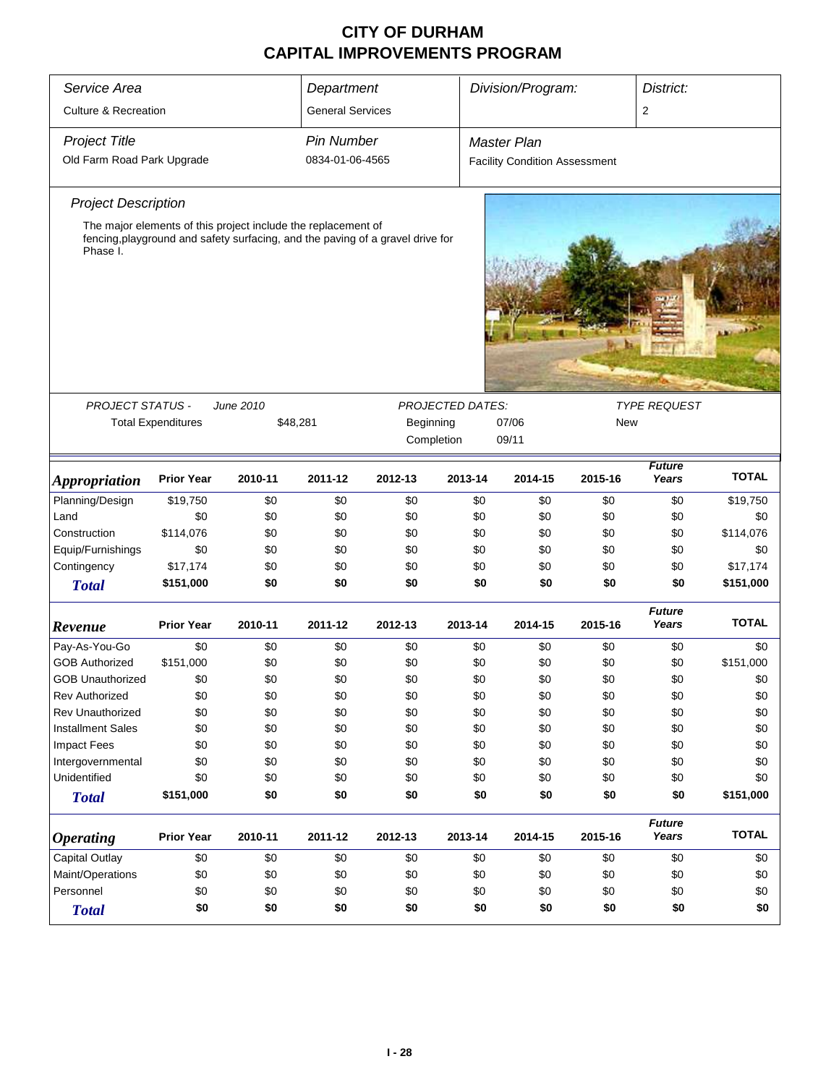| Service Area                    |                                                                                     |                                                                                             | Department                                   |         |                         | Division/Program:<br>District:       |            |                        |              |  |
|---------------------------------|-------------------------------------------------------------------------------------|---------------------------------------------------------------------------------------------|----------------------------------------------|---------|-------------------------|--------------------------------------|------------|------------------------|--------------|--|
| <b>Culture &amp; Recreation</b> |                                                                                     |                                                                                             | <b>General Services</b>                      |         |                         |                                      |            | 2                      |              |  |
| <b>Project Title</b>            |                                                                                     |                                                                                             | Pin Number                                   |         |                         | <b>Master Plan</b>                   |            |                        |              |  |
| Old Farm Road Park Upgrade      |                                                                                     |                                                                                             | 0834-01-06-4565                              |         |                         | <b>Facility Condition Assessment</b> |            |                        |              |  |
| <b>Project Description</b>      |                                                                                     |                                                                                             |                                              |         |                         |                                      |            |                        |              |  |
|                                 |                                                                                     | The major elements of this project include the replacement of                               |                                              |         |                         |                                      |            |                        |              |  |
| Phase I.<br>PROJECT STATUS -    | <b>Total Expenditures</b>                                                           | fencing, playground and safety surfacing, and the paving of a gravel drive for<br>June 2010 |                                              |         | <b>PROJECTED DATES:</b> | 07/06                                | <b>New</b> | <b>TYPE REQUEST</b>    |              |  |
|                                 |                                                                                     |                                                                                             | \$48,281<br>Beginning<br>Completion<br>09/11 |         |                         |                                      |            |                        |              |  |
|                                 |                                                                                     |                                                                                             |                                              |         |                         |                                      |            |                        |              |  |
| <i><b>Appropriation</b></i>     | <b>Prior Year</b>                                                                   | 2010-11                                                                                     | 2011-12                                      | 2012-13 | 2013-14                 | 2014-15                              | 2015-16    | <b>Future</b><br>Years | <b>TOTAL</b> |  |
| Planning/Design                 | \$19,750                                                                            | \$0                                                                                         | \$0                                          | \$0     | \$0                     | \$0                                  | \$0        | \$0                    | \$19,750     |  |
| Land                            | \$0                                                                                 | \$0                                                                                         | \$0                                          | \$0     | \$0                     | \$0                                  | \$0        | \$0                    | \$0          |  |
| Construction                    | \$114,076                                                                           | \$0                                                                                         | \$0                                          | \$0     | \$0                     | \$0                                  | \$0        | \$0                    | \$114,076    |  |
| Equip/Furnishings               | \$0                                                                                 | \$0                                                                                         | \$0                                          | \$0     | \$0                     | \$0                                  | \$0        | \$0                    | \$0          |  |
| Contingency                     | \$17,174                                                                            | \$0                                                                                         | \$0                                          | \$0     | \$0                     | \$0                                  | \$0        | \$0                    | \$17,174     |  |
| <b>Total</b>                    | \$151,000                                                                           | \$0                                                                                         | \$0                                          | \$0     | \$0                     | \$0                                  | \$0        | \$0                    | \$151,000    |  |
| Revenue                         | <b>Prior Year</b>                                                                   | 2010-11                                                                                     | 2011-12                                      | 2012-13 | 2013-14                 | 2014-15                              | 2015-16    | <b>Future</b><br>Years | <b>TOTAL</b> |  |
| Pay-As-You-Go                   | \$0                                                                                 | \$0                                                                                         | \$0                                          | \$0     | \$0                     | \$0                                  | \$0        | \$0                    | \$0          |  |
| <b>GOB Authorized</b>           | \$151,000                                                                           | \$0                                                                                         | \$0                                          | \$0     | \$0                     | \$0                                  | \$0        | \$0                    | \$151,000    |  |
| <b>GOB Unauthorized</b>         | \$0                                                                                 | \$0                                                                                         | \$0                                          | \$0     | \$0                     | \$0                                  | \$0        | \$0                    | \$0          |  |
| <b>Rev Authorized</b>           | \$0                                                                                 | \$0                                                                                         | \$0                                          | \$0     | \$0                     | \$0                                  | \$0        | \$0                    | \$0          |  |
| <b>Rev Unauthorized</b>         | \$0                                                                                 | \$0                                                                                         | \$0                                          | \$0     | \$0                     | \$0                                  | \$0        | \$0                    | \$0          |  |
| <b>Installment Sales</b>        | \$0                                                                                 | \$0                                                                                         | \$0                                          | \$0     | \$0                     | \$0                                  | \$0        | \$0                    | \$0          |  |
| <b>Impact Fees</b>              | \$0                                                                                 | \$0                                                                                         | \$0                                          | \$0     | \$0                     | \$0                                  | \$0        | \$0                    | \$0          |  |
| Intergovernmental               | \$0                                                                                 | \$0                                                                                         | \$0                                          | \$0     | \$0                     | \$0                                  | \$0        | \$0                    | \$0          |  |
| Unidentified                    | \$0                                                                                 | \$0                                                                                         | \$0                                          | \$0     | \$0                     | \$0                                  | \$0        | \$0                    | \$0          |  |
| <b>Total</b>                    | \$151,000                                                                           | \$0                                                                                         | \$0                                          | \$0     | \$0                     | \$0                                  | \$0        | \$0                    | \$151,000    |  |
| <b>Operating</b>                | <b>Prior Year</b><br>2013-14<br>2015-16<br>2010-11<br>2011-12<br>2012-13<br>2014-15 |                                                                                             |                                              |         |                         |                                      |            | <b>Future</b><br>Years | <b>TOTAL</b> |  |
| Capital Outlay                  | \$0<br>\$0<br>\$0<br>\$0<br>\$0<br>\$0<br>\$0<br>\$0                                |                                                                                             |                                              |         |                         |                                      |            |                        | \$0          |  |
| Maint/Operations                | \$0<br>\$0<br>\$0<br>\$0<br>\$0<br>\$0<br>\$0<br>\$0                                |                                                                                             |                                              |         |                         |                                      |            | \$0                    |              |  |
| Personnel                       | \$0                                                                                 | \$0                                                                                         | \$0                                          | \$0     | \$0                     | \$0                                  | \$0        | \$0                    | \$0          |  |
| <b>Total</b>                    | \$0                                                                                 | \$0                                                                                         | \$0                                          | \$0     | \$0                     | \$0                                  | \$0        | \$0                    | \$0          |  |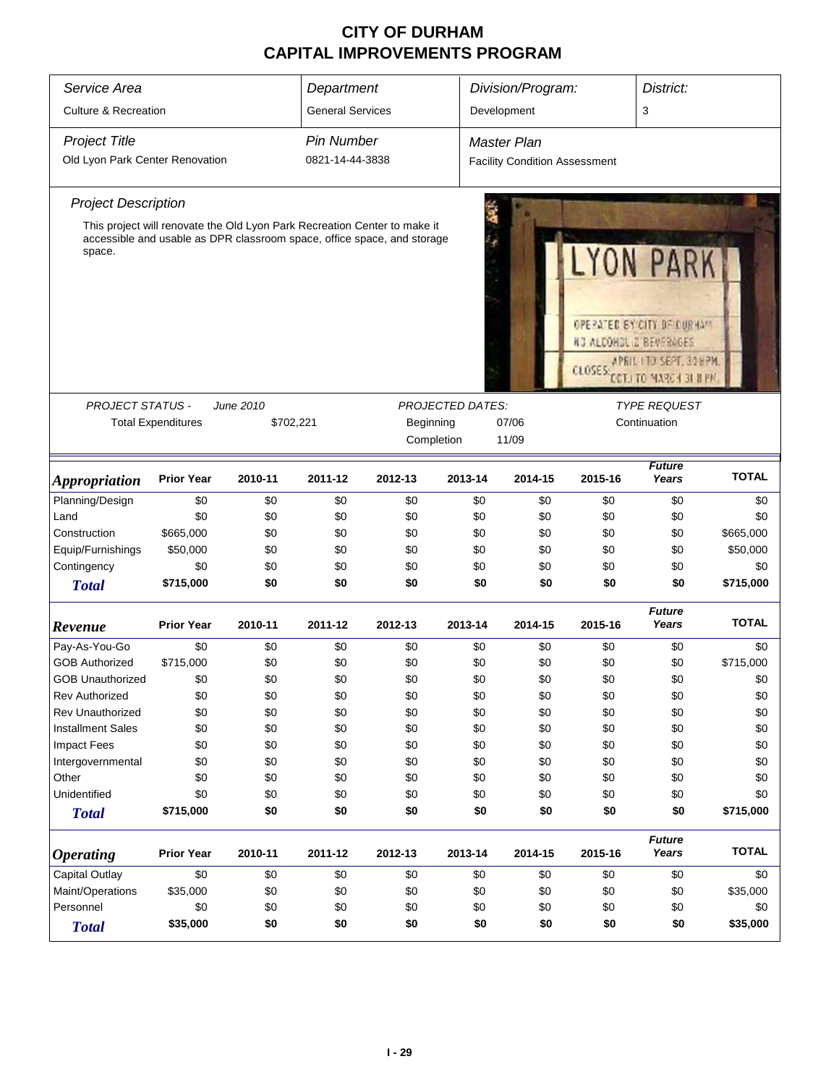| Service Area<br>Department                   |                                                                           |           |                         |                     |         | Division/Program:                              |                      | District:                                                                                                                   |              |  |  |
|----------------------------------------------|---------------------------------------------------------------------------|-----------|-------------------------|---------------------|---------|------------------------------------------------|----------------------|-----------------------------------------------------------------------------------------------------------------------------|--------------|--|--|
| <b>Culture &amp; Recreation</b>              |                                                                           |           | <b>General Services</b> |                     |         | Development                                    |                      | 3                                                                                                                           |              |  |  |
| <b>Project Title</b>                         |                                                                           |           | <b>Pin Number</b>       |                     |         | <b>Master Plan</b>                             |                      |                                                                                                                             |              |  |  |
| Old Lyon Park Center Renovation              |                                                                           |           | 0821-14-44-3838         |                     |         | <b>Facility Condition Assessment</b>           |                      |                                                                                                                             |              |  |  |
| <b>Project Description</b>                   |                                                                           |           |                         |                     |         |                                                |                      |                                                                                                                             |              |  |  |
|                                              | This project will renovate the Old Lyon Park Recreation Center to make it |           |                         |                     |         |                                                |                      |                                                                                                                             |              |  |  |
| space.                                       | accessible and usable as DPR classroom space, office space, and storage   |           |                         |                     |         |                                                | YON<br><b>CLOSES</b> | PAR<br>OPERATED BY CITY OF DURHAM<br><b>NG ALCOHOL &amp; BEVERAGES</b><br>APRIL I TO SEPT. 30 HPM<br>CCT.I TO MARCH 31 B PM |              |  |  |
| <b>PROJECT STATUS -</b>                      |                                                                           | June 2010 |                         |                     |         | <b>PROJECTED DATES:</b><br><b>TYPE REQUEST</b> |                      |                                                                                                                             |              |  |  |
|                                              | <b>Total Expenditures</b>                                                 | \$702,221 |                         | Beginning           |         | 07/06                                          |                      | Continuation                                                                                                                |              |  |  |
|                                              |                                                                           |           |                         | Completion<br>11/09 |         |                                                |                      |                                                                                                                             |              |  |  |
|                                              |                                                                           |           |                         |                     |         |                                                |                      |                                                                                                                             |              |  |  |
| <i><b>Appropriation</b></i>                  | <b>Prior Year</b>                                                         | 2010-11   | 2011-12                 | 2012-13             | 2013-14 | 2014-15                                        | 2015-16              | <b>Future</b><br>Years                                                                                                      | <b>TOTAL</b> |  |  |
| Planning/Design                              | \$0                                                                       | \$0       | \$0                     | \$0                 | \$0     | \$0                                            | \$0                  | \$0                                                                                                                         | \$0          |  |  |
| Land                                         | \$0                                                                       | \$0       | \$0                     | \$0                 | \$0     | \$0                                            | \$0                  | \$0                                                                                                                         | \$0          |  |  |
| Construction                                 | \$665,000                                                                 | \$0       | \$0                     | \$0                 | \$0     | \$0                                            | \$0                  | \$0                                                                                                                         | \$665,000    |  |  |
| Equip/Furnishings                            | \$50,000                                                                  | \$0       | \$0                     | \$0                 | \$0     | \$0                                            | \$0                  | \$0                                                                                                                         | \$50,000     |  |  |
| Contingency                                  | \$0                                                                       | \$0       | \$0                     | \$0                 | \$0     | \$0                                            | \$0                  | \$0                                                                                                                         | \$0          |  |  |
| <b>Total</b>                                 | \$715,000                                                                 | \$0       | \$0                     | \$0                 | \$0     | \$0                                            | \$0                  | \$0                                                                                                                         | \$715,000    |  |  |
| Revenue                                      | <b>Prior Year</b>                                                         | 2010-11   | 2011-12                 | 2012-13             | 2013-14 | 2014-15                                        | 2015-16              | <b>Future</b><br>Years                                                                                                      | <b>TOTAL</b> |  |  |
| Pay-As-You-Go                                | \$0                                                                       | \$0       | \$0                     | \$0                 | \$0     | \$0                                            | \$0                  | \$0                                                                                                                         | \$0          |  |  |
| <b>GOB Authorized</b>                        | \$715,000                                                                 | \$0       | \$0                     | \$0                 | \$0     | \$0                                            | \$0                  | \$0                                                                                                                         | \$715,000    |  |  |
| <b>GOB Unauthorized</b>                      | \$0                                                                       | \$0       | \$0                     | \$0                 | \$0     | \$0                                            | \$0                  | \$0                                                                                                                         | \$0          |  |  |
| <b>Rev Authorized</b>                        | \$0                                                                       | \$0       | \$0                     | \$0                 | \$0     | \$0                                            | \$0                  | \$0                                                                                                                         | \$0          |  |  |
| <b>Rev Unauthorized</b>                      | \$0                                                                       | \$0       | \$0                     | \$0                 | \$0     | \$0                                            | \$0                  | \$0                                                                                                                         | \$0          |  |  |
| <b>Installment Sales</b>                     | \$0                                                                       | \$0       | \$0                     | \$0                 | \$0     | \$0                                            | \$0                  | \$0                                                                                                                         | \$0          |  |  |
| <b>Impact Fees</b>                           | \$0                                                                       | \$0       | \$0                     | \$0                 | \$0     | \$0                                            | \$0                  | \$0                                                                                                                         | \$0          |  |  |
| Intergovernmental                            | \$0                                                                       | \$0       | \$0                     | \$0                 | \$0     | \$0                                            | \$0                  | \$0                                                                                                                         | \$0          |  |  |
| Other                                        | \$0                                                                       | \$0       | \$0                     | \$0                 | \$0     | \$0                                            | \$0                  | \$0                                                                                                                         | \$0          |  |  |
| Unidentified                                 | \$0                                                                       | \$0       | \$0                     | \$0                 | \$0     | \$0                                            | \$0                  | \$0                                                                                                                         | \$0          |  |  |
| <b>Total</b>                                 | \$715,000                                                                 | \$0       | \$0                     | \$0                 | \$0     | \$0                                            | \$0                  | \$0                                                                                                                         | \$715,000    |  |  |
| <i><b>Operating</b></i>                      | <b>Prior Year</b>                                                         | 2010-11   | 2011-12                 | 2012-13             | 2013-14 | 2014-15                                        | 2015-16              | <b>Future</b><br>Years                                                                                                      | <b>TOTAL</b> |  |  |
| <b>Capital Outlay</b>                        | \$0                                                                       | \$0       | \$0                     | \$0                 | \$0     | \$0                                            | \$0                  | \$0                                                                                                                         | \$0          |  |  |
| Maint/Operations                             | \$35,000                                                                  | \$0       | \$0                     | \$0                 | \$0     | \$0                                            | \$0                  | \$0                                                                                                                         | \$35,000     |  |  |
| Personnel<br>\$0<br>\$0<br>\$0<br>\$0<br>\$0 |                                                                           |           |                         |                     | \$0     | \$0                                            | \$0                  | \$0                                                                                                                         |              |  |  |
| <b>Total</b>                                 | \$35,000                                                                  | \$0       | \$0                     | \$0                 | \$0     | \$0                                            | \$0                  | \$0                                                                                                                         | \$35,000     |  |  |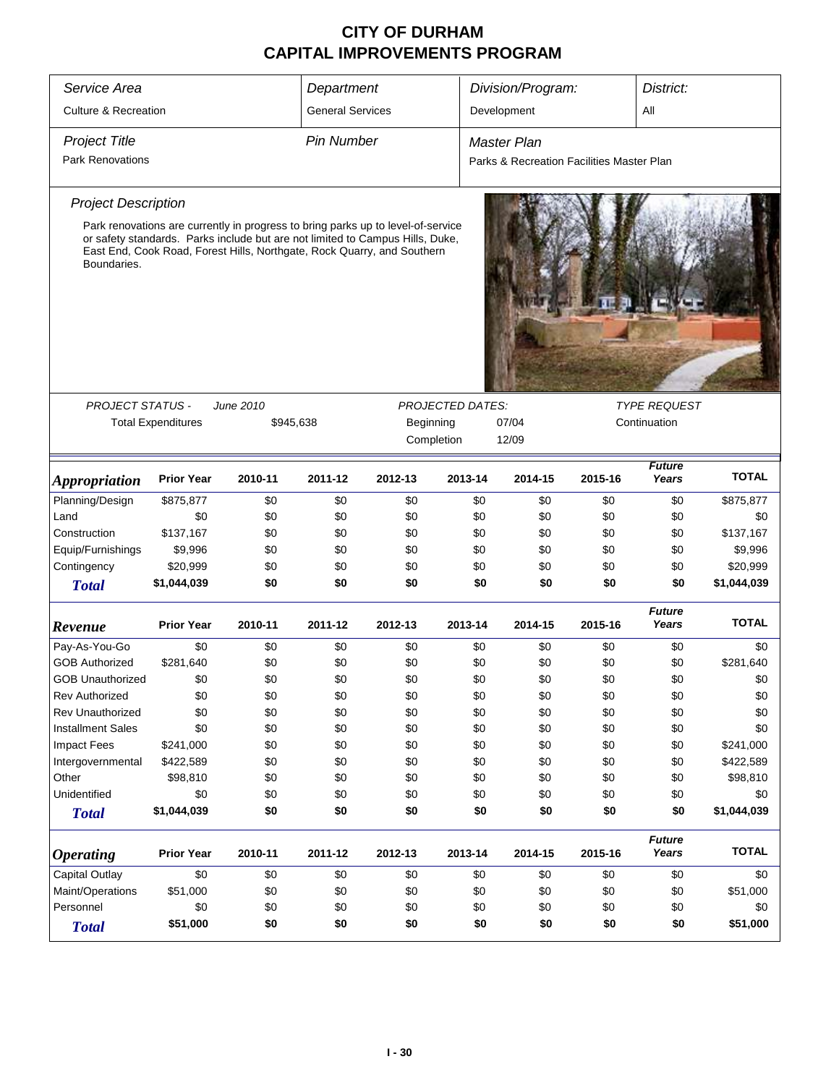| Service Area                                                           | Division/Program:<br>District:<br>Department                                                                                                                                                                                                 |           |                         |                     |                         |                                           |         |                        |              |  |  |
|------------------------------------------------------------------------|----------------------------------------------------------------------------------------------------------------------------------------------------------------------------------------------------------------------------------------------|-----------|-------------------------|---------------------|-------------------------|-------------------------------------------|---------|------------------------|--------------|--|--|
| <b>Culture &amp; Recreation</b>                                        |                                                                                                                                                                                                                                              |           | <b>General Services</b> |                     |                         | Development                               |         | All                    |              |  |  |
| <b>Project Title</b>                                                   |                                                                                                                                                                                                                                              |           | <b>Pin Number</b>       |                     |                         | Master Plan                               |         |                        |              |  |  |
| <b>Park Renovations</b>                                                |                                                                                                                                                                                                                                              |           |                         |                     |                         | Parks & Recreation Facilities Master Plan |         |                        |              |  |  |
| <b>Project Description</b>                                             | Park renovations are currently in progress to bring parks up to level-of-service<br>or safety standards. Parks include but are not limited to Campus Hills, Duke,<br>East End, Cook Road, Forest Hills, Northgate, Rock Quarry, and Southern |           |                         |                     |                         |                                           |         |                        |              |  |  |
| Boundaries.                                                            |                                                                                                                                                                                                                                              |           |                         |                     |                         |                                           |         |                        |              |  |  |
|                                                                        |                                                                                                                                                                                                                                              |           |                         |                     |                         |                                           |         |                        |              |  |  |
|                                                                        |                                                                                                                                                                                                                                              |           |                         |                     | <b>PROJECTED DATES:</b> |                                           |         |                        |              |  |  |
| <b>PROJECT STATUS -</b>                                                |                                                                                                                                                                                                                                              | June 2010 |                         | <b>TYPE REQUEST</b> |                         |                                           |         |                        |              |  |  |
|                                                                        | <b>Total Expenditures</b>                                                                                                                                                                                                                    | \$945,638 |                         | Beginning           |                         | 07/04                                     |         | Continuation           |              |  |  |
|                                                                        |                                                                                                                                                                                                                                              |           |                         | Completion          |                         |                                           | 12/09   |                        |              |  |  |
| <i><b>Appropriation</b></i>                                            | <b>Prior Year</b>                                                                                                                                                                                                                            | 2010-11   | 2011-12                 | 2012-13             | 2013-14                 | 2014-15                                   | 2015-16 | <b>Future</b><br>Years | <b>TOTAL</b> |  |  |
| Planning/Design                                                        | \$875,877                                                                                                                                                                                                                                    | \$0       | \$0                     | \$0                 | \$0                     | \$0                                       | \$0     | \$0                    | \$875,877    |  |  |
| Land                                                                   | \$0                                                                                                                                                                                                                                          | \$0       | \$0                     | \$0                 | \$0                     | \$0                                       | \$0     | \$0                    | \$0          |  |  |
| Construction                                                           | \$137,167                                                                                                                                                                                                                                    | \$0       | \$0                     | \$0                 | \$0                     | \$0                                       | \$0     | \$0                    | \$137,167    |  |  |
| Equip/Furnishings                                                      | \$9,996                                                                                                                                                                                                                                      | \$0       | \$0                     | \$0                 | \$0                     | \$0                                       | \$0     | \$0                    | \$9,996      |  |  |
| Contingency                                                            | \$20,999                                                                                                                                                                                                                                     | \$0       | \$0                     | \$0                 | \$0                     | \$0                                       | \$0     | \$0                    | \$20,999     |  |  |
| <b>Total</b>                                                           | \$1,044,039                                                                                                                                                                                                                                  | \$0       | \$0                     | \$0                 | \$0                     | \$0                                       | \$0     | \$0                    | \$1,044,039  |  |  |
| Revenue                                                                | <b>Prior Year</b>                                                                                                                                                                                                                            | 2010-11   | 2011-12                 | 2012-13             | 2013-14                 | 2014-15                                   | 2015-16 | <b>Future</b><br>Years | <b>TOTAL</b> |  |  |
| Pay-As-You-Go                                                          | \$0                                                                                                                                                                                                                                          | \$0       | \$0                     | \$0                 | \$0                     | \$0                                       | \$0     | \$0                    | \$0          |  |  |
| <b>GOB Authorized</b>                                                  | \$281,640                                                                                                                                                                                                                                    | \$0       | \$0                     | \$0                 | \$0                     | \$0                                       | \$0     | \$0                    | \$281,640    |  |  |
| <b>GOB Unauthorized</b>                                                | \$0                                                                                                                                                                                                                                          | \$0       | \$0                     | \$0                 | \$0                     | \$0                                       | \$0     | \$0                    | \$0          |  |  |
| <b>Rev Authorized</b>                                                  | \$0                                                                                                                                                                                                                                          | \$0       | \$0                     | \$0                 | \$0                     | \$0                                       | \$0     | \$0                    | \$0          |  |  |
| <b>Rev Unauthorized</b>                                                | \$0                                                                                                                                                                                                                                          | \$0       | \$0                     | \$0                 | \$0                     | \$0                                       | \$0     | \$0                    | \$0          |  |  |
| <b>Installment Sales</b>                                               | \$0                                                                                                                                                                                                                                          | \$0       | \$0                     | \$0                 | \$0                     | \$0                                       | \$0     | \$0                    | \$0          |  |  |
| <b>Impact Fees</b>                                                     | \$241,000                                                                                                                                                                                                                                    | \$0       | \$0                     | \$0                 | \$0                     | \$0                                       | \$0     | \$0                    | \$241,000    |  |  |
| Intergovernmental                                                      | \$422,589                                                                                                                                                                                                                                    | \$0       | \$0                     | \$0                 | \$0                     | \$0                                       | \$0     | \$0                    | \$422,589    |  |  |
| Other                                                                  | \$98,810                                                                                                                                                                                                                                     | \$0       | \$0                     | \$0                 | \$0                     | \$0                                       | \$0     | \$0                    | \$98,810     |  |  |
| Unidentified                                                           | \$0                                                                                                                                                                                                                                          | \$0       | \$0                     | \$0                 | \$0                     | \$0                                       | \$0     | \$0                    | \$0          |  |  |
| <b>Total</b>                                                           | \$1,044,039                                                                                                                                                                                                                                  | \$0       | \$0                     | \$0                 | \$0                     | \$0                                       | \$0     | \$0                    | \$1,044,039  |  |  |
| <b>Operating</b>                                                       | <b>Prior Year</b>                                                                                                                                                                                                                            | 2010-11   | 2011-12                 | 2012-13             | 2013-14                 | 2014-15                                   | 2015-16 | <b>Future</b><br>Years | <b>TOTAL</b> |  |  |
| <b>Capital Outlay</b>                                                  | \$0                                                                                                                                                                                                                                          | \$0       | \$0                     | \$0                 | \$0                     | \$0                                       | \$0     | \$0                    | \$0          |  |  |
| Maint/Operations<br>\$51,000<br>\$0<br>\$0<br>\$0<br>\$0<br>\$0<br>\$0 |                                                                                                                                                                                                                                              |           |                         |                     | \$0                     | \$51,000                                  |         |                        |              |  |  |
| Personnel                                                              | \$0                                                                                                                                                                                                                                          | \$0       | \$0                     | \$0                 | \$0                     | \$0                                       | \$0     | \$0                    | \$0          |  |  |
| <b>Total</b>                                                           | \$51,000<br>\$0<br>\$0<br>\$0<br>\$0<br>\$0<br>\$0<br>\$0                                                                                                                                                                                    |           |                         |                     |                         |                                           |         |                        | \$51,000     |  |  |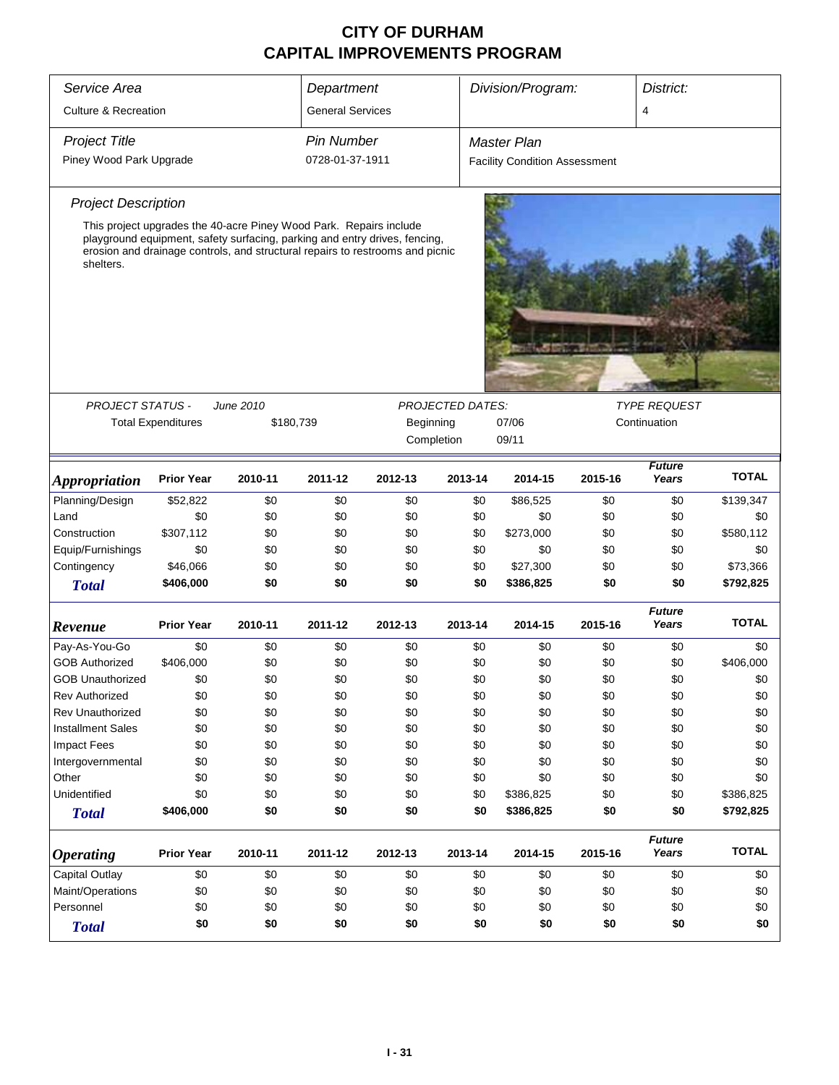|                                 | District:<br>Service Area<br>Division/Program:<br>Department       |           |                         |                                                                                                                                                             |                         |                                      |              |                        |              |  |
|---------------------------------|--------------------------------------------------------------------|-----------|-------------------------|-------------------------------------------------------------------------------------------------------------------------------------------------------------|-------------------------|--------------------------------------|--------------|------------------------|--------------|--|
|                                 |                                                                    |           |                         |                                                                                                                                                             |                         |                                      |              |                        |              |  |
| <b>Culture &amp; Recreation</b> |                                                                    |           | <b>General Services</b> |                                                                                                                                                             |                         |                                      |              | 4                      |              |  |
| <b>Project Title</b>            |                                                                    |           | <b>Pin Number</b>       |                                                                                                                                                             |                         | <b>Master Plan</b>                   |              |                        |              |  |
| Piney Wood Park Upgrade         |                                                                    |           | 0728-01-37-1911         |                                                                                                                                                             |                         | <b>Facility Condition Assessment</b> |              |                        |              |  |
| <b>Project Description</b>      |                                                                    |           |                         |                                                                                                                                                             |                         |                                      |              |                        |              |  |
| shelters.                       | This project upgrades the 40-acre Piney Wood Park. Repairs include |           |                         | playground equipment, safety surfacing, parking and entry drives, fencing,<br>erosion and drainage controls, and structural repairs to restrooms and picnic |                         |                                      |              |                        |              |  |
|                                 |                                                                    |           |                         |                                                                                                                                                             |                         |                                      |              |                        |              |  |
| PROJECT STATUS -                |                                                                    | June 2010 |                         |                                                                                                                                                             | <b>PROJECTED DATES:</b> |                                      |              | <b>TYPE REQUEST</b>    |              |  |
|                                 | <b>Total Expenditures</b>                                          | \$180,739 |                         | Beginning                                                                                                                                                   |                         | 07/06                                | Continuation |                        |              |  |
|                                 |                                                                    |           |                         | Completion                                                                                                                                                  |                         | 09/11                                |              |                        |              |  |
| <i><b>Appropriation</b></i>     | <b>Prior Year</b>                                                  | 2010-11   | 2011-12                 | 2012-13                                                                                                                                                     | 2013-14                 | 2014-15                              | 2015-16      | <b>Future</b><br>Years | <b>TOTAL</b> |  |
| Planning/Design                 | \$52,822                                                           | \$0       | \$0                     | \$0                                                                                                                                                         | \$0                     | \$86,525                             | \$0          | \$0                    | \$139,347    |  |
| Land                            | \$0                                                                | \$0       | \$0                     | \$0                                                                                                                                                         | \$0                     | \$0                                  | \$0          | \$0                    | \$0          |  |
| Construction                    | \$307,112                                                          | \$0       | \$0                     | \$0                                                                                                                                                         | \$0                     | \$273,000                            | \$0          | \$0                    | \$580,112    |  |
| Equip/Furnishings               | \$0                                                                | \$0       | \$0                     | \$0                                                                                                                                                         | \$0                     | \$0                                  | \$0          | \$0                    | \$0          |  |
| Contingency                     | \$46,066                                                           | \$0       | \$0                     | \$0                                                                                                                                                         | \$0                     | \$27,300                             | \$0          | \$0                    | \$73,366     |  |
| <b>Total</b>                    | \$406,000                                                          | \$0       | \$0                     | \$0                                                                                                                                                         | \$0                     | \$386,825                            | \$0          | \$0                    | \$792,825    |  |
| Revenue                         | <b>Prior Year</b>                                                  | 2010-11   | 2011-12                 | 2012-13                                                                                                                                                     | 2013-14                 | 2014-15                              | 2015-16      | <b>Future</b><br>Years | <b>TOTAL</b> |  |
| Pay-As-You-Go                   | \$0                                                                | \$0       | \$0                     | \$0                                                                                                                                                         | \$0                     | \$0                                  | \$0          | \$0                    | \$0          |  |
| <b>GOB Authorized</b>           | \$406,000                                                          | \$0       | \$0                     | \$0                                                                                                                                                         | \$0                     | \$0                                  | \$0          | \$0                    | \$406,000    |  |
| <b>GOB Unauthorized</b>         | \$0                                                                | \$0       | \$0                     | \$0                                                                                                                                                         | \$0                     | \$0                                  | \$0          | \$0                    | \$0          |  |
| <b>Rev Authorized</b>           | \$0                                                                | \$0       | \$0                     | \$0                                                                                                                                                         | \$0                     | \$0                                  | \$0          | \$0                    | \$0          |  |
| Rev Unauthorized                | \$0                                                                | \$0       | \$0                     | \$0                                                                                                                                                         | \$0                     | \$0                                  | \$0          | \$0                    | \$0          |  |
| <b>Installment Sales</b>        | \$0                                                                | \$0       | \$0                     | \$0                                                                                                                                                         | \$0                     | \$0                                  | \$0          | \$0                    | \$0          |  |
| <b>Impact Fees</b>              | \$0                                                                | \$0       | \$0                     | \$0                                                                                                                                                         | \$0                     | \$0                                  | \$0          | \$0                    | \$0          |  |
| Intergovernmental               | \$0                                                                | \$0       | \$0                     | \$0                                                                                                                                                         | \$0                     | \$0                                  | \$0          | \$0                    | \$0          |  |
| Other                           | \$0                                                                | \$0       | \$0                     | \$0                                                                                                                                                         | \$0                     | \$0                                  | \$0          | \$0                    | \$0          |  |
| Unidentified                    | \$0                                                                | \$0       | \$0                     | \$0                                                                                                                                                         | \$0                     | \$386,825                            | \$0          | \$0                    | \$386,825    |  |
| <b>Total</b>                    | \$406,000                                                          | \$0       | \$0                     | \$0                                                                                                                                                         | \$0                     | \$386,825                            | \$0          | \$0                    | \$792,825    |  |
| <b>Operating</b>                | <b>Prior Year</b>                                                  | 2010-11   | 2011-12                 | 2012-13                                                                                                                                                     | 2013-14                 | 2014-15                              | 2015-16      | <b>Future</b><br>Years | <b>TOTAL</b> |  |
| Capital Outlay                  | \$0                                                                | \$0       | \$0                     | \$0                                                                                                                                                         | \$0                     | \$0                                  | \$0          | \$0                    | \$0          |  |
| Maint/Operations                | \$0                                                                | \$0       | \$0                     | \$0                                                                                                                                                         | \$0                     | \$0                                  | \$0          | \$0                    | \$0          |  |
| Personnel                       | \$0                                                                | \$0       | \$0                     | \$0                                                                                                                                                         | \$0                     | \$0                                  | \$0          | \$0                    | \$0          |  |
| <b>Total</b>                    | \$0                                                                | \$0       | \$0                     | \$0                                                                                                                                                         | \$0                     | \$0                                  | \$0          | \$0                    | \$0          |  |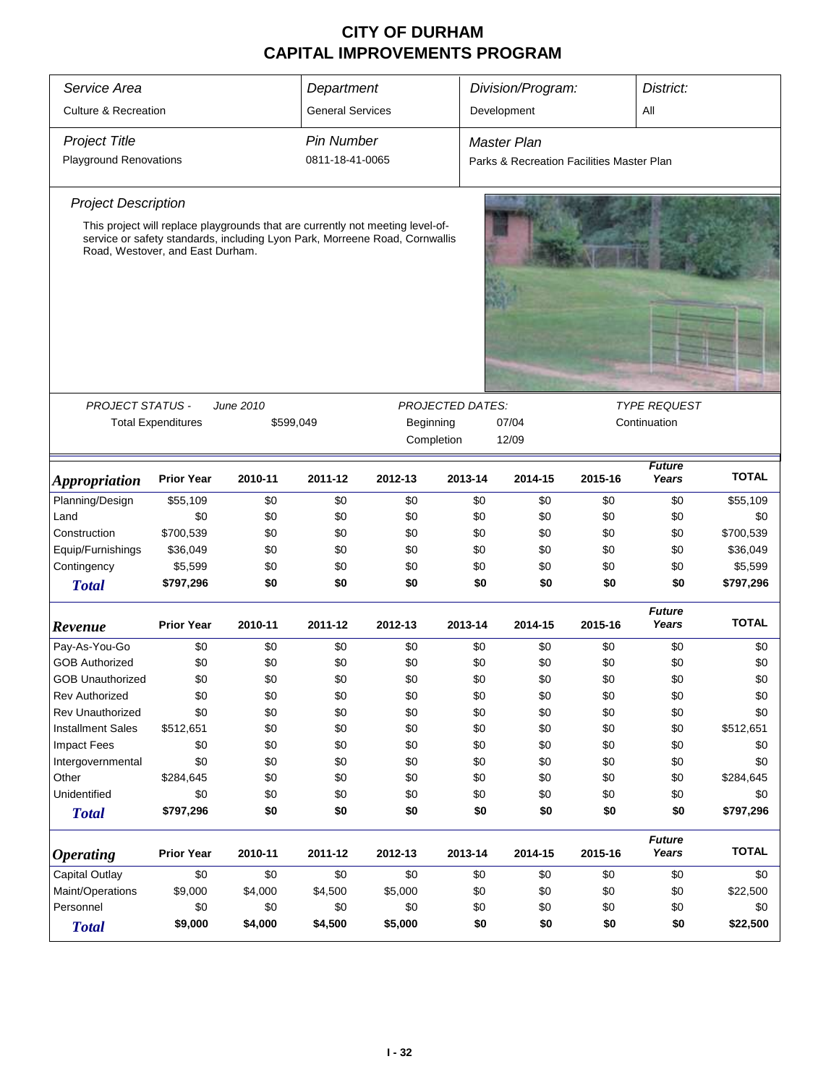| Service Area                    |                                          |           | Department              |                                                                                |                         | Division/Program:                         |         | District:              |              |
|---------------------------------|------------------------------------------|-----------|-------------------------|--------------------------------------------------------------------------------|-------------------------|-------------------------------------------|---------|------------------------|--------------|
| <b>Culture &amp; Recreation</b> |                                          |           | <b>General Services</b> |                                                                                |                         | Development                               |         | All                    |              |
| <b>Project Title</b>            |                                          |           | <b>Pin Number</b>       |                                                                                |                         | <b>Master Plan</b>                        |         |                        |              |
| <b>Playground Renovations</b>   |                                          |           | 0811-18-41-0065         |                                                                                |                         | Parks & Recreation Facilities Master Plan |         |                        |              |
| <b>Project Description</b>      |                                          |           |                         |                                                                                |                         |                                           |         |                        |              |
|                                 |                                          |           |                         | This project will replace playgrounds that are currently not meeting level-of- |                         |                                           |         |                        |              |
|                                 | Road, Westover, and East Durham.         |           |                         | service or safety standards, including Lyon Park, Morreene Road, Cornwallis    |                         |                                           |         |                        |              |
|                                 |                                          |           |                         |                                                                                |                         |                                           |         |                        |              |
| <b>PROJECT STATUS -</b>         |                                          | June 2010 |                         |                                                                                | <b>PROJECTED DATES:</b> |                                           |         | <b>TYPE REQUEST</b>    |              |
|                                 | <b>Total Expenditures</b>                |           | \$599,049               | Beginning                                                                      |                         | 07/04                                     |         | Continuation           |              |
|                                 |                                          |           |                         |                                                                                | Completion              | 12/09                                     |         |                        |              |
| <i><b>Appropriation</b></i>     | <b>Prior Year</b>                        | 2010-11   | 2011-12                 | 2012-13                                                                        | 2013-14                 | 2014-15                                   | 2015-16 | <b>Future</b><br>Years | <b>TOTAL</b> |
| Planning/Design                 | \$55,109                                 | \$0       | \$0                     | \$0                                                                            | \$0                     | \$0                                       | \$0     | \$0                    | \$55,109     |
| Land                            | \$0                                      | \$0       | \$0                     | \$0                                                                            | \$0                     | \$0                                       | \$0     | \$0                    | \$0          |
| Construction                    | \$700,539                                | \$0       | \$0                     | \$0                                                                            | \$0                     | \$0                                       | \$0     | \$0                    | \$700,539    |
| Equip/Furnishings               | \$36,049                                 | \$0       | \$0                     | \$0                                                                            | \$0                     | \$0                                       | \$0     | \$0                    | \$36,049     |
| Contingency                     | \$5,599                                  | \$0       | \$0                     | \$0                                                                            | \$0                     | \$0                                       | \$0     | \$0                    | \$5,599      |
| <b>Total</b>                    | \$797,296                                | \$0       | \$0                     | \$0                                                                            | \$0                     | \$0                                       | \$0     | \$0                    | \$797,296    |
| Revenue                         | <b>Prior Year</b>                        | 2010-11   | 2011-12                 | 2012-13                                                                        | 2013-14                 | 2014-15                                   | 2015-16 | <b>Future</b><br>Years | <b>TOTAL</b> |
| Pay-As-You-Go                   | \$0                                      | \$0       | \$0                     | \$0                                                                            | \$0                     | \$0                                       | \$0     | \$0                    | \$0          |
| <b>GOB Authorized</b>           | \$0                                      | \$0       | \$0                     | \$0                                                                            | \$0                     | \$0                                       | \$0     | \$0                    | \$0          |
| <b>GOB Unauthorized</b>         | \$0                                      | \$0       | \$0                     | \$0                                                                            | \$0                     | \$0                                       | \$0     | \$0                    | \$0          |
| <b>Rev Authorized</b>           | \$0                                      | \$0       | \$0                     | \$0                                                                            | \$0                     | \$0                                       | \$0     | \$0                    | \$0          |
| Rev Unauthorized                | \$0                                      | \$0       | \$0                     | \$0                                                                            | \$0                     | \$0                                       | \$0     | \$0                    | \$0          |
| <b>Installment Sales</b>        | \$512,651                                | \$0       | \$0                     | \$0                                                                            | \$0                     | \$0                                       | \$0     | \$0                    | \$512,651    |
| <b>Impact Fees</b>              | \$0                                      | \$0       | \$0                     | \$0                                                                            | \$0                     | \$0                                       | \$0     | \$0                    | \$0          |
| Intergovernmental               | \$0                                      | \$0       | \$0                     | \$0                                                                            | \$0                     | \$0                                       | \$0     | \$0                    | \$0          |
| Other                           | \$284,645                                | \$0       | \$0                     | \$0                                                                            | \$0                     | \$0                                       | \$0     | \$0                    | \$284,645    |
| Unidentified                    | \$0                                      | \$0       | \$0                     | \$0                                                                            | \$0                     | \$0                                       | \$0     | \$0                    | \$0          |
| <b>Total</b>                    | \$797,296                                | \$0       | \$0                     | \$0                                                                            | \$0                     | \$0                                       | \$0     | \$0                    | \$797,296    |
| <b>Operating</b>                | <b>Prior Year</b>                        | 2010-11   | 2011-12                 | 2012-13                                                                        | 2013-14                 | 2014-15                                   | 2015-16 | <b>Future</b><br>Years | <b>TOTAL</b> |
| Capital Outlay                  | \$0<br>\$0<br>\$0<br>\$0<br>\$0          |           |                         |                                                                                |                         | \$0                                       | \$0     | \$0                    | \$0          |
| Maint/Operations                | \$9,000<br>\$4,000<br>\$4,500<br>\$5,000 |           |                         |                                                                                |                         | \$0<br>\$0                                | \$0     | \$0                    | \$22,500     |
| Personnel                       | \$0                                      | \$0       | \$0                     | \$0                                                                            | \$0                     | \$0                                       | \$0     | \$0                    | \$0          |
| <b>Total</b>                    | \$9,000                                  | \$4,000   | \$4,500                 | \$5,000                                                                        | \$0                     | \$0                                       | \$0     | \$0                    | \$22,500     |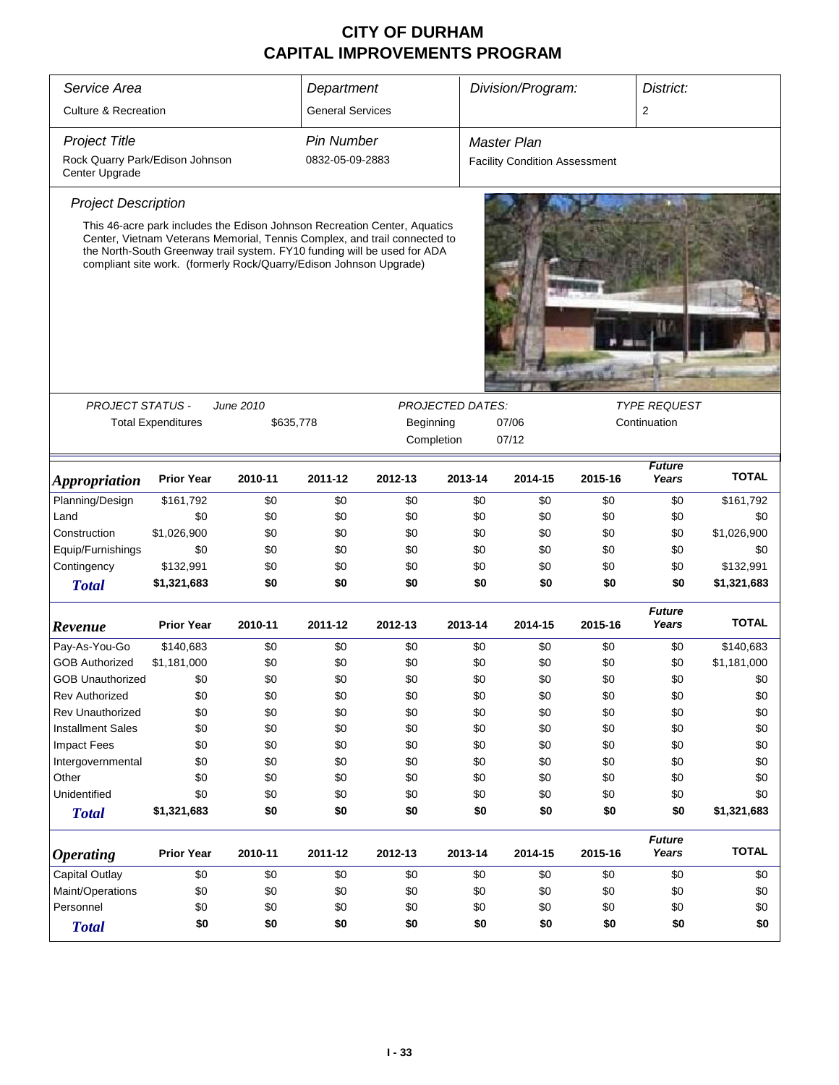| Service Area                                      | Division/Program:<br>Department                                                                                                                                                                                                                                                                          |           |                         |           |                         |                                      |         | District:              |              |  |
|---------------------------------------------------|----------------------------------------------------------------------------------------------------------------------------------------------------------------------------------------------------------------------------------------------------------------------------------------------------------|-----------|-------------------------|-----------|-------------------------|--------------------------------------|---------|------------------------|--------------|--|
| <b>Culture &amp; Recreation</b>                   |                                                                                                                                                                                                                                                                                                          |           | <b>General Services</b> |           |                         |                                      |         | 2                      |              |  |
| <b>Project Title</b>                              |                                                                                                                                                                                                                                                                                                          |           | <b>Pin Number</b>       |           |                         | <b>Master Plan</b>                   |         |                        |              |  |
| Rock Quarry Park/Edison Johnson<br>Center Upgrade |                                                                                                                                                                                                                                                                                                          |           | 0832-05-09-2883         |           |                         | <b>Facility Condition Assessment</b> |         |                        |              |  |
| <b>Project Description</b>                        |                                                                                                                                                                                                                                                                                                          |           |                         |           |                         |                                      |         |                        |              |  |
|                                                   | This 46-acre park includes the Edison Johnson Recreation Center, Aquatics<br>Center, Vietnam Veterans Memorial, Tennis Complex, and trail connected to<br>the North-South Greenway trail system. FY10 funding will be used for ADA<br>compliant site work. (formerly Rock/Quarry/Edison Johnson Upgrade) |           |                         |           |                         |                                      |         |                        |              |  |
| <b>PROJECT STATUS -</b>                           |                                                                                                                                                                                                                                                                                                          | June 2010 |                         |           | <b>PROJECTED DATES:</b> |                                      |         | <b>TYPE REQUEST</b>    |              |  |
|                                                   |                                                                                                                                                                                                                                                                                                          |           |                         |           |                         | 07/06                                |         | Continuation           |              |  |
|                                                   | <b>Total Expenditures</b>                                                                                                                                                                                                                                                                                |           | \$635,778               | Beginning |                         |                                      |         |                        |              |  |
|                                                   |                                                                                                                                                                                                                                                                                                          |           |                         |           |                         | 07/12<br>Completion                  |         |                        |              |  |
| <i><b>Appropriation</b></i>                       | <b>Prior Year</b>                                                                                                                                                                                                                                                                                        | 2010-11   | 2011-12                 | 2012-13   | 2013-14                 | 2014-15                              | 2015-16 | <b>Future</b><br>Years | <b>TOTAL</b> |  |
| Planning/Design                                   | \$161,792                                                                                                                                                                                                                                                                                                | \$0       | \$0                     | \$0       | \$0                     | \$0                                  | \$0     | \$0                    | \$161,792    |  |
| Land                                              | \$0                                                                                                                                                                                                                                                                                                      | \$0       | \$0                     | \$0       | \$0                     | \$0                                  | \$0     | \$0                    | \$0          |  |
| Construction                                      | \$1,026,900                                                                                                                                                                                                                                                                                              | \$0       | \$0                     | \$0       | \$0                     | \$0                                  | \$0     | \$0                    | \$1,026,900  |  |
| Equip/Furnishings                                 | \$0                                                                                                                                                                                                                                                                                                      | \$0       | \$0                     | \$0       | \$0                     | \$0                                  | \$0     | \$0                    | \$0          |  |
| Contingency                                       | \$132,991                                                                                                                                                                                                                                                                                                | \$0       | \$0                     | \$0       | \$0                     | \$0                                  | \$0     | \$0                    | \$132,991    |  |
| <b>Total</b>                                      | \$1,321,683                                                                                                                                                                                                                                                                                              | \$0       | \$0                     | \$0       | \$0                     | \$0                                  | \$0     | \$0                    | \$1,321,683  |  |
| Revenue                                           | <b>Prior Year</b>                                                                                                                                                                                                                                                                                        | 2010-11   | 2011-12                 | 2012-13   | 2013-14                 | 2014-15                              | 2015-16 | <b>Future</b><br>Years | <b>TOTAL</b> |  |
| Pay-As-You-Go                                     | \$140,683                                                                                                                                                                                                                                                                                                | \$0       | \$0                     | \$0       | \$0                     | \$0                                  | \$0     | \$0                    | \$140,683    |  |
| <b>GOB Authorized</b>                             | \$1,181,000                                                                                                                                                                                                                                                                                              | \$0       | \$0                     | \$0       | \$0                     | \$0                                  | \$0     | \$0                    | \$1,181,000  |  |
| <b>GOB Unauthorized</b>                           | \$0                                                                                                                                                                                                                                                                                                      | \$0       | \$0                     | \$0       | \$0                     | \$0                                  | \$0     | \$0                    | \$0          |  |
| <b>Rev Authorized</b>                             | \$0                                                                                                                                                                                                                                                                                                      | \$0       | \$0                     | \$0       | \$0                     | \$0                                  | \$0     | \$0                    | \$0          |  |
| <b>Rev Unauthorized</b>                           | \$0                                                                                                                                                                                                                                                                                                      | \$0       | \$0                     | \$0       | \$0                     | \$0                                  | \$0     | \$0                    | \$0          |  |
| <b>Installment Sales</b>                          | \$0                                                                                                                                                                                                                                                                                                      | \$0       | \$0                     | \$0       | \$0                     | \$0                                  | \$0     | \$0                    | \$0          |  |
| <b>Impact Fees</b>                                | \$0                                                                                                                                                                                                                                                                                                      | \$0       | \$0                     | \$0       | \$0                     | \$0                                  | \$0     | \$0                    | \$0          |  |
| Intergovernmental                                 | \$0                                                                                                                                                                                                                                                                                                      | \$0       | \$0                     | \$0       | \$0                     | \$0                                  | \$0     | \$0                    | \$0          |  |
| Other                                             | \$0                                                                                                                                                                                                                                                                                                      | \$0       | \$0                     | \$0       | \$0                     | \$0                                  | \$0     | \$0                    | \$0          |  |
| Unidentified                                      | \$0                                                                                                                                                                                                                                                                                                      | \$0       | \$0                     | \$0       | \$0                     | \$0                                  | \$0     | \$0                    | \$0          |  |
| <b>Total</b>                                      | \$1,321,683                                                                                                                                                                                                                                                                                              | \$0       | \$0                     | \$0       | \$0                     | \$0                                  | \$0     | \$0                    | \$1,321,683  |  |
| <b>Operating</b>                                  | <b>Prior Year</b>                                                                                                                                                                                                                                                                                        | 2010-11   | 2011-12                 | 2012-13   | 2013-14                 | 2014-15                              | 2015-16 | <b>Future</b><br>Years | <b>TOTAL</b> |  |
| Capital Outlay                                    | \$0                                                                                                                                                                                                                                                                                                      | \$0       | \$0                     | \$0       | \$0                     | \$0                                  | \$0     | \$0                    | \$0          |  |
| Maint/Operations                                  | \$0                                                                                                                                                                                                                                                                                                      | \$0       | \$0                     | \$0       | \$0                     | \$0                                  | \$0     | \$0                    | \$0          |  |
| Personnel                                         | \$0                                                                                                                                                                                                                                                                                                      | \$0       | \$0                     | \$0       | \$0                     | \$0                                  | \$0     | \$0                    | \$0          |  |
| <b>Total</b>                                      | \$0                                                                                                                                                                                                                                                                                                      | \$0       | \$0                     | \$0       | \$0                     | \$0                                  | \$0     | \$0                    | \$0          |  |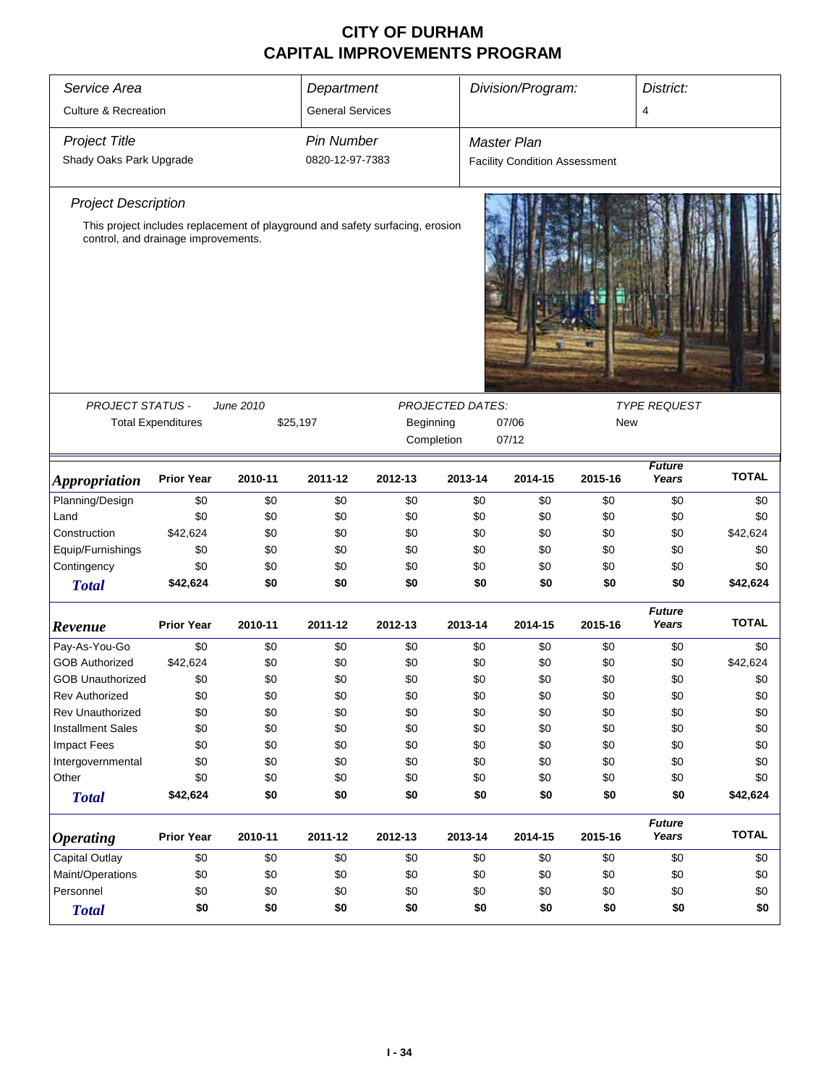| Service Area                        | Department                |                                                                               |                         |            |                  | Division/Program:<br>District:       |            |                        |              |  |
|-------------------------------------|---------------------------|-------------------------------------------------------------------------------|-------------------------|------------|------------------|--------------------------------------|------------|------------------------|--------------|--|
| <b>Culture &amp; Recreation</b>     |                           |                                                                               | <b>General Services</b> |            |                  |                                      |            | 4                      |              |  |
| <b>Project Title</b>                |                           |                                                                               | <b>Pin Number</b>       |            |                  | <b>Master Plan</b>                   |            |                        |              |  |
| Shady Oaks Park Upgrade             |                           |                                                                               | 0820-12-97-7383         |            |                  | <b>Facility Condition Assessment</b> |            |                        |              |  |
| <b>Project Description</b>          |                           |                                                                               |                         |            |                  |                                      |            |                        |              |  |
|                                     |                           | This project includes replacement of playground and safety surfacing, erosion |                         |            |                  |                                      |            |                        |              |  |
| control, and drainage improvements. |                           |                                                                               |                         |            |                  |                                      |            |                        |              |  |
|                                     |                           | June 2010                                                                     |                         |            |                  |                                      |            |                        |              |  |
| PROJECT STATUS -                    | <b>Total Expenditures</b> | \$25,197                                                                      |                         | Beginning  | PROJECTED DATES: | 07/06                                | <b>New</b> | <b>TYPE REQUEST</b>    |              |  |
|                                     |                           |                                                                               |                         | Completion |                  | 07/12                                |            |                        |              |  |
|                                     |                           |                                                                               |                         |            |                  |                                      |            |                        |              |  |
| <i><b>Appropriation</b></i>         | <b>Prior Year</b>         | 2010-11                                                                       | 2011-12                 | 2012-13    | 2013-14          | 2014-15                              | 2015-16    | <b>Future</b><br>Years | <b>TOTAL</b> |  |
| Planning/Design                     | \$0                       | \$0                                                                           | \$0                     | \$0        | \$0              | \$0                                  | \$0        | \$0                    | \$0          |  |
| Land                                | \$0                       | \$0                                                                           | \$0                     | \$0        | \$0              | \$0                                  | \$0        | \$0                    | \$0          |  |
| Construction                        | \$42,624                  | \$0                                                                           | \$0                     | \$0        | \$0              | \$0                                  | \$0        | \$0                    | \$42,624     |  |
| Equip/Furnishings                   | \$0                       | \$0                                                                           | \$0                     | \$0        | \$0              | \$0                                  | \$0        | \$0                    | \$0          |  |
| Contingency                         | \$0                       | \$0                                                                           | \$0                     | \$0        | \$0              | \$0                                  | \$0        | \$0                    | \$0          |  |
| <b>Total</b>                        | \$42,624                  | \$0                                                                           | \$0                     | \$0        | \$0              | \$0                                  | \$0        | \$0                    | \$42,624     |  |
| Revenue                             | <b>Prior Year</b>         | 2010-11                                                                       | 2011-12                 | 2012-13    | 2013-14          | 2014-15                              | 2015-16    | <b>Future</b><br>Years | <b>TOTAL</b> |  |
| Pay-As-You-Go                       | \$0                       | \$0                                                                           | \$0                     | \$0        | \$0              | \$0                                  | \$0        | \$0                    | \$0          |  |
| <b>GOB Authorized</b>               | \$42,624                  | \$0                                                                           | \$0                     | \$0        | \$0              | \$0                                  | \$0        | \$0                    | \$42,624     |  |
| <b>GOB Unauthorized</b>             | \$0                       | \$0                                                                           | \$0                     | \$0        | \$0              | \$0                                  | \$0        | \$0                    | \$0          |  |
| <b>Rev Authorized</b>               | \$0                       | \$0                                                                           | \$0                     | \$0        | \$0              | \$0                                  | \$0        | \$0                    | \$0          |  |
| Rev Unauthorized                    | \$0                       | \$0                                                                           | \$0                     | \$0        | \$0              | \$0                                  | \$0        | \$0                    | \$0          |  |
| <b>Installment Sales</b>            | \$0                       | \$0                                                                           | \$0                     | \$0        | \$0              | \$0                                  | \$0        | \$0                    | \$0          |  |
| <b>Impact Fees</b>                  | \$0                       | \$0                                                                           | \$0                     | \$0        | \$0              | \$0                                  | \$0        | \$0                    | \$0          |  |
| Intergovernmental                   | \$0                       | \$0                                                                           | \$0                     | \$0        | \$0              | \$0                                  | \$0        | \$0                    | \$0          |  |
| Other                               | \$0                       | \$0                                                                           | \$0                     | \$0        | \$0              | \$0                                  | \$0        | \$0                    | \$0          |  |
| <b>Total</b>                        | \$42,624                  | \$0                                                                           | \$0                     | \$0        | \$0              | \$0                                  | \$0        | \$0                    | \$42,624     |  |
| <b>Operating</b>                    | <b>Prior Year</b>         | 2010-11                                                                       | 2011-12                 | 2012-13    | 2013-14          | 2014-15                              | 2015-16    | <b>Future</b><br>Years | <b>TOTAL</b> |  |
| Capital Outlay                      | \$0                       | \$0                                                                           | \$0                     | \$0        | \$0              | \$0                                  | \$0        | \$0                    | \$0          |  |
| Maint/Operations                    | \$0                       | \$0                                                                           | \$0                     | \$0        | \$0              | \$0                                  | \$0        | \$0                    | \$0          |  |
| Personnel                           | \$0                       | \$0                                                                           | \$0                     | \$0        | \$0              | \$0                                  | \$0        | \$0                    | \$0          |  |
| <b>Total</b>                        | \$0                       | \$0                                                                           | \$0                     | \$0        | \$0              | \$0                                  | \$0        | \$0                    | \$0          |  |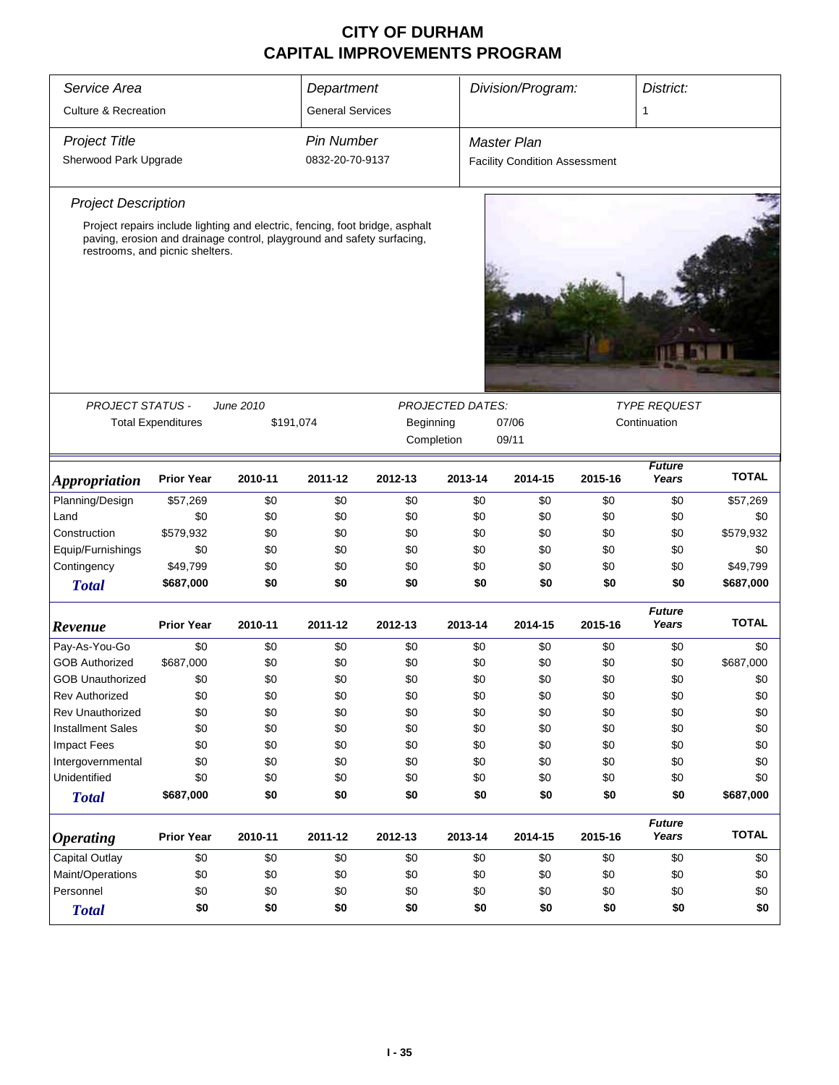| Service Area                    |                           |                                                                                                                                                        | Department              |           |                         | Division/Program:                    |         | District:              |              |
|---------------------------------|---------------------------|--------------------------------------------------------------------------------------------------------------------------------------------------------|-------------------------|-----------|-------------------------|--------------------------------------|---------|------------------------|--------------|
| <b>Culture &amp; Recreation</b> |                           |                                                                                                                                                        | <b>General Services</b> |           |                         |                                      |         | 1                      |              |
| <b>Project Title</b>            |                           |                                                                                                                                                        | Pin Number              |           |                         | Master Plan                          |         |                        |              |
| Sherwood Park Upgrade           |                           |                                                                                                                                                        | 0832-20-70-9137         |           |                         | <b>Facility Condition Assessment</b> |         |                        |              |
|                                 |                           |                                                                                                                                                        |                         |           |                         |                                      |         |                        |              |
| <b>Project Description</b>      |                           |                                                                                                                                                        |                         |           |                         |                                      |         |                        |              |
| restrooms, and picnic shelters. |                           | Project repairs include lighting and electric, fencing, foot bridge, asphalt<br>paving, erosion and drainage control, playground and safety surfacing, |                         |           |                         |                                      |         |                        |              |
|                                 |                           |                                                                                                                                                        |                         |           |                         |                                      |         |                        |              |
|                                 |                           |                                                                                                                                                        |                         |           |                         |                                      |         |                        |              |
| PROJECT STATUS -                |                           | June 2010                                                                                                                                              |                         |           | <b>PROJECTED DATES:</b> |                                      |         | <b>TYPE REQUEST</b>    |              |
|                                 | <b>Total Expenditures</b> | \$191,074                                                                                                                                              |                         | Beginning |                         | 07/06                                |         | Continuation           |              |
|                                 |                           |                                                                                                                                                        |                         |           | Completion              | 09/11                                |         |                        |              |
| <i><b>Appropriation</b></i>     | <b>Prior Year</b>         | 2010-11                                                                                                                                                | 2011-12                 | 2012-13   | 2013-14                 | 2014-15                              | 2015-16 | <b>Future</b><br>Years | <b>TOTAL</b> |
| Planning/Design                 | \$57,269                  | \$0                                                                                                                                                    | \$0                     | \$0       | \$0                     | \$0                                  | \$0     | \$0                    | \$57,269     |
| Land                            | \$0                       | \$0                                                                                                                                                    | \$0                     | \$0       | \$0                     | \$0                                  | \$0     | \$0                    | \$0          |
| Construction                    | \$579,932                 | \$0                                                                                                                                                    | \$0                     | \$0       | \$0                     | \$0                                  | \$0     | \$0                    | \$579,932    |
| Equip/Furnishings               | \$0                       | \$0                                                                                                                                                    | \$0                     | \$0       | \$0                     | \$0                                  | \$0     | \$0                    | \$0          |
| Contingency                     | \$49,799                  | \$0                                                                                                                                                    | \$0                     | \$0       | \$0                     | \$0                                  | \$0     | \$0                    | \$49,799     |
| <b>Total</b>                    | \$687,000                 | \$0                                                                                                                                                    | \$0                     | \$0       | \$0                     | \$0                                  | \$0     | \$0                    | \$687,000    |
| Revenue                         | <b>Prior Year</b>         | 2010-11                                                                                                                                                | 2011-12                 | 2012-13   | 2013-14                 | 2014-15                              | 2015-16 | <b>Future</b><br>Years | <b>TOTAL</b> |
| Pay-As-You-Go                   | \$0                       | \$0                                                                                                                                                    | \$0                     | \$0       | \$0                     | \$0                                  | \$0     | \$0                    | \$0          |
| <b>GOB Authorized</b>           | \$687,000                 | \$0                                                                                                                                                    | \$0                     | \$0       | \$0                     | \$0                                  | \$0     | \$0                    | \$687,000    |
| <b>GOB Unauthorized</b>         | \$0                       | \$0                                                                                                                                                    | \$0                     | \$0       | \$0                     | \$0                                  | \$0     | \$0                    | \$0          |
| <b>Rev Authorized</b>           | \$0                       | \$0                                                                                                                                                    | \$0                     | \$0       | \$0                     | \$0                                  | \$0     | \$0                    | \$0          |
| Rev Unauthorized                | \$0                       | \$0                                                                                                                                                    | \$0                     | \$0       | \$0                     | \$0                                  | \$0     | \$0                    | \$0          |
| <b>Installment Sales</b>        | \$0                       | \$0                                                                                                                                                    | \$0                     | \$0       | \$0                     | \$0                                  | \$0     | \$0                    | \$0          |
| <b>Impact Fees</b>              | \$0                       | \$0                                                                                                                                                    | \$0                     | \$0       | \$0                     | \$0                                  | \$0     | \$0                    | \$0          |
| Intergovernmental               | \$0                       | \$0                                                                                                                                                    | \$0                     | \$0       | \$0                     | \$0                                  | \$0     | \$0                    | \$0          |
| Unidentified                    | \$0                       | \$0                                                                                                                                                    | \$0                     | \$0       | \$0                     | \$0                                  | \$0     | \$0                    | \$0          |
| <b>Total</b>                    | \$687,000                 | \$0                                                                                                                                                    | \$0                     | \$0       | \$0                     | \$0                                  | \$0     | \$0                    | \$687,000    |
| <i><b>Operating</b></i>         | <b>Prior Year</b>         | 2010-11                                                                                                                                                | 2011-12                 | 2012-13   | 2013-14                 | 2014-15                              | 2015-16 | <b>Future</b><br>Years | <b>TOTAL</b> |
| <b>Capital Outlay</b>           | \$0                       | \$0                                                                                                                                                    | \$0                     | \$0       | \$0                     | \$0                                  | \$0     | \$0                    | \$0          |
| Maint/Operations                | \$0                       | \$0                                                                                                                                                    | \$0                     | \$0       | \$0                     | \$0                                  | \$0     | \$0                    | \$0          |
| Personnel                       | \$0                       | \$0                                                                                                                                                    | \$0                     | \$0       | \$0                     | \$0                                  | \$0     | \$0                    | \$0          |
| <b>Total</b>                    | \$0                       | \$0                                                                                                                                                    | \$0                     | \$0       | \$0                     | \$0                                  | \$0     | \$0                    | \$0          |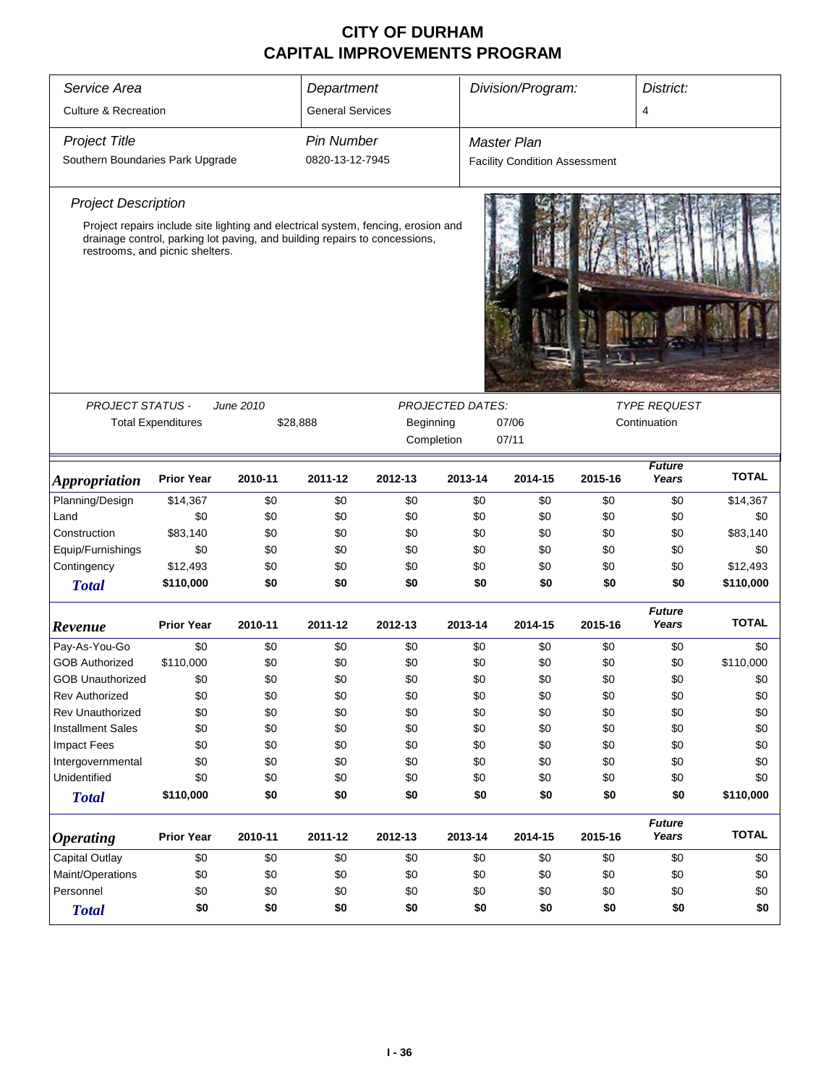| Service Area                     |                                 |           | Department              |                                                                                                                                                                 |                         | Division/Program:<br>District:       |         |                        |              |  |
|----------------------------------|---------------------------------|-----------|-------------------------|-----------------------------------------------------------------------------------------------------------------------------------------------------------------|-------------------------|--------------------------------------|---------|------------------------|--------------|--|
| <b>Culture &amp; Recreation</b>  |                                 |           | <b>General Services</b> |                                                                                                                                                                 |                         |                                      |         | 4                      |              |  |
| <b>Project Title</b>             |                                 |           | <b>Pin Number</b>       |                                                                                                                                                                 |                         | <b>Master Plan</b>                   |         |                        |              |  |
| Southern Boundaries Park Upgrade |                                 |           | 0820-13-12-7945         |                                                                                                                                                                 |                         | <b>Facility Condition Assessment</b> |         |                        |              |  |
| <b>Project Description</b>       |                                 |           |                         |                                                                                                                                                                 |                         |                                      |         |                        |              |  |
|                                  | restrooms, and picnic shelters. |           |                         | Project repairs include site lighting and electrical system, fencing, erosion and<br>drainage control, parking lot paving, and building repairs to concessions, |                         |                                      |         |                        |              |  |
|                                  |                                 |           |                         |                                                                                                                                                                 |                         |                                      |         |                        |              |  |
| PROJECT STATUS -                 |                                 | June 2010 |                         |                                                                                                                                                                 | <b>PROJECTED DATES:</b> |                                      |         | <b>TYPE REQUEST</b>    |              |  |
|                                  | <b>Total Expenditures</b>       | \$28,888  | Beginning               |                                                                                                                                                                 |                         | 07/06                                |         | Continuation           |              |  |
|                                  |                                 |           |                         | Completion                                                                                                                                                      |                         | 07/11                                |         |                        |              |  |
| <b>Appropriation</b>             | <b>Prior Year</b>               | 2010-11   | 2011-12                 | 2012-13                                                                                                                                                         | 2013-14                 | 2014-15                              | 2015-16 | Future<br>Years        | <b>TOTAL</b> |  |
| Planning/Design                  | \$14,367                        | \$0       | \$0                     | \$0                                                                                                                                                             | \$0                     | \$0                                  | \$0     | \$0                    | \$14,367     |  |
| Land                             | \$0                             | \$0       | \$0                     | \$0                                                                                                                                                             | \$0                     | \$0                                  | \$0     | \$0                    | \$0          |  |
| Construction                     | \$83,140                        | \$0       | \$0                     | \$0                                                                                                                                                             | \$0                     | \$0                                  | \$0     | \$0                    | \$83,140     |  |
| Equip/Furnishings                | \$0                             | \$0       | \$0                     | \$0                                                                                                                                                             | \$0                     | \$0                                  | \$0     | \$0                    | \$0          |  |
| Contingency                      | \$12,493                        | \$0       | \$0                     | \$0                                                                                                                                                             | \$0                     | \$0                                  | \$0     | \$0                    | \$12,493     |  |
| <b>Total</b>                     | \$110,000                       | \$0       | \$0                     | \$0                                                                                                                                                             | \$0                     | \$0                                  | \$0     | \$0                    | \$110,000    |  |
| Revenue                          | <b>Prior Year</b>               | 2010-11   | 2011-12                 | 2012-13                                                                                                                                                         | 2013-14                 | 2014-15                              | 2015-16 | <b>Future</b><br>Years | <b>TOTAL</b> |  |
| Pay-As-You-Go                    | \$0                             | \$0       | \$0                     | \$0                                                                                                                                                             | \$0                     | \$0                                  | \$0     | \$0                    | \$0          |  |
| <b>GOB Authorized</b>            | \$110,000                       | \$0       | \$0                     | \$0                                                                                                                                                             | \$0                     | \$0                                  | \$0     | \$0                    | \$110,000    |  |
| <b>GOB Unauthorized</b>          | \$0                             | \$0       | \$0                     | \$0                                                                                                                                                             | \$0                     | \$0                                  | \$0     | \$0                    | \$0          |  |
| <b>Rev Authorized</b>            | \$0                             | \$0       | \$0                     | \$0                                                                                                                                                             | \$0                     | \$0                                  | \$0     | \$0                    | \$0          |  |
| <b>Rev Unauthorized</b>          | \$0                             | \$0       | \$0                     | \$0                                                                                                                                                             | \$0                     | \$0                                  | \$0     | \$0                    | \$0          |  |
| <b>Installment Sales</b>         | \$0                             | \$0       | \$0                     | \$0                                                                                                                                                             | \$0                     | \$0                                  | \$0     | \$0                    | \$0          |  |
| <b>Impact Fees</b>               | \$0                             | \$0       | \$0                     | \$0                                                                                                                                                             | \$0                     | \$0                                  | \$0     | \$0                    | \$0          |  |
| Intergovernmental                | \$0                             | \$0       | \$0                     | \$0                                                                                                                                                             | \$0                     | \$0                                  | \$0     | \$0                    | \$0          |  |
| Unidentified                     | \$0                             | \$0       | \$0                     | \$0                                                                                                                                                             | \$0                     | \$0                                  | \$0     | \$0                    | \$0          |  |
| <b>Total</b>                     | \$110,000                       | \$0       | \$0                     | \$0                                                                                                                                                             | \$0                     | \$0                                  | \$0     | \$0                    | \$110,000    |  |
| <b>Operating</b>                 | <b>Prior Year</b>               | 2010-11   | 2011-12                 | 2012-13                                                                                                                                                         | 2013-14                 | 2014-15                              | 2015-16 | <b>Future</b><br>Years | <b>TOTAL</b> |  |
| Capital Outlay                   | \$0                             | \$0       | \$0                     | \$0                                                                                                                                                             | \$0                     | \$0                                  | \$0     | \$0                    | \$0          |  |
| Maint/Operations                 | \$0                             | \$0       | \$0                     | \$0                                                                                                                                                             | \$0                     | \$0                                  | \$0     | \$0                    | \$0          |  |
| Personnel                        | \$0                             | \$0       | \$0                     | \$0                                                                                                                                                             | \$0                     | \$0                                  | \$0     | \$0                    | \$0          |  |
| <b>Total</b>                     | \$0                             | \$0       | \$0                     | \$0                                                                                                                                                             | \$0                     | \$0                                  | \$0     | \$0                    | \$0          |  |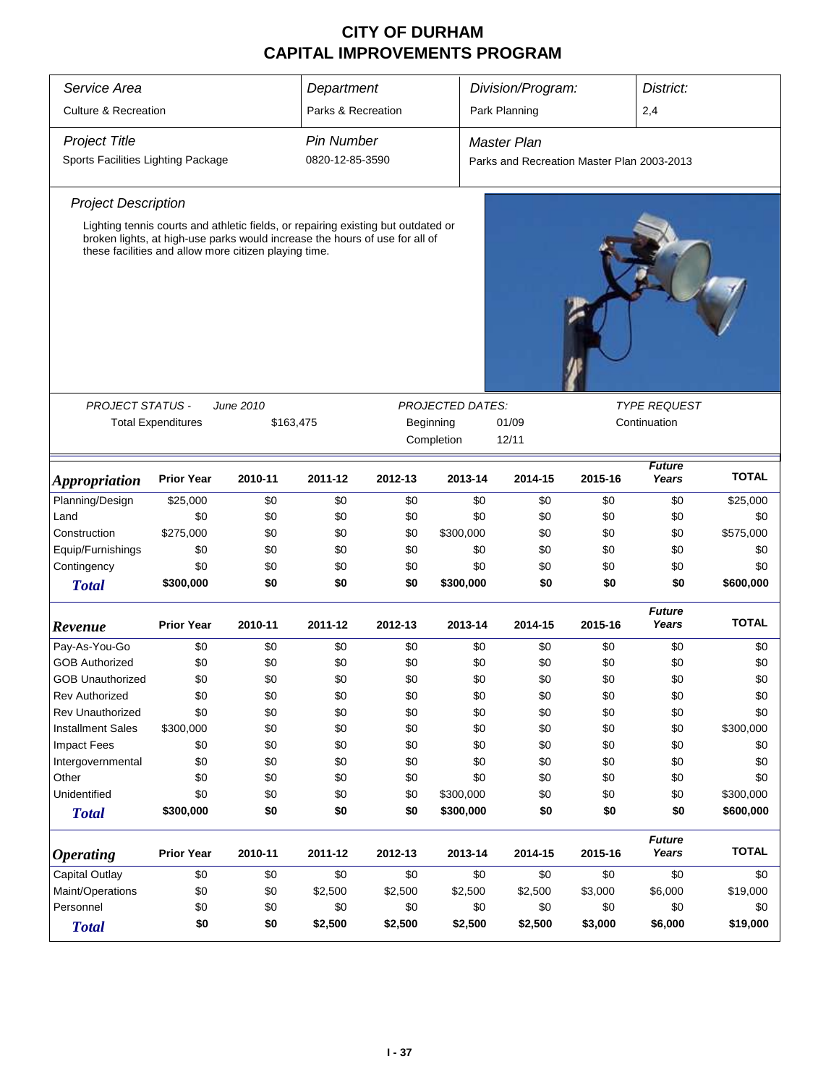| Service Area                       |                                                                                                                                      |           | Department         |         |                         | Division/Program:                          |         | District:              |              |
|------------------------------------|--------------------------------------------------------------------------------------------------------------------------------------|-----------|--------------------|---------|-------------------------|--------------------------------------------|---------|------------------------|--------------|
| <b>Culture &amp; Recreation</b>    |                                                                                                                                      |           | Parks & Recreation |         |                         | Park Planning                              |         | 2,4                    |              |
|                                    |                                                                                                                                      |           |                    |         |                         |                                            |         |                        |              |
| <b>Project Title</b>               |                                                                                                                                      |           | <b>Pin Number</b>  |         |                         | <b>Master Plan</b>                         |         |                        |              |
| Sports Facilities Lighting Package |                                                                                                                                      |           | 0820-12-85-3590    |         |                         | Parks and Recreation Master Plan 2003-2013 |         |                        |              |
| <b>Project Description</b>         |                                                                                                                                      |           |                    |         |                         |                                            |         |                        |              |
|                                    | Lighting tennis courts and athletic fields, or repairing existing but outdated or                                                    |           |                    |         |                         |                                            |         |                        |              |
|                                    | broken lights, at high-use parks would increase the hours of use for all of<br>these facilities and allow more citizen playing time. |           |                    |         |                         |                                            |         |                        |              |
|                                    |                                                                                                                                      |           |                    |         |                         |                                            |         |                        |              |
| PROJECT STATUS -                   |                                                                                                                                      | June 2010 |                    |         | <b>PROJECTED DATES:</b> |                                            |         | <b>TYPE REQUEST</b>    |              |
|                                    | <b>Total Expenditures</b>                                                                                                            |           | \$163,475          |         | Beginning               | 01/09                                      |         | Continuation           |              |
|                                    |                                                                                                                                      |           |                    |         | Completion              | 12/11                                      |         |                        |              |
| <i><b>Appropriation</b></i>        | <b>Prior Year</b>                                                                                                                    | 2010-11   | 2011-12            | 2012-13 | 2013-14                 | 2014-15                                    | 2015-16 | <b>Future</b><br>Years | <b>TOTAL</b> |
| Planning/Design                    | \$25,000                                                                                                                             | \$0       | \$0                | \$0     | \$0                     | \$0                                        | \$0     | \$0                    | \$25,000     |
| Land                               | \$0                                                                                                                                  | \$0       | \$0                | \$0     | \$0                     | \$0                                        | \$0     | \$0                    | \$0          |
| Construction                       | \$275,000                                                                                                                            | \$0       | \$0                | \$0     | \$300,000               | \$0                                        | \$0     | \$0                    | \$575,000    |
| Equip/Furnishings                  | \$0                                                                                                                                  | \$0       | \$0                | \$0     | \$0                     | \$0                                        | \$0     | \$0                    | \$0          |
| Contingency                        | \$0                                                                                                                                  | \$0       | \$0                | \$0     | \$0                     | \$0                                        | \$0     | \$0                    | \$0          |
| <b>Total</b>                       | \$300,000                                                                                                                            | \$0       | \$0                | \$0     | \$300,000               | \$0                                        | \$0     | \$0                    | \$600,000    |
| Revenue                            | <b>Prior Year</b>                                                                                                                    | 2010-11   | 2011-12            | 2012-13 | 2013-14                 | 2014-15                                    | 2015-16 | <b>Future</b><br>Years | <b>TOTAL</b> |
| Pay-As-You-Go                      | \$0                                                                                                                                  | \$0       | \$0                | \$0     | \$0                     | \$0                                        | \$0     | \$0                    | \$0          |
| <b>GOB Authorized</b>              | \$0                                                                                                                                  | \$0       | \$0                | \$0     | \$0                     | \$0                                        | \$0     | \$0                    | \$0          |
| GOB Unauthorized                   | \$0                                                                                                                                  | \$0       | \$0                | \$0     | \$0                     | \$0                                        | \$0     | \$0                    | \$0          |
| Rev Authorized                     | \$0                                                                                                                                  | \$0       | \$0                | \$0     | \$0                     | \$0                                        | \$0     | \$0                    | \$0          |
| Rev Unauthorized                   | \$0                                                                                                                                  | \$0       | \$0                | \$0     | \$0                     | \$0                                        | \$0     | \$0                    | \$0          |
| <b>Installment Sales</b>           | \$300,000                                                                                                                            | \$0       | \$0                | \$0     | \$0                     | \$0                                        | \$0     | \$0                    | \$300,000    |
| <b>Impact Fees</b>                 | \$0                                                                                                                                  | \$0       | \$0                | \$0     | \$0                     | \$0                                        | \$0     | \$0                    | \$0          |
| Intergovernmental                  | \$0                                                                                                                                  | \$0       | \$0                | \$0     | \$0                     | \$0                                        | \$0     | \$0                    | \$0          |
| Other                              | \$0                                                                                                                                  | \$0       | \$0                | \$0     | \$0                     | \$0                                        | \$0     | \$0                    | \$0          |
| Unidentified                       | \$0                                                                                                                                  | \$0       | \$0                | \$0     | \$300,000               | \$0                                        | \$0     | \$0                    | \$300,000    |
| <b>Total</b>                       | \$300,000                                                                                                                            | \$0       | \$0                | \$0     | \$300,000               | \$0                                        | \$0     | \$0                    | \$600,000    |
| <b>Operating</b>                   | <b>Prior Year</b>                                                                                                                    | 2010-11   | 2011-12            | 2012-13 | 2013-14                 | 2014-15                                    | 2015-16 | <b>Future</b><br>Years | <b>TOTAL</b> |
| Capital Outlay                     | \$0                                                                                                                                  | \$0       | \$0                | \$0     | \$0                     | \$0                                        | \$0     | \$0                    | \$0          |
| Maint/Operations                   | \$0                                                                                                                                  | \$0       | \$2,500            | \$2,500 | \$2,500                 | \$2,500                                    | \$3,000 | \$6,000                | \$19,000     |
| Personnel                          | \$0                                                                                                                                  | \$0       | \$0                | \$0     | \$0                     | \$0                                        | \$0     | \$0                    | \$0          |
| <b>Total</b>                       | \$0                                                                                                                                  | \$0       | \$2,500            | \$2,500 | \$2,500                 | \$2,500                                    | \$3,000 | \$6,000                | \$19,000     |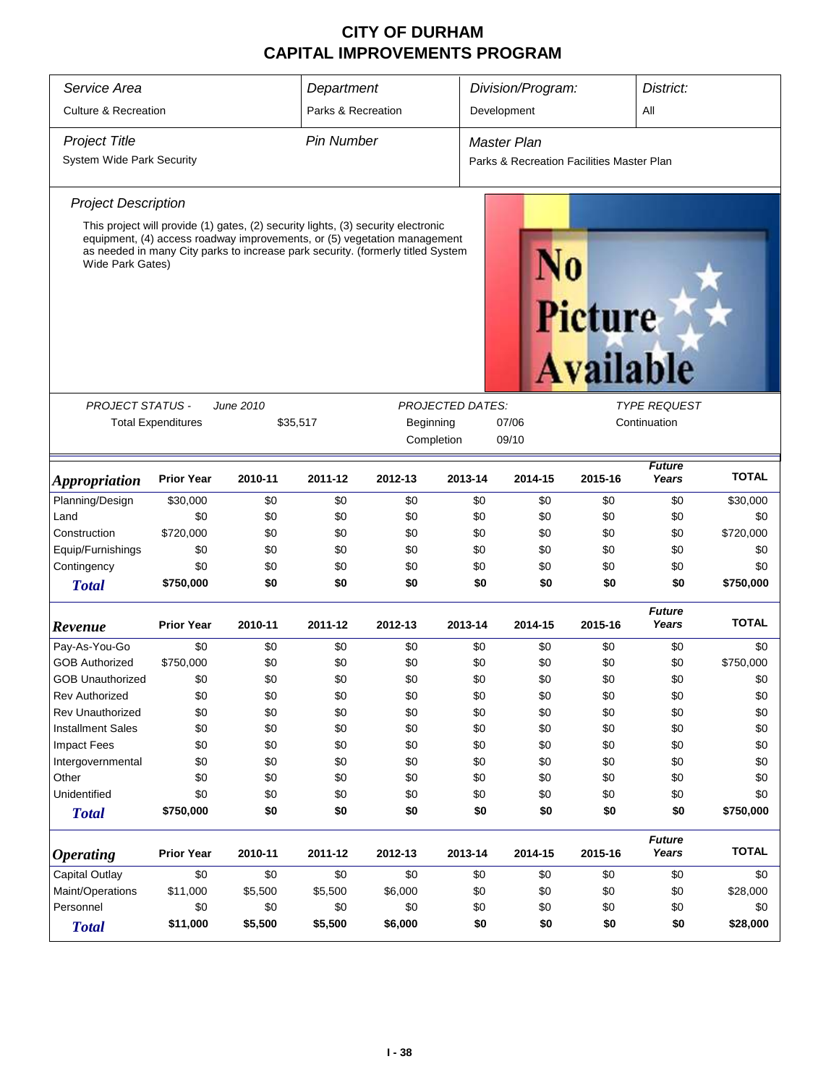| Service Area                     |                           |           | Department         |                                                                                                                                                                                                                                                  |                         | Division/Program:                         |                | District:              |              |
|----------------------------------|---------------------------|-----------|--------------------|--------------------------------------------------------------------------------------------------------------------------------------------------------------------------------------------------------------------------------------------------|-------------------------|-------------------------------------------|----------------|------------------------|--------------|
| <b>Culture &amp; Recreation</b>  |                           |           | Parks & Recreation |                                                                                                                                                                                                                                                  |                         | Development                               |                | All                    |              |
| <b>Project Title</b>             |                           |           | <b>Pin Number</b>  |                                                                                                                                                                                                                                                  |                         | <b>Master Plan</b>                        |                |                        |              |
| <b>System Wide Park Security</b> |                           |           |                    |                                                                                                                                                                                                                                                  |                         | Parks & Recreation Facilities Master Plan |                |                        |              |
| <b>Project Description</b>       |                           |           |                    |                                                                                                                                                                                                                                                  |                         |                                           |                |                        |              |
| Wide Park Gates)                 |                           |           |                    | This project will provide (1) gates, (2) security lights, (3) security electronic<br>equipment, (4) access roadway improvements, or (5) vegetation management<br>as needed in many City parks to increase park security. (formerly titled System |                         |                                           | <b>Picture</b> | <b>Available</b>       |              |
| <b>PROJECT STATUS -</b>          |                           | June 2010 |                    |                                                                                                                                                                                                                                                  | <b>PROJECTED DATES:</b> |                                           |                | <b>TYPE REQUEST</b>    |              |
|                                  | <b>Total Expenditures</b> | \$35,517  | Beginning          |                                                                                                                                                                                                                                                  |                         | 07/06                                     |                | Continuation           |              |
|                                  |                           |           |                    | Completion                                                                                                                                                                                                                                       |                         | 09/10                                     |                |                        |              |
| <i><b>Appropriation</b></i>      | <b>Prior Year</b>         | 2010-11   | 2011-12            | 2012-13                                                                                                                                                                                                                                          | 2013-14                 | 2014-15                                   | 2015-16        | <b>Future</b><br>Years | <b>TOTAL</b> |
| Planning/Design                  | \$30,000                  | \$0       | \$0                | \$0                                                                                                                                                                                                                                              | \$0                     | \$0                                       | \$0            | \$0                    | \$30,000     |
| Land                             | \$0                       | \$0       | \$0                | \$0                                                                                                                                                                                                                                              | \$0                     | \$0                                       | \$0            | \$0                    | \$0          |
| Construction                     | \$720,000                 | \$0       | \$0                | \$0                                                                                                                                                                                                                                              | \$0                     | \$0                                       | \$0            | \$0                    | \$720,000    |
| Equip/Furnishings                | \$0                       | \$0       | \$0                | \$0                                                                                                                                                                                                                                              | \$0                     | \$0                                       | \$0            | \$0                    | \$0          |
| Contingency                      | \$0                       | \$0       | \$0                | \$0                                                                                                                                                                                                                                              | \$0                     | \$0                                       | \$0            | \$0                    | \$0          |
| <b>Total</b>                     | \$750,000                 | \$0       | \$0                | \$0                                                                                                                                                                                                                                              | \$0                     | \$0                                       | \$0            | \$0                    | \$750,000    |
| Revenue                          | <b>Prior Year</b>         | 2010-11   | 2011-12            | 2012-13                                                                                                                                                                                                                                          | 2013-14                 | 2014-15                                   | 2015-16        | <b>Future</b><br>Years | <b>TOTAL</b> |
| Pay-As-You-Go                    | \$0                       | \$0       | \$0                | \$0                                                                                                                                                                                                                                              | \$0                     | \$0                                       | \$0            | \$0                    | \$0          |
| <b>GOB Authorized</b>            | \$750,000                 | \$0       | \$0                | \$0                                                                                                                                                                                                                                              | \$0                     | \$0                                       | \$0            | \$0                    | \$750,000    |
| <b>GOB Unauthorized</b>          | \$0                       | \$0       | \$0                | \$0                                                                                                                                                                                                                                              | \$0                     | \$0                                       | \$0            | \$0                    | \$0          |
| <b>Rev Authorized</b>            | \$0                       | \$0       | \$0                | \$0                                                                                                                                                                                                                                              | \$0                     | \$0                                       | \$0            | \$0                    | \$0          |
| Rev Unauthorized                 | \$0                       | \$0       | \$0                | \$0                                                                                                                                                                                                                                              | \$0                     | \$0                                       | \$0            | \$0                    | \$0          |
| <b>Installment Sales</b>         | \$0                       | \$0       | \$0                | \$0                                                                                                                                                                                                                                              | \$0                     | \$0                                       | \$0            | \$0                    | \$0          |
| Impact Fees                      | \$0                       | \$0       | \$0                | \$0                                                                                                                                                                                                                                              | \$0                     | \$0                                       | \$0            | \$0                    | \$0          |
| Intergovernmental                | \$0                       | \$0       | \$0                | \$0                                                                                                                                                                                                                                              | \$0                     | \$0                                       | \$0            | \$0                    | \$0          |
| Other                            | \$0                       | \$0       | \$0                | \$0                                                                                                                                                                                                                                              | \$0                     | \$0                                       | \$0            | \$0                    | \$0          |
| Unidentified                     | \$0                       | \$0       | \$0                | \$0                                                                                                                                                                                                                                              | \$0                     | \$0                                       | \$0            | \$0                    | \$0          |
| <b>Total</b>                     | \$750,000                 | \$0       | \$0                | \$0                                                                                                                                                                                                                                              | \$0                     | \$0                                       | \$0            | \$0                    | \$750,000    |
| <b>Operating</b>                 | <b>Prior Year</b>         | 2010-11   | 2011-12            | 2012-13                                                                                                                                                                                                                                          | 2013-14                 | 2014-15                                   | 2015-16        | <b>Future</b><br>Years | <b>TOTAL</b> |
| <b>Capital Outlay</b>            | \$0                       | \$0       | \$0                | \$0                                                                                                                                                                                                                                              | \$0                     | \$0                                       | \$0            | \$0                    | \$0          |
| Maint/Operations                 | \$11,000                  | \$5,500   | \$5,500            | \$6,000                                                                                                                                                                                                                                          | \$0                     | \$0                                       | \$0            | \$0                    | \$28,000     |
| Personnel                        | \$0                       | \$0       | \$0                | \$0                                                                                                                                                                                                                                              | \$0                     | \$0                                       | \$0            | \$0                    | \$0          |
| <b>Total</b>                     | \$11,000                  | \$5,500   | \$5,500            | \$6,000                                                                                                                                                                                                                                          | \$0                     | \$0                                       | \$0            | \$0                    | \$28,000     |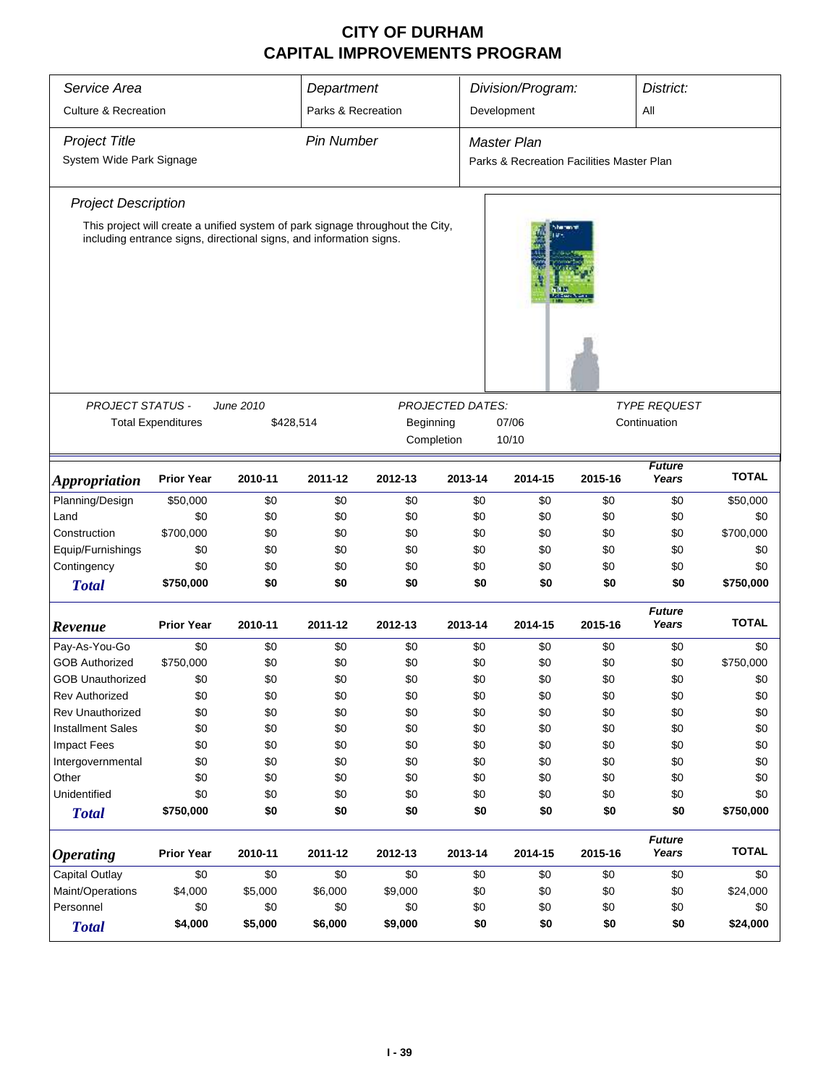| Service Area                    |                           |                                                                     | Department         |                                                                                |                         | Division/Program:                         |              | District:              |              |
|---------------------------------|---------------------------|---------------------------------------------------------------------|--------------------|--------------------------------------------------------------------------------|-------------------------|-------------------------------------------|--------------|------------------------|--------------|
| <b>Culture &amp; Recreation</b> |                           |                                                                     | Parks & Recreation |                                                                                |                         | Development                               |              | All                    |              |
|                                 |                           |                                                                     |                    |                                                                                |                         |                                           |              |                        |              |
| <b>Project Title</b>            |                           |                                                                     | <b>Pin Number</b>  |                                                                                |                         | <b>Master Plan</b>                        |              |                        |              |
| System Wide Park Signage        |                           |                                                                     |                    |                                                                                |                         | Parks & Recreation Facilities Master Plan |              |                        |              |
| <b>Project Description</b>      |                           |                                                                     |                    |                                                                                |                         |                                           |              |                        |              |
|                                 |                           |                                                                     |                    | This project will create a unified system of park signage throughout the City, |                         | dan tana                                  |              |                        |              |
|                                 |                           | including entrance signs, directional signs, and information signs. |                    |                                                                                |                         |                                           |              |                        |              |
| <b>PROJECT STATUS -</b>         |                           | June 2010                                                           |                    |                                                                                | <b>PROJECTED DATES:</b> |                                           |              | <b>TYPE REQUEST</b>    |              |
|                                 | <b>Total Expenditures</b> | \$428,514                                                           |                    | Beginning                                                                      | 07/06                   |                                           | Continuation |                        |              |
|                                 |                           |                                                                     |                    | Completion                                                                     |                         | 10/10                                     |              |                        |              |
|                                 |                           |                                                                     |                    |                                                                                |                         |                                           |              |                        |              |
| <i><b>Appropriation</b></i>     | <b>Prior Year</b>         | 2010-11                                                             | 2011-12            | 2012-13                                                                        | 2013-14                 | 2014-15                                   | 2015-16      | <b>Future</b><br>Years | <b>TOTAL</b> |
| Planning/Design                 | \$50,000                  | \$0                                                                 | \$0                | \$0                                                                            | \$0                     | \$0                                       | \$0          | \$0                    | \$50,000     |
| Land                            | \$0                       | \$0                                                                 | \$0                | \$0                                                                            | \$0                     | \$0                                       | \$0          | \$0                    | \$0          |
| Construction                    | \$700,000                 | \$0                                                                 | \$0                | \$0                                                                            | \$0                     | \$0                                       | \$0          | \$0                    | \$700,000    |
| Equip/Furnishings               | \$0                       | \$0                                                                 | \$0                | \$0                                                                            | \$0                     | \$0                                       | \$0          | \$0                    | \$0          |
| Contingency                     | \$0                       | \$0                                                                 | \$0                | \$0                                                                            | \$0                     | \$0                                       | \$0          | \$0                    | \$0          |
| <b>Total</b>                    | \$750,000                 | \$0                                                                 | \$0                | \$0                                                                            | \$0                     | \$0                                       | \$0          | \$0                    | \$750,000    |
| Revenue                         | <b>Prior Year</b>         | 2010-11                                                             | 2011-12            | 2012-13                                                                        | 2013-14                 | 2014-15                                   | 2015-16      | <b>Future</b><br>Years | <b>TOTAL</b> |
| Pay-As-You-Go                   | \$0                       | \$0                                                                 | \$0                | \$0                                                                            | \$0                     | \$0                                       | \$0          | \$0                    | \$0          |
| <b>GOB Authorized</b>           | \$750,000                 | \$0                                                                 | \$0                | \$0                                                                            | \$0                     | \$0                                       | \$0          | \$0                    | \$750,000    |
| <b>GOB Unauthorized</b>         | \$0                       | \$0                                                                 | \$0                | \$0                                                                            | \$0                     | \$0                                       | \$0          | \$0                    | \$0          |
| <b>Rev Authorized</b>           | \$0                       | \$0                                                                 | \$0                | \$0                                                                            | \$0                     | \$0                                       | \$0          | \$0                    | \$0          |
| Rev Unauthorized                | \$0                       | \$0                                                                 | \$0                | \$0                                                                            | \$0                     | \$0                                       | \$0          | \$0                    | \$0          |
| <b>Installment Sales</b>        | \$0                       | \$0                                                                 | \$0                | \$0                                                                            | \$0                     | \$0                                       | \$0          | \$0                    | \$0          |
| <b>Impact Fees</b>              | \$0                       | \$0                                                                 | \$0                | \$0                                                                            | \$0                     | \$0                                       | \$0          | \$0                    | \$0          |
| Intergovernmental               | \$0                       | \$0                                                                 | \$0                | \$0                                                                            | \$0                     | \$0                                       | \$0          | \$0                    | \$0          |
| Other                           | \$0                       | \$0                                                                 | \$0                | \$0                                                                            | \$0                     | \$0                                       | \$0          | \$0                    | \$0          |
| Unidentified                    | \$0                       | \$0                                                                 | \$0                | \$0                                                                            | \$0                     | \$0                                       | \$0          | \$0                    | \$0          |
| <b>Total</b>                    | \$750,000                 | \$0                                                                 | \$0                | \$0                                                                            | \$0                     | \$0                                       | \$0          | \$0                    | \$750,000    |
| <i><b>Operating</b></i>         | <b>Prior Year</b>         | 2010-11                                                             | 2011-12            | 2012-13                                                                        | 2013-14                 | 2014-15                                   | 2015-16      | <b>Future</b><br>Years | <b>TOTAL</b> |
| Capital Outlay                  | \$0                       | \$0                                                                 | \$0                | \$0                                                                            | \$0                     | \$0                                       | \$0          | \$0                    | \$0          |
| Maint/Operations                | \$4,000                   | \$5,000                                                             | \$6,000            | \$9,000                                                                        | \$0                     | \$0                                       | \$0          | \$0                    | \$24,000     |
| Personnel                       | \$0                       | \$0                                                                 | \$0                | \$0                                                                            | \$0                     | \$0                                       | \$0          | \$0                    | \$0          |
| <b>Total</b>                    | \$4,000                   | \$5,000                                                             | \$6,000            | \$9,000                                                                        | \$0                     | \$0                                       | \$0          | \$0                    | \$24,000     |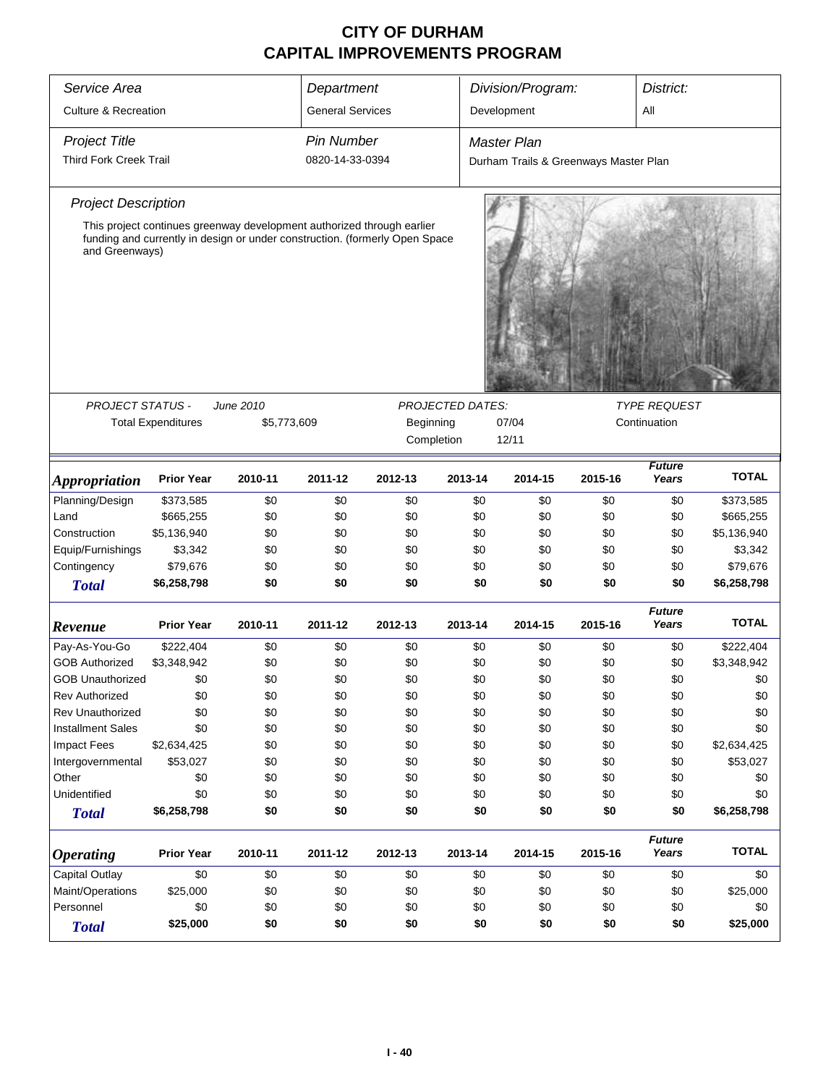| Service Area                    |                                                                             |             | Department              |            |                  | Division/Program:                     |         | District:              |              |  |  |
|---------------------------------|-----------------------------------------------------------------------------|-------------|-------------------------|------------|------------------|---------------------------------------|---------|------------------------|--------------|--|--|
| <b>Culture &amp; Recreation</b> |                                                                             |             | <b>General Services</b> |            |                  | Development                           |         | All                    |              |  |  |
| <b>Project Title</b>            |                                                                             |             | <b>Pin Number</b>       |            |                  | <b>Master Plan</b>                    |         |                        |              |  |  |
| <b>Third Fork Creek Trail</b>   |                                                                             |             | 0820-14-33-0394         |            |                  | Durham Trails & Greenways Master Plan |         |                        |              |  |  |
| <b>Project Description</b>      |                                                                             |             |                         |            |                  |                                       |         |                        |              |  |  |
|                                 | This project continues greenway development authorized through earlier      |             |                         |            |                  |                                       |         |                        |              |  |  |
| and Greenways)                  | funding and currently in design or under construction. (formerly Open Space |             |                         |            |                  |                                       |         |                        |              |  |  |
| PROJECT STATUS -                |                                                                             | June 2010   |                         |            | PROJECTED DATES: |                                       |         | <b>TYPE REQUEST</b>    |              |  |  |
|                                 | <b>Total Expenditures</b>                                                   | \$5,773,609 |                         | Beginning  |                  | 07/04                                 |         | Continuation           |              |  |  |
|                                 |                                                                             |             |                         | Completion |                  | 12/11                                 |         |                        |              |  |  |
| <i><b>Appropriation</b></i>     | <b>Prior Year</b>                                                           | 2010-11     | 2011-12                 | 2012-13    | 2013-14          | 2014-15                               | 2015-16 | <b>Future</b><br>Years | <b>TOTAL</b> |  |  |
| Planning/Design                 | \$373,585                                                                   | \$0         | \$0                     | \$0        | \$0              | \$0                                   | \$0     | \$0                    | \$373,585    |  |  |
| Land                            | \$665,255                                                                   | \$0         | \$0                     | \$0        | \$0              | \$0                                   | \$0     | \$0                    | \$665,255    |  |  |
| Construction                    | \$5,136,940                                                                 | \$0         | \$0                     | \$0        | \$0              | \$0                                   | \$0     | \$0                    | \$5,136,940  |  |  |
| Equip/Furnishings               | \$3,342                                                                     | \$0         | \$0                     | \$0        | \$0              | \$0                                   | \$0     | \$0                    | \$3,342      |  |  |
| Contingency                     | \$79,676                                                                    | \$0         | \$0                     | \$0        | \$0              | \$0                                   | \$0     | \$0                    | \$79,676     |  |  |
| <b>Total</b>                    | \$6,258,798                                                                 | \$0         | \$0                     | \$0        | \$0              | \$0                                   | \$0     | \$0                    | \$6,258,798  |  |  |
| Revenue                         | <b>Prior Year</b>                                                           | 2010-11     | 2011-12                 | 2012-13    | 2013-14          | 2014-15                               | 2015-16 | <b>Future</b><br>Years | <b>TOTAL</b> |  |  |
| Pay-As-You-Go                   | \$222,404                                                                   | \$0         | \$0                     | \$0        | \$0              | \$0                                   | \$0     | \$0                    | \$222,404    |  |  |
| <b>GOB Authorized</b>           | \$3,348,942                                                                 | \$0         | \$0                     | \$0        | \$0              | \$0                                   | \$0     | \$0                    | \$3,348,942  |  |  |
| <b>GOB Unauthorized</b>         | \$0                                                                         | \$0         | \$0                     | \$0        | \$0              | \$0                                   | \$0     | \$0                    | \$0          |  |  |
| <b>Rev Authorized</b>           | \$0                                                                         | \$0         | \$0                     | \$0        | \$0              | \$0                                   | \$0     | \$0                    | \$0          |  |  |
| Rev Unauthorized                | \$0                                                                         | \$0         | \$0                     | \$0        | \$0              | \$0                                   | \$0     | \$0                    | \$0          |  |  |
| <b>Installment Sales</b>        | \$0                                                                         | \$0         | \$0                     | \$0        | \$0              | \$0                                   | \$0     | \$0                    | \$0          |  |  |
| <b>Impact Fees</b>              | \$2,634,425                                                                 | \$0         | \$0                     | \$0        | \$0              | \$0                                   | \$0     | \$0                    | \$2,634,425  |  |  |
| Intergovernmental               | \$53,027                                                                    | \$0         | \$0                     | \$0        | \$0              | \$0                                   | \$0     | \$0                    | \$53,027     |  |  |
| Other                           | \$0                                                                         | \$0         | \$0                     | \$0        | \$0              | \$0                                   | \$0     | \$0                    | \$0          |  |  |
| Unidentified                    | \$0                                                                         | \$0         | \$0                     | \$0        | \$0              | \$0                                   | \$0     | \$0                    | \$0          |  |  |
| <b>Total</b>                    | \$6,258,798                                                                 | \$0         | \$0                     | \$0        | \$0              | \$0                                   | \$0     | \$0                    | \$6,258,798  |  |  |
| <i><b>Operating</b></i>         | <b>Prior Year</b>                                                           | 2010-11     | 2011-12                 | 2012-13    | 2013-14          | 2014-15                               | 2015-16 | <b>Future</b><br>Years | <b>TOTAL</b> |  |  |
| <b>Capital Outlay</b>           | \$0                                                                         | \$0         | \$0                     | \$0        | \$0              | \$0                                   | \$0     | \$0                    | \$0          |  |  |
| Maint/Operations                | \$25,000                                                                    | \$0         | \$0                     | \$0        | \$0              | \$0                                   | \$0     | \$0                    | \$25,000     |  |  |
| Personnel                       | \$0                                                                         | \$0         | \$0                     | \$0        | \$0              | \$0                                   | \$0     | \$0                    | \$0          |  |  |
| <b>Total</b>                    | \$25,000                                                                    | \$0         | \$0                     | \$0        | \$0              | \$0                                   | \$0     | \$0                    | \$25,000     |  |  |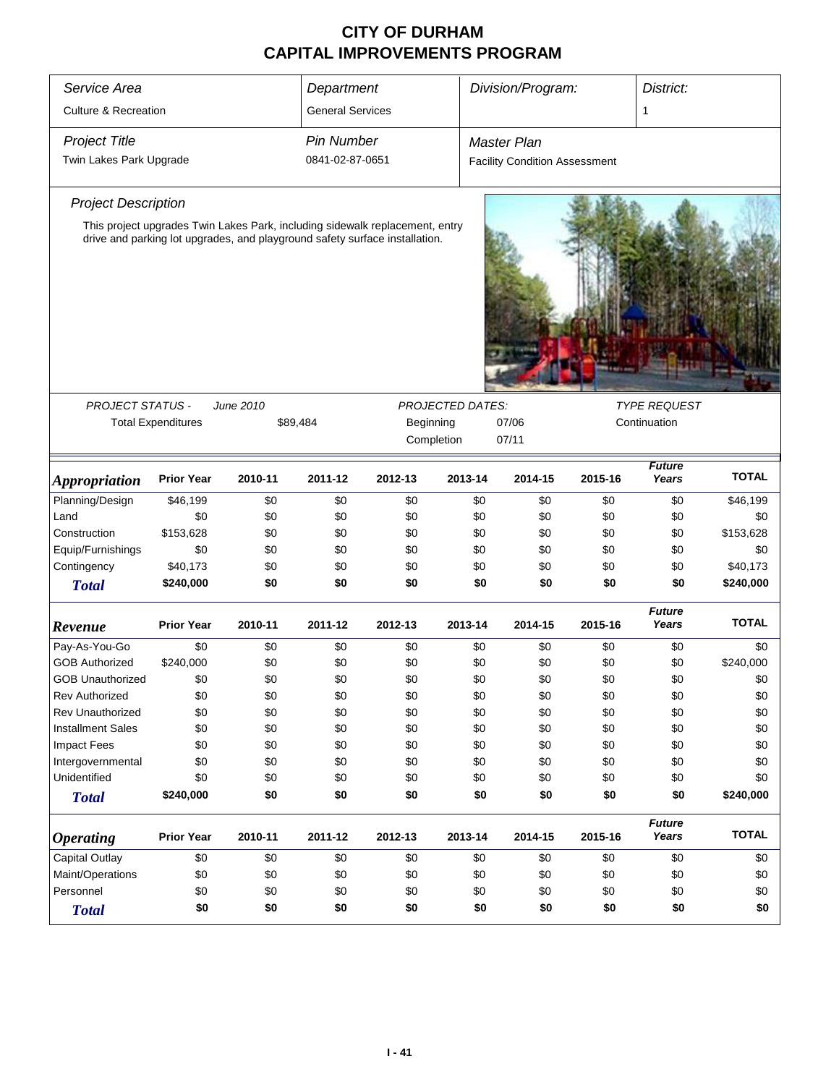| Service Area                    |                           | Department                                                                   |                         |                                           | Division/Program:       |                                      | District: |                        |              |
|---------------------------------|---------------------------|------------------------------------------------------------------------------|-------------------------|-------------------------------------------|-------------------------|--------------------------------------|-----------|------------------------|--------------|
| <b>Culture &amp; Recreation</b> |                           |                                                                              | <b>General Services</b> |                                           |                         |                                      |           | 1                      |              |
| <b>Project Title</b>            |                           |                                                                              | <b>Pin Number</b>       |                                           |                         | <b>Master Plan</b>                   |           |                        |              |
| Twin Lakes Park Upgrade         |                           |                                                                              | 0841-02-87-0651         |                                           |                         | <b>Facility Condition Assessment</b> |           |                        |              |
| <b>Project Description</b>      |                           |                                                                              |                         |                                           |                         |                                      |           |                        |              |
|                                 |                           | This project upgrades Twin Lakes Park, including sidewalk replacement, entry |                         |                                           |                         |                                      |           |                        |              |
|                                 |                           | drive and parking lot upgrades, and playground safety surface installation.  |                         |                                           |                         |                                      |           |                        |              |
|                                 |                           |                                                                              |                         |                                           |                         |                                      |           |                        |              |
| <b>PROJECT STATUS -</b>         |                           | June 2010                                                                    |                         |                                           | <b>PROJECTED DATES:</b> |                                      |           | <b>TYPE REQUEST</b>    |              |
|                                 | <b>Total Expenditures</b> | \$89,484                                                                     |                         | 07/06<br>Beginning<br>Completion<br>07/11 |                         |                                      |           | Continuation           |              |
|                                 |                           |                                                                              |                         |                                           |                         |                                      |           |                        |              |
| <b>Appropriation</b>            | <b>Prior Year</b>         | 2010-11                                                                      | 2011-12                 | 2012-13                                   | 2013-14                 | 2014-15                              | 2015-16   | <b>Future</b><br>Years | <b>TOTAL</b> |
| Planning/Design                 | \$46,199                  | \$0                                                                          | \$0                     | \$0                                       | \$0                     | \$0                                  | \$0       | \$0                    | \$46,199     |
| Land                            | \$0                       | \$0                                                                          | \$0                     | \$0                                       | \$0                     | \$0                                  | \$0       | \$0                    | \$0          |
| Construction                    | \$153,628                 | \$0                                                                          | \$0                     | \$0                                       | \$0                     | \$0                                  | \$0       | \$0                    | \$153,628    |
| Equip/Furnishings               | \$0                       | \$0                                                                          | \$0                     | \$0                                       | \$0                     | \$0                                  | \$0       | \$0                    | \$0          |
| Contingency                     | \$40,173                  | \$0                                                                          | \$0                     | \$0                                       | \$0                     | \$0                                  | \$0       | \$0                    | \$40,173     |
| <b>Total</b>                    | \$240,000                 | \$0                                                                          | \$0                     | \$0                                       | \$0                     | \$0                                  | \$0       | \$0                    | \$240,000    |
| Revenue                         | <b>Prior Year</b>         | 2010-11                                                                      | 2011-12                 | 2012-13                                   | 2013-14                 | 2014-15                              | 2015-16   | <b>Future</b><br>Years | <b>TOTAL</b> |
| Pay-As-You-Go                   | \$0                       | \$0                                                                          | \$0                     | \$0                                       | \$0                     | \$0                                  | \$0       | \$0                    | \$0          |
| <b>GOB Authorized</b>           | \$240,000                 | \$0                                                                          | \$0                     | \$0                                       | \$0                     | \$0                                  | \$0       | \$0                    | \$240,000    |
| <b>GOB Unauthorized</b>         | \$0                       | \$0                                                                          | \$0                     | \$0                                       | \$0                     | \$0                                  | \$0       | \$0                    | \$0          |
| <b>Rev Authorized</b>           | \$0                       | \$0                                                                          | \$0                     | \$0                                       | \$0                     | \$0                                  | \$0       | \$0                    | \$0          |
| Rev Unauthorized                | \$0                       | \$0                                                                          | \$0                     | \$0                                       | \$0                     | \$0                                  | \$0       | \$0                    | \$0          |
| <b>Installment Sales</b>        | \$0                       | \$0                                                                          | \$0                     | \$0                                       | \$0                     | \$0                                  | \$0       | \$0                    | \$0          |
| <b>Impact Fees</b>              | \$0                       | \$0                                                                          | \$0                     | \$0                                       | \$0                     | \$0                                  | \$0       | \$0                    | \$0          |
| Intergovernmental               | \$0                       | \$0                                                                          | \$0                     | \$0                                       | \$0                     | \$0                                  | \$0       | \$0                    | \$0          |
| Unidentified                    | \$0                       | \$0                                                                          | \$0                     | \$0                                       | \$0                     | \$0                                  | \$0       | \$0                    | \$0          |
| <b>Total</b>                    | \$240,000                 | \$0                                                                          | \$0                     | \$0                                       | \$0                     | \$0                                  | \$0       | \$0                    | \$240,000    |
| <b>Operating</b>                | <b>Prior Year</b>         | 2010-11                                                                      | 2011-12                 | 2012-13                                   | 2013-14                 | 2014-15                              | 2015-16   | <b>Future</b><br>Years | <b>TOTAL</b> |
| Capital Outlay                  | \$0                       | \$0                                                                          | \$0                     | \$0                                       | \$0                     | \$0                                  | \$0       | \$0                    | \$0          |
| Maint/Operations                | \$0                       | \$0                                                                          | \$0                     | \$0                                       | \$0                     | \$0                                  | \$0       | \$0                    | \$0          |
| Personnel                       | \$0                       | \$0                                                                          | \$0                     | \$0                                       | \$0                     | \$0                                  | \$0       | \$0                    | \$0          |
| <b>Total</b>                    | \$0                       | \$0                                                                          | \$0                     | \$0                                       | \$0                     | \$0                                  | \$0       | \$0                    | \$0          |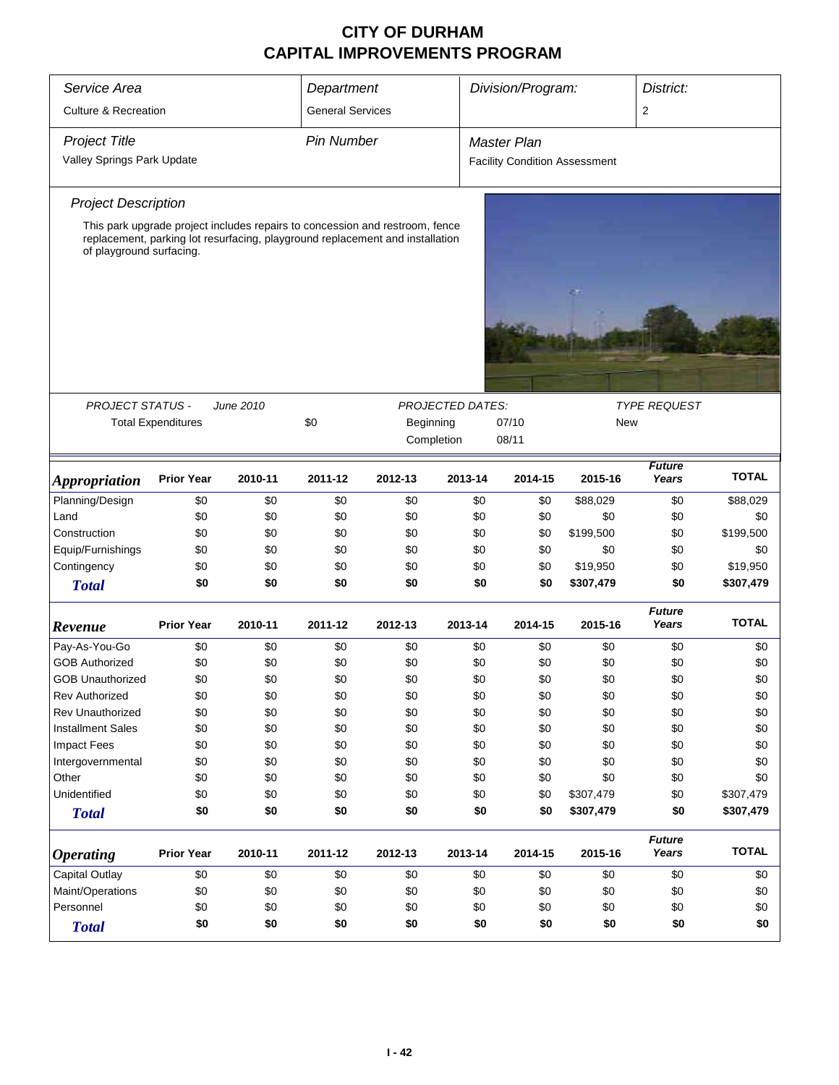| Service Area                    | Department                |           |                         |                                                                                                                                                               |                         |                    | Division/Program:<br>District: |                                      |                        |              |  |
|---------------------------------|---------------------------|-----------|-------------------------|---------------------------------------------------------------------------------------------------------------------------------------------------------------|-------------------------|--------------------|--------------------------------|--------------------------------------|------------------------|--------------|--|
| <b>Culture &amp; Recreation</b> |                           |           | <b>General Services</b> |                                                                                                                                                               |                         |                    |                                |                                      | $\overline{2}$         |              |  |
| <b>Project Title</b>            |                           |           | <b>Pin Number</b>       |                                                                                                                                                               |                         | <b>Master Plan</b> |                                |                                      |                        |              |  |
| Valley Springs Park Update      |                           |           |                         |                                                                                                                                                               |                         |                    |                                | <b>Facility Condition Assessment</b> |                        |              |  |
|                                 |                           |           |                         |                                                                                                                                                               |                         |                    |                                |                                      |                        |              |  |
| <b>Project Description</b>      |                           |           |                         |                                                                                                                                                               |                         |                    |                                |                                      |                        |              |  |
| of playground surfacing.        |                           |           |                         | This park upgrade project includes repairs to concession and restroom, fence<br>replacement, parking lot resurfacing, playground replacement and installation |                         |                    |                                |                                      |                        |              |  |
|                                 |                           |           |                         |                                                                                                                                                               |                         |                    |                                |                                      |                        |              |  |
| PROJECT STATUS -                |                           | June 2010 |                         |                                                                                                                                                               | <b>PROJECTED DATES:</b> |                    |                                |                                      | <b>TYPE REQUEST</b>    |              |  |
|                                 | <b>Total Expenditures</b> |           | \$0                     | Beginning                                                                                                                                                     |                         | 07/10              |                                | New                                  |                        |              |  |
|                                 |                           |           |                         | Completion                                                                                                                                                    |                         | 08/11              |                                |                                      |                        |              |  |
| <b>Appropriation</b>            | <b>Prior Year</b>         | 2010-11   | 2011-12                 | 2012-13                                                                                                                                                       | 2013-14                 |                    | 2014-15                        | 2015-16                              | <b>Future</b><br>Years | <b>TOTAL</b> |  |
| Planning/Design                 | \$0                       | \$0       | \$0                     | \$0                                                                                                                                                           |                         | \$0                | \$0                            | \$88,029                             | \$0                    | \$88,029     |  |
| Land                            | \$0                       | \$0       | \$0                     | \$0                                                                                                                                                           |                         | \$0                | \$0                            | \$0                                  | \$0                    | \$0          |  |
| Construction                    | \$0                       | \$0       | \$0                     | \$0                                                                                                                                                           |                         | \$0                | \$0                            | \$199,500                            | \$0                    | \$199,500    |  |
| Equip/Furnishings               | \$0                       | \$0       | \$0                     | \$0                                                                                                                                                           |                         | \$0                | \$0                            | \$0                                  | \$0                    | \$0          |  |
| Contingency                     | \$0                       | \$0       | \$0                     | \$0                                                                                                                                                           |                         | \$0                | \$0                            | \$19,950                             | \$0                    | \$19,950     |  |
| <b>Total</b>                    | \$0                       | \$0       | \$0                     | \$0                                                                                                                                                           |                         | \$0                | \$0                            | \$307,479                            | \$0                    | \$307,479    |  |
| Revenue                         | <b>Prior Year</b>         | 2010-11   | 2011-12                 | 2012-13                                                                                                                                                       | 2013-14                 |                    | 2014-15                        | 2015-16                              | <b>Future</b><br>Years | <b>TOTAL</b> |  |
| Pay-As-You-Go                   | \$0                       | \$0       | \$0                     | \$0                                                                                                                                                           |                         | \$0                | \$0                            | \$0                                  | \$0                    | \$0          |  |
| <b>GOB Authorized</b>           | \$0                       | \$0       | \$0                     | \$0                                                                                                                                                           |                         | \$0                | \$0                            | \$0                                  | \$0                    | \$0          |  |
| <b>GOB Unauthorized</b>         | \$0                       | \$0       | \$0                     | \$0                                                                                                                                                           |                         | \$0                | \$0                            | \$0                                  | \$0                    | \$0          |  |
| <b>Rev Authorized</b>           | \$0                       | \$0       | \$0                     | \$0                                                                                                                                                           |                         | \$0                | \$0                            | \$0                                  | \$0                    | \$0          |  |
| Rev Unauthorized                | \$0                       | \$0       | \$0                     | \$0                                                                                                                                                           |                         | \$0                | \$0                            | \$0                                  | \$0                    | \$0          |  |
| <b>Installment Sales</b>        | \$0                       | \$0       | \$0                     | \$0                                                                                                                                                           |                         | \$0                | \$0                            | \$0                                  | \$0                    | \$0          |  |
| <b>Impact Fees</b>              | \$0                       | \$0       | \$0                     | \$0                                                                                                                                                           |                         | \$0                | \$0                            | \$0                                  | \$0                    | \$0          |  |
| Intergovernmental               | \$0                       | \$0       | \$0                     | \$0                                                                                                                                                           |                         | \$0                | \$0                            | \$0                                  | \$0                    | \$0          |  |
| Other                           | \$0                       | \$0       | \$0                     | \$0                                                                                                                                                           |                         | \$0                | \$0                            | \$0                                  | \$0                    | \$0          |  |
| Unidentified                    | \$0                       | \$0       | \$0                     | \$0                                                                                                                                                           |                         | \$0                | \$0                            | \$307,479                            | \$0                    | \$307,479    |  |
| <b>Total</b>                    | \$0                       | \$0       | \$0                     | \$0                                                                                                                                                           |                         | \$0                | \$0                            | \$307,479                            | \$0                    | \$307,479    |  |
| <b>Operating</b>                | <b>Prior Year</b>         | 2010-11   | 2011-12                 | 2012-13                                                                                                                                                       | 2013-14                 |                    | 2014-15                        | 2015-16                              | <b>Future</b><br>Years | <b>TOTAL</b> |  |
| <b>Capital Outlay</b>           | \$0                       | \$0       | \$0                     | \$0                                                                                                                                                           |                         | \$0                | \$0                            | \$0                                  | \$0                    | \$0          |  |
| Maint/Operations                | \$0                       | \$0       | \$0                     | \$0                                                                                                                                                           |                         | \$0                | \$0                            | \$0                                  | \$0                    | \$0          |  |
| Personnel                       | \$0                       | \$0       | \$0                     | \$0                                                                                                                                                           |                         | \$0                | \$0                            | \$0                                  | \$0                    | \$0          |  |
| <b>Total</b>                    | \$0                       | \$0       | \$0                     | \$0                                                                                                                                                           |                         | \$0                | \$0                            | \$0                                  | \$0                    | \$0          |  |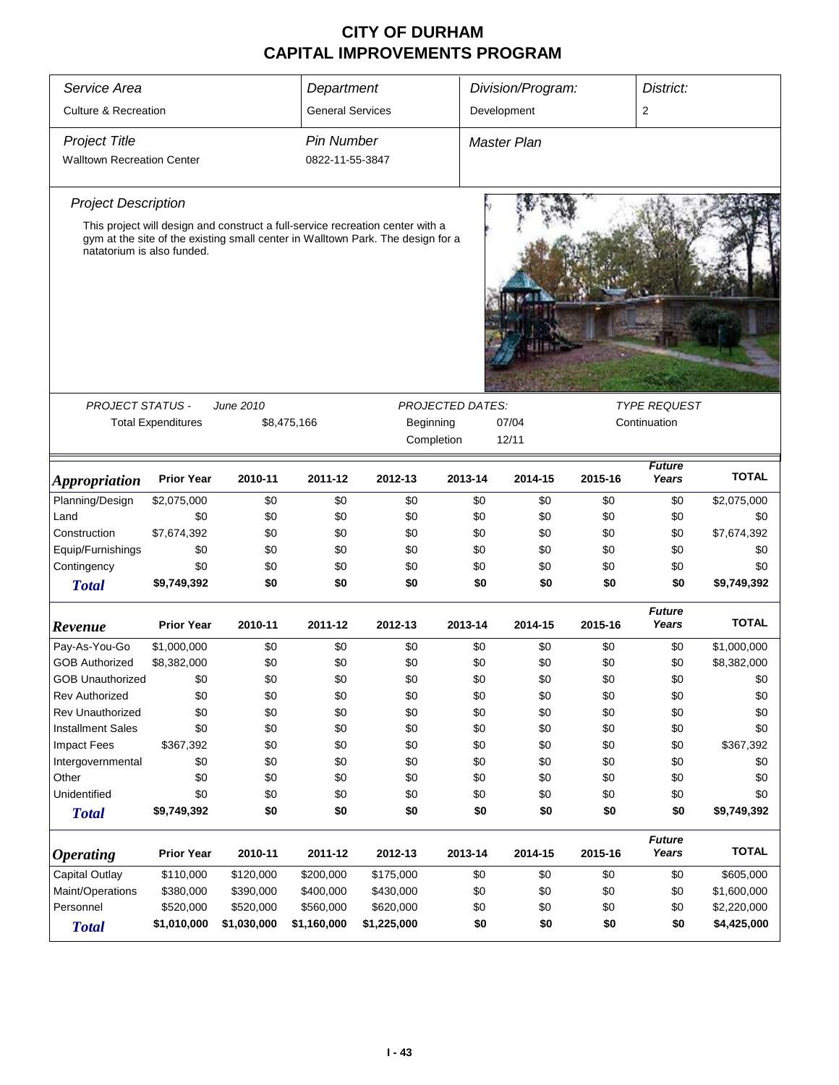| Service Area                      |                           |             | Department              |                                                                                                                                                                   |                                       | Division/Program:  |         | District:                           |              |
|-----------------------------------|---------------------------|-------------|-------------------------|-------------------------------------------------------------------------------------------------------------------------------------------------------------------|---------------------------------------|--------------------|---------|-------------------------------------|--------------|
| <b>Culture &amp; Recreation</b>   |                           |             | <b>General Services</b> |                                                                                                                                                                   |                                       | Development        |         | 2                                   |              |
| <b>Project Title</b>              |                           |             | <b>Pin Number</b>       |                                                                                                                                                                   |                                       | <b>Master Plan</b> |         |                                     |              |
| <b>Walltown Recreation Center</b> |                           |             | 0822-11-55-3847         |                                                                                                                                                                   |                                       |                    |         |                                     |              |
| <b>Project Description</b>        |                           |             |                         |                                                                                                                                                                   |                                       |                    |         |                                     |              |
| natatorium is also funded.        |                           |             |                         | This project will design and construct a full-service recreation center with a<br>gym at the site of the existing small center in Walltown Park. The design for a |                                       |                    |         |                                     |              |
|                                   |                           |             |                         |                                                                                                                                                                   |                                       |                    |         |                                     |              |
| <b>PROJECT STATUS -</b>           | <b>Total Expenditures</b> | June 2010   | \$8,475,166             | Beginning                                                                                                                                                         | <b>PROJECTED DATES:</b><br>Completion | 07/04<br>12/11     |         | <b>TYPE REQUEST</b><br>Continuation |              |
| <i><b>Appropriation</b></i>       | <b>Prior Year</b>         | 2010-11     | 2011-12                 | 2012-13                                                                                                                                                           | 2013-14                               | 2014-15            | 2015-16 | <b>Future</b><br>Years              | <b>TOTAL</b> |
| Planning/Design                   | \$2,075,000               | \$0         | \$0                     | \$0                                                                                                                                                               | \$0                                   | \$0                | \$0     | \$0                                 | \$2,075,000  |
| Land                              | \$0                       | \$0         | \$0                     | \$0                                                                                                                                                               | \$0                                   | \$0                | \$0     | \$0                                 | \$0          |
| Construction                      | \$7,674,392               | \$0         | \$0                     | \$0                                                                                                                                                               | \$0                                   | \$0                | \$0     | \$0                                 | \$7,674,392  |
| Equip/Furnishings                 | \$0                       | \$0         | \$0                     | \$0                                                                                                                                                               | \$0                                   | \$0                | \$0     | \$0                                 | \$0          |
| Contingency                       | \$0                       | \$0         | \$0                     | \$0                                                                                                                                                               | \$0                                   | \$0                | \$0     | \$0                                 | \$0          |
| <b>Total</b>                      | \$9,749,392               | \$0         | \$0                     | \$0                                                                                                                                                               | \$0                                   | \$0                | \$0     | \$0                                 | \$9,749,392  |
| Revenue                           | <b>Prior Year</b>         | 2010-11     | 2011-12                 | 2012-13                                                                                                                                                           | 2013-14                               | 2014-15            | 2015-16 | <b>Future</b><br>Years              | <b>TOTAL</b> |
| Pay-As-You-Go                     | \$1,000,000               | \$0         | \$0                     | \$0                                                                                                                                                               | \$0                                   | \$0                | \$0     | \$0                                 | \$1,000,000  |
| <b>GOB Authorized</b>             | \$8,382,000               | \$0         | \$0                     | \$0                                                                                                                                                               | \$0                                   | \$0                | \$0     | \$0                                 | \$8,382,000  |
| <b>GOB Unauthorized</b>           | \$0                       | \$0         | \$0                     | \$0                                                                                                                                                               | \$0                                   | \$0                | \$0     | \$0                                 | \$0          |
| <b>Rev Authorized</b>             | \$0                       | \$0         | \$0                     | \$0                                                                                                                                                               | \$0                                   | \$0                | \$0     | \$0                                 | \$0          |
| Rev Unauthorized                  | \$0                       | \$0         | \$0                     | \$0                                                                                                                                                               | \$0                                   | \$0                | \$0     | \$0                                 | \$0          |
| <b>Installment Sales</b>          | \$0                       | \$0         | \$0                     | \$0                                                                                                                                                               | \$0                                   | \$0                | \$0     | \$0                                 | \$0          |
| <b>Impact Fees</b>                | \$367,392                 | \$0         | \$0                     | \$0                                                                                                                                                               | \$0                                   | \$0                | \$0     | \$0                                 | \$367,392    |
| Intergovernmental                 | \$0                       | \$0         | \$0                     | \$0                                                                                                                                                               | \$0                                   | \$0                | \$0     | \$0                                 | \$0          |
| Other                             | \$0                       | \$0         | \$0                     | \$0                                                                                                                                                               | \$0                                   | \$0                | \$0     | \$0                                 | \$0          |
| Unidentified                      | \$0                       | \$0         | \$0                     | \$0                                                                                                                                                               | \$0                                   | \$0                | \$0     | \$0                                 | \$0          |
| <b>Total</b>                      | \$9,749,392               | \$0         | \$0                     | \$0                                                                                                                                                               | \$0                                   | \$0                | \$0     | \$0                                 | \$9,749,392  |
| <b>Operating</b>                  | <b>Prior Year</b>         | 2010-11     | 2011-12                 | 2012-13                                                                                                                                                           | 2013-14                               | 2014-15            | 2015-16 | <b>Future</b><br>Years              | <b>TOTAL</b> |
| Capital Outlay                    | \$110,000                 | \$120,000   | \$200,000               | \$175,000                                                                                                                                                         | \$0                                   | \$0                | \$0     | \$0                                 | \$605,000    |
| Maint/Operations                  | \$380,000                 | \$390,000   | \$400,000               | \$430,000                                                                                                                                                         | \$0                                   | \$0                | \$0     | \$0                                 | \$1,600,000  |
| Personnel                         | \$520,000                 | \$520,000   | \$560,000               | \$620,000                                                                                                                                                         | \$0                                   | \$0                | \$0     | \$0                                 | \$2,220,000  |
| <b>Total</b>                      | \$1,010,000               | \$1,030,000 | \$1,160,000             | \$1,225,000                                                                                                                                                       | \$0                                   | \$0                | \$0     | \$0                                 | \$4,425,000  |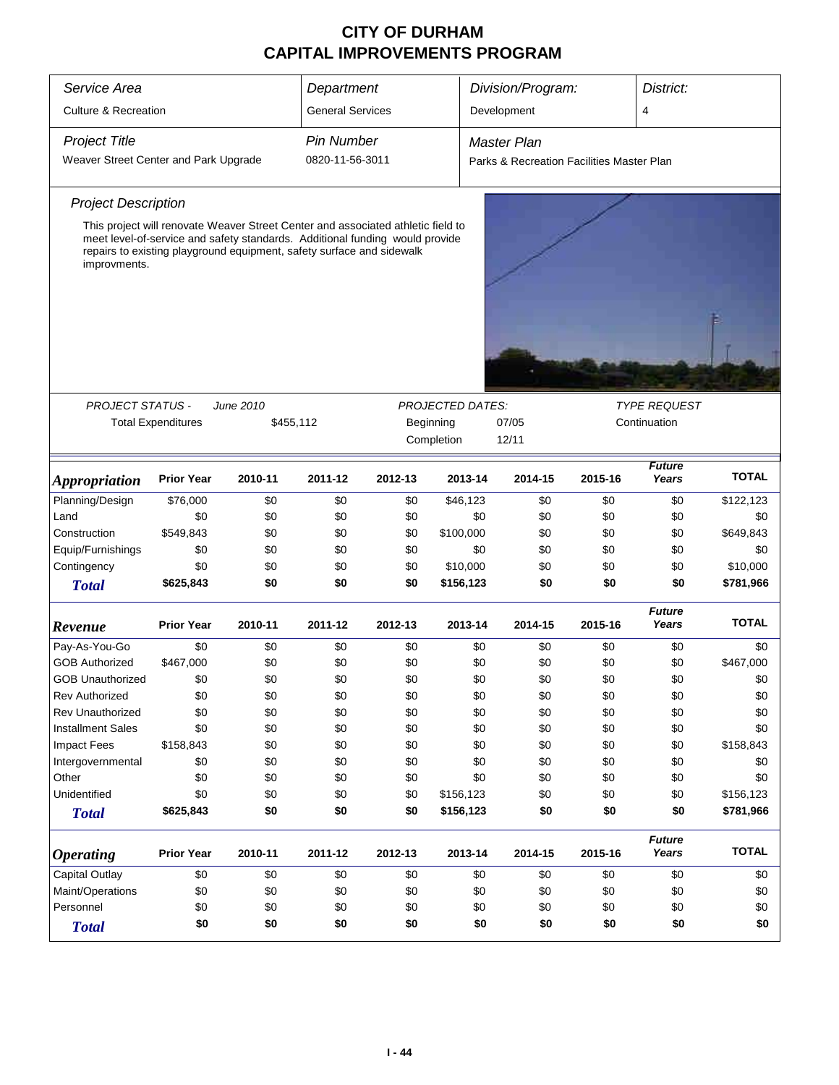| Service Area                          |                                                                                                                                                                                                                                           |           | Department              |                                  |                         | Division/Program:                         |         | District:                           |              |
|---------------------------------------|-------------------------------------------------------------------------------------------------------------------------------------------------------------------------------------------------------------------------------------------|-----------|-------------------------|----------------------------------|-------------------------|-------------------------------------------|---------|-------------------------------------|--------------|
| <b>Culture &amp; Recreation</b>       |                                                                                                                                                                                                                                           |           | <b>General Services</b> |                                  |                         | Development                               |         | 4                                   |              |
| <b>Project Title</b>                  |                                                                                                                                                                                                                                           |           | <b>Pin Number</b>       |                                  |                         | <b>Master Plan</b>                        |         |                                     |              |
| Weaver Street Center and Park Upgrade |                                                                                                                                                                                                                                           |           | 0820-11-56-3011         |                                  |                         | Parks & Recreation Facilities Master Plan |         |                                     |              |
| <b>Project Description</b>            |                                                                                                                                                                                                                                           |           |                         |                                  |                         |                                           |         |                                     |              |
| improvments.                          | This project will renovate Weaver Street Center and associated athletic field to<br>meet level-of-service and safety standards. Additional funding would provide<br>repairs to existing playground equipment, safety surface and sidewalk |           |                         |                                  |                         |                                           |         |                                     |              |
|                                       |                                                                                                                                                                                                                                           |           |                         |                                  |                         |                                           |         |                                     |              |
| <b>PROJECT STATUS -</b>               |                                                                                                                                                                                                                                           | June 2010 |                         |                                  | <b>PROJECTED DATES:</b> |                                           |         | <b>TYPE REQUEST</b><br>Continuation |              |
|                                       | <b>Total Expenditures</b>                                                                                                                                                                                                                 |           | \$455,112               | Beginning<br>07/05<br>Completion |                         |                                           |         |                                     |              |
|                                       |                                                                                                                                                                                                                                           |           |                         |                                  |                         | 12/11                                     |         |                                     |              |
| <i><b>Appropriation</b></i>           | <b>Prior Year</b>                                                                                                                                                                                                                         | 2010-11   | 2011-12                 | 2012-13                          | 2013-14                 | 2014-15                                   | 2015-16 | <b>Future</b><br>Years              | <b>TOTAL</b> |
| Planning/Design                       | \$76,000                                                                                                                                                                                                                                  | \$0       | \$0                     | \$0                              | \$46,123                | \$0                                       | \$0     | \$0                                 | \$122,123    |
| Land                                  | \$0                                                                                                                                                                                                                                       | \$0       | \$0                     | \$0                              | \$0                     | \$0                                       | \$0     | \$0                                 | \$0          |
| Construction                          | \$549,843                                                                                                                                                                                                                                 | \$0       | \$0                     | \$0                              | \$100,000               | \$0                                       | \$0     | \$0                                 | \$649,843    |
| Equip/Furnishings                     | \$0                                                                                                                                                                                                                                       | \$0       | \$0                     | \$0                              | \$0                     | \$0                                       | \$0     | \$0                                 | \$0          |
| Contingency                           | \$0                                                                                                                                                                                                                                       | \$0       | \$0                     | \$0                              | \$10,000                | \$0                                       | \$0     | \$0                                 | \$10,000     |
| <b>Total</b>                          | \$625,843                                                                                                                                                                                                                                 | \$0       | \$0                     | \$0                              | \$156,123               | \$0                                       | \$0     | \$0                                 | \$781,966    |
| Revenue                               | <b>Prior Year</b>                                                                                                                                                                                                                         | 2010-11   | 2011-12                 | 2012-13                          | 2013-14                 | 2014-15                                   | 2015-16 | <b>Future</b><br>Years              | <b>TOTAL</b> |
| Pay-As-You-Go                         | \$0                                                                                                                                                                                                                                       | \$0       | \$0                     | \$0                              | \$0                     | \$0                                       | \$0     | \$0                                 | \$0          |
| <b>GOB Authorized</b>                 | \$467,000                                                                                                                                                                                                                                 | \$0       | \$0                     | \$0                              | \$0                     | \$0                                       | \$0     | \$0                                 | \$467,000    |
| <b>GOB Unauthorized</b>               | \$0                                                                                                                                                                                                                                       | \$0       | \$0                     | \$0                              | \$0                     | \$0                                       | \$0     | \$0                                 | \$0          |
| <b>Rev Authorized</b>                 | \$0                                                                                                                                                                                                                                       | \$0       | \$0                     | \$0                              | \$0                     | \$0                                       | \$0     | \$0                                 | \$0          |
| <b>Rev Unauthorized</b>               | \$0                                                                                                                                                                                                                                       | \$0       | \$0                     | \$0                              | \$0                     | \$0                                       | \$0     | \$0                                 | \$0          |
| <b>Installment Sales</b>              | \$0                                                                                                                                                                                                                                       | \$0       | \$0                     | \$0                              | \$0                     | \$0                                       | \$0     | \$0                                 | \$0          |
| <b>Impact Fees</b>                    | \$158,843                                                                                                                                                                                                                                 | \$0       | \$0                     | \$0                              | \$0                     | \$0                                       | \$0     | \$0                                 | \$158,843    |
| Intergovernmental                     | \$0                                                                                                                                                                                                                                       | \$0       | \$0                     | \$0                              | \$0                     | \$0                                       | \$0     | \$0                                 | \$0          |
| Other                                 | \$0                                                                                                                                                                                                                                       | \$0       | \$0                     | \$0                              | \$0                     | \$0                                       | \$0     | \$0                                 | \$0          |
| Unidentified                          | \$0                                                                                                                                                                                                                                       | \$0       | \$0                     | \$0                              | \$156,123               | \$0                                       | \$0     | \$0                                 | \$156,123    |
| <b>Total</b>                          | \$625,843                                                                                                                                                                                                                                 | \$0       | \$0                     | \$0                              | \$156,123               | \$0                                       | \$0     | \$0                                 | \$781,966    |
| <b>Operating</b>                      | <b>Prior Year</b>                                                                                                                                                                                                                         | 2010-11   | 2011-12                 | 2012-13                          | 2013-14                 | 2014-15                                   | 2015-16 | <b>Future</b><br>Years              | <b>TOTAL</b> |
| Capital Outlay                        | \$0                                                                                                                                                                                                                                       | \$0       | \$0                     | \$0                              | \$0                     | \$0                                       | \$0     | \$0                                 | \$0          |
| Maint/Operations                      | \$0                                                                                                                                                                                                                                       | \$0       | \$0                     | \$0                              | \$0                     | \$0                                       | \$0     | \$0                                 | \$0          |
| Personnel                             | \$0                                                                                                                                                                                                                                       | \$0       | \$0                     | \$0                              | \$0                     | \$0                                       | \$0     | \$0                                 | \$0          |
| <b>Total</b>                          | \$0                                                                                                                                                                                                                                       | \$0       | \$0                     | \$0                              | \$0                     | \$0                                       | \$0     | \$0                                 | \$0          |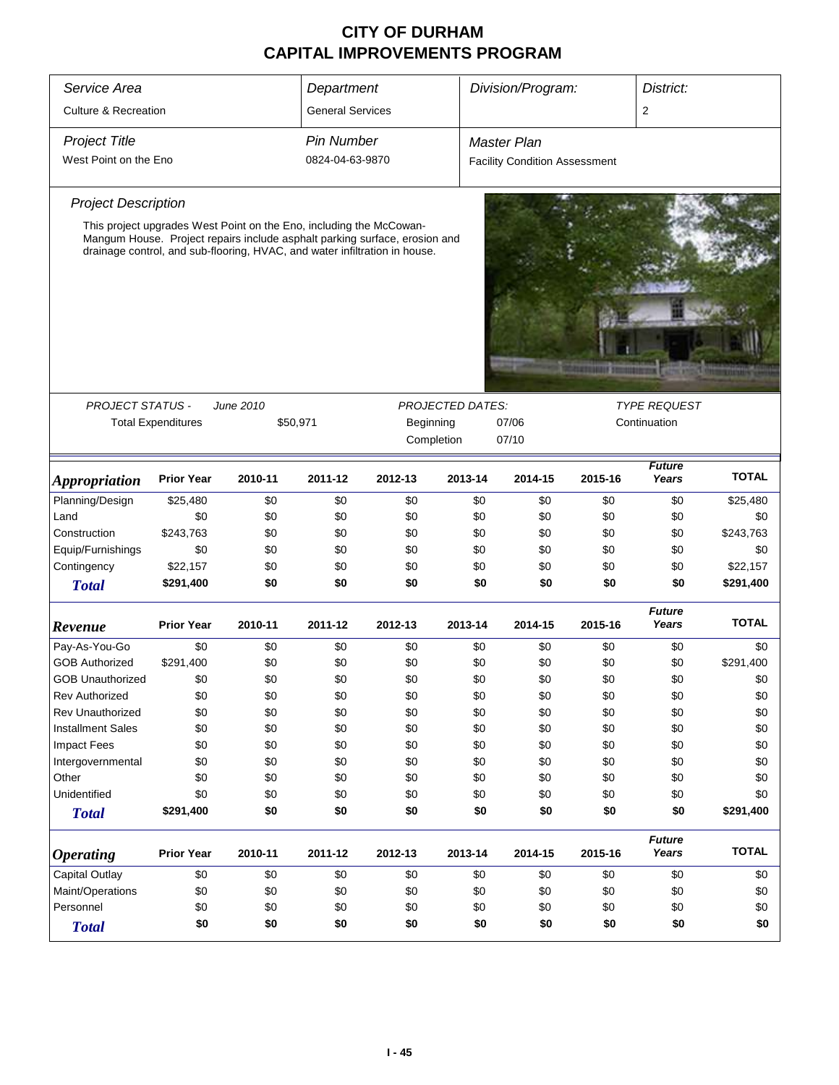| Division/Program:<br>District:<br>Service Area<br>Department<br><b>Culture &amp; Recreation</b><br><b>General Services</b><br>$\overline{2}$<br><b>Project Title</b><br><b>Pin Number</b><br><b>Master Plan</b><br>West Point on the Eno<br>0824-04-63-9870<br><b>Facility Condition Assessment</b> |              |
|-----------------------------------------------------------------------------------------------------------------------------------------------------------------------------------------------------------------------------------------------------------------------------------------------------|--------------|
|                                                                                                                                                                                                                                                                                                     |              |
|                                                                                                                                                                                                                                                                                                     |              |
|                                                                                                                                                                                                                                                                                                     |              |
|                                                                                                                                                                                                                                                                                                     |              |
| <b>Project Description</b>                                                                                                                                                                                                                                                                          |              |
| This project upgrades West Point on the Eno, including the McCowan-                                                                                                                                                                                                                                 |              |
| Mangum House. Project repairs include asphalt parking surface, erosion and<br>drainage control, and sub-flooring, HVAC, and water infiltration in house.                                                                                                                                            |              |
|                                                                                                                                                                                                                                                                                                     |              |
|                                                                                                                                                                                                                                                                                                     |              |
|                                                                                                                                                                                                                                                                                                     |              |
|                                                                                                                                                                                                                                                                                                     |              |
| <b>MATERIALES</b>                                                                                                                                                                                                                                                                                   |              |
|                                                                                                                                                                                                                                                                                                     |              |
| <b>PROJECT STATUS -</b><br>June 2010<br><b>PROJECTED DATES:</b><br><b>TYPE REQUEST</b><br><b>Total Expenditures</b><br>\$50,971<br>Beginning<br>07/06<br>Continuation                                                                                                                               |              |
| 07/10<br>Completion                                                                                                                                                                                                                                                                                 |              |
|                                                                                                                                                                                                                                                                                                     |              |
| <b>Future</b><br>Years<br><b>Prior Year</b><br>2010-11<br>2011-12<br>2012-13<br>2013-14<br>2014-15<br>2015-16<br><i><b>Appropriation</b></i>                                                                                                                                                        | <b>TOTAL</b> |
| Planning/Design<br>\$25,480<br>\$0<br>\$0<br>\$0<br>\$0<br>\$0<br>\$0<br>\$0                                                                                                                                                                                                                        | \$25,480     |
| Land<br>\$0<br>\$0<br>\$0<br>\$0<br>\$0<br>\$0<br>\$0<br>\$0                                                                                                                                                                                                                                        | \$0          |
| Construction<br>\$243,763<br>\$0<br>\$0<br>\$0<br>\$0<br>\$0<br>\$0<br>\$0<br>\$243,763                                                                                                                                                                                                             |              |
| Equip/Furnishings<br>\$0<br>\$0<br>\$0<br>\$0<br>\$0<br>\$0<br>\$0<br>\$0                                                                                                                                                                                                                           | \$0          |
| Contingency<br>\$22,157<br>\$0<br>\$0<br>\$0<br>\$0<br>\$0<br>\$0<br>\$0                                                                                                                                                                                                                            | \$22,157     |
| \$291,400<br>\$0<br>\$0<br>\$0<br>\$0<br>\$0<br>\$0<br>\$0<br>\$291,400<br><b>Total</b>                                                                                                                                                                                                             |              |
| <b>Future</b><br><b>Prior Year</b><br>2011-12<br>2013-14<br>2015-16<br>Years<br>2010-11<br>2012-13<br>2014-15<br>Revenue                                                                                                                                                                            | <b>TOTAL</b> |
| \$0<br>Pay-As-You-Go<br>\$0<br>\$0<br>\$0<br>\$0<br>\$0<br>\$0<br>\$0                                                                                                                                                                                                                               | \$0          |
| <b>GOB Authorized</b><br>\$291,400<br>\$0<br>\$0<br>\$0<br>\$0<br>\$0<br>\$0<br>\$0<br>\$291,400                                                                                                                                                                                                    |              |
| \$0<br>\$0<br>\$0<br>\$0<br>\$0<br>\$0<br>\$0<br>\$0<br><b>GOB Unauthorized</b>                                                                                                                                                                                                                     | \$0          |
| \$0<br>\$0<br>\$0<br>\$0<br>\$0<br>\$0<br>\$0<br>\$0<br><b>Rev Authorized</b>                                                                                                                                                                                                                       | \$0          |
| <b>Rev Unauthorized</b><br>\$0<br>\$0<br>\$0<br>\$0<br>\$0<br>\$0<br>\$0<br>\$0                                                                                                                                                                                                                     | \$0          |
| <b>Installment Sales</b><br>\$0<br>\$0<br>\$0<br>\$0<br>\$0<br>\$0<br>\$0<br>\$0                                                                                                                                                                                                                    | \$0          |
| Impact Fees<br>\$0<br>\$0<br>\$0<br>\$0<br>\$0<br>\$0<br>\$0<br>\$0                                                                                                                                                                                                                                 | \$0          |
| \$0<br>Intergovernmental<br>\$0<br>\$0<br>\$0<br>\$0<br>\$0<br>\$0<br>\$0                                                                                                                                                                                                                           | \$0          |
| \$0<br>\$0<br>Other<br>\$0<br>\$0<br>\$0<br>\$0<br>\$0<br>\$0                                                                                                                                                                                                                                       | \$0          |
| Unidentified<br>\$0<br>\$0<br>\$0<br>\$0<br>\$0<br>\$0<br>\$0<br>\$0                                                                                                                                                                                                                                | \$0          |
| \$0<br>\$0<br>\$0<br>\$0<br>\$0<br>\$291,400<br>\$0<br>\$0<br>\$291,400<br><b>Total</b>                                                                                                                                                                                                             |              |
| <b>Future</b><br><b>Prior Year</b><br>Years<br>2010-11<br>2011-12<br>2012-13<br>2013-14<br>2014-15<br>2015-16<br><b>Operating</b>                                                                                                                                                                   | <b>TOTAL</b> |
| <b>Capital Outlay</b><br>\$0<br>\$0<br>\$0<br>\$0<br>\$0<br>\$0<br>\$0<br>\$0                                                                                                                                                                                                                       | \$0          |
| Maint/Operations<br>\$0<br>\$0<br>\$0<br>\$0<br>\$0<br>\$0<br>\$0<br>\$0                                                                                                                                                                                                                            | \$0          |
| Personnel<br>\$0<br>\$0<br>\$0<br>\$0<br>\$0<br>\$0<br>\$0<br>\$0                                                                                                                                                                                                                                   | \$0          |
| \$0<br>\$0<br>\$0<br>\$0<br>\$0<br>\$0<br>\$0<br>\$0<br><b>Total</b>                                                                                                                                                                                                                                | \$0          |